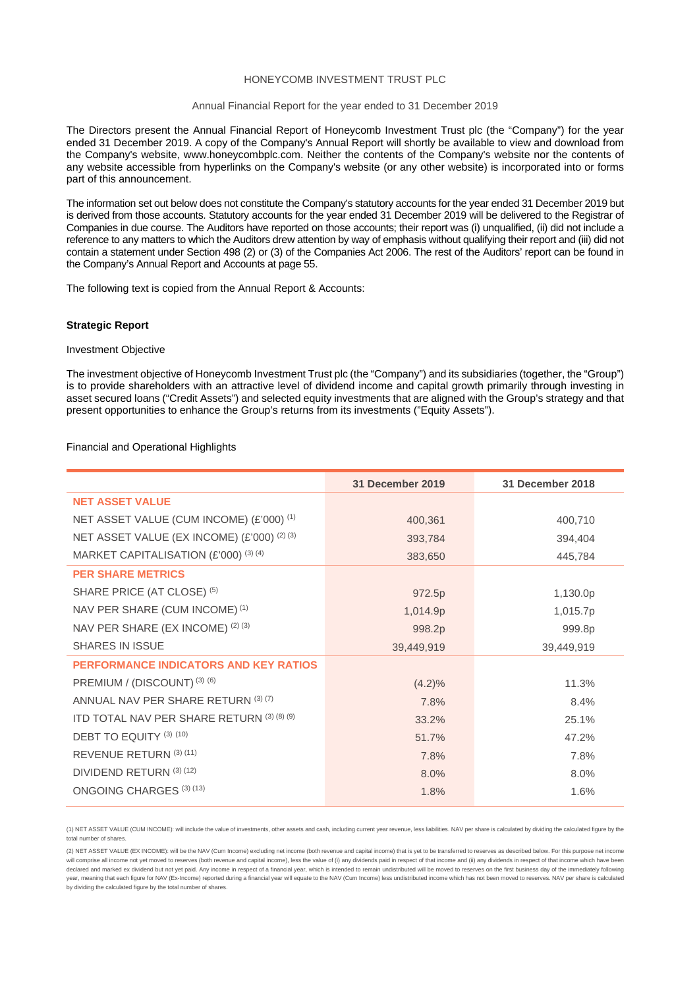#### HONEYCOMB INVESTMENT TRUST PLC

#### Annual Financial Report for the year ended to 31 December 2019

The Directors present the Annual Financial Report of Honeycomb Investment Trust plc (the "Company") for the year ended 31 December 2019. A copy of the Company's Annual Report will shortly be available to view and download from the Company's website, www.honeycombplc.com. Neither the contents of the Company's website nor the contents of any website accessible from hyperlinks on the Company's website (or any other website) is incorporated into or forms part of this announcement.

The information set out below does not constitute the Company's statutory accounts for the year ended 31 December 2019 but is derived from those accounts. Statutory accounts for the year ended 31 December 2019 will be delivered to the Registrar of Companies in due course. The Auditors have reported on those accounts; their report was (i) unqualified, (ii) did not include a reference to any matters to which the Auditors drew attention by way of emphasis without qualifying their report and (iii) did not contain a statement under Section 498 (2) or (3) of the Companies Act 2006. The rest of the Auditors' report can be found in the Company's Annual Report and Accounts at page 55.

The following text is copied from the Annual Report & Accounts:

#### **Strategic Report**

#### Investment Objective

The investment objective of Honeycomb Investment Trust plc (the "Company") and its subsidiaries (together, the "Group") is to provide shareholders with an attractive level of dividend income and capital growth primarily through investing in asset secured loans ("Credit Assets") and selected equity investments that are aligned with the Group's strategy and that present opportunities to enhance the Group's returns from its investments ("Equity Assets").

#### Financial and Operational Highlights

|                                                       | 31 December 2019 | 31 December 2018 |
|-------------------------------------------------------|------------------|------------------|
| <b>NET ASSET VALUE</b>                                |                  |                  |
| NET ASSET VALUE (CUM INCOME) (£'000) <sup>(1)</sup>   | 400,361          | 400,710          |
| NET ASSET VALUE (EX INCOME) (£'000) <sup>(2)(3)</sup> | 393,784          | 394,404          |
| MARKET CAPITALISATION (£'000) <sup>(3)(4)</sup>       | 383,650          | 445,784          |
| <b>PER SHARE METRICS</b>                              |                  |                  |
| SHARE PRICE (AT CLOSE) <sup>(5)</sup>                 | 972.5p           | 1,130.0p         |
| NAV PER SHARE (CUM INCOME) <sup>(1)</sup>             | 1,014.9p         | 1,015.7p         |
| NAV PER SHARE (EX INCOME) (2) (3)                     | 998.2p           | 999.8p           |
| <b>SHARES IN ISSUE</b>                                | 39,449,919       | 39,449,919       |
| <b>PERFORMANCE INDICATORS AND KEY RATIOS</b>          |                  |                  |
| PREMIUM / (DISCOUNT) (3) (6)                          | $(4.2)\%$        | 11.3%            |
| ANNUAL NAV PER SHARE RETURN (3) (7)                   | 7.8%             | 8.4%             |
| ITD TOTAL NAV PER SHARE RETURN (3) (8) (9)            | 33.2%            | 25.1%            |
| DEBT TO EQUITY (3) (10)                               | 51.7%            | 47.2%            |
| REVENUE RETURN (3) (11)                               | 7.8%             | 7.8%             |
| DIVIDEND RETURN (3) (12)                              | 8.0%             | 8.0%             |
| ONGOING CHARGES (3) (13)                              | 1.8%             | 1.6%             |

(1) NET ASSET VALUE (CUM INCOME): will include the value of investments, other assets and cash, including current year revenue, less liabilities. NAV per share is calculated by dividing the calculated figure by the total number of shares.

(2) NET ASSET VALUE (EX INCOME): will be the NAV (Cum Income) excluding net income (both revenue and capital income) that is yet to be transferred to reserves as described below. For this purpose net income will comprise all income not yet moved to reserves (both revenue and capital income), less the value of (i) any dividends paid in respect of that income and (ii) any dividends in respect of that income not yet moved to res declared and marked ex dividend but not vet paid. Any income in respect of a financial year, which is intended to remain undistributed will be moved to reserves on the first business day of the immediately following year, meaning that each figure for NAV (Ex-Income) reported during a financial year will equate to the NAV (Cum Income) less undistributed income which has not been moved to reserves. NAV per share is calculated by dividing the calculated figure by the total number of shares.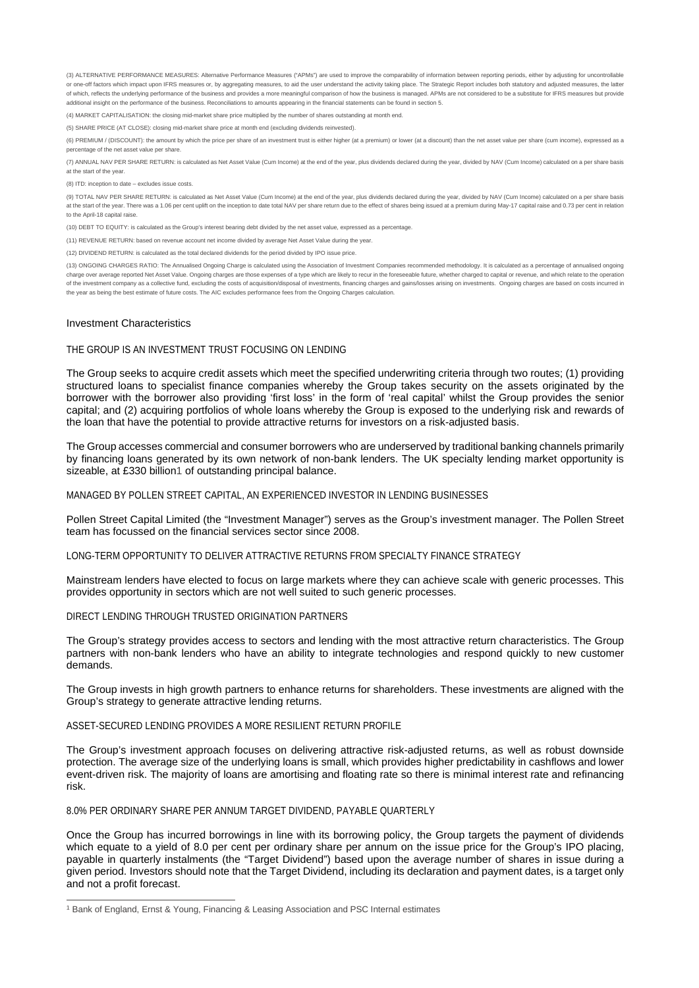(3) ALTERNATIVE PERFORMANCE MEASURES: Alternative Performance Measures ("APMs") are used to improve the comparability of information between reporting periods, either by adjusting for uncontrollable or one-off factors which impact upon IFRS measures or, by aggregating measures, to aid the user understand the activity taking place. The Strategic Report includes both statutory and adjusted measures, the latter of which, reflects the underlying performance of the business and provides a more meaningful comparison of how the business is managed. APMs are not considered to be a substitute for IFRS measures but provide additional insight on the performance of the business. Reconciliations to amounts appearing in the financial statements can be found in section 5.

(4) MARKET CAPITALISATION: the closing mid-market share price multiplied by the number of shares outstanding at month end.

(5) SHARE PRICE (AT CLOSE): closing mid-market share price at month end (excluding dividends reinvested).

(6) PREMIUM / (DISCOUNT): the amount by which the price per share of an investment trust is either higher (at a premium) or lower (at a discount) than the net asset value per share (cum income), expressed as a percentage of the net asset value per share.

(7) ANNUAL NAV PER SHARE RETURN: is calculated as Net Asset Value (Cum Income) at the end of the year, plus dividends declared during the year, divided by NAV (Cum Income) calculated on a per share basis at the start of the year.

(8) ITD: inception to date – excludes issue costs.

(9) TOTAL NAV PER SHARE RETURN: is calculated as Net Asset Value (Cum Income) at the end of the year, plus dividends declared during the year, divided by NAV (Cum Income) calculated on a per share basis at the start of the year. There was a 1.06 per cent uplift on the inception to date total NAV per share return due to the effect of shares being issued at a premium during May-17 capital raise and 0.73 per cent in relation to the April-18 capital raise.

(10) DEBT TO EQUITY: is calculated as the Group's interest bearing debt divided by the net asset value, expressed as a percentage.

(11) REVENUE RETURN: based on revenue account net income divided by average Net Asset Value during the year.

(12) DIVIDEND RETURN: is calculated as the total declared dividends for the period divided by IPO issue price.

(13) ONGOING CHARGES RATIO: The Annualised Ongoing Charge is calculated using the Association of Investment Companies recommended methodology. It is calculated as a percentage of annualised ongoing charge over average reported Net Asset Value. Ongoing charges are those expenses of a type which are likely to recur in the foreseeable future, whether charged to capital or revenue, and which relate to the operation of the investment company as a collective fund, excluding the costs of acquisition/disposal of investments, financing charges and gains/losses arising on investments. Ongoing charges are based on costs incurred in the year as being the best estimate of future costs. The AIC excludes performance fees from the Ongoing Charges calculation.

#### Investment Characteristics

#### THE GROUP IS AN INVESTMENT TRUST FOCUSING ON LENDING

The Group seeks to acquire credit assets which meet the specified underwriting criteria through two routes; (1) providing structured loans to specialist finance companies whereby the Group takes security on the assets originated by the borrower with the borrower also providing 'first loss' in the form of 'real capital' whilst the Group provides the senior capital; and (2) acquiring portfolios of whole loans whereby the Group is exposed to the underlying risk and rewards of the loan that have the potential to provide attractive returns for investors on a risk-adjusted basis.

The Group accesses commercial and consumer borrowers who are underserved by traditional banking channels primarily by financing loans generated by its own network of non-bank lenders. The UK specialty lending market opportunity is sizeable, at £330 billion1 of outstanding principal balance.

### MANAGED BY POLLEN STREET CAPITAL, AN EXPERIENCED INVESTOR IN LENDING BUSINESSES

Pollen Street Capital Limited (the "Investment Manager") serves as the Group's investment manager. The Pollen Street team has focussed on the financial services sector since 2008.

#### LONG-TERM OPPORTUNITY TO DELIVER ATTRACTIVE RETURNS FROM SPECIALTY FINANCE STRATEGY

Mainstream lenders have elected to focus on large markets where they can achieve scale with generic processes. This provides opportunity in sectors which are not well suited to such generic processes.

DIRECT LENDING THROUGH TRUSTED ORIGINATION PARTNERS

The Group's strategy provides access to sectors and lending with the most attractive return characteristics. The Group partners with non-bank lenders who have an ability to integrate technologies and respond quickly to new customer demands.

The Group invests in high growth partners to enhance returns for shareholders. These investments are aligned with the Group's strategy to generate attractive lending returns.

### ASSET-SECURED LENDING PROVIDES A MORE RESILIENT RETURN PROFILE

The Group's investment approach focuses on delivering attractive risk-adjusted returns, as well as robust downside protection. The average size of the underlying loans is small, which provides higher predictability in cashflows and lower event-driven risk. The majority of loans are amortising and floating rate so there is minimal interest rate and refinancing risk.

#### 8.0% PER ORDINARY SHARE PER ANNUM TARGET DIVIDEND, PAYABLE QUARTERLY

Once the Group has incurred borrowings in line with its borrowing policy, the Group targets the payment of dividends which equate to a yield of 8.0 per cent per ordinary share per annum on the issue price for the Group's IPO placing, payable in quarterly instalments (the "Target Dividend") based upon the average number of shares in issue during a given period. Investors should note that the Target Dividend, including its declaration and payment dates, is a target only and not a profit forecast.

<sup>1</sup> Bank of England, Ernst & Young, Financing & Leasing Association and PSC Internal estimates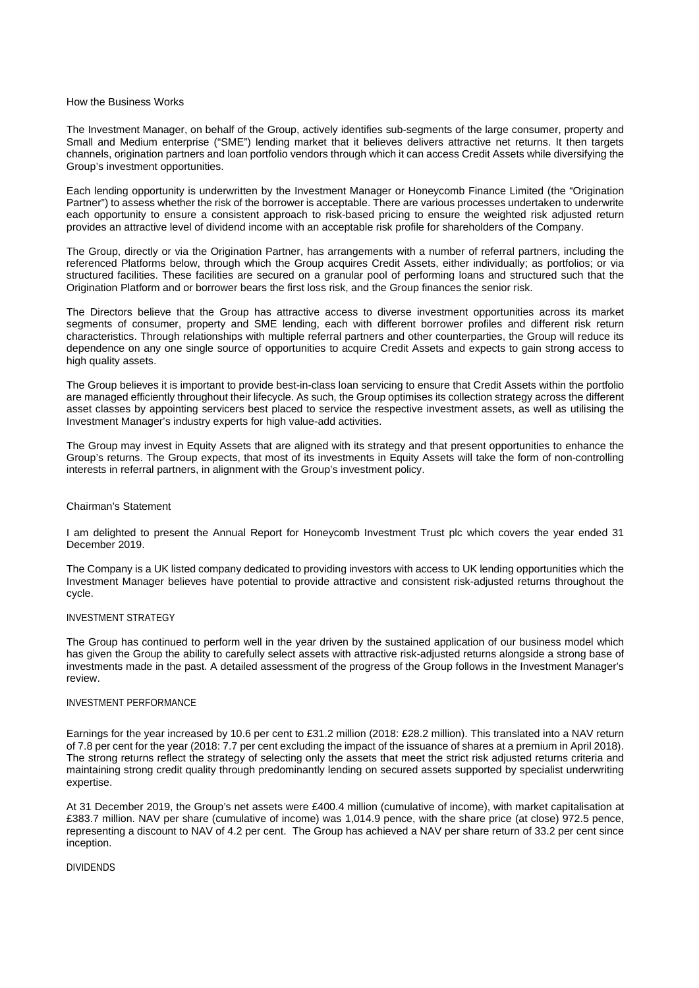### How the Business Works

The Investment Manager, on behalf of the Group, actively identifies sub-segments of the large consumer, property and Small and Medium enterprise ("SME") lending market that it believes delivers attractive net returns. It then targets channels, origination partners and loan portfolio vendors through which it can access Credit Assets while diversifying the Group's investment opportunities.

Each lending opportunity is underwritten by the Investment Manager or Honeycomb Finance Limited (the "Origination Partner") to assess whether the risk of the borrower is acceptable. There are various processes undertaken to underwrite each opportunity to ensure a consistent approach to risk-based pricing to ensure the weighted risk adjusted return provides an attractive level of dividend income with an acceptable risk profile for shareholders of the Company.

The Group, directly or via the Origination Partner, has arrangements with a number of referral partners, including the referenced Platforms below, through which the Group acquires Credit Assets, either individually; as portfolios; or via structured facilities. These facilities are secured on a granular pool of performing loans and structured such that the Origination Platform and or borrower bears the first loss risk, and the Group finances the senior risk.

The Directors believe that the Group has attractive access to diverse investment opportunities across its market segments of consumer, property and SME lending, each with different borrower profiles and different risk return characteristics. Through relationships with multiple referral partners and other counterparties, the Group will reduce its dependence on any one single source of opportunities to acquire Credit Assets and expects to gain strong access to high quality assets.

The Group believes it is important to provide best-in-class loan servicing to ensure that Credit Assets within the portfolio are managed efficiently throughout their lifecycle. As such, the Group optimises its collection strategy across the different asset classes by appointing servicers best placed to service the respective investment assets, as well as utilising the Investment Manager's industry experts for high value-add activities.

The Group may invest in Equity Assets that are aligned with its strategy and that present opportunities to enhance the Group's returns. The Group expects, that most of its investments in Equity Assets will take the form of non-controlling interests in referral partners, in alignment with the Group's investment policy.

#### Chairman's Statement

I am delighted to present the Annual Report for Honeycomb Investment Trust plc which covers the year ended 31 December 2019.

The Company is a UK listed company dedicated to providing investors with access to UK lending opportunities which the Investment Manager believes have potential to provide attractive and consistent risk-adjusted returns throughout the cycle.

### INVESTMENT STRATEGY

The Group has continued to perform well in the year driven by the sustained application of our business model which has given the Group the ability to carefully select assets with attractive risk-adjusted returns alongside a strong base of investments made in the past. A detailed assessment of the progress of the Group follows in the Investment Manager's review.

## INVESTMENT PERFORMANCE

Earnings for the year increased by 10.6 per cent to £31.2 million (2018: £28.2 million). This translated into a NAV return of 7.8 per cent for the year (2018: 7.7 per cent excluding the impact of the issuance of shares at a premium in April 2018). The strong returns reflect the strategy of selecting only the assets that meet the strict risk adjusted returns criteria and maintaining strong credit quality through predominantly lending on secured assets supported by specialist underwriting expertise.

At 31 December 2019, the Group's net assets were £400.4 million (cumulative of income), with market capitalisation at £383.7 million. NAV per share (cumulative of income) was 1,014.9 pence, with the share price (at close) 972.5 pence, representing a discount to NAV of 4.2 per cent. The Group has achieved a NAV per share return of 33.2 per cent since inception.

# DIVIDENDS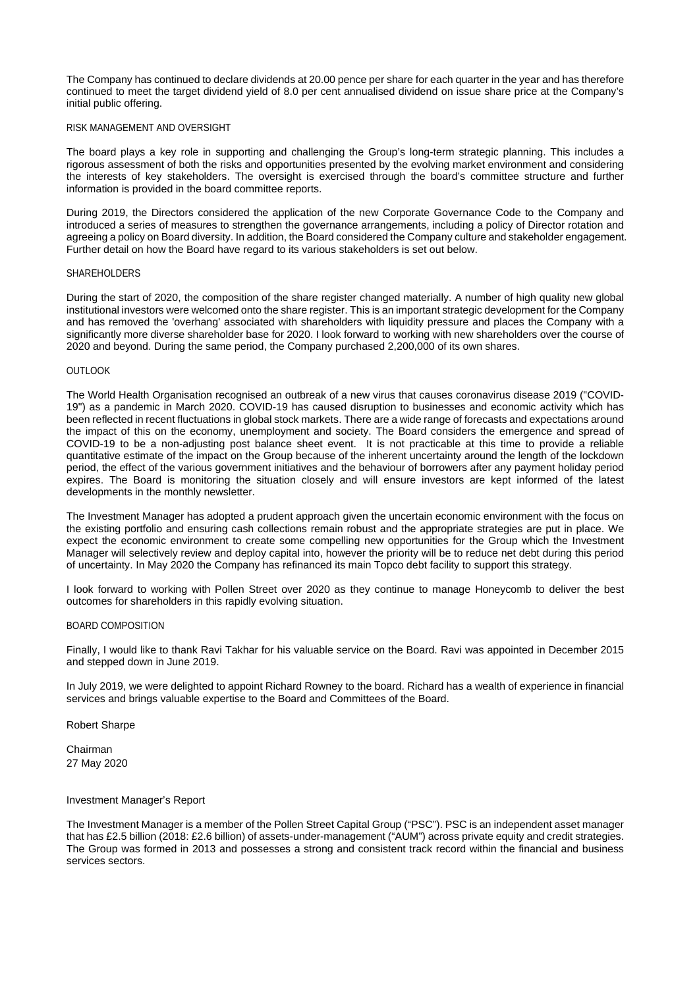The Company has continued to declare dividends at 20.00 pence per share for each quarter in the year and has therefore continued to meet the target dividend yield of 8.0 per cent annualised dividend on issue share price at the Company's initial public offering.

# RISK MANAGEMENT AND OVERSIGHT

The board plays a key role in supporting and challenging the Group's long-term strategic planning. This includes a rigorous assessment of both the risks and opportunities presented by the evolving market environment and considering the interests of key stakeholders. The oversight is exercised through the board's committee structure and further information is provided in the board committee reports.

During 2019, the Directors considered the application of the new Corporate Governance Code to the Company and introduced a series of measures to strengthen the governance arrangements, including a policy of Director rotation and agreeing a policy on Board diversity. In addition, the Board considered the Company culture and stakeholder engagement. Further detail on how the Board have regard to its various stakeholders is set out below.

#### SHAREHOLDERS

During the start of 2020, the composition of the share register changed materially. A number of high quality new global institutional investors were welcomed onto the share register. This is an important strategic development for the Company and has removed the 'overhang' associated with shareholders with liquidity pressure and places the Company with a significantly more diverse shareholder base for 2020. I look forward to working with new shareholders over the course of 2020 and beyond. During the same period, the Company purchased 2,200,000 of its own shares.

#### **OUTLOOK**

The World Health Organisation recognised an outbreak of a new virus that causes coronavirus disease 2019 ("COVID-19") as a pandemic in March 2020. COVID-19 has caused disruption to businesses and economic activity which has been reflected in recent fluctuations in global stock markets. There are a wide range of forecasts and expectations around the impact of this on the economy, unemployment and society. The Board considers the emergence and spread of COVID-19 to be a non-adjusting post balance sheet event. It is not practicable at this time to provide a reliable quantitative estimate of the impact on the Group because of the inherent uncertainty around the length of the lockdown period, the effect of the various government initiatives and the behaviour of borrowers after any payment holiday period expires. The Board is monitoring the situation closely and will ensure investors are kept informed of the latest developments in the monthly newsletter.

The Investment Manager has adopted a prudent approach given the uncertain economic environment with the focus on the existing portfolio and ensuring cash collections remain robust and the appropriate strategies are put in place. We expect the economic environment to create some compelling new opportunities for the Group which the Investment Manager will selectively review and deploy capital into, however the priority will be to reduce net debt during this period of uncertainty. In May 2020 the Company has refinanced its main Topco debt facility to support this strategy.

I look forward to working with Pollen Street over 2020 as they continue to manage Honeycomb to deliver the best outcomes for shareholders in this rapidly evolving situation.

### BOARD COMPOSITION

Finally, I would like to thank Ravi Takhar for his valuable service on the Board. Ravi was appointed in December 2015 and stepped down in June 2019.

In July 2019, we were delighted to appoint Richard Rowney to the board. Richard has a wealth of experience in financial services and brings valuable expertise to the Board and Committees of the Board.

# Robert Sharpe

Chairman 27 May 2020

#### Investment Manager's Report

The Investment Manager is a member of the Pollen Street Capital Group ("PSC"). PSC is an independent asset manager that has £2.5 billion (2018: £2.6 billion) of assets-under-management ("AUM") across private equity and credit strategies. The Group was formed in 2013 and possesses a strong and consistent track record within the financial and business services sectors.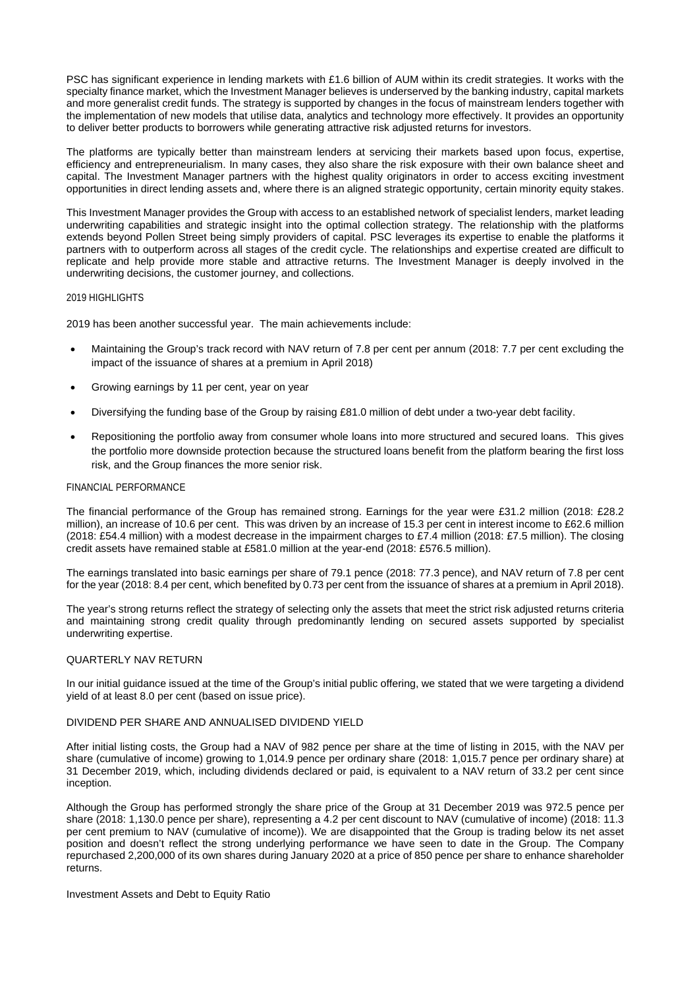PSC has significant experience in lending markets with £1.6 billion of AUM within its credit strategies. It works with the specialty finance market, which the Investment Manager believes is underserved by the banking industry, capital markets and more generalist credit funds. The strategy is supported by changes in the focus of mainstream lenders together with the implementation of new models that utilise data, analytics and technology more effectively. It provides an opportunity to deliver better products to borrowers while generating attractive risk adjusted returns for investors.

The platforms are typically better than mainstream lenders at servicing their markets based upon focus, expertise, efficiency and entrepreneurialism. In many cases, they also share the risk exposure with their own balance sheet and capital. The Investment Manager partners with the highest quality originators in order to access exciting investment opportunities in direct lending assets and, where there is an aligned strategic opportunity, certain minority equity stakes.

This Investment Manager provides the Group with access to an established network of specialist lenders, market leading underwriting capabilities and strategic insight into the optimal collection strategy. The relationship with the platforms extends beyond Pollen Street being simply providers of capital. PSC leverages its expertise to enable the platforms it partners with to outperform across all stages of the credit cycle. The relationships and expertise created are difficult to replicate and help provide more stable and attractive returns. The Investment Manager is deeply involved in the underwriting decisions, the customer journey, and collections.

### 2019 HIGHLIGHTS

2019 has been another successful year. The main achievements include:

- Maintaining the Group's track record with NAV return of 7.8 per cent per annum (2018: 7.7 per cent excluding the impact of the issuance of shares at a premium in April 2018)
- Growing earnings by 11 per cent, year on year
- Diversifying the funding base of the Group by raising £81.0 million of debt under a two-year debt facility.
- Repositioning the portfolio away from consumer whole loans into more structured and secured loans. This gives the portfolio more downside protection because the structured loans benefit from the platform bearing the first loss risk, and the Group finances the more senior risk.

### FINANCIAL PERFORMANCE

The financial performance of the Group has remained strong. Earnings for the year were £31.2 million (2018: £28.2 million), an increase of 10.6 per cent. This was driven by an increase of 15.3 per cent in interest income to £62.6 million (2018: £54.4 million) with a modest decrease in the impairment charges to £7.4 million (2018: £7.5 million). The closing credit assets have remained stable at £581.0 million at the year-end (2018: £576.5 million).

The earnings translated into basic earnings per share of 79.1 pence (2018: 77.3 pence), and NAV return of 7.8 per cent for the year (2018: 8.4 per cent, which benefited by 0.73 per cent from the issuance of shares at a premium in April 2018).

The year's strong returns reflect the strategy of selecting only the assets that meet the strict risk adjusted returns criteria and maintaining strong credit quality through predominantly lending on secured assets supported by specialist underwriting expertise.

# QUARTERLY NAV RETURN

In our initial guidance issued at the time of the Group's initial public offering, we stated that we were targeting a dividend yield of at least 8.0 per cent (based on issue price).

#### DIVIDEND PER SHARE AND ANNUALISED DIVIDEND YIELD

After initial listing costs, the Group had a NAV of 982 pence per share at the time of listing in 2015, with the NAV per share (cumulative of income) growing to 1,014.9 pence per ordinary share (2018: 1,015.7 pence per ordinary share) at 31 December 2019, which, including dividends declared or paid, is equivalent to a NAV return of 33.2 per cent since inception.

Although the Group has performed strongly the share price of the Group at 31 December 2019 was 972.5 pence per share (2018: 1,130.0 pence per share), representing a 4.2 per cent discount to NAV (cumulative of income) (2018: 11.3 per cent premium to NAV (cumulative of income)). We are disappointed that the Group is trading below its net asset position and doesn't reflect the strong underlying performance we have seen to date in the Group. The Company repurchased 2,200,000 of its own shares during January 2020 at a price of 850 pence per share to enhance shareholder returns.

#### Investment Assets and Debt to Equity Ratio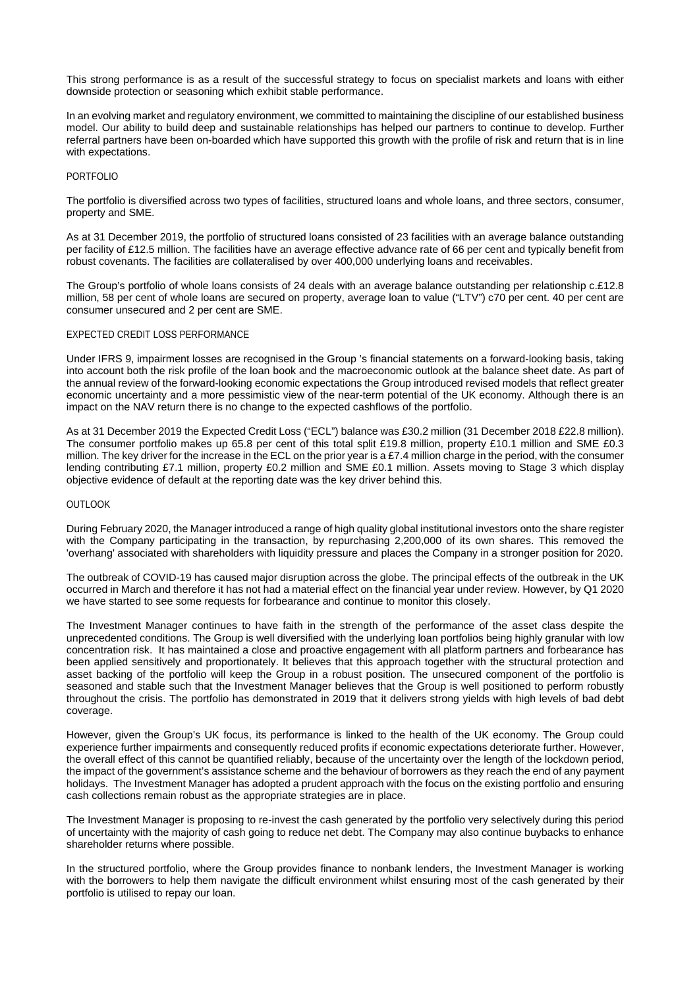This strong performance is as a result of the successful strategy to focus on specialist markets and loans with either downside protection or seasoning which exhibit stable performance.

In an evolving market and regulatory environment, we committed to maintaining the discipline of our established business model. Our ability to build deep and sustainable relationships has helped our partners to continue to develop. Further referral partners have been on-boarded which have supported this growth with the profile of risk and return that is in line with expectations.

## PORTFOLIO

The portfolio is diversified across two types of facilities, structured loans and whole loans, and three sectors, consumer, property and SME.

As at 31 December 2019, the portfolio of structured loans consisted of 23 facilities with an average balance outstanding per facility of £12.5 million. The facilities have an average effective advance rate of 66 per cent and typically benefit from robust covenants. The facilities are collateralised by over 400,000 underlying loans and receivables.

The Group's portfolio of whole loans consists of 24 deals with an average balance outstanding per relationship c.£12.8 million, 58 per cent of whole loans are secured on property, average loan to value ("LTV") c70 per cent. 40 per cent are consumer unsecured and 2 per cent are SME.

# EXPECTED CREDIT LOSS PERFORMANCE

Under IFRS 9, impairment losses are recognised in the Group 's financial statements on a forward-looking basis, taking into account both the risk profile of the loan book and the macroeconomic outlook at the balance sheet date. As part of the annual review of the forward-looking economic expectations the Group introduced revised models that reflect greater economic uncertainty and a more pessimistic view of the near-term potential of the UK economy. Although there is an impact on the NAV return there is no change to the expected cashflows of the portfolio.

As at 31 December 2019 the Expected Credit Loss ("ECL") balance was £30.2 million (31 December 2018 £22.8 million). The consumer portfolio makes up 65.8 per cent of this total split £19.8 million, property £10.1 million and SME £0.3 million. The key driver for the increase in the ECL on the prior year is a £7.4 million charge in the period, with the consumer lending contributing £7.1 million, property £0.2 million and SME £0.1 million. Assets moving to Stage 3 which display objective evidence of default at the reporting date was the key driver behind this.

### **OUTLOOK**

During February 2020, the Manager introduced a range of high quality global institutional investors onto the share register with the Company participating in the transaction, by repurchasing 2,200,000 of its own shares. This removed the 'overhang' associated with shareholders with liquidity pressure and places the Company in a stronger position for 2020.

The outbreak of COVID-19 has caused major disruption across the globe. The principal effects of the outbreak in the UK occurred in March and therefore it has not had a material effect on the financial year under review. However, by Q1 2020 we have started to see some requests for forbearance and continue to monitor this closely.

The Investment Manager continues to have faith in the strength of the performance of the asset class despite the unprecedented conditions. The Group is well diversified with the underlying loan portfolios being highly granular with low concentration risk. It has maintained a close and proactive engagement with all platform partners and forbearance has been applied sensitively and proportionately. It believes that this approach together with the structural protection and asset backing of the portfolio will keep the Group in a robust position. The unsecured component of the portfolio is seasoned and stable such that the Investment Manager believes that the Group is well positioned to perform robustly throughout the crisis. The portfolio has demonstrated in 2019 that it delivers strong yields with high levels of bad debt coverage.

However, given the Group's UK focus, its performance is linked to the health of the UK economy. The Group could experience further impairments and consequently reduced profits if economic expectations deteriorate further. However, the overall effect of this cannot be quantified reliably, because of the uncertainty over the length of the lockdown period, the impact of the government's assistance scheme and the behaviour of borrowers as they reach the end of any payment holidays. The Investment Manager has adopted a prudent approach with the focus on the existing portfolio and ensuring cash collections remain robust as the appropriate strategies are in place.

The Investment Manager is proposing to re-invest the cash generated by the portfolio very selectively during this period of uncertainty with the majority of cash going to reduce net debt. The Company may also continue buybacks to enhance shareholder returns where possible.

In the structured portfolio, where the Group provides finance to nonbank lenders, the Investment Manager is working with the borrowers to help them navigate the difficult environment whilst ensuring most of the cash generated by their portfolio is utilised to repay our loan.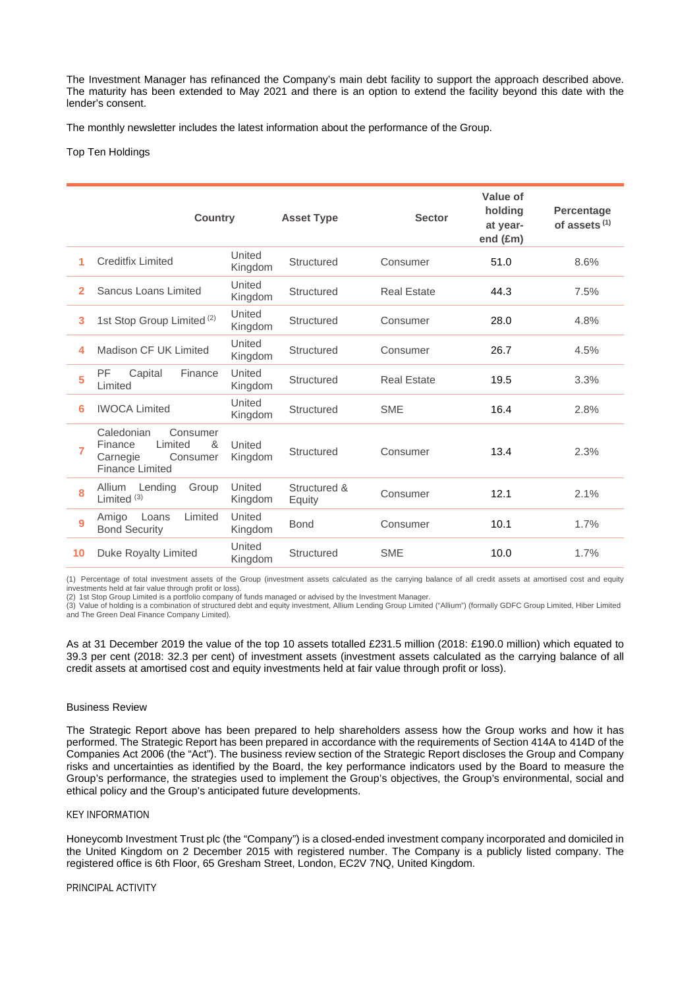The Investment Manager has refinanced the Company's main debt facility to support the approach described above. The maturity has been extended to May 2021 and there is an option to extend the facility beyond this date with the lender's consent.

The monthly newsletter includes the latest information about the performance of the Group.

### Top Ten Holdings

|    | <b>Country</b>                                                                                      |                   | <b>Asset Type</b>      | <b>Sector</b>      | Value of<br>holding<br>at year-<br>end (£m) | <b>Percentage</b><br>of assets $(1)$ |
|----|-----------------------------------------------------------------------------------------------------|-------------------|------------------------|--------------------|---------------------------------------------|--------------------------------------|
| 1  | <b>Creditfix Limited</b>                                                                            | United<br>Kingdom | Structured             | Consumer           | 51.0                                        | 8.6%                                 |
| 2  | Sancus Loans Limited                                                                                | United<br>Kingdom | Structured             | <b>Real Estate</b> | 44.3                                        | 7.5%                                 |
| 3  | 1st Stop Group Limited <sup>(2)</sup>                                                               | United<br>Kingdom | Structured             | Consumer           | 28.0                                        | 4.8%                                 |
| 4  | Madison CF UK Limited                                                                               | United<br>Kingdom | Structured             | Consumer           | 26.7                                        | 4.5%                                 |
| 5  | <b>PF</b><br>Capital<br>Finance<br>Limited                                                          | United<br>Kingdom | Structured             | <b>Real Estate</b> | 19.5                                        | 3.3%                                 |
| 6  | <b>IWOCA Limited</b>                                                                                | United<br>Kingdom | Structured             | <b>SME</b>         | 16.4                                        | 2.8%                                 |
| 7  | Caledonian<br>Consumer<br>Limited<br>&<br>Finance<br>Carnegie<br>Consumer<br><b>Finance Limited</b> | United<br>Kingdom | Structured             | Consumer           | 13.4                                        | 2.3%                                 |
| 8  | Lending<br>Group<br>Allium<br>Limited $(3)$                                                         | United<br>Kingdom | Structured &<br>Equity | Consumer           | 12.1                                        | 2.1%                                 |
| 9  | Amigo<br>Loans<br>Limited<br><b>Bond Security</b>                                                   | United<br>Kingdom | <b>Bond</b>            | Consumer           | 10.1                                        | 1.7%                                 |
| 10 | Duke Royalty Limited                                                                                | United<br>Kingdom | Structured             | <b>SME</b>         | 10.0                                        | 1.7%                                 |

(1) Percentage of total investment assets of the Group (investment assets calculated as the carrying balance of all credit assets at amortised cost and equity investments held at fair value through profit or loss). (2) 1st Stop Group Limited is a portfolio company of funds managed or advised by the Investment Manager.

(3) Value of holding is a combination of structured debt and equity investment, Allium Lending Group Limited ("Allium") (formally GDFC Group Limited, Hiber Limited and The Green Deal Finance Company Limited).

As at 31 December 2019 the value of the top 10 assets totalled £231.5 million (2018: £190.0 million) which equated to 39.3 per cent (2018: 32.3 per cent) of investment assets (investment assets calculated as the carrying balance of all credit assets at amortised cost and equity investments held at fair value through profit or loss).

#### Business Review

The Strategic Report above has been prepared to help shareholders assess how the Group works and how it has performed. The Strategic Report has been prepared in accordance with the requirements of Section 414A to 414D of the Companies Act 2006 (the "Act"). The business review section of the Strategic Report discloses the Group and Company risks and uncertainties as identified by the Board, the key performance indicators used by the Board to measure the Group's performance, the strategies used to implement the Group's objectives, the Group's environmental, social and ethical policy and the Group's anticipated future developments.

# KEY INFORMATION

Honeycomb Investment Trust plc (the "Company") is a closed-ended investment company incorporated and domiciled in the United Kingdom on 2 December 2015 with registered number. The Company is a publicly listed company. The registered office is 6th Floor, 65 Gresham Street, London, EC2V 7NQ, United Kingdom.

#### PRINCIPAL ACTIVITY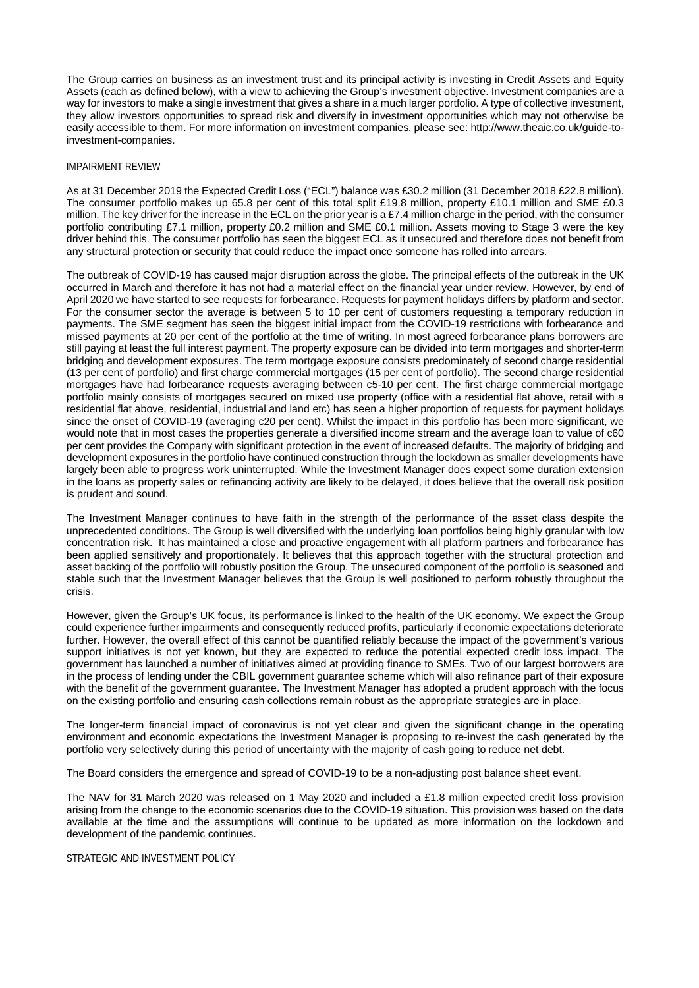The Group carries on business as an investment trust and its principal activity is investing in Credit Assets and Equity Assets (each as defined below), with a view to achieving the Group's investment objective. Investment companies are a way for investors to make a single investment that gives a share in a much larger portfolio. A type of collective investment, they allow investors opportunities to spread risk and diversify in investment opportunities which may not otherwise be easily accessible to them. For more information on investment companies, please see: http://www.theaic.co.uk/guide-toinvestment-companies.

### IMPAIRMENT REVIEW

As at 31 December 2019 the Expected Credit Loss ("ECL") balance was £30.2 million (31 December 2018 £22.8 million). The consumer portfolio makes up 65.8 per cent of this total split £19.8 million, property £10.1 million and SME £0.3 million. The key driver for the increase in the ECL on the prior year is a £7.4 million charge in the period, with the consumer portfolio contributing £7.1 million, property £0.2 million and SME £0.1 million. Assets moving to Stage 3 were the key driver behind this. The consumer portfolio has seen the biggest ECL as it unsecured and therefore does not benefit from any structural protection or security that could reduce the impact once someone has rolled into arrears.

The outbreak of COVID-19 has caused major disruption across the globe. The principal effects of the outbreak in the UK occurred in March and therefore it has not had a material effect on the financial year under review. However, by end of April 2020 we have started to see requests for forbearance. Requests for payment holidays differs by platform and sector. For the consumer sector the average is between 5 to 10 per cent of customers requesting a temporary reduction in payments. The SME segment has seen the biggest initial impact from the COVID-19 restrictions with forbearance and missed payments at 20 per cent of the portfolio at the time of writing. In most agreed forbearance plans borrowers are still paying at least the full interest payment. The property exposure can be divided into term mortgages and shorter-term bridging and development exposures. The term mortgage exposure consists predominately of second charge residential (13 per cent of portfolio) and first charge commercial mortgages (15 per cent of portfolio). The second charge residential mortgages have had forbearance requests averaging between c5-10 per cent. The first charge commercial mortgage portfolio mainly consists of mortgages secured on mixed use property (office with a residential flat above, retail with a residential flat above, residential, industrial and land etc) has seen a higher proportion of requests for payment holidays since the onset of COVID-19 (averaging c20 per cent). Whilst the impact in this portfolio has been more significant, we would note that in most cases the properties generate a diversified income stream and the average loan to value of c60 per cent provides the Company with significant protection in the event of increased defaults. The majority of bridging and development exposures in the portfolio have continued construction through the lockdown as smaller developments have largely been able to progress work uninterrupted. While the Investment Manager does expect some duration extension in the loans as property sales or refinancing activity are likely to be delayed, it does believe that the overall risk position is prudent and sound.

The Investment Manager continues to have faith in the strength of the performance of the asset class despite the unprecedented conditions. The Group is well diversified with the underlying loan portfolios being highly granular with low concentration risk. It has maintained a close and proactive engagement with all platform partners and forbearance has been applied sensitively and proportionately. It believes that this approach together with the structural protection and asset backing of the portfolio will robustly position the Group. The unsecured component of the portfolio is seasoned and stable such that the Investment Manager believes that the Group is well positioned to perform robustly throughout the crisis.

However, given the Group's UK focus, its performance is linked to the health of the UK economy. We expect the Group could experience further impairments and consequently reduced profits, particularly if economic expectations deteriorate further. However, the overall effect of this cannot be quantified reliably because the impact of the government's various support initiatives is not yet known, but they are expected to reduce the potential expected credit loss impact. The government has launched a number of initiatives aimed at providing finance to SMEs. Two of our largest borrowers are in the process of lending under the CBIL government guarantee scheme which will also refinance part of their exposure with the benefit of the government guarantee. The Investment Manager has adopted a prudent approach with the focus on the existing portfolio and ensuring cash collections remain robust as the appropriate strategies are in place.

The longer-term financial impact of coronavirus is not yet clear and given the significant change in the operating environment and economic expectations the Investment Manager is proposing to re-invest the cash generated by the portfolio very selectively during this period of uncertainty with the majority of cash going to reduce net debt.

The Board considers the emergence and spread of COVID-19 to be a non-adjusting post balance sheet event.

The NAV for 31 March 2020 was released on 1 May 2020 and included a £1.8 million expected credit loss provision arising from the change to the economic scenarios due to the COVID-19 situation. This provision was based on the data available at the time and the assumptions will continue to be updated as more information on the lockdown and development of the pandemic continues.

STRATEGIC AND INVESTMENT POLICY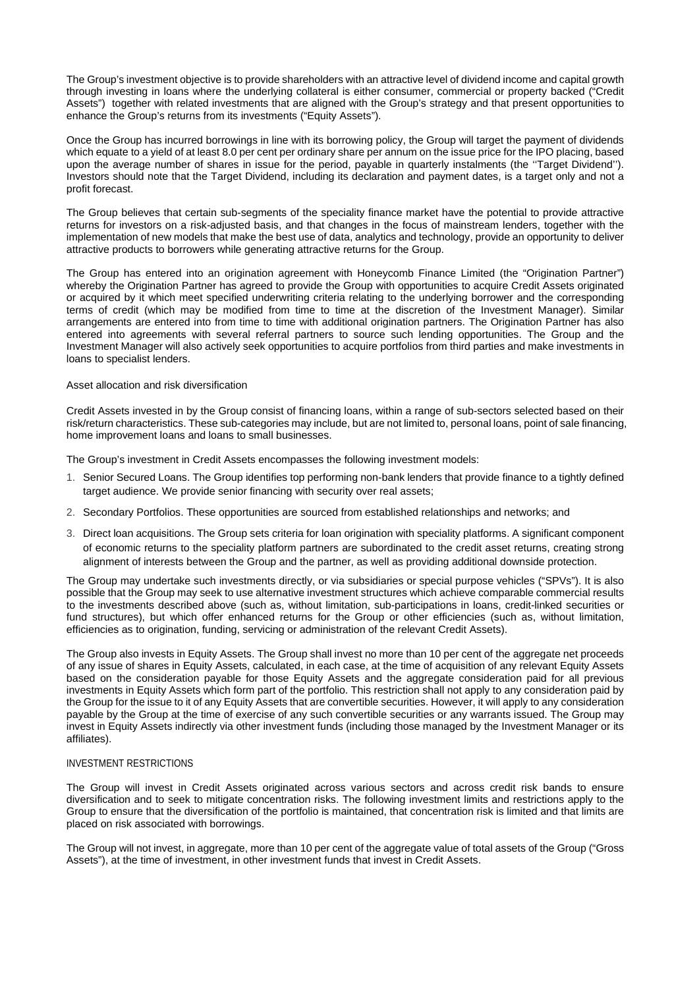The Group's investment objective is to provide shareholders with an attractive level of dividend income and capital growth through investing in loans where the underlying collateral is either consumer, commercial or property backed ("Credit Assets") together with related investments that are aligned with the Group's strategy and that present opportunities to enhance the Group's returns from its investments ("Equity Assets").

Once the Group has incurred borrowings in line with its borrowing policy, the Group will target the payment of dividends which equate to a yield of at least 8.0 per cent per ordinary share per annum on the issue price for the IPO placing, based upon the average number of shares in issue for the period, payable in quarterly instalments (the ''Target Dividend''). Investors should note that the Target Dividend, including its declaration and payment dates, is a target only and not a profit forecast.

The Group believes that certain sub-segments of the speciality finance market have the potential to provide attractive returns for investors on a risk-adjusted basis, and that changes in the focus of mainstream lenders, together with the implementation of new models that make the best use of data, analytics and technology, provide an opportunity to deliver attractive products to borrowers while generating attractive returns for the Group.

The Group has entered into an origination agreement with Honeycomb Finance Limited (the "Origination Partner") whereby the Origination Partner has agreed to provide the Group with opportunities to acquire Credit Assets originated or acquired by it which meet specified underwriting criteria relating to the underlying borrower and the corresponding terms of credit (which may be modified from time to time at the discretion of the Investment Manager). Similar arrangements are entered into from time to time with additional origination partners. The Origination Partner has also entered into agreements with several referral partners to source such lending opportunities. The Group and the Investment Manager will also actively seek opportunities to acquire portfolios from third parties and make investments in loans to specialist lenders.

# Asset allocation and risk diversification

Credit Assets invested in by the Group consist of financing loans, within a range of sub-sectors selected based on their risk/return characteristics. These sub-categories may include, but are not limited to, personal loans, point of sale financing, home improvement loans and loans to small businesses.

The Group's investment in Credit Assets encompasses the following investment models:

- 1. Senior Secured Loans. The Group identifies top performing non-bank lenders that provide finance to a tightly defined target audience. We provide senior financing with security over real assets;
- 2. Secondary Portfolios. These opportunities are sourced from established relationships and networks; and
- 3. Direct loan acquisitions. The Group sets criteria for loan origination with speciality platforms. A significant component of economic returns to the speciality platform partners are subordinated to the credit asset returns, creating strong alignment of interests between the Group and the partner, as well as providing additional downside protection.

The Group may undertake such investments directly, or via subsidiaries or special purpose vehicles ("SPVs"). It is also possible that the Group may seek to use alternative investment structures which achieve comparable commercial results to the investments described above (such as, without limitation, sub-participations in loans, credit-linked securities or fund structures), but which offer enhanced returns for the Group or other efficiencies (such as, without limitation, efficiencies as to origination, funding, servicing or administration of the relevant Credit Assets).

The Group also invests in Equity Assets. The Group shall invest no more than 10 per cent of the aggregate net proceeds of any issue of shares in Equity Assets, calculated, in each case, at the time of acquisition of any relevant Equity Assets based on the consideration payable for those Equity Assets and the aggregate consideration paid for all previous investments in Equity Assets which form part of the portfolio. This restriction shall not apply to any consideration paid by the Group for the issue to it of any Equity Assets that are convertible securities. However, it will apply to any consideration payable by the Group at the time of exercise of any such convertible securities or any warrants issued. The Group may invest in Equity Assets indirectly via other investment funds (including those managed by the Investment Manager or its affiliates).

# INVESTMENT RESTRICTIONS

The Group will invest in Credit Assets originated across various sectors and across credit risk bands to ensure diversification and to seek to mitigate concentration risks. The following investment limits and restrictions apply to the Group to ensure that the diversification of the portfolio is maintained, that concentration risk is limited and that limits are placed on risk associated with borrowings.

The Group will not invest, in aggregate, more than 10 per cent of the aggregate value of total assets of the Group ("Gross Assets"), at the time of investment, in other investment funds that invest in Credit Assets.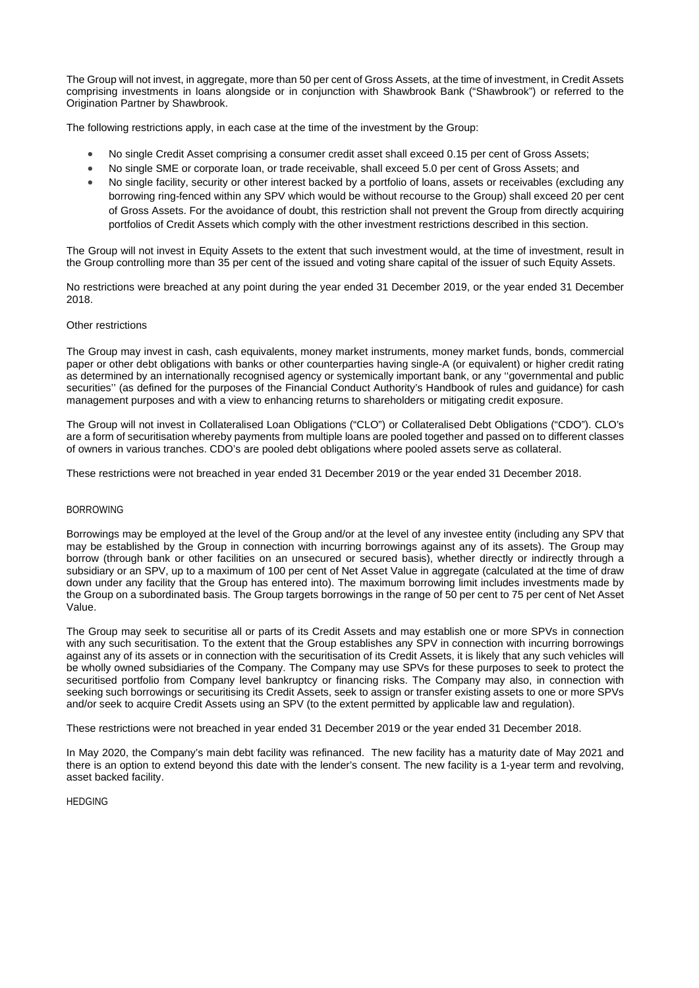The Group will not invest, in aggregate, more than 50 per cent of Gross Assets, at the time of investment, in Credit Assets comprising investments in loans alongside or in conjunction with Shawbrook Bank ("Shawbrook") or referred to the Origination Partner by Shawbrook.

The following restrictions apply, in each case at the time of the investment by the Group:

- No single Credit Asset comprising a consumer credit asset shall exceed 0.15 per cent of Gross Assets;
- No single SME or corporate loan, or trade receivable, shall exceed 5.0 per cent of Gross Assets; and
- No single facility, security or other interest backed by a portfolio of loans, assets or receivables (excluding any borrowing ring-fenced within any SPV which would be without recourse to the Group) shall exceed 20 per cent of Gross Assets. For the avoidance of doubt, this restriction shall not prevent the Group from directly acquiring portfolios of Credit Assets which comply with the other investment restrictions described in this section.

The Group will not invest in Equity Assets to the extent that such investment would, at the time of investment, result in the Group controlling more than 35 per cent of the issued and voting share capital of the issuer of such Equity Assets.

No restrictions were breached at any point during the year ended 31 December 2019, or the year ended 31 December 2018.

### Other restrictions

The Group may invest in cash, cash equivalents, money market instruments, money market funds, bonds, commercial paper or other debt obligations with banks or other counterparties having single-A (or equivalent) or higher credit rating as determined by an internationally recognised agency or systemically important bank, or any "governmental and public securities'' (as defined for the purposes of the Financial Conduct Authority's Handbook of rules and guidance) for cash management purposes and with a view to enhancing returns to shareholders or mitigating credit exposure.

The Group will not invest in Collateralised Loan Obligations ("CLO") or Collateralised Debt Obligations ("CDO"). CLO's are a form of securitisation whereby payments from multiple loans are pooled together and passed on to different classes of owners in various tranches. CDO's are pooled debt obligations where pooled assets serve as collateral.

These restrictions were not breached in year ended 31 December 2019 or the year ended 31 December 2018.

# BORROWING

Borrowings may be employed at the level of the Group and/or at the level of any investee entity (including any SPV that may be established by the Group in connection with incurring borrowings against any of its assets). The Group may borrow (through bank or other facilities on an unsecured or secured basis), whether directly or indirectly through a subsidiary or an SPV, up to a maximum of 100 per cent of Net Asset Value in aggregate (calculated at the time of draw down under any facility that the Group has entered into). The maximum borrowing limit includes investments made by the Group on a subordinated basis. The Group targets borrowings in the range of 50 per cent to 75 per cent of Net Asset Value.

The Group may seek to securitise all or parts of its Credit Assets and may establish one or more SPVs in connection with any such securitisation. To the extent that the Group establishes any SPV in connection with incurring borrowings against any of its assets or in connection with the securitisation of its Credit Assets, it is likely that any such vehicles will be wholly owned subsidiaries of the Company. The Company may use SPVs for these purposes to seek to protect the securitised portfolio from Company level bankruptcy or financing risks. The Company may also, in connection with seeking such borrowings or securitising its Credit Assets, seek to assign or transfer existing assets to one or more SPVs and/or seek to acquire Credit Assets using an SPV (to the extent permitted by applicable law and regulation).

These restrictions were not breached in year ended 31 December 2019 or the year ended 31 December 2018.

In May 2020, the Company's main debt facility was refinanced. The new facility has a maturity date of May 2021 and there is an option to extend beyond this date with the lender's consent. The new facility is a 1-year term and revolving, asset backed facility.

# **HEDGING**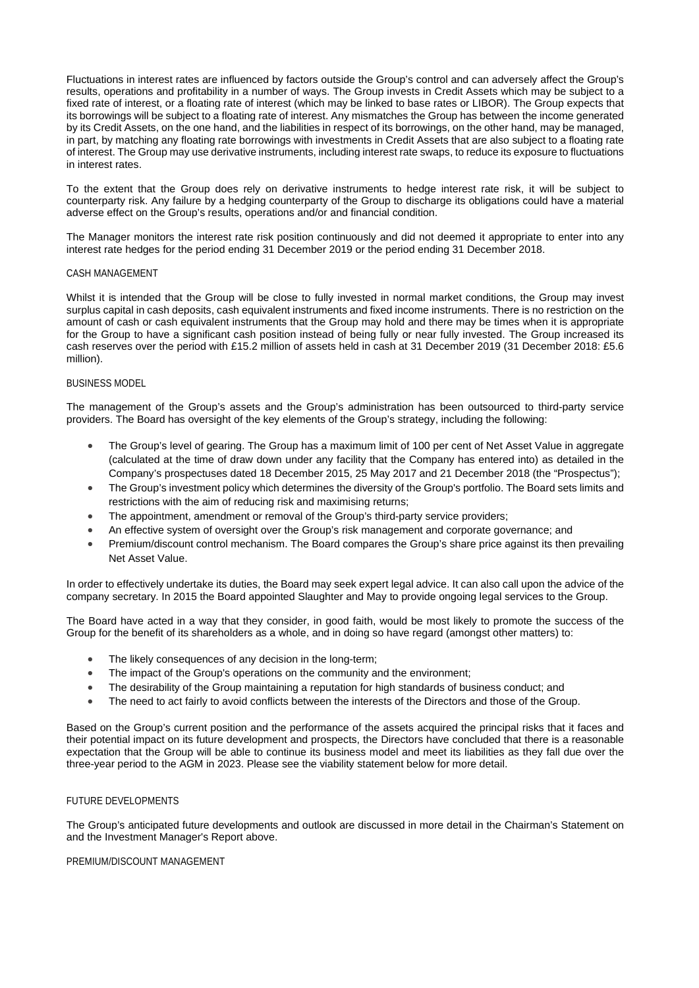Fluctuations in interest rates are influenced by factors outside the Group's control and can adversely affect the Group's results, operations and profitability in a number of ways. The Group invests in Credit Assets which may be subject to a fixed rate of interest, or a floating rate of interest (which may be linked to base rates or LIBOR). The Group expects that its borrowings will be subject to a floating rate of interest. Any mismatches the Group has between the income generated by its Credit Assets, on the one hand, and the liabilities in respect of its borrowings, on the other hand, may be managed, in part, by matching any floating rate borrowings with investments in Credit Assets that are also subject to a floating rate of interest. The Group may use derivative instruments, including interest rate swaps, to reduce its exposure to fluctuations in interest rates.

To the extent that the Group does rely on derivative instruments to hedge interest rate risk, it will be subject to counterparty risk. Any failure by a hedging counterparty of the Group to discharge its obligations could have a material adverse effect on the Group's results, operations and/or and financial condition.

The Manager monitors the interest rate risk position continuously and did not deemed it appropriate to enter into any interest rate hedges for the period ending 31 December 2019 or the period ending 31 December 2018.

### CASH MANAGEMENT

Whilst it is intended that the Group will be close to fully invested in normal market conditions, the Group may invest surplus capital in cash deposits, cash equivalent instruments and fixed income instruments. There is no restriction on the amount of cash or cash equivalent instruments that the Group may hold and there may be times when it is appropriate for the Group to have a significant cash position instead of being fully or near fully invested. The Group increased its cash reserves over the period with £15.2 million of assets held in cash at 31 December 2019 (31 December 2018: £5.6 million).

# BUSINESS MODEL

The management of the Group's assets and the Group's administration has been outsourced to third-party service providers. The Board has oversight of the key elements of the Group's strategy, including the following:

- The Group's level of gearing. The Group has a maximum limit of 100 per cent of Net Asset Value in aggregate (calculated at the time of draw down under any facility that the Company has entered into) as detailed in the Company's prospectuses dated 18 December 2015, 25 May 2017 and 21 December 2018 (the "Prospectus");
- The Group's investment policy which determines the diversity of the Group's portfolio. The Board sets limits and restrictions with the aim of reducing risk and maximising returns;
- The appointment, amendment or removal of the Group's third-party service providers;
- An effective system of oversight over the Group's risk management and corporate governance; and
- Premium/discount control mechanism. The Board compares the Group's share price against its then prevailing Net Asset Value.

In order to effectively undertake its duties, the Board may seek expert legal advice. It can also call upon the advice of the company secretary. In 2015 the Board appointed Slaughter and May to provide ongoing legal services to the Group.

The Board have acted in a way that they consider, in good faith, would be most likely to promote the success of the Group for the benefit of its shareholders as a whole, and in doing so have regard (amongst other matters) to:

- The likely consequences of any decision in the long-term;
- The impact of the Group's operations on the community and the environment;
- The desirability of the Group maintaining a reputation for high standards of business conduct; and
- The need to act fairly to avoid conflicts between the interests of the Directors and those of the Group.

Based on the Group's current position and the performance of the assets acquired the principal risks that it faces and their potential impact on its future development and prospects, the Directors have concluded that there is a reasonable expectation that the Group will be able to continue its business model and meet its liabilities as they fall due over the three-year period to the AGM in 2023. Please see the viability statement below for more detail.

### FUTURE DEVELOPMENTS

The Group's anticipated future developments and outlook are discussed in more detail in the Chairman's Statement on and the Investment Manager's Report above.

#### PREMIUM/DISCOUNT MANAGEMENT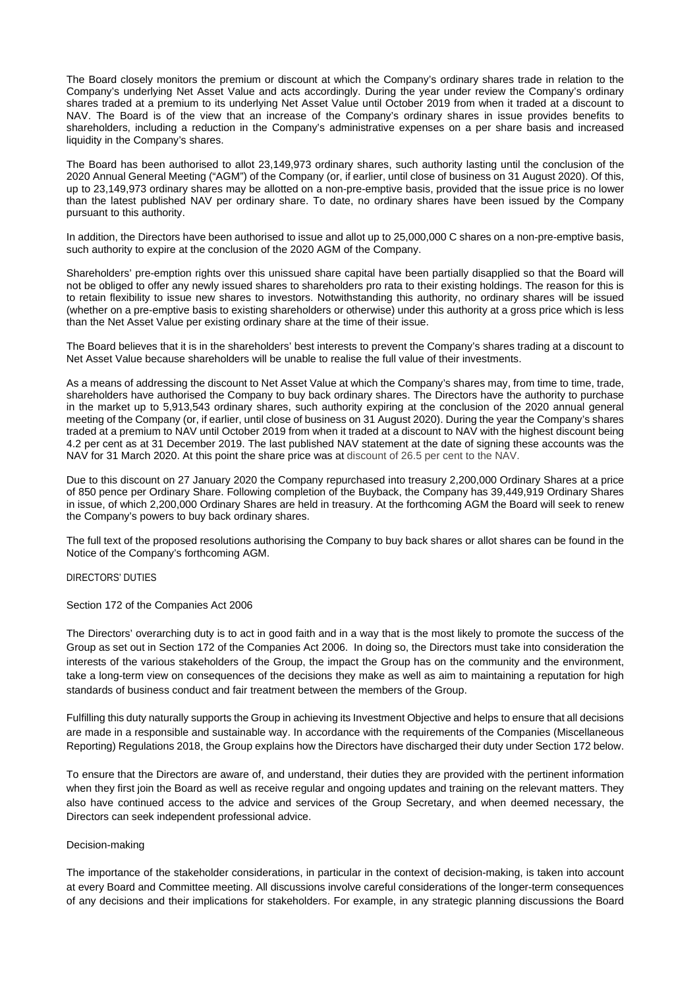The Board closely monitors the premium or discount at which the Company's ordinary shares trade in relation to the Company's underlying Net Asset Value and acts accordingly. During the year under review the Company's ordinary shares traded at a premium to its underlying Net Asset Value until October 2019 from when it traded at a discount to NAV. The Board is of the view that an increase of the Company's ordinary shares in issue provides benefits to shareholders, including a reduction in the Company's administrative expenses on a per share basis and increased liquidity in the Company's shares.

The Board has been authorised to allot 23,149,973 ordinary shares, such authority lasting until the conclusion of the 2020 Annual General Meeting ("AGM") of the Company (or, if earlier, until close of business on 31 August 2020). Of this, up to 23,149,973 ordinary shares may be allotted on a non-pre-emptive basis, provided that the issue price is no lower than the latest published NAV per ordinary share. To date, no ordinary shares have been issued by the Company pursuant to this authority.

In addition, the Directors have been authorised to issue and allot up to 25,000,000 C shares on a non-pre-emptive basis, such authority to expire at the conclusion of the 2020 AGM of the Company.

Shareholders' pre-emption rights over this unissued share capital have been partially disapplied so that the Board will not be obliged to offer any newly issued shares to shareholders pro rata to their existing holdings. The reason for this is to retain flexibility to issue new shares to investors. Notwithstanding this authority, no ordinary shares will be issued (whether on a pre-emptive basis to existing shareholders or otherwise) under this authority at a gross price which is less than the Net Asset Value per existing ordinary share at the time of their issue.

The Board believes that it is in the shareholders' best interests to prevent the Company's shares trading at a discount to Net Asset Value because shareholders will be unable to realise the full value of their investments.

As a means of addressing the discount to Net Asset Value at which the Company's shares may, from time to time, trade, shareholders have authorised the Company to buy back ordinary shares. The Directors have the authority to purchase in the market up to 5,913,543 ordinary shares, such authority expiring at the conclusion of the 2020 annual general meeting of the Company (or, if earlier, until close of business on 31 August 2020). During the year the Company's shares traded at a premium to NAV until October 2019 from when it traded at a discount to NAV with the highest discount being 4.2 per cent as at 31 December 2019. The last published NAV statement at the date of signing these accounts was the NAV for 31 March 2020. At this point the share price was at discount of 26.5 per cent to the NAV.

Due to this discount on 27 January 2020 the Company repurchased into treasury 2,200,000 Ordinary Shares at a price of 850 pence per Ordinary Share. Following completion of the Buyback, the Company has 39,449,919 Ordinary Shares in issue, of which 2,200,000 Ordinary Shares are held in treasury. At the forthcoming AGM the Board will seek to renew the Company's powers to buy back ordinary shares.

The full text of the proposed resolutions authorising the Company to buy back shares or allot shares can be found in the Notice of the Company's forthcoming AGM.

#### DIRECTORS' DUTIES

Section 172 of the Companies Act 2006

The Directors' overarching duty is to act in good faith and in a way that is the most likely to promote the success of the Group as set out in Section 172 of the Companies Act 2006. In doing so, the Directors must take into consideration the interests of the various stakeholders of the Group, the impact the Group has on the community and the environment, take a long-term view on consequences of the decisions they make as well as aim to maintaining a reputation for high standards of business conduct and fair treatment between the members of the Group.

Fulfilling this duty naturally supports the Group in achieving its Investment Objective and helps to ensure that all decisions are made in a responsible and sustainable way. In accordance with the requirements of the Companies (Miscellaneous Reporting) Regulations 2018, the Group explains how the Directors have discharged their duty under Section 172 below.

To ensure that the Directors are aware of, and understand, their duties they are provided with the pertinent information when they first join the Board as well as receive regular and ongoing updates and training on the relevant matters. They also have continued access to the advice and services of the Group Secretary, and when deemed necessary, the Directors can seek independent professional advice.

# Decision-making

The importance of the stakeholder considerations, in particular in the context of decision-making, is taken into account at every Board and Committee meeting. All discussions involve careful considerations of the longer-term consequences of any decisions and their implications for stakeholders. For example, in any strategic planning discussions the Board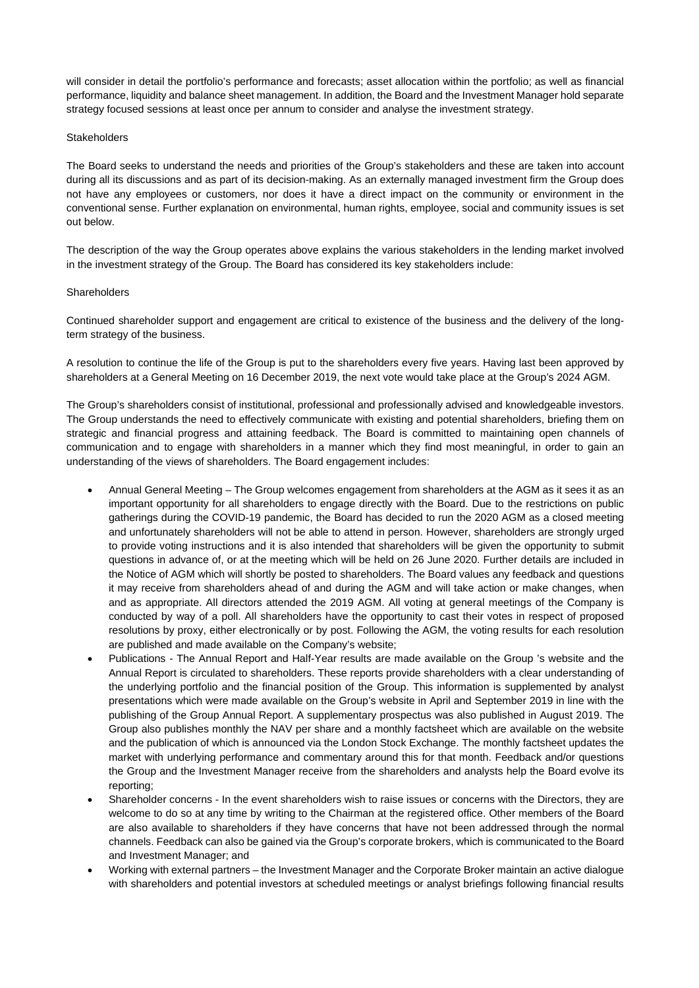will consider in detail the portfolio's performance and forecasts; asset allocation within the portfolio; as well as financial performance, liquidity and balance sheet management. In addition, the Board and the Investment Manager hold separate strategy focused sessions at least once per annum to consider and analyse the investment strategy.

### **Stakeholders**

The Board seeks to understand the needs and priorities of the Group's stakeholders and these are taken into account during all its discussions and as part of its decision-making. As an externally managed investment firm the Group does not have any employees or customers, nor does it have a direct impact on the community or environment in the conventional sense. Further explanation on environmental, human rights, employee, social and community issues is set out below.

The description of the way the Group operates above explains the various stakeholders in the lending market involved in the investment strategy of the Group. The Board has considered its key stakeholders include:

### **Shareholders**

Continued shareholder support and engagement are critical to existence of the business and the delivery of the longterm strategy of the business.

A resolution to continue the life of the Group is put to the shareholders every five years. Having last been approved by shareholders at a General Meeting on 16 December 2019, the next vote would take place at the Group's 2024 AGM.

The Group's shareholders consist of institutional, professional and professionally advised and knowledgeable investors. The Group understands the need to effectively communicate with existing and potential shareholders, briefing them on strategic and financial progress and attaining feedback. The Board is committed to maintaining open channels of communication and to engage with shareholders in a manner which they find most meaningful, in order to gain an understanding of the views of shareholders. The Board engagement includes:

- Annual General Meeting The Group welcomes engagement from shareholders at the AGM as it sees it as an important opportunity for all shareholders to engage directly with the Board. Due to the restrictions on public gatherings during the COVID-19 pandemic, the Board has decided to run the 2020 AGM as a closed meeting and unfortunately shareholders will not be able to attend in person. However, shareholders are strongly urged to provide voting instructions and it is also intended that shareholders will be given the opportunity to submit questions in advance of, or at the meeting which will be held on 26 June 2020. Further details are included in the Notice of AGM which will shortly be posted to shareholders. The Board values any feedback and questions it may receive from shareholders ahead of and during the AGM and will take action or make changes, when and as appropriate. All directors attended the 2019 AGM. All voting at general meetings of the Company is conducted by way of a poll. All shareholders have the opportunity to cast their votes in respect of proposed resolutions by proxy, either electronically or by post. Following the AGM, the voting results for each resolution are published and made available on the Company's website;
- Publications The Annual Report and Half-Year results are made available on the Group 's website and the Annual Report is circulated to shareholders. These reports provide shareholders with a clear understanding of the underlying portfolio and the financial position of the Group. This information is supplemented by analyst presentations which were made available on the Group's website in April and September 2019 in line with the publishing of the Group Annual Report. A supplementary prospectus was also published in August 2019. The Group also publishes monthly the NAV per share and a monthly factsheet which are available on the website and the publication of which is announced via the London Stock Exchange. The monthly factsheet updates the market with underlying performance and commentary around this for that month. Feedback and/or questions the Group and the Investment Manager receive from the shareholders and analysts help the Board evolve its reporting;
- Shareholder concerns In the event shareholders wish to raise issues or concerns with the Directors, they are welcome to do so at any time by writing to the Chairman at the registered office. Other members of the Board are also available to shareholders if they have concerns that have not been addressed through the normal channels. Feedback can also be gained via the Group's corporate brokers, which is communicated to the Board and Investment Manager; and
- Working with external partners the Investment Manager and the Corporate Broker maintain an active dialogue with shareholders and potential investors at scheduled meetings or analyst briefings following financial results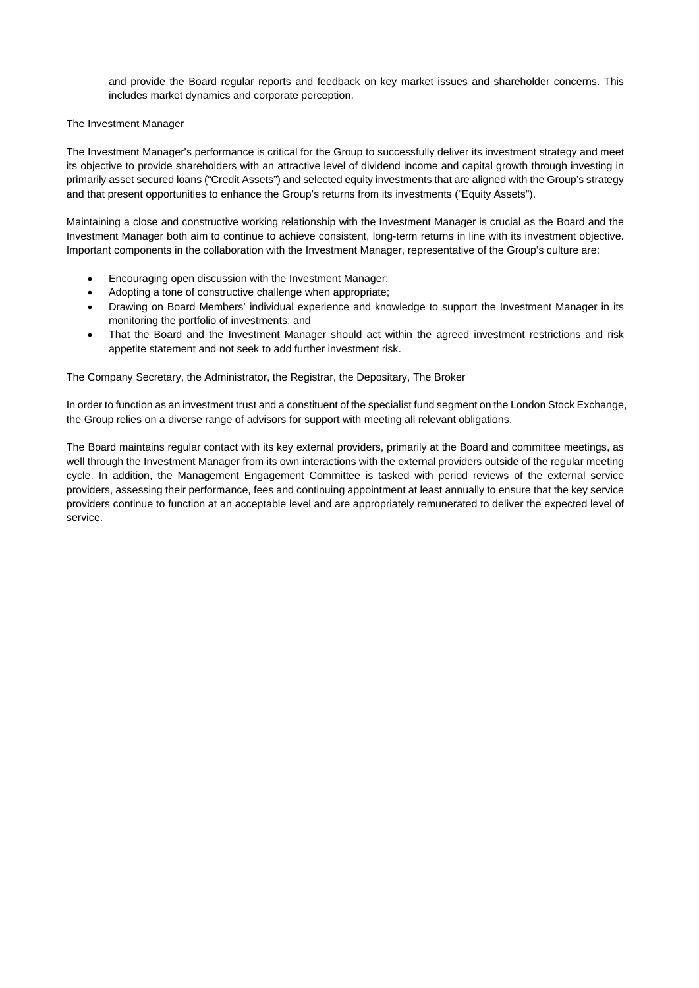and provide the Board regular reports and feedback on key market issues and shareholder concerns. This includes market dynamics and corporate perception.

# The Investment Manager

The Investment Manager's performance is critical for the Group to successfully deliver its investment strategy and meet its objective to provide shareholders with an attractive level of dividend income and capital growth through investing in primarily asset secured loans ("Credit Assets") and selected equity investments that are aligned with the Group's strategy and that present opportunities to enhance the Group's returns from its investments ("Equity Assets").

Maintaining a close and constructive working relationship with the Investment Manager is crucial as the Board and the Investment Manager both aim to continue to achieve consistent, long-term returns in line with its investment objective. Important components in the collaboration with the Investment Manager, representative of the Group's culture are:

- Encouraging open discussion with the Investment Manager;
- Adopting a tone of constructive challenge when appropriate;
- Drawing on Board Members' individual experience and knowledge to support the Investment Manager in its monitoring the portfolio of investments; and
- That the Board and the Investment Manager should act within the agreed investment restrictions and risk appetite statement and not seek to add further investment risk.

The Company Secretary, the Administrator, the Registrar, the Depositary, The Broker

In order to function as an investment trust and a constituent of the specialist fund segment on the London Stock Exchange, the Group relies on a diverse range of advisors for support with meeting all relevant obligations.

The Board maintains regular contact with its key external providers, primarily at the Board and committee meetings, as well through the Investment Manager from its own interactions with the external providers outside of the regular meeting cycle. In addition, the Management Engagement Committee is tasked with period reviews of the external service providers, assessing their performance, fees and continuing appointment at least annually to ensure that the key service providers continue to function at an acceptable level and are appropriately remunerated to deliver the expected level of service.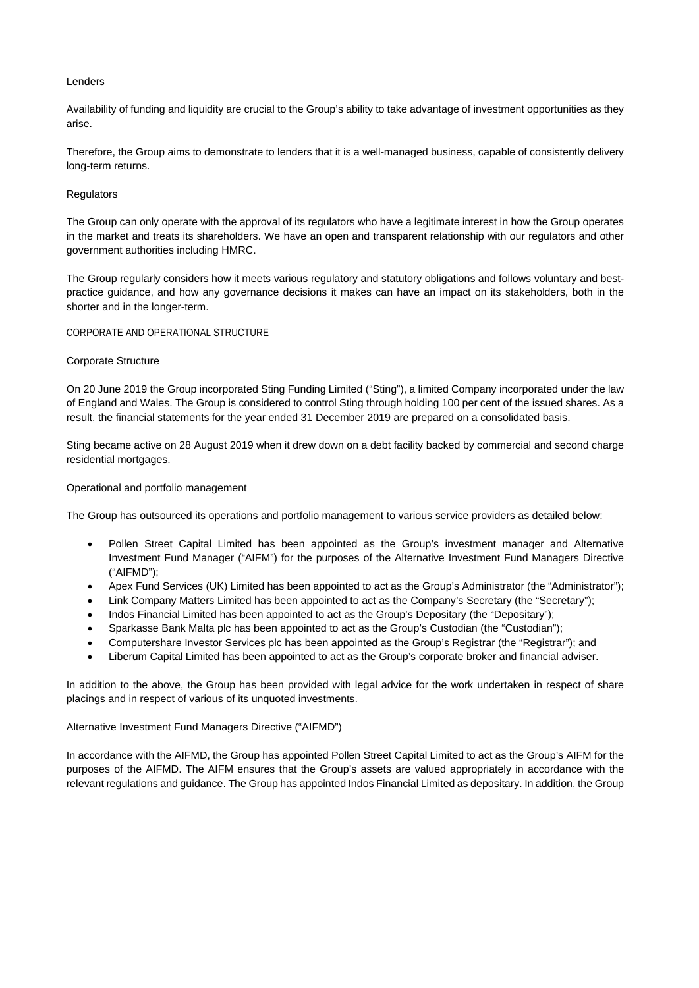# Lenders

Availability of funding and liquidity are crucial to the Group's ability to take advantage of investment opportunities as they arise.

Therefore, the Group aims to demonstrate to lenders that it is a well-managed business, capable of consistently delivery long-term returns.

# **Regulators**

The Group can only operate with the approval of its regulators who have a legitimate interest in how the Group operates in the market and treats its shareholders. We have an open and transparent relationship with our regulators and other government authorities including HMRC.

The Group regularly considers how it meets various regulatory and statutory obligations and follows voluntary and bestpractice guidance, and how any governance decisions it makes can have an impact on its stakeholders, both in the shorter and in the longer-term.

# CORPORATE AND OPERATIONAL STRUCTURE

# Corporate Structure

On 20 June 2019 the Group incorporated Sting Funding Limited ("Sting"), a limited Company incorporated under the law of England and Wales. The Group is considered to control Sting through holding 100 per cent of the issued shares. As a result, the financial statements for the year ended 31 December 2019 are prepared on a consolidated basis.

Sting became active on 28 August 2019 when it drew down on a debt facility backed by commercial and second charge residential mortgages.

# Operational and portfolio management

The Group has outsourced its operations and portfolio management to various service providers as detailed below:

- Pollen Street Capital Limited has been appointed as the Group's investment manager and Alternative Investment Fund Manager ("AIFM") for the purposes of the Alternative Investment Fund Managers Directive ("AIFMD");
- Apex Fund Services (UK) Limited has been appointed to act as the Group's Administrator (the "Administrator");
- Link Company Matters Limited has been appointed to act as the Company's Secretary (the "Secretary");
- Indos Financial Limited has been appointed to act as the Group's Depositary (the "Depositary");
- Sparkasse Bank Malta plc has been appointed to act as the Group's Custodian (the "Custodian");
- Computershare Investor Services plc has been appointed as the Group's Registrar (the "Registrar"); and
- Liberum Capital Limited has been appointed to act as the Group's corporate broker and financial adviser.

In addition to the above, the Group has been provided with legal advice for the work undertaken in respect of share placings and in respect of various of its unquoted investments.

# Alternative Investment Fund Managers Directive ("AIFMD")

In accordance with the AIFMD, the Group has appointed Pollen Street Capital Limited to act as the Group's AIFM for the purposes of the AIFMD. The AIFM ensures that the Group's assets are valued appropriately in accordance with the relevant regulations and guidance. The Group has appointed Indos Financial Limited as depositary. In addition, the Group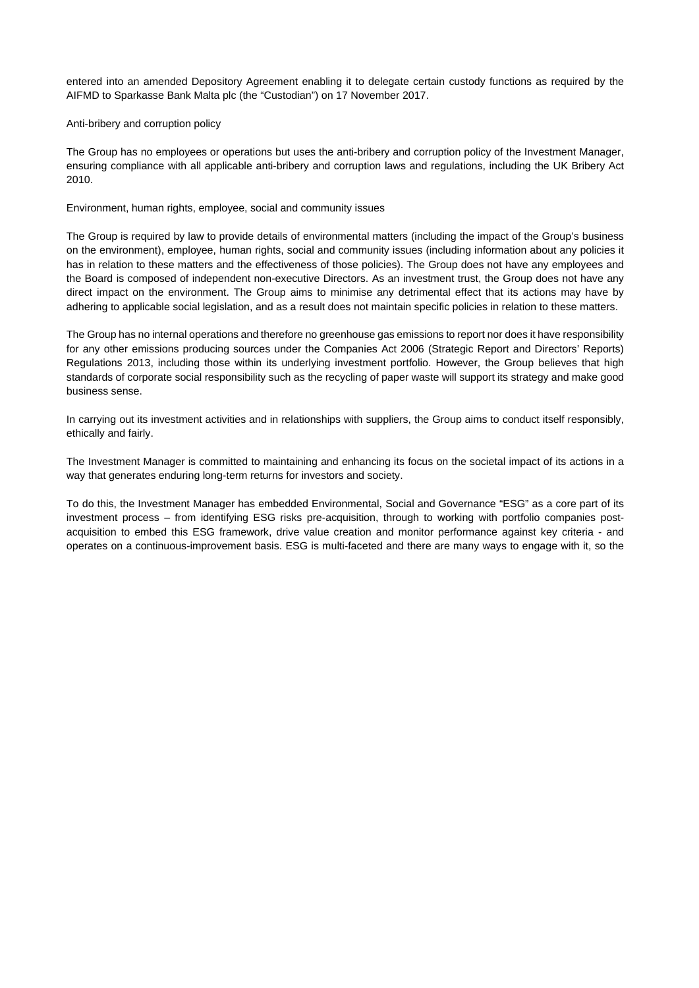entered into an amended Depository Agreement enabling it to delegate certain custody functions as required by the AIFMD to Sparkasse Bank Malta plc (the "Custodian") on 17 November 2017.

## Anti-bribery and corruption policy

The Group has no employees or operations but uses the anti-bribery and corruption policy of the Investment Manager, ensuring compliance with all applicable anti-bribery and corruption laws and regulations, including the UK Bribery Act 2010.

## Environment, human rights, employee, social and community issues

The Group is required by law to provide details of environmental matters (including the impact of the Group's business on the environment), employee, human rights, social and community issues (including information about any policies it has in relation to these matters and the effectiveness of those policies). The Group does not have any employees and the Board is composed of independent non-executive Directors. As an investment trust, the Group does not have any direct impact on the environment. The Group aims to minimise any detrimental effect that its actions may have by adhering to applicable social legislation, and as a result does not maintain specific policies in relation to these matters.

The Group has no internal operations and therefore no greenhouse gas emissions to report nor does it have responsibility for any other emissions producing sources under the Companies Act 2006 (Strategic Report and Directors' Reports) Regulations 2013, including those within its underlying investment portfolio. However, the Group believes that high standards of corporate social responsibility such as the recycling of paper waste will support its strategy and make good business sense.

In carrying out its investment activities and in relationships with suppliers, the Group aims to conduct itself responsibly, ethically and fairly.

The Investment Manager is committed to maintaining and enhancing its focus on the societal impact of its actions in a way that generates enduring long-term returns for investors and society.

To do this, the Investment Manager has embedded Environmental, Social and Governance "ESG" as a core part of its investment process – from identifying ESG risks pre-acquisition, through to working with portfolio companies postacquisition to embed this ESG framework, drive value creation and monitor performance against key criteria - and operates on a continuous-improvement basis. ESG is multi-faceted and there are many ways to engage with it, so the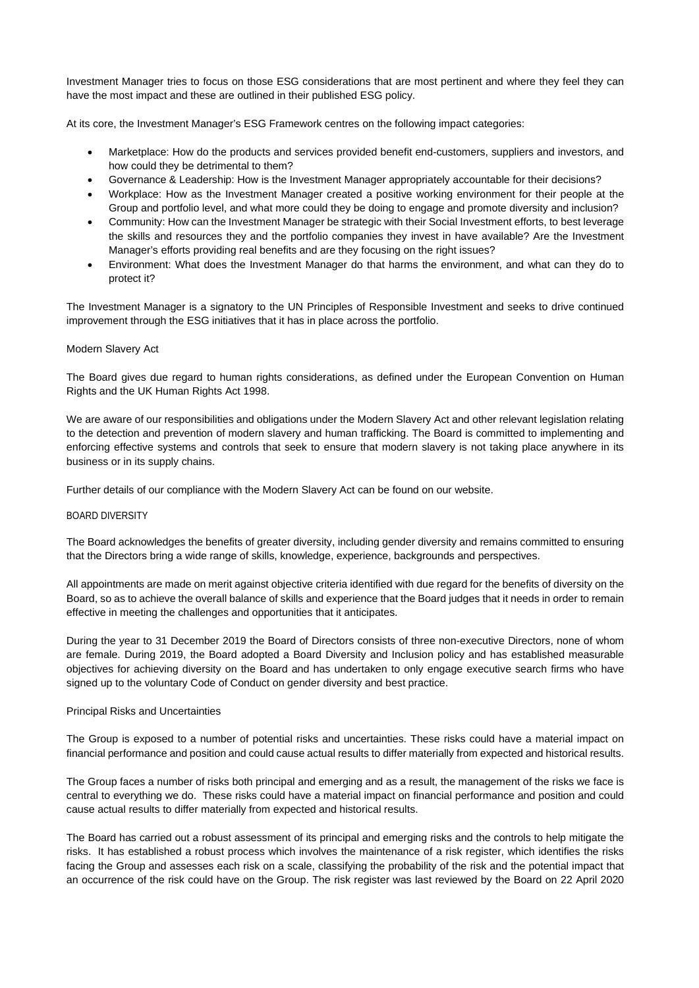Investment Manager tries to focus on those ESG considerations that are most pertinent and where they feel they can have the most impact and these are outlined in their published ESG policy.

At its core, the Investment Manager's ESG Framework centres on the following impact categories:

- Marketplace: How do the products and services provided benefit end-customers, suppliers and investors, and how could they be detrimental to them?
- Governance & Leadership: How is the Investment Manager appropriately accountable for their decisions?
- Workplace: How as the Investment Manager created a positive working environment for their people at the Group and portfolio level, and what more could they be doing to engage and promote diversity and inclusion?
- Community: How can the Investment Manager be strategic with their Social Investment efforts, to best leverage the skills and resources they and the portfolio companies they invest in have available? Are the Investment Manager's efforts providing real benefits and are they focusing on the right issues?
- Environment: What does the Investment Manager do that harms the environment, and what can they do to protect it?

The Investment Manager is a signatory to the UN Principles of Responsible Investment and seeks to drive continued improvement through the ESG initiatives that it has in place across the portfolio.

# Modern Slavery Act

The Board gives due regard to human rights considerations, as defined under the European Convention on Human Rights and the UK Human Rights Act 1998.

We are aware of our responsibilities and obligations under the Modern Slavery Act and other relevant legislation relating to the detection and prevention of modern slavery and human trafficking. The Board is committed to implementing and enforcing effective systems and controls that seek to ensure that modern slavery is not taking place anywhere in its business or in its supply chains.

Further details of our compliance with the Modern Slavery Act can be found on our website.

# BOARD DIVERSITY

The Board acknowledges the benefits of greater diversity, including gender diversity and remains committed to ensuring that the Directors bring a wide range of skills, knowledge, experience, backgrounds and perspectives.

All appointments are made on merit against objective criteria identified with due regard for the benefits of diversity on the Board, so as to achieve the overall balance of skills and experience that the Board judges that it needs in order to remain effective in meeting the challenges and opportunities that it anticipates.

During the year to 31 December 2019 the Board of Directors consists of three non-executive Directors, none of whom are female. During 2019, the Board adopted a Board Diversity and Inclusion policy and has established measurable objectives for achieving diversity on the Board and has undertaken to only engage executive search firms who have signed up to the voluntary Code of Conduct on gender diversity and best practice.

# Principal Risks and Uncertainties

The Group is exposed to a number of potential risks and uncertainties. These risks could have a material impact on financial performance and position and could cause actual results to differ materially from expected and historical results.

The Group faces a number of risks both principal and emerging and as a result, the management of the risks we face is central to everything we do. These risks could have a material impact on financial performance and position and could cause actual results to differ materially from expected and historical results.

The Board has carried out a robust assessment of its principal and emerging risks and the controls to help mitigate the risks. It has established a robust process which involves the maintenance of a risk register, which identifies the risks facing the Group and assesses each risk on a scale, classifying the probability of the risk and the potential impact that an occurrence of the risk could have on the Group. The risk register was last reviewed by the Board on 22 April 2020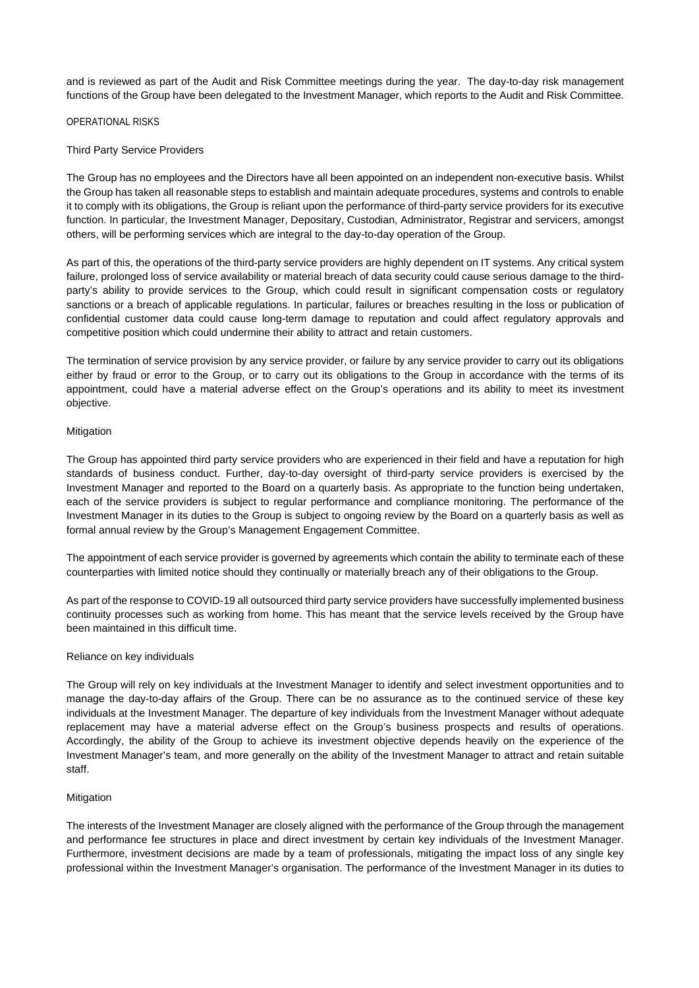and is reviewed as part of the Audit and Risk Committee meetings during the year. The day-to-day risk management functions of the Group have been delegated to the Investment Manager, which reports to the Audit and Risk Committee.

## OPERATIONAL RISKS

## Third Party Service Providers

The Group has no employees and the Directors have all been appointed on an independent non-executive basis. Whilst the Group has taken all reasonable steps to establish and maintain adequate procedures, systems and controls to enable it to comply with its obligations, the Group is reliant upon the performance of third-party service providers for its executive function. In particular, the Investment Manager, Depositary, Custodian, Administrator, Registrar and servicers, amongst others, will be performing services which are integral to the day-to-day operation of the Group.

As part of this, the operations of the third-party service providers are highly dependent on IT systems. Any critical system failure, prolonged loss of service availability or material breach of data security could cause serious damage to the thirdparty's ability to provide services to the Group, which could result in significant compensation costs or regulatory sanctions or a breach of applicable regulations. In particular, failures or breaches resulting in the loss or publication of confidential customer data could cause long-term damage to reputation and could affect regulatory approvals and competitive position which could undermine their ability to attract and retain customers.

The termination of service provision by any service provider, or failure by any service provider to carry out its obligations either by fraud or error to the Group, or to carry out its obligations to the Group in accordance with the terms of its appointment, could have a material adverse effect on the Group's operations and its ability to meet its investment objective.

### **Mitigation**

The Group has appointed third party service providers who are experienced in their field and have a reputation for high standards of business conduct. Further, day-to-day oversight of third-party service providers is exercised by the Investment Manager and reported to the Board on a quarterly basis. As appropriate to the function being undertaken, each of the service providers is subject to regular performance and compliance monitoring. The performance of the Investment Manager in its duties to the Group is subject to ongoing review by the Board on a quarterly basis as well as formal annual review by the Group's Management Engagement Committee.

The appointment of each service provider is governed by agreements which contain the ability to terminate each of these counterparties with limited notice should they continually or materially breach any of their obligations to the Group.

As part of the response to COVID-19 all outsourced third party service providers have successfully implemented business continuity processes such as working from home. This has meant that the service levels received by the Group have been maintained in this difficult time.

# Reliance on key individuals

The Group will rely on key individuals at the Investment Manager to identify and select investment opportunities and to manage the day-to-day affairs of the Group. There can be no assurance as to the continued service of these key individuals at the Investment Manager. The departure of key individuals from the Investment Manager without adequate replacement may have a material adverse effect on the Group's business prospects and results of operations. Accordingly, the ability of the Group to achieve its investment objective depends heavily on the experience of the Investment Manager's team, and more generally on the ability of the Investment Manager to attract and retain suitable staff.

#### Mitigation

The interests of the Investment Manager are closely aligned with the performance of the Group through the management and performance fee structures in place and direct investment by certain key individuals of the Investment Manager. Furthermore, investment decisions are made by a team of professionals, mitigating the impact loss of any single key professional within the Investment Manager's organisation. The performance of the Investment Manager in its duties to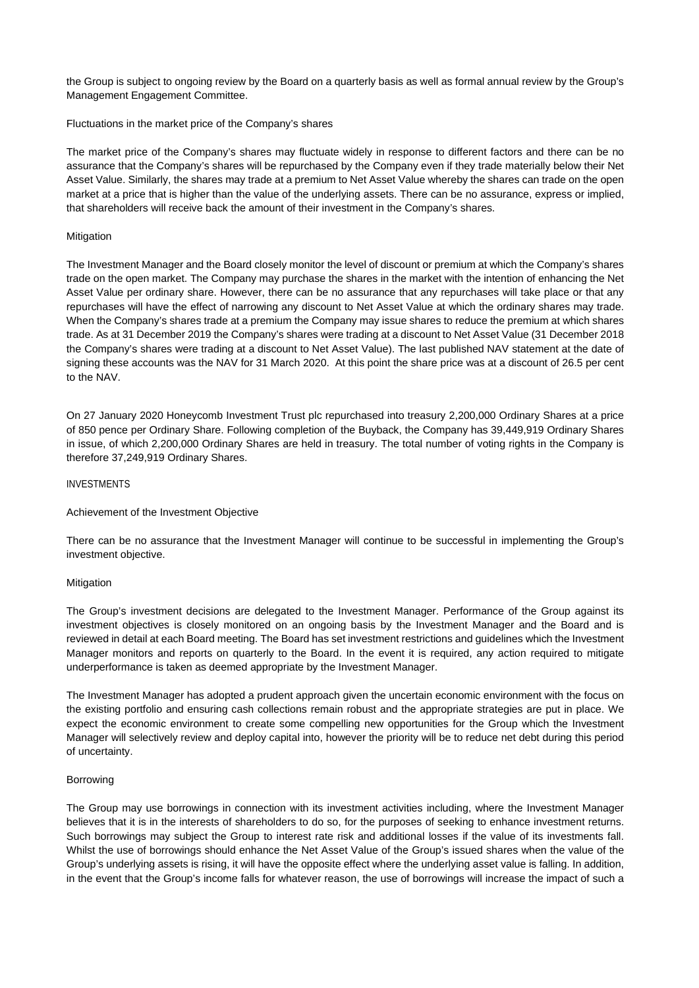the Group is subject to ongoing review by the Board on a quarterly basis as well as formal annual review by the Group's Management Engagement Committee.

# Fluctuations in the market price of the Company's shares

The market price of the Company's shares may fluctuate widely in response to different factors and there can be no assurance that the Company's shares will be repurchased by the Company even if they trade materially below their Net Asset Value. Similarly, the shares may trade at a premium to Net Asset Value whereby the shares can trade on the open market at a price that is higher than the value of the underlying assets. There can be no assurance, express or implied, that shareholders will receive back the amount of their investment in the Company's shares.

## Mitigation

The Investment Manager and the Board closely monitor the level of discount or premium at which the Company's shares trade on the open market. The Company may purchase the shares in the market with the intention of enhancing the Net Asset Value per ordinary share. However, there can be no assurance that any repurchases will take place or that any repurchases will have the effect of narrowing any discount to Net Asset Value at which the ordinary shares may trade. When the Company's shares trade at a premium the Company may issue shares to reduce the premium at which shares trade. As at 31 December 2019 the Company's shares were trading at a discount to Net Asset Value (31 December 2018 the Company's shares were trading at a discount to Net Asset Value). The last published NAV statement at the date of signing these accounts was the NAV for 31 March 2020. At this point the share price was at a discount of 26.5 per cent to the NAV.

On 27 January 2020 Honeycomb Investment Trust plc repurchased into treasury 2,200,000 Ordinary Shares at a price of 850 pence per Ordinary Share. Following completion of the Buyback, the Company has 39,449,919 Ordinary Shares in issue, of which 2,200,000 Ordinary Shares are held in treasury. The total number of voting rights in the Company is therefore 37,249,919 Ordinary Shares.

## INVESTMENTS

#### Achievement of the Investment Objective

There can be no assurance that the Investment Manager will continue to be successful in implementing the Group's investment objective.

#### Mitigation

The Group's investment decisions are delegated to the Investment Manager. Performance of the Group against its investment objectives is closely monitored on an ongoing basis by the Investment Manager and the Board and is reviewed in detail at each Board meeting. The Board has set investment restrictions and guidelines which the Investment Manager monitors and reports on quarterly to the Board. In the event it is required, any action required to mitigate underperformance is taken as deemed appropriate by the Investment Manager.

The Investment Manager has adopted a prudent approach given the uncertain economic environment with the focus on the existing portfolio and ensuring cash collections remain robust and the appropriate strategies are put in place. We expect the economic environment to create some compelling new opportunities for the Group which the Investment Manager will selectively review and deploy capital into, however the priority will be to reduce net debt during this period of uncertainty.

### Borrowing

The Group may use borrowings in connection with its investment activities including, where the Investment Manager believes that it is in the interests of shareholders to do so, for the purposes of seeking to enhance investment returns. Such borrowings may subject the Group to interest rate risk and additional losses if the value of its investments fall. Whilst the use of borrowings should enhance the Net Asset Value of the Group's issued shares when the value of the Group's underlying assets is rising, it will have the opposite effect where the underlying asset value is falling. In addition, in the event that the Group's income falls for whatever reason, the use of borrowings will increase the impact of such a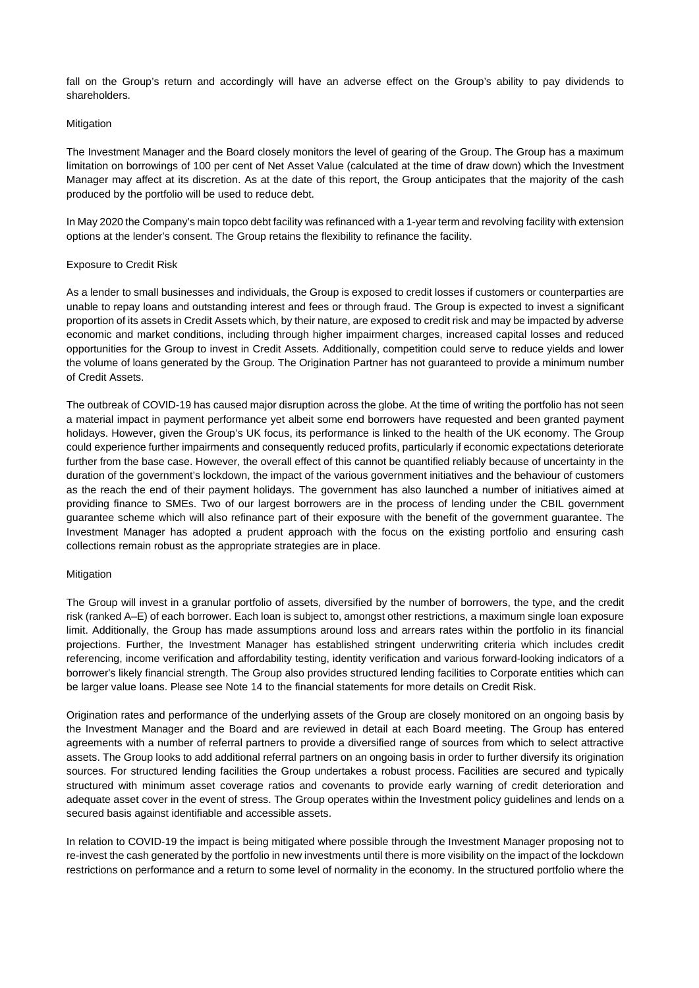fall on the Group's return and accordingly will have an adverse effect on the Group's ability to pay dividends to shareholders.

## **Mitigation**

The Investment Manager and the Board closely monitors the level of gearing of the Group. The Group has a maximum limitation on borrowings of 100 per cent of Net Asset Value (calculated at the time of draw down) which the Investment Manager may affect at its discretion. As at the date of this report, the Group anticipates that the majority of the cash produced by the portfolio will be used to reduce debt.

In May 2020 the Company's main topco debt facility was refinanced with a 1-year term and revolving facility with extension options at the lender's consent. The Group retains the flexibility to refinance the facility.

# Exposure to Credit Risk

As a lender to small businesses and individuals, the Group is exposed to credit losses if customers or counterparties are unable to repay loans and outstanding interest and fees or through fraud. The Group is expected to invest a significant proportion of its assets in Credit Assets which, by their nature, are exposed to credit risk and may be impacted by adverse economic and market conditions, including through higher impairment charges, increased capital losses and reduced opportunities for the Group to invest in Credit Assets. Additionally, competition could serve to reduce yields and lower the volume of loans generated by the Group. The Origination Partner has not guaranteed to provide a minimum number of Credit Assets.

The outbreak of COVID-19 has caused major disruption across the globe. At the time of writing the portfolio has not seen a material impact in payment performance yet albeit some end borrowers have requested and been granted payment holidays. However, given the Group's UK focus, its performance is linked to the health of the UK economy. The Group could experience further impairments and consequently reduced profits, particularly if economic expectations deteriorate further from the base case. However, the overall effect of this cannot be quantified reliably because of uncertainty in the duration of the government's lockdown, the impact of the various government initiatives and the behaviour of customers as the reach the end of their payment holidays. The government has also launched a number of initiatives aimed at providing finance to SMEs. Two of our largest borrowers are in the process of lending under the CBIL government guarantee scheme which will also refinance part of their exposure with the benefit of the government guarantee. The Investment Manager has adopted a prudent approach with the focus on the existing portfolio and ensuring cash collections remain robust as the appropriate strategies are in place.

# Mitigation

The Group will invest in a granular portfolio of assets, diversified by the number of borrowers, the type, and the credit risk (ranked A–E) of each borrower. Each loan is subject to, amongst other restrictions, a maximum single loan exposure limit. Additionally, the Group has made assumptions around loss and arrears rates within the portfolio in its financial projections. Further, the Investment Manager has established stringent underwriting criteria which includes credit referencing, income verification and affordability testing, identity verification and various forward-looking indicators of a borrower's likely financial strength. The Group also provides structured lending facilities to Corporate entities which can be larger value loans. Please see Note 14 to the financial statements for more details on Credit Risk.

Origination rates and performance of the underlying assets of the Group are closely monitored on an ongoing basis by the Investment Manager and the Board and are reviewed in detail at each Board meeting. The Group has entered agreements with a number of referral partners to provide a diversified range of sources from which to select attractive assets. The Group looks to add additional referral partners on an ongoing basis in order to further diversify its origination sources. For structured lending facilities the Group undertakes a robust process. Facilities are secured and typically structured with minimum asset coverage ratios and covenants to provide early warning of credit deterioration and adequate asset cover in the event of stress. The Group operates within the Investment policy guidelines and lends on a secured basis against identifiable and accessible assets.

In relation to COVID-19 the impact is being mitigated where possible through the Investment Manager proposing not to re-invest the cash generated by the portfolio in new investments until there is more visibility on the impact of the lockdown restrictions on performance and a return to some level of normality in the economy. In the structured portfolio where the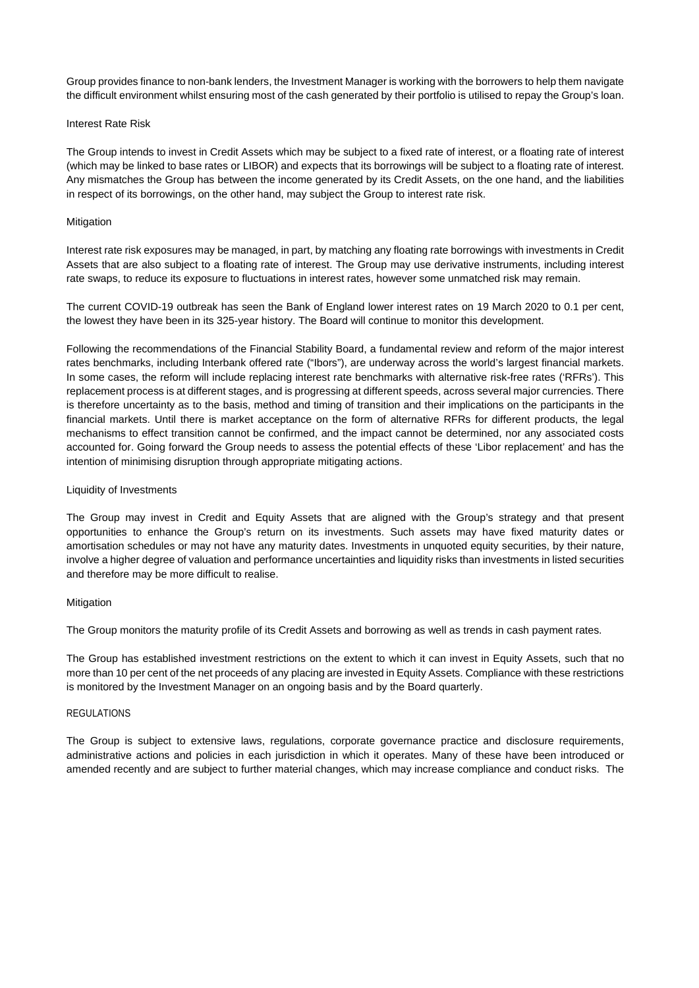Group provides finance to non-bank lenders, the Investment Manager is working with the borrowers to help them navigate the difficult environment whilst ensuring most of the cash generated by their portfolio is utilised to repay the Group's loan.

# Interest Rate Risk

The Group intends to invest in Credit Assets which may be subject to a fixed rate of interest, or a floating rate of interest (which may be linked to base rates or LIBOR) and expects that its borrowings will be subject to a floating rate of interest. Any mismatches the Group has between the income generated by its Credit Assets, on the one hand, and the liabilities in respect of its borrowings, on the other hand, may subject the Group to interest rate risk.

## Mitigation

Interest rate risk exposures may be managed, in part, by matching any floating rate borrowings with investments in Credit Assets that are also subject to a floating rate of interest. The Group may use derivative instruments, including interest rate swaps, to reduce its exposure to fluctuations in interest rates, however some unmatched risk may remain.

The current COVID-19 outbreak has seen the Bank of England lower interest rates on 19 March 2020 to 0.1 per cent, the lowest they have been in its 325-year history. The Board will continue to monitor this development.

Following the recommendations of the Financial Stability Board, a fundamental review and reform of the major interest rates benchmarks, including Interbank offered rate ("Ibors"), are underway across the world's largest financial markets. In some cases, the reform will include replacing interest rate benchmarks with alternative risk-free rates ('RFRs'). This replacement process is at different stages, and is progressing at different speeds, across several major currencies. There is therefore uncertainty as to the basis, method and timing of transition and their implications on the participants in the financial markets. Until there is market acceptance on the form of alternative RFRs for different products, the legal mechanisms to effect transition cannot be confirmed, and the impact cannot be determined, nor any associated costs accounted for. Going forward the Group needs to assess the potential effects of these 'Libor replacement' and has the intention of minimising disruption through appropriate mitigating actions.

# Liquidity of Investments

The Group may invest in Credit and Equity Assets that are aligned with the Group's strategy and that present opportunities to enhance the Group's return on its investments. Such assets may have fixed maturity dates or amortisation schedules or may not have any maturity dates. Investments in unquoted equity securities, by their nature, involve a higher degree of valuation and performance uncertainties and liquidity risks than investments in listed securities and therefore may be more difficult to realise.

#### **Mitigation**

The Group monitors the maturity profile of its Credit Assets and borrowing as well as trends in cash payment rates.

The Group has established investment restrictions on the extent to which it can invest in Equity Assets, such that no more than 10 per cent of the net proceeds of any placing are invested in Equity Assets. Compliance with these restrictions is monitored by the Investment Manager on an ongoing basis and by the Board quarterly.

# REGULATIONS

The Group is subject to extensive laws, regulations, corporate governance practice and disclosure requirements, administrative actions and policies in each jurisdiction in which it operates. Many of these have been introduced or amended recently and are subject to further material changes, which may increase compliance and conduct risks. The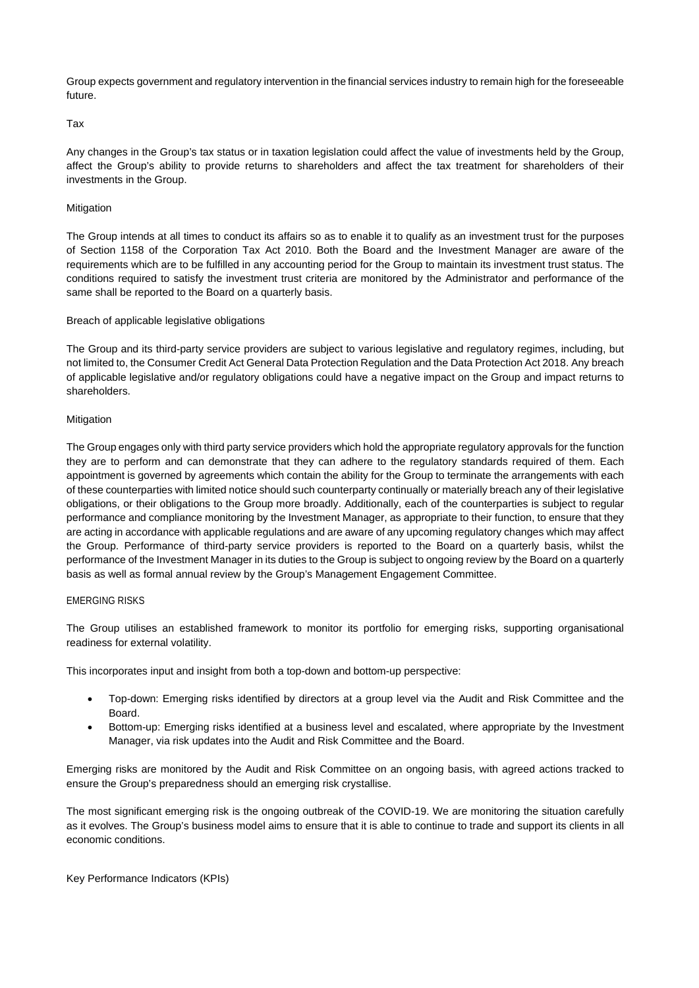Group expects government and regulatory intervention in the financial services industry to remain high for the foreseeable future.

# Tax

Any changes in the Group's tax status or in taxation legislation could affect the value of investments held by the Group, affect the Group's ability to provide returns to shareholders and affect the tax treatment for shareholders of their investments in the Group.

# Mitigation

The Group intends at all times to conduct its affairs so as to enable it to qualify as an investment trust for the purposes of Section 1158 of the Corporation Tax Act 2010. Both the Board and the Investment Manager are aware of the requirements which are to be fulfilled in any accounting period for the Group to maintain its investment trust status. The conditions required to satisfy the investment trust criteria are monitored by the Administrator and performance of the same shall be reported to the Board on a quarterly basis.

# Breach of applicable legislative obligations

The Group and its third-party service providers are subject to various legislative and regulatory regimes, including, but not limited to, the Consumer Credit Act General Data Protection Regulation and the Data Protection Act 2018. Any breach of applicable legislative and/or regulatory obligations could have a negative impact on the Group and impact returns to shareholders.

# **Mitigation**

The Group engages only with third party service providers which hold the appropriate regulatory approvals for the function they are to perform and can demonstrate that they can adhere to the regulatory standards required of them. Each appointment is governed by agreements which contain the ability for the Group to terminate the arrangements with each of these counterparties with limited notice should such counterparty continually or materially breach any of their legislative obligations, or their obligations to the Group more broadly. Additionally, each of the counterparties is subject to regular performance and compliance monitoring by the Investment Manager, as appropriate to their function, to ensure that they are acting in accordance with applicable regulations and are aware of any upcoming regulatory changes which may affect the Group. Performance of third-party service providers is reported to the Board on a quarterly basis, whilst the performance of the Investment Manager in its duties to the Group is subject to ongoing review by the Board on a quarterly basis as well as formal annual review by the Group's Management Engagement Committee.

# EMERGING RISKS

The Group utilises an established framework to monitor its portfolio for emerging risks, supporting organisational readiness for external volatility.

This incorporates input and insight from both a top-down and bottom-up perspective:

- Top-down: Emerging risks identified by directors at a group level via the Audit and Risk Committee and the Board.
- Bottom-up: Emerging risks identified at a business level and escalated, where appropriate by the Investment Manager, via risk updates into the Audit and Risk Committee and the Board.

Emerging risks are monitored by the Audit and Risk Committee on an ongoing basis, with agreed actions tracked to ensure the Group's preparedness should an emerging risk crystallise.

The most significant emerging risk is the ongoing outbreak of the COVID-19. We are monitoring the situation carefully as it evolves. The Group's business model aims to ensure that it is able to continue to trade and support its clients in all economic conditions.

Key Performance Indicators (KPIs)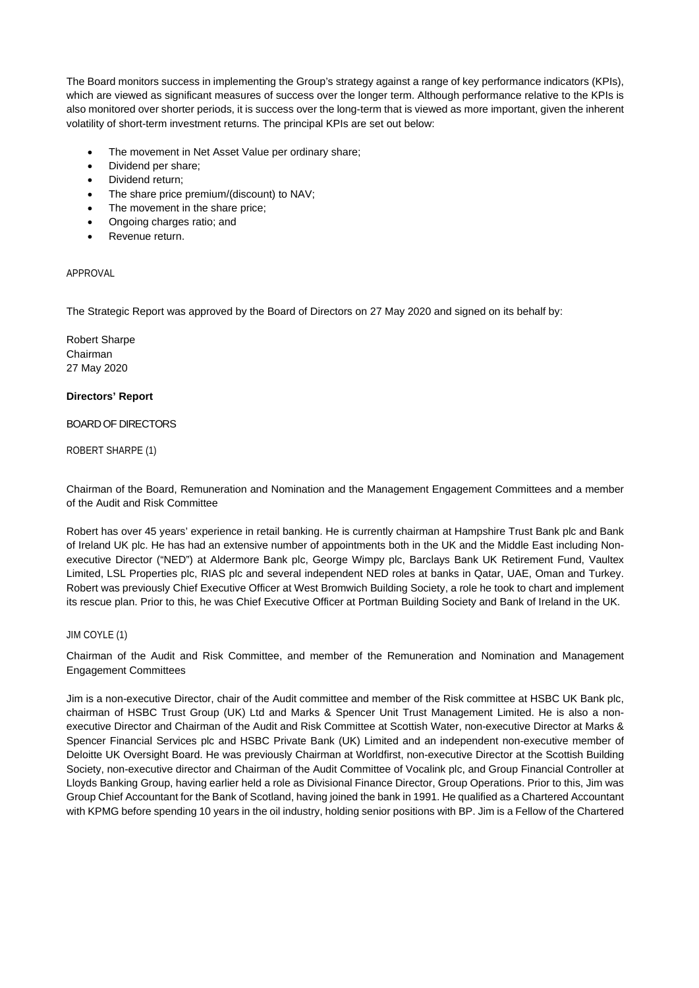The Board monitors success in implementing the Group's strategy against a range of key performance indicators (KPIs), which are viewed as significant measures of success over the longer term. Although performance relative to the KPIs is also monitored over shorter periods, it is success over the long-term that is viewed as more important, given the inherent volatility of short-term investment returns. The principal KPIs are set out below:

- The movement in Net Asset Value per ordinary share;
- Dividend per share;
- Dividend return;
- The share price premium/(discount) to NAV;
- The movement in the share price;
- Ongoing charges ratio; and
- Revenue return.

# APPROVAL

The Strategic Report was approved by the Board of Directors on 27 May 2020 and signed on its behalf by:

Robert Sharpe Chairman 27 May 2020

# **Directors' Report**

# BOARD OF DIRECTORS

ROBERT SHARPE (1)

Chairman of the Board, Remuneration and Nomination and the Management Engagement Committees and a member of the Audit and Risk Committee

Robert has over 45 years' experience in retail banking. He is currently chairman at Hampshire Trust Bank plc and Bank of Ireland UK plc. He has had an extensive number of appointments both in the UK and the Middle East including Nonexecutive Director ("NED") at Aldermore Bank plc, George Wimpy plc, Barclays Bank UK Retirement Fund, Vaultex Limited, LSL Properties plc, RIAS plc and several independent NED roles at banks in Qatar, UAE, Oman and Turkey. Robert was previously Chief Executive Officer at West Bromwich Building Society, a role he took to chart and implement its rescue plan. Prior to this, he was Chief Executive Officer at Portman Building Society and Bank of Ireland in the UK.

# JIM COYLE (1)

Chairman of the Audit and Risk Committee, and member of the Remuneration and Nomination and Management Engagement Committees

Jim is a non-executive Director, chair of the Audit committee and member of the Risk committee at HSBC UK Bank plc, chairman of HSBC Trust Group (UK) Ltd and Marks & Spencer Unit Trust Management Limited. He is also a nonexecutive Director and Chairman of the Audit and Risk Committee at Scottish Water, non-executive Director at Marks & Spencer Financial Services plc and HSBC Private Bank (UK) Limited and an independent non-executive member of Deloitte UK Oversight Board. He was previously Chairman at Worldfirst, non-executive Director at the Scottish Building Society, non-executive director and Chairman of the Audit Committee of Vocalink plc, and Group Financial Controller at Lloyds Banking Group, having earlier held a role as Divisional Finance Director, Group Operations. Prior to this, Jim was Group Chief Accountant for the Bank of Scotland, having joined the bank in 1991. He qualified as a Chartered Accountant with KPMG before spending 10 years in the oil industry, holding senior positions with BP. Jim is a Fellow of the Chartered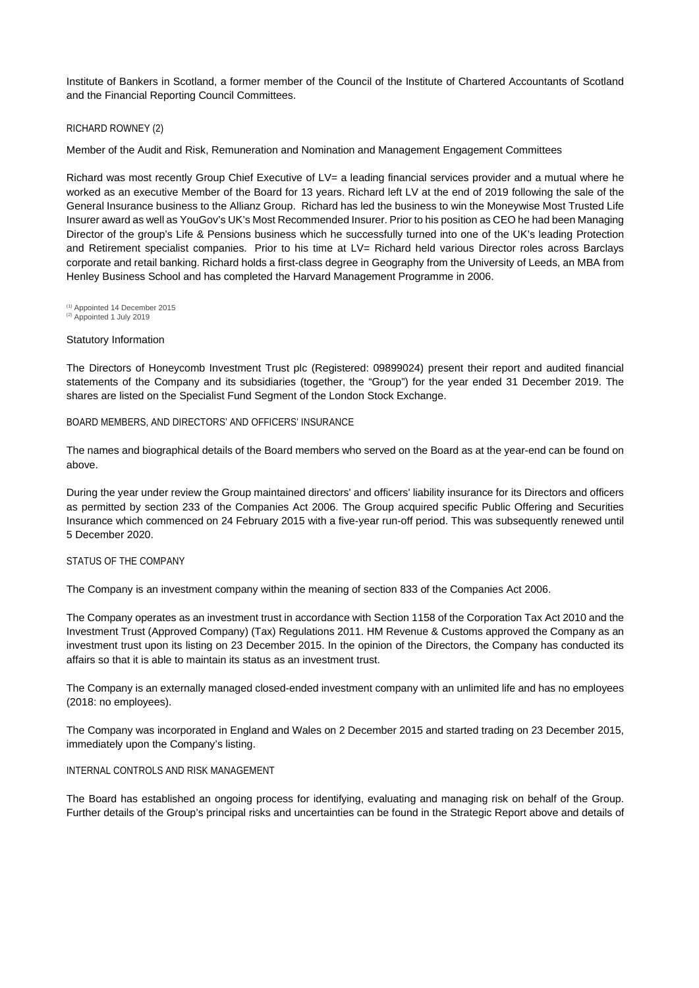Institute of Bankers in Scotland, a former member of the Council of the Institute of Chartered Accountants of Scotland and the Financial Reporting Council Committees.

# RICHARD ROWNEY (2)

Member of the Audit and Risk, Remuneration and Nomination and Management Engagement Committees

Richard was most recently Group Chief Executive of LV= a leading financial services provider and a mutual where he worked as an executive Member of the Board for 13 years. Richard left LV at the end of 2019 following the sale of the General Insurance business to the Allianz Group. Richard has led the business to win the Moneywise Most Trusted Life Insurer award as well as YouGov's UK's Most Recommended Insurer. Prior to his position as CEO he had been Managing Director of the group's Life & Pensions business which he successfully turned into one of the UK's leading Protection and Retirement specialist companies. Prior to his time at LV= Richard held various Director roles across Barclays corporate and retail banking. Richard holds a first-class degree in Geography from the University of Leeds, an MBA from Henley Business School and has completed the Harvard Management Programme in 2006.

(1) Appointed 14 December 2015  $(2)$  Appointed 1 July 2019

# Statutory Information

The Directors of Honeycomb Investment Trust plc (Registered: 09899024) present their report and audited financial statements of the Company and its subsidiaries (together, the "Group") for the year ended 31 December 2019. The shares are listed on the Specialist Fund Segment of the London Stock Exchange.

# BOARD MEMBERS, AND DIRECTORS' AND OFFICERS' INSURANCE

The names and biographical details of the Board members who served on the Board as at the year-end can be found on above.

During the year under review the Group maintained directors' and officers' liability insurance for its Directors and officers as permitted by section 233 of the Companies Act 2006. The Group acquired specific Public Offering and Securities Insurance which commenced on 24 February 2015 with a five-year run-off period. This was subsequently renewed until 5 December 2020.

# STATUS OF THE COMPANY

The Company is an investment company within the meaning of section 833 of the Companies Act 2006.

The Company operates as an investment trust in accordance with Section 1158 of the Corporation Tax Act 2010 and the Investment Trust (Approved Company) (Tax) Regulations 2011. HM Revenue & Customs approved the Company as an investment trust upon its listing on 23 December 2015. In the opinion of the Directors, the Company has conducted its affairs so that it is able to maintain its status as an investment trust.

The Company is an externally managed closed-ended investment company with an unlimited life and has no employees (2018: no employees).

The Company was incorporated in England and Wales on 2 December 2015 and started trading on 23 December 2015, immediately upon the Company's listing.

# INTERNAL CONTROLS AND RISK MANAGEMENT

The Board has established an ongoing process for identifying, evaluating and managing risk on behalf of the Group. Further details of the Group's principal risks and uncertainties can be found in the Strategic Report above and details of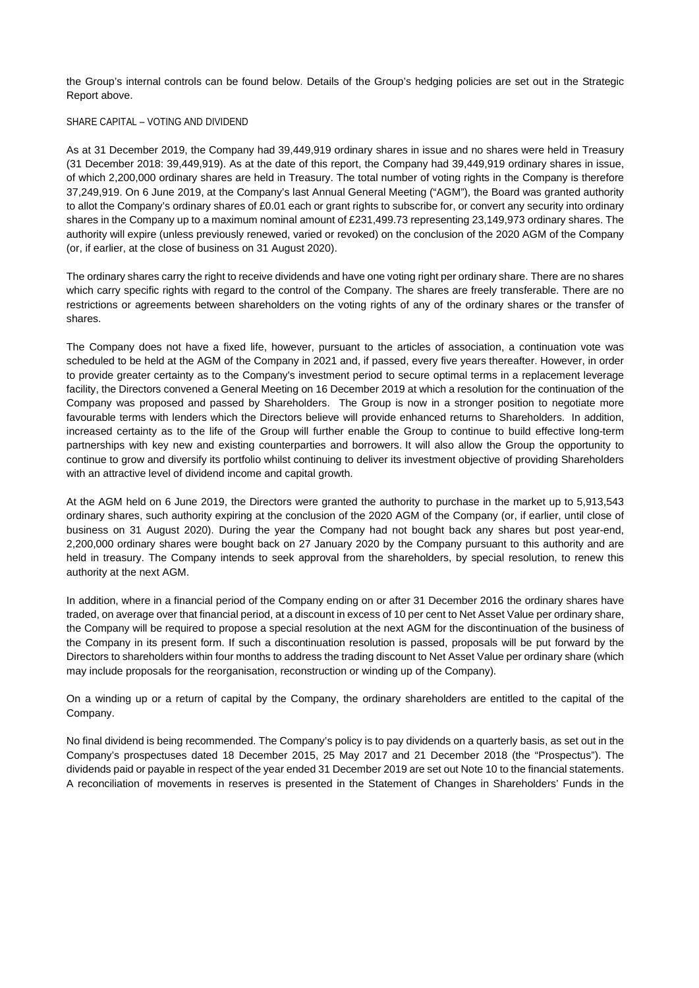the Group's internal controls can be found below. Details of the Group's hedging policies are set out in the Strategic Report above.

# SHARE CAPITAL – VOTING AND DIVIDEND

As at 31 December 2019, the Company had 39,449,919 ordinary shares in issue and no shares were held in Treasury (31 December 2018: 39,449,919). As at the date of this report, the Company had 39,449,919 ordinary shares in issue, of which 2,200,000 ordinary shares are held in Treasury. The total number of voting rights in the Company is therefore 37,249,919. On 6 June 2019, at the Company's last Annual General Meeting ("AGM"), the Board was granted authority to allot the Company's ordinary shares of £0.01 each or grant rights to subscribe for, or convert any security into ordinary shares in the Company up to a maximum nominal amount of £231,499.73 representing 23,149,973 ordinary shares. The authority will expire (unless previously renewed, varied or revoked) on the conclusion of the 2020 AGM of the Company (or, if earlier, at the close of business on 31 August 2020).

The ordinary shares carry the right to receive dividends and have one voting right per ordinary share. There are no shares which carry specific rights with regard to the control of the Company. The shares are freely transferable. There are no restrictions or agreements between shareholders on the voting rights of any of the ordinary shares or the transfer of shares.

The Company does not have a fixed life, however, pursuant to the articles of association, a continuation vote was scheduled to be held at the AGM of the Company in 2021 and, if passed, every five years thereafter. However, in order to provide greater certainty as to the Company's investment period to secure optimal terms in a replacement leverage facility, the Directors convened a General Meeting on 16 December 2019 at which a resolution for the continuation of the Company was proposed and passed by Shareholders. The Group is now in a stronger position to negotiate more favourable terms with lenders which the Directors believe will provide enhanced returns to Shareholders. In addition, increased certainty as to the life of the Group will further enable the Group to continue to build effective long-term partnerships with key new and existing counterparties and borrowers. It will also allow the Group the opportunity to continue to grow and diversify its portfolio whilst continuing to deliver its investment objective of providing Shareholders with an attractive level of dividend income and capital growth.

At the AGM held on 6 June 2019, the Directors were granted the authority to purchase in the market up to 5,913,543 ordinary shares, such authority expiring at the conclusion of the 2020 AGM of the Company (or, if earlier, until close of business on 31 August 2020). During the year the Company had not bought back any shares but post year-end, 2,200,000 ordinary shares were bought back on 27 January 2020 by the Company pursuant to this authority and are held in treasury. The Company intends to seek approval from the shareholders, by special resolution, to renew this authority at the next AGM.

In addition, where in a financial period of the Company ending on or after 31 December 2016 the ordinary shares have traded, on average over that financial period, at a discount in excess of 10 per cent to Net Asset Value per ordinary share, the Company will be required to propose a special resolution at the next AGM for the discontinuation of the business of the Company in its present form. If such a discontinuation resolution is passed, proposals will be put forward by the Directors to shareholders within four months to address the trading discount to Net Asset Value per ordinary share (which may include proposals for the reorganisation, reconstruction or winding up of the Company).

On a winding up or a return of capital by the Company, the ordinary shareholders are entitled to the capital of the Company.

No final dividend is being recommended. The Company's policy is to pay dividends on a quarterly basis, as set out in the Company's prospectuses dated 18 December 2015, 25 May 2017 and 21 December 2018 (the "Prospectus"). The dividends paid or payable in respect of the year ended 31 December 2019 are set out Note 10 to the financial statements. A reconciliation of movements in reserves is presented in the Statement of Changes in Shareholders' Funds in the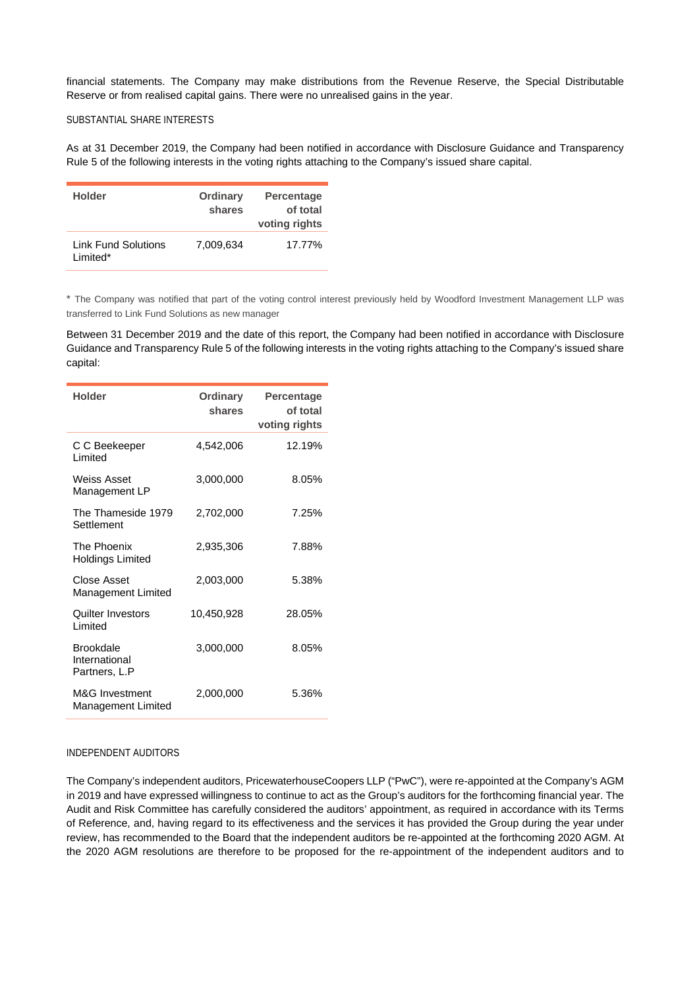financial statements. The Company may make distributions from the Revenue Reserve, the Special Distributable Reserve or from realised capital gains. There were no unrealised gains in the year.

# SUBSTANTIAL SHARE INTERESTS

As at 31 December 2019, the Company had been notified in accordance with Disclosure Guidance and Transparency Rule 5 of the following interests in the voting rights attaching to the Company's issued share capital.

| <b>Holder</b>                          | Ordinary<br>shares | <b>Percentage</b><br>of total<br>voting rights |
|----------------------------------------|--------------------|------------------------------------------------|
| <b>Link Fund Solutions</b><br>Limited* | 7,009,634          | 17.77%                                         |

\* The Company was notified that part of the voting control interest previously held by Woodford Investment Management LLP was transferred to Link Fund Solutions as new manager

Between 31 December 2019 and the date of this report, the Company had been notified in accordance with Disclosure Guidance and Transparency Rule 5 of the following interests in the voting rights attaching to the Company's issued share capital:

| <b>Holder</b>                                      | <b>Ordinary</b><br>shares | <b>Percentage</b><br>of total<br>voting rights |
|----------------------------------------------------|---------------------------|------------------------------------------------|
| C C Beekeeper<br><b>Limited</b>                    | 4,542,006                 | 12.19%                                         |
| <b>Weiss Asset</b><br>Management LP                | 3,000,000                 | 8.05%                                          |
| The Thameside 1979<br>Settlement                   | 2,702,000                 | 7.25%                                          |
| The Phoenix<br>Holdings Limited                    | 2,935,306                 | 7.88%                                          |
| Close Asset<br>Management Limited                  | 2,003,000                 | 5.38%                                          |
| Quilter Investors<br>Limited                       | 10,450,928                | 28.05%                                         |
| <b>Brookdale</b><br>International<br>Partners, L.P | 3,000,000                 | 8.05%                                          |
| M&G Investment<br><b>Management Limited</b>        | 2,000,000                 | 5.36%                                          |

# INDEPENDENT AUDITORS

The Company's independent auditors, PricewaterhouseCoopers LLP ("PwC"), were re-appointed at the Company's AGM in 2019 and have expressed willingness to continue to act as the Group's auditors for the forthcoming financial year. The Audit and Risk Committee has carefully considered the auditors' appointment, as required in accordance with its Terms of Reference, and, having regard to its effectiveness and the services it has provided the Group during the year under review, has recommended to the Board that the independent auditors be re-appointed at the forthcoming 2020 AGM. At the 2020 AGM resolutions are therefore to be proposed for the re-appointment of the independent auditors and to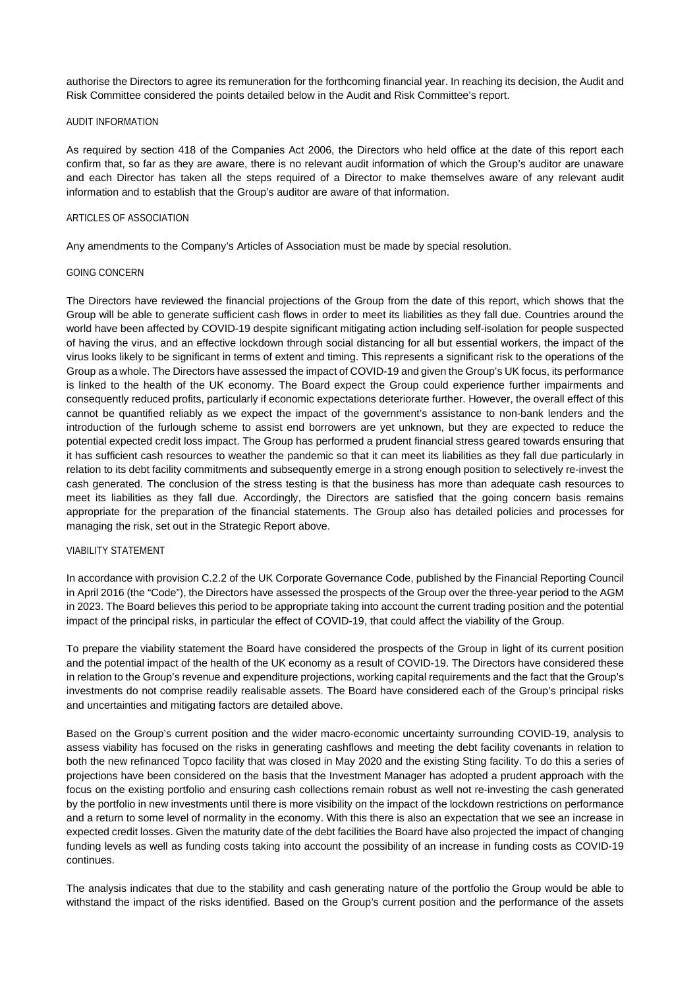authorise the Directors to agree its remuneration for the forthcoming financial year. In reaching its decision, the Audit and Risk Committee considered the points detailed below in the Audit and Risk Committee's report.

### AUDIT INFORMATION

As required by section 418 of the Companies Act 2006, the Directors who held office at the date of this report each confirm that, so far as they are aware, there is no relevant audit information of which the Group's auditor are unaware and each Director has taken all the steps required of a Director to make themselves aware of any relevant audit information and to establish that the Group's auditor are aware of that information.

## ARTICLES OF ASSOCIATION

Any amendments to the Company's Articles of Association must be made by special resolution.

### GOING CONCERN

The Directors have reviewed the financial projections of the Group from the date of this report, which shows that the Group will be able to generate sufficient cash flows in order to meet its liabilities as they fall due. Countries around the world have been affected by COVID-19 despite significant mitigating action including self-isolation for people suspected of having the virus, and an effective lockdown through social distancing for all but essential workers, the impact of the virus looks likely to be significant in terms of extent and timing. This represents a significant risk to the operations of the Group as a whole. The Directors have assessed the impact of COVID-19 and given the Group's UK focus, its performance is linked to the health of the UK economy. The Board expect the Group could experience further impairments and consequently reduced profits, particularly if economic expectations deteriorate further. However, the overall effect of this cannot be quantified reliably as we expect the impact of the government's assistance to non-bank lenders and the introduction of the furlough scheme to assist end borrowers are yet unknown, but they are expected to reduce the potential expected credit loss impact. The Group has performed a prudent financial stress geared towards ensuring that it has sufficient cash resources to weather the pandemic so that it can meet its liabilities as they fall due particularly in relation to its debt facility commitments and subsequently emerge in a strong enough position to selectively re-invest the cash generated. The conclusion of the stress testing is that the business has more than adequate cash resources to meet its liabilities as they fall due. Accordingly, the Directors are satisfied that the going concern basis remains appropriate for the preparation of the financial statements. The Group also has detailed policies and processes for managing the risk, set out in the Strategic Report above.

# VIABILITY STATEMENT

In accordance with provision C.2.2 of the UK Corporate Governance Code, published by the Financial Reporting Council in April 2016 (the "Code"), the Directors have assessed the prospects of the Group over the three-year period to the AGM in 2023. The Board believes this period to be appropriate taking into account the current trading position and the potential impact of the principal risks, in particular the effect of COVID-19, that could affect the viability of the Group.

To prepare the viability statement the Board have considered the prospects of the Group in light of its current position and the potential impact of the health of the UK economy as a result of COVID-19. The Directors have considered these in relation to the Group's revenue and expenditure projections, working capital requirements and the fact that the Group's investments do not comprise readily realisable assets. The Board have considered each of the Group's principal risks and uncertainties and mitigating factors are detailed above.

Based on the Group's current position and the wider macro-economic uncertainty surrounding COVID-19, analysis to assess viability has focused on the risks in generating cashflows and meeting the debt facility covenants in relation to both the new refinanced Topco facility that was closed in May 2020 and the existing Sting facility. To do this a series of projections have been considered on the basis that the Investment Manager has adopted a prudent approach with the focus on the existing portfolio and ensuring cash collections remain robust as well not re-investing the cash generated by the portfolio in new investments until there is more visibility on the impact of the lockdown restrictions on performance and a return to some level of normality in the economy. With this there is also an expectation that we see an increase in expected credit losses. Given the maturity date of the debt facilities the Board have also projected the impact of changing funding levels as well as funding costs taking into account the possibility of an increase in funding costs as COVID-19 continues.

The analysis indicates that due to the stability and cash generating nature of the portfolio the Group would be able to withstand the impact of the risks identified. Based on the Group's current position and the performance of the assets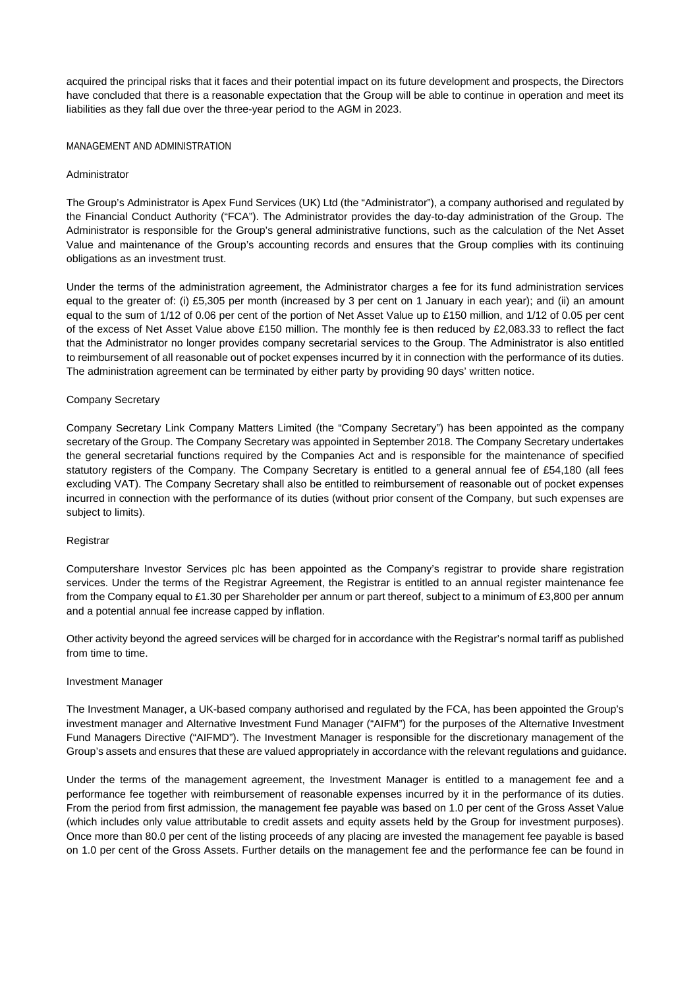acquired the principal risks that it faces and their potential impact on its future development and prospects, the Directors have concluded that there is a reasonable expectation that the Group will be able to continue in operation and meet its liabilities as they fall due over the three-year period to the AGM in 2023.

# MANAGEMENT AND ADMINISTRATION

# Administrator

The Group's Administrator is Apex Fund Services (UK) Ltd (the "Administrator"), a company authorised and regulated by the Financial Conduct Authority ("FCA"). The Administrator provides the day-to-day administration of the Group. The Administrator is responsible for the Group's general administrative functions, such as the calculation of the Net Asset Value and maintenance of the Group's accounting records and ensures that the Group complies with its continuing obligations as an investment trust.

Under the terms of the administration agreement, the Administrator charges a fee for its fund administration services equal to the greater of: (i) £5,305 per month (increased by 3 per cent on 1 January in each year); and (ii) an amount equal to the sum of 1/12 of 0.06 per cent of the portion of Net Asset Value up to £150 million, and 1/12 of 0.05 per cent of the excess of Net Asset Value above £150 million. The monthly fee is then reduced by £2,083.33 to reflect the fact that the Administrator no longer provides company secretarial services to the Group. The Administrator is also entitled to reimbursement of all reasonable out of pocket expenses incurred by it in connection with the performance of its duties. The administration agreement can be terminated by either party by providing 90 days' written notice.

# Company Secretary

Company Secretary Link Company Matters Limited (the "Company Secretary") has been appointed as the company secretary of the Group. The Company Secretary was appointed in September 2018. The Company Secretary undertakes the general secretarial functions required by the Companies Act and is responsible for the maintenance of specified statutory registers of the Company. The Company Secretary is entitled to a general annual fee of £54,180 (all fees excluding VAT). The Company Secretary shall also be entitled to reimbursement of reasonable out of pocket expenses incurred in connection with the performance of its duties (without prior consent of the Company, but such expenses are subject to limits).

# Registrar

Computershare Investor Services plc has been appointed as the Company's registrar to provide share registration services. Under the terms of the Registrar Agreement, the Registrar is entitled to an annual register maintenance fee from the Company equal to £1.30 per Shareholder per annum or part thereof, subject to a minimum of £3,800 per annum and a potential annual fee increase capped by inflation.

Other activity beyond the agreed services will be charged for in accordance with the Registrar's normal tariff as published from time to time.

# Investment Manager

The Investment Manager, a UK-based company authorised and regulated by the FCA, has been appointed the Group's investment manager and Alternative Investment Fund Manager ("AIFM") for the purposes of the Alternative Investment Fund Managers Directive ("AIFMD"). The Investment Manager is responsible for the discretionary management of the Group's assets and ensures that these are valued appropriately in accordance with the relevant regulations and guidance.

Under the terms of the management agreement, the Investment Manager is entitled to a management fee and a performance fee together with reimbursement of reasonable expenses incurred by it in the performance of its duties. From the period from first admission, the management fee payable was based on 1.0 per cent of the Gross Asset Value (which includes only value attributable to credit assets and equity assets held by the Group for investment purposes). Once more than 80.0 per cent of the listing proceeds of any placing are invested the management fee payable is based on 1.0 per cent of the Gross Assets. Further details on the management fee and the performance fee can be found in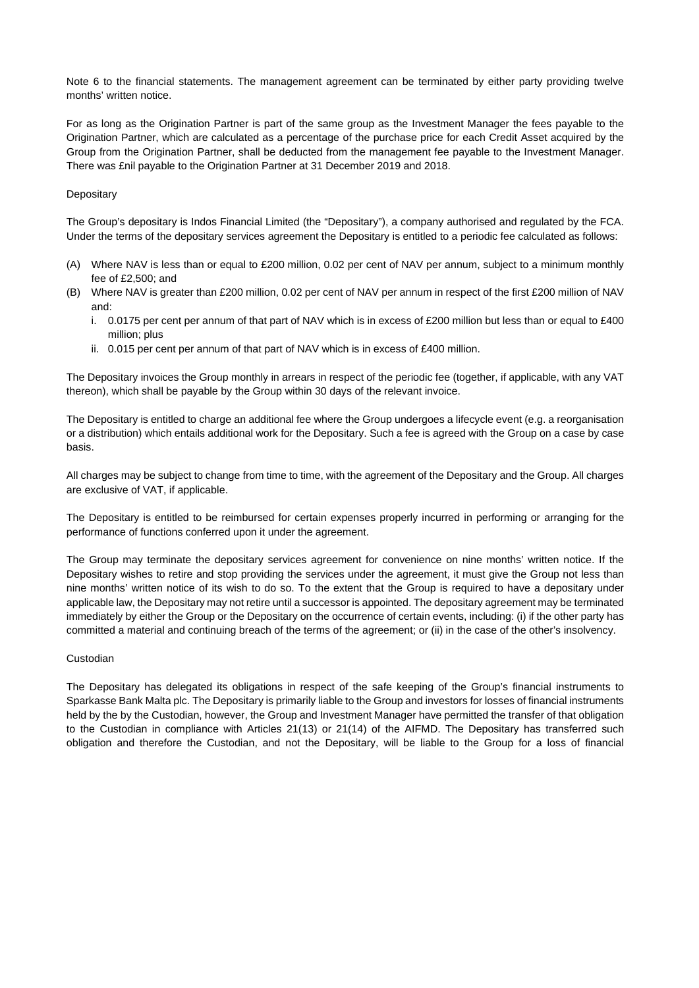Note 6 to the financial statements. The management agreement can be terminated by either party providing twelve months' written notice.

For as long as the Origination Partner is part of the same group as the Investment Manager the fees payable to the Origination Partner, which are calculated as a percentage of the purchase price for each Credit Asset acquired by the Group from the Origination Partner, shall be deducted from the management fee payable to the Investment Manager. There was £nil payable to the Origination Partner at 31 December 2019 and 2018.

# **Depositary**

The Group's depositary is Indos Financial Limited (the "Depositary"), a company authorised and regulated by the FCA. Under the terms of the depositary services agreement the Depositary is entitled to a periodic fee calculated as follows:

- (A) Where NAV is less than or equal to £200 million, 0.02 per cent of NAV per annum, subject to a minimum monthly fee of £2,500; and
- (B) Where NAV is greater than £200 million, 0.02 per cent of NAV per annum in respect of the first £200 million of NAV and:
	- i. 0.0175 per cent per annum of that part of NAV which is in excess of £200 million but less than or equal to £400 million; plus
	- ii. 0.015 per cent per annum of that part of NAV which is in excess of £400 million.

The Depositary invoices the Group monthly in arrears in respect of the periodic fee (together, if applicable, with any VAT thereon), which shall be payable by the Group within 30 days of the relevant invoice.

The Depositary is entitled to charge an additional fee where the Group undergoes a lifecycle event (e.g. a reorganisation or a distribution) which entails additional work for the Depositary. Such a fee is agreed with the Group on a case by case basis.

All charges may be subject to change from time to time, with the agreement of the Depositary and the Group. All charges are exclusive of VAT, if applicable.

The Depositary is entitled to be reimbursed for certain expenses properly incurred in performing or arranging for the performance of functions conferred upon it under the agreement.

The Group may terminate the depositary services agreement for convenience on nine months' written notice. If the Depositary wishes to retire and stop providing the services under the agreement, it must give the Group not less than nine months' written notice of its wish to do so. To the extent that the Group is required to have a depositary under applicable law, the Depositary may not retire until a successor is appointed. The depositary agreement may be terminated immediately by either the Group or the Depositary on the occurrence of certain events, including: (i) if the other party has committed a material and continuing breach of the terms of the agreement; or (ii) in the case of the other's insolvency.

# Custodian

The Depositary has delegated its obligations in respect of the safe keeping of the Group's financial instruments to Sparkasse Bank Malta plc. The Depositary is primarily liable to the Group and investors for losses of financial instruments held by the by the Custodian, however, the Group and Investment Manager have permitted the transfer of that obligation to the Custodian in compliance with Articles 21(13) or 21(14) of the AIFMD. The Depositary has transferred such obligation and therefore the Custodian, and not the Depositary, will be liable to the Group for a loss of financial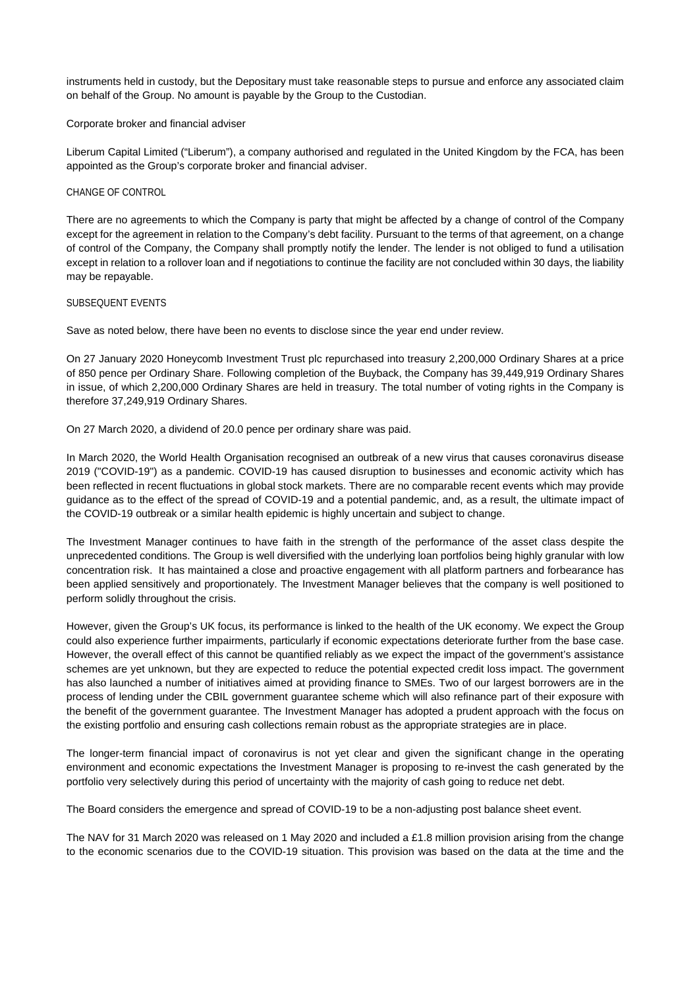instruments held in custody, but the Depositary must take reasonable steps to pursue and enforce any associated claim on behalf of the Group. No amount is payable by the Group to the Custodian.

# Corporate broker and financial adviser

Liberum Capital Limited ("Liberum"), a company authorised and regulated in the United Kingdom by the FCA, has been appointed as the Group's corporate broker and financial adviser.

# CHANGE OF CONTROL

There are no agreements to which the Company is party that might be affected by a change of control of the Company except for the agreement in relation to the Company's debt facility. Pursuant to the terms of that agreement, on a change of control of the Company, the Company shall promptly notify the lender. The lender is not obliged to fund a utilisation except in relation to a rollover loan and if negotiations to continue the facility are not concluded within 30 days, the liability may be repayable.

# SUBSEQUENT EVENTS

Save as noted below, there have been no events to disclose since the year end under review.

On 27 January 2020 Honeycomb Investment Trust plc repurchased into treasury 2,200,000 Ordinary Shares at a price of 850 pence per Ordinary Share. Following completion of the Buyback, the Company has 39,449,919 Ordinary Shares in issue, of which 2,200,000 Ordinary Shares are held in treasury. The total number of voting rights in the Company is therefore 37,249,919 Ordinary Shares.

On 27 March 2020, a dividend of 20.0 pence per ordinary share was paid.

In March 2020, the World Health Organisation recognised an outbreak of a new virus that causes coronavirus disease 2019 ("COVID-19") as a pandemic. COVID-19 has caused disruption to businesses and economic activity which has been reflected in recent fluctuations in global stock markets. There are no comparable recent events which may provide guidance as to the effect of the spread of COVID-19 and a potential pandemic, and, as a result, the ultimate impact of the COVID-19 outbreak or a similar health epidemic is highly uncertain and subject to change.

The Investment Manager continues to have faith in the strength of the performance of the asset class despite the unprecedented conditions. The Group is well diversified with the underlying loan portfolios being highly granular with low concentration risk. It has maintained a close and proactive engagement with all platform partners and forbearance has been applied sensitively and proportionately. The Investment Manager believes that the company is well positioned to perform solidly throughout the crisis.

However, given the Group's UK focus, its performance is linked to the health of the UK economy. We expect the Group could also experience further impairments, particularly if economic expectations deteriorate further from the base case. However, the overall effect of this cannot be quantified reliably as we expect the impact of the government's assistance schemes are yet unknown, but they are expected to reduce the potential expected credit loss impact. The government has also launched a number of initiatives aimed at providing finance to SMEs. Two of our largest borrowers are in the process of lending under the CBIL government guarantee scheme which will also refinance part of their exposure with the benefit of the government guarantee. The Investment Manager has adopted a prudent approach with the focus on the existing portfolio and ensuring cash collections remain robust as the appropriate strategies are in place.

The longer-term financial impact of coronavirus is not yet clear and given the significant change in the operating environment and economic expectations the Investment Manager is proposing to re-invest the cash generated by the portfolio very selectively during this period of uncertainty with the majority of cash going to reduce net debt.

The Board considers the emergence and spread of COVID-19 to be a non-adjusting post balance sheet event.

The NAV for 31 March 2020 was released on 1 May 2020 and included a £1.8 million provision arising from the change to the economic scenarios due to the COVID-19 situation. This provision was based on the data at the time and the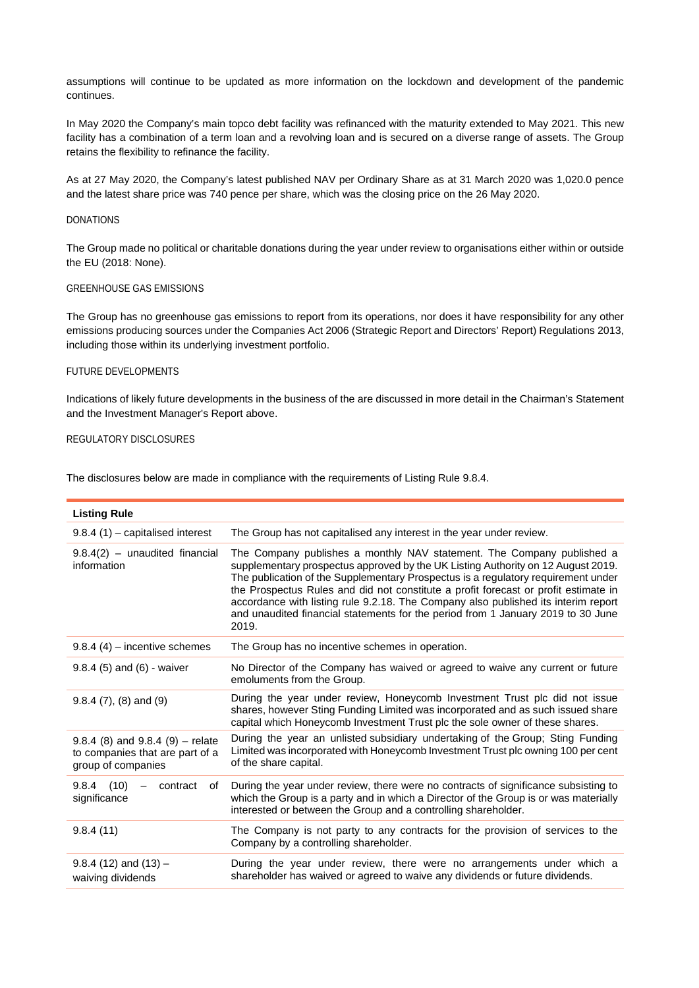assumptions will continue to be updated as more information on the lockdown and development of the pandemic continues.

In May 2020 the Company's main topco debt facility was refinanced with the maturity extended to May 2021. This new facility has a combination of a term loan and a revolving loan and is secured on a diverse range of assets. The Group retains the flexibility to refinance the facility.

As at 27 May 2020, the Company's latest published NAV per Ordinary Share as at 31 March 2020 was 1,020.0 pence and the latest share price was 740 pence per share, which was the closing price on the 26 May 2020.

### DONATIONS

The Group made no political or charitable donations during the year under review to organisations either within or outside the EU (2018: None).

# GREENHOUSE GAS EMISSIONS

The Group has no greenhouse gas emissions to report from its operations, nor does it have responsibility for any other emissions producing sources under the Companies Act 2006 (Strategic Report and Directors' Report) Regulations 2013, including those within its underlying investment portfolio.

## FUTURE DEVELOPMENTS

Indications of likely future developments in the business of the are discussed in more detail in the Chairman's Statement and the Investment Manager's Report above.

# REGULATORY DISCLOSURES

The disclosures below are made in compliance with the requirements of Listing Rule 9.8.4.

| <b>Listing Rule</b>                                                                           |                                                                                                                                                                                                                                                                                                                                                                                                                                                                                                                           |
|-----------------------------------------------------------------------------------------------|---------------------------------------------------------------------------------------------------------------------------------------------------------------------------------------------------------------------------------------------------------------------------------------------------------------------------------------------------------------------------------------------------------------------------------------------------------------------------------------------------------------------------|
| $9.8.4(1)$ – capitalised interest                                                             | The Group has not capitalised any interest in the year under review.                                                                                                                                                                                                                                                                                                                                                                                                                                                      |
| $9.8.4(2)$ – unaudited financial<br>information                                               | The Company publishes a monthly NAV statement. The Company published a<br>supplementary prospectus approved by the UK Listing Authority on 12 August 2019.<br>The publication of the Supplementary Prospectus is a regulatory requirement under<br>the Prospectus Rules and did not constitute a profit forecast or profit estimate in<br>accordance with listing rule 9.2.18. The Company also published its interim report<br>and unaudited financial statements for the period from 1 January 2019 to 30 June<br>2019. |
| $9.8.4$ (4) – incentive schemes                                                               | The Group has no incentive schemes in operation.                                                                                                                                                                                                                                                                                                                                                                                                                                                                          |
| $9.8.4$ (5) and (6) - waiver                                                                  | No Director of the Company has waived or agreed to waive any current or future<br>emoluments from the Group.                                                                                                                                                                                                                                                                                                                                                                                                              |
| $9.8.4(7)$ , $(8)$ and $(9)$                                                                  | During the year under review, Honeycomb Investment Trust plc did not issue<br>shares, however Sting Funding Limited was incorporated and as such issued share<br>capital which Honeycomb Investment Trust plc the sole owner of these shares.                                                                                                                                                                                                                                                                             |
| $9.8.4$ (8) and $9.8.4$ (9) – relate<br>to companies that are part of a<br>group of companies | During the year an unlisted subsidiary undertaking of the Group; Sting Funding<br>Limited was incorporated with Honeycomb Investment Trust plc owning 100 per cent<br>of the share capital.                                                                                                                                                                                                                                                                                                                               |
| $9.8.4$ (10)<br>contract<br>of<br>significance                                                | During the year under review, there were no contracts of significance subsisting to<br>which the Group is a party and in which a Director of the Group is or was materially<br>interested or between the Group and a controlling shareholder.                                                                                                                                                                                                                                                                             |
| 9.8.4(11)                                                                                     | The Company is not party to any contracts for the provision of services to the<br>Company by a controlling shareholder.                                                                                                                                                                                                                                                                                                                                                                                                   |
| $9.8.4$ (12) and (13) -<br>waiving dividends                                                  | During the year under review, there were no arrangements under which a<br>shareholder has waived or agreed to waive any dividends or future dividends.                                                                                                                                                                                                                                                                                                                                                                    |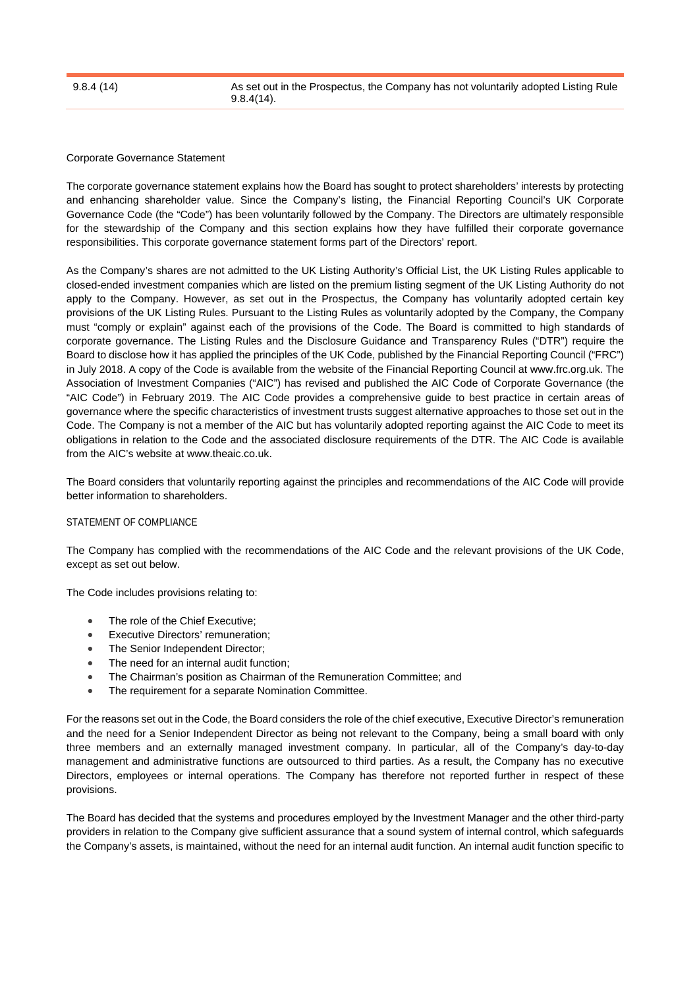## Corporate Governance Statement

The corporate governance statement explains how the Board has sought to protect shareholders' interests by protecting and enhancing shareholder value. Since the Company's listing, the Financial Reporting Council's UK Corporate Governance Code (the "Code") has been voluntarily followed by the Company. The Directors are ultimately responsible for the stewardship of the Company and this section explains how they have fulfilled their corporate governance responsibilities. This corporate governance statement forms part of the Directors' report.

As the Company's shares are not admitted to the UK Listing Authority's Official List, the UK Listing Rules applicable to closed-ended investment companies which are listed on the premium listing segment of the UK Listing Authority do not apply to the Company. However, as set out in the Prospectus, the Company has voluntarily adopted certain key provisions of the UK Listing Rules. Pursuant to the Listing Rules as voluntarily adopted by the Company, the Company must "comply or explain" against each of the provisions of the Code. The Board is committed to high standards of corporate governance. The Listing Rules and the Disclosure Guidance and Transparency Rules ("DTR") require the Board to disclose how it has applied the principles of the UK Code, published by the Financial Reporting Council ("FRC") in July 2018. A copy of the Code is available from the website of the Financial Reporting Council at www.frc.org.uk. The Association of Investment Companies ("AIC") has revised and published the AIC Code of Corporate Governance (the "AIC Code") in February 2019. The AIC Code provides a comprehensive guide to best practice in certain areas of governance where the specific characteristics of investment trusts suggest alternative approaches to those set out in the Code. The Company is not a member of the AIC but has voluntarily adopted reporting against the AIC Code to meet its obligations in relation to the Code and the associated disclosure requirements of the DTR. The AIC Code is available from the AIC's website at [www.theaic.co.uk.](http://www.theaic.co.uk/) 

The Board considers that voluntarily reporting against the principles and recommendations of the AIC Code will provide better information to shareholders.

# STATEMENT OF COMPLIANCE

The Company has complied with the recommendations of the AIC Code and the relevant provisions of the UK Code, except as set out below.

The Code includes provisions relating to:

- The role of the Chief Executive;
- **Executive Directors' remuneration;**
- The Senior Independent Director;
- The need for an internal audit function;
- The Chairman's position as Chairman of the Remuneration Committee; and
- The requirement for a separate Nomination Committee.

For the reasons set out in the Code, the Board considers the role of the chief executive, Executive Director's remuneration and the need for a Senior Independent Director as being not relevant to the Company, being a small board with only three members and an externally managed investment company. In particular, all of the Company's day-to-day management and administrative functions are outsourced to third parties. As a result, the Company has no executive Directors, employees or internal operations. The Company has therefore not reported further in respect of these provisions.

The Board has decided that the systems and procedures employed by the Investment Manager and the other third-party providers in relation to the Company give sufficient assurance that a sound system of internal control, which safeguards the Company's assets, is maintained, without the need for an internal audit function. An internal audit function specific to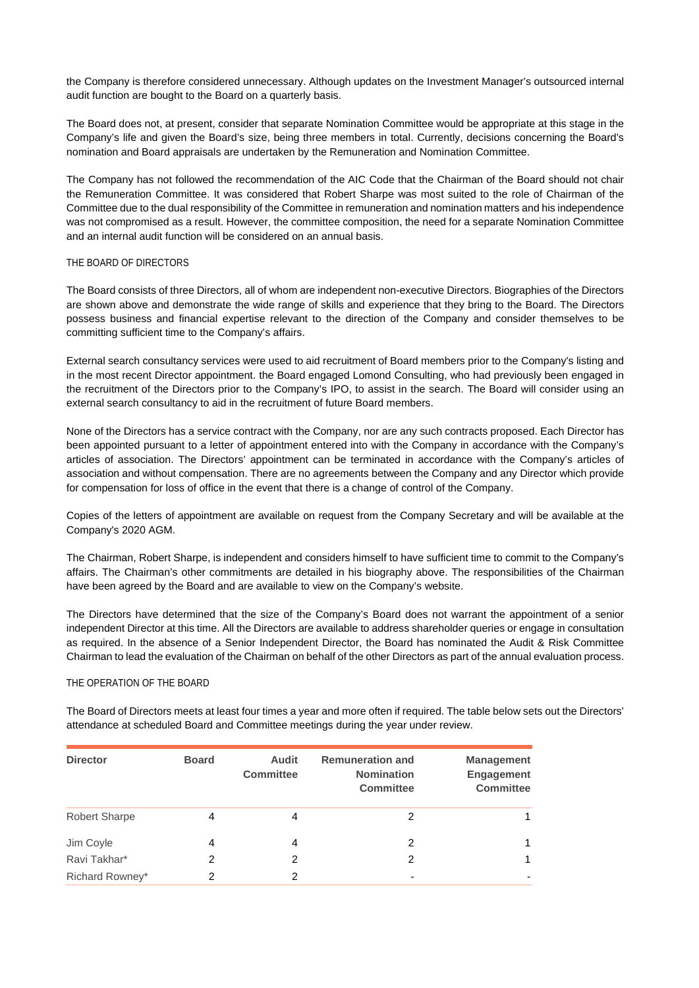the Company is therefore considered unnecessary. Although updates on the Investment Manager's outsourced internal audit function are bought to the Board on a quarterly basis.

The Board does not, at present, consider that separate Nomination Committee would be appropriate at this stage in the Company's life and given the Board's size, being three members in total. Currently, decisions concerning the Board's nomination and Board appraisals are undertaken by the Remuneration and Nomination Committee.

The Company has not followed the recommendation of the AIC Code that the Chairman of the Board should not chair the Remuneration Committee. It was considered that Robert Sharpe was most suited to the role of Chairman of the Committee due to the dual responsibility of the Committee in remuneration and nomination matters and his independence was not compromised as a result. However, the committee composition, the need for a separate Nomination Committee and an internal audit function will be considered on an annual basis.

# THE BOARD OF DIRECTORS

The Board consists of three Directors, all of whom are independent non-executive Directors. Biographies of the Directors are shown above and demonstrate the wide range of skills and experience that they bring to the Board. The Directors possess business and financial expertise relevant to the direction of the Company and consider themselves to be committing sufficient time to the Company's affairs.

External search consultancy services were used to aid recruitment of Board members prior to the Company's listing and in the most recent Director appointment. the Board engaged Lomond Consulting, who had previously been engaged in the recruitment of the Directors prior to the Company's IPO, to assist in the search. The Board will consider using an external search consultancy to aid in the recruitment of future Board members.

None of the Directors has a service contract with the Company, nor are any such contracts proposed. Each Director has been appointed pursuant to a letter of appointment entered into with the Company in accordance with the Company's articles of association. The Directors' appointment can be terminated in accordance with the Company's articles of association and without compensation. There are no agreements between the Company and any Director which provide for compensation for loss of office in the event that there is a change of control of the Company.

Copies of the letters of appointment are available on request from the Company Secretary and will be available at the Company's 2020 AGM.

The Chairman, Robert Sharpe, is independent and considers himself to have sufficient time to commit to the Company's affairs. The Chairman's other commitments are detailed in his biography above. The responsibilities of the Chairman have been agreed by the Board and are available to view on the Company's website.

The Directors have determined that the size of the Company's Board does not warrant the appointment of a senior independent Director at this time. All the Directors are available to address shareholder queries or engage in consultation as required. In the absence of a Senior Independent Director, the Board has nominated the Audit & Risk Committee Chairman to lead the evaluation of the Chairman on behalf of the other Directors as part of the annual evaluation process.

# THE OPERATION OF THE BOARD

The Board of Directors meets at least four times a year and more often if required. The table below sets out the Directors' attendance at scheduled Board and Committee meetings during the year under review.

| <b>Director</b>      | <b>Board</b> | Audit<br><b>Committee</b> | <b>Remuneration and</b><br><b>Nomination</b><br><b>Committee</b> | <b>Management</b><br><b>Engagement</b><br><b>Committee</b> |
|----------------------|--------------|---------------------------|------------------------------------------------------------------|------------------------------------------------------------|
| <b>Robert Sharpe</b> | 4            | 4                         | 2                                                                |                                                            |
| Jim Coyle            | 4            | 4                         | 2                                                                |                                                            |
| Ravi Takhar*         | 2            | 2                         | 2                                                                |                                                            |
| Richard Rowney*      |              | 2                         | -                                                                |                                                            |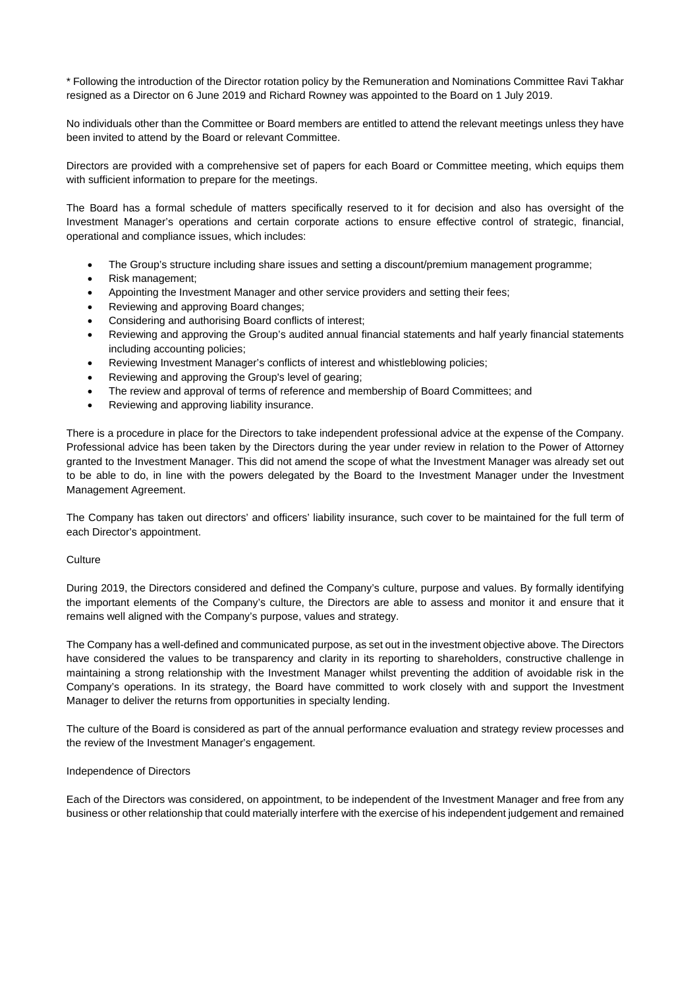\* Following the introduction of the Director rotation policy by the Remuneration and Nominations Committee Ravi Takhar resigned as a Director on 6 June 2019 and Richard Rowney was appointed to the Board on 1 July 2019.

No individuals other than the Committee or Board members are entitled to attend the relevant meetings unless they have been invited to attend by the Board or relevant Committee.

Directors are provided with a comprehensive set of papers for each Board or Committee meeting, which equips them with sufficient information to prepare for the meetings.

The Board has a formal schedule of matters specifically reserved to it for decision and also has oversight of the Investment Manager's operations and certain corporate actions to ensure effective control of strategic, financial, operational and compliance issues, which includes:

- The Group's structure including share issues and setting a discount/premium management programme;
- Risk management;
- Appointing the Investment Manager and other service providers and setting their fees;
- Reviewing and approving Board changes;
- Considering and authorising Board conflicts of interest;
- Reviewing and approving the Group's audited annual financial statements and half yearly financial statements including accounting policies;
- Reviewing Investment Manager's conflicts of interest and whistleblowing policies;
- Reviewing and approving the Group's level of gearing;
- The review and approval of terms of reference and membership of Board Committees; and
- Reviewing and approving liability insurance.

There is a procedure in place for the Directors to take independent professional advice at the expense of the Company. Professional advice has been taken by the Directors during the year under review in relation to the Power of Attorney granted to the Investment Manager. This did not amend the scope of what the Investment Manager was already set out to be able to do, in line with the powers delegated by the Board to the Investment Manager under the Investment Management Agreement.

The Company has taken out directors' and officers' liability insurance, such cover to be maintained for the full term of each Director's appointment.

# **Culture**

During 2019, the Directors considered and defined the Company's culture, purpose and values. By formally identifying the important elements of the Company's culture, the Directors are able to assess and monitor it and ensure that it remains well aligned with the Company's purpose, values and strategy.

The Company has a well-defined and communicated purpose, as set out in the investment objective above. The Directors have considered the values to be transparency and clarity in its reporting to shareholders, constructive challenge in maintaining a strong relationship with the Investment Manager whilst preventing the addition of avoidable risk in the Company's operations. In its strategy, the Board have committed to work closely with and support the Investment Manager to deliver the returns from opportunities in specialty lending.

The culture of the Board is considered as part of the annual performance evaluation and strategy review processes and the review of the Investment Manager's engagement.

# Independence of Directors

Each of the Directors was considered, on appointment, to be independent of the Investment Manager and free from any business or other relationship that could materially interfere with the exercise of his independent judgement and remained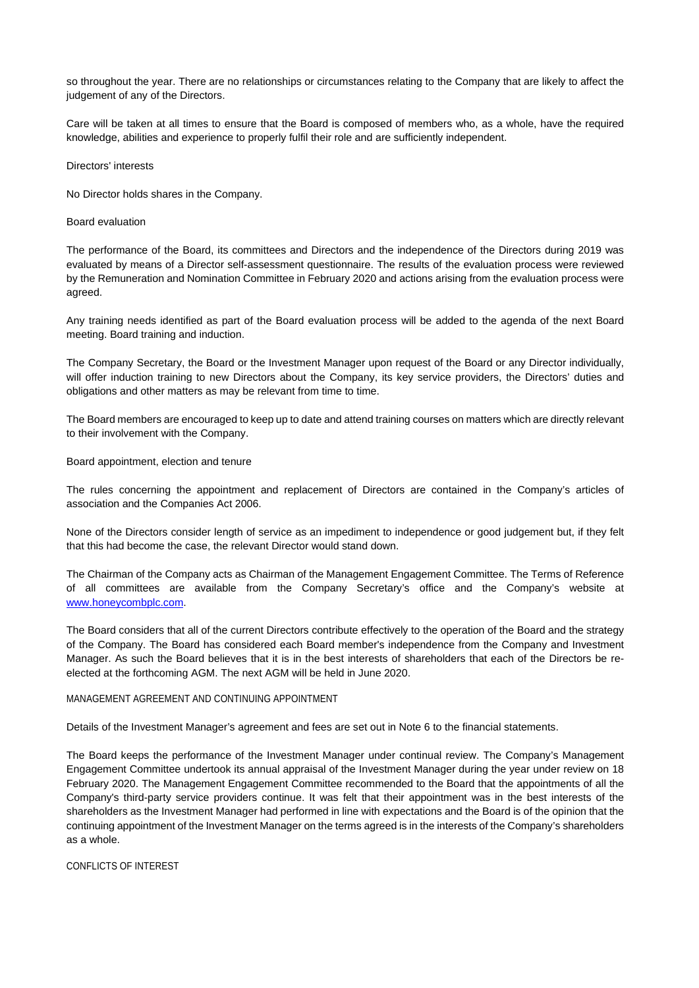so throughout the year. There are no relationships or circumstances relating to the Company that are likely to affect the judgement of any of the Directors.

Care will be taken at all times to ensure that the Board is composed of members who, as a whole, have the required knowledge, abilities and experience to properly fulfil their role and are sufficiently independent.

### Directors' interests

No Director holds shares in the Company.

#### Board evaluation

The performance of the Board, its committees and Directors and the independence of the Directors during 2019 was evaluated by means of a Director self-assessment questionnaire. The results of the evaluation process were reviewed by the Remuneration and Nomination Committee in February 2020 and actions arising from the evaluation process were agreed.

Any training needs identified as part of the Board evaluation process will be added to the agenda of the next Board meeting. Board training and induction.

The Company Secretary, the Board or the Investment Manager upon request of the Board or any Director individually, will offer induction training to new Directors about the Company, its key service providers, the Directors' duties and obligations and other matters as may be relevant from time to time.

The Board members are encouraged to keep up to date and attend training courses on matters which are directly relevant to their involvement with the Company.

### Board appointment, election and tenure

The rules concerning the appointment and replacement of Directors are contained in the Company's articles of association and the Companies Act 2006.

None of the Directors consider length of service as an impediment to independence or good judgement but, if they felt that this had become the case, the relevant Director would stand down.

The Chairman of the Company acts as Chairman of the Management Engagement Committee. The Terms of Reference of all committees are available from the Company Secretary's office and the Company's website at [www.honeycombplc.com.](http://www.honeycombplc.com/)

The Board considers that all of the current Directors contribute effectively to the operation of the Board and the strategy of the Company. The Board has considered each Board member's independence from the Company and Investment Manager. As such the Board believes that it is in the best interests of shareholders that each of the Directors be reelected at the forthcoming AGM. The next AGM will be held in June 2020.

# MANAGEMENT AGREEMENT AND CONTINUING APPOINTMENT

Details of the Investment Manager's agreement and fees are set out in Note 6 to the financial statements.

The Board keeps the performance of the Investment Manager under continual review. The Company's Management Engagement Committee undertook its annual appraisal of the Investment Manager during the year under review on 18 February 2020. The Management Engagement Committee recommended to the Board that the appointments of all the Company's third-party service providers continue. It was felt that their appointment was in the best interests of the shareholders as the Investment Manager had performed in line with expectations and the Board is of the opinion that the continuing appointment of the Investment Manager on the terms agreed is in the interests of the Company's shareholders as a whole.

CONFLICTS OF INTEREST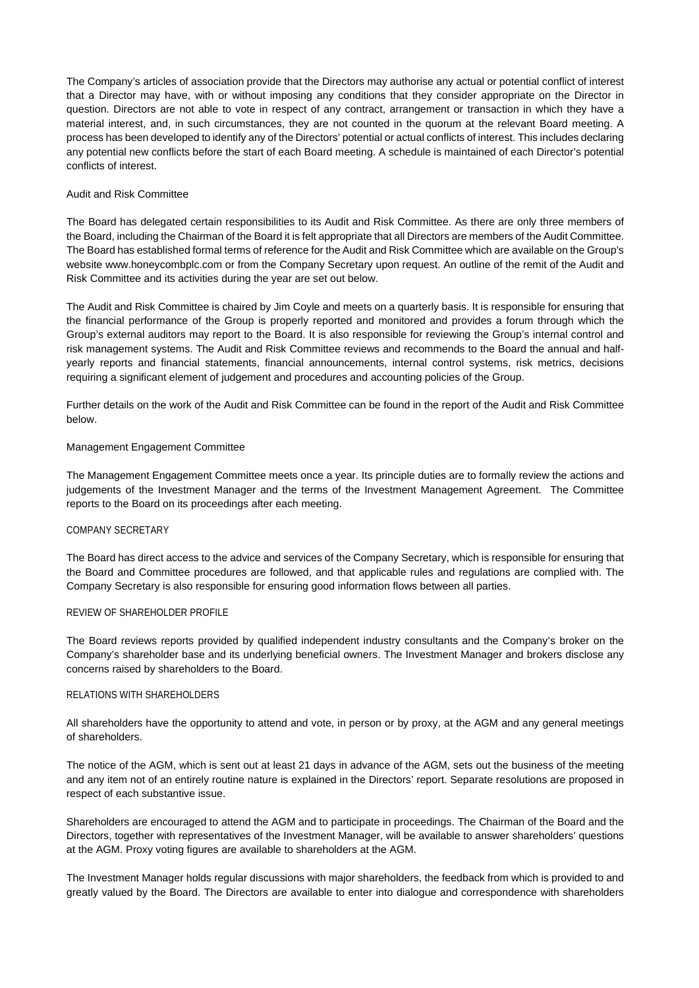The Company's articles of association provide that the Directors may authorise any actual or potential conflict of interest that a Director may have, with or without imposing any conditions that they consider appropriate on the Director in question. Directors are not able to vote in respect of any contract, arrangement or transaction in which they have a material interest, and, in such circumstances, they are not counted in the quorum at the relevant Board meeting. A process has been developed to identify any of the Directors' potential or actual conflicts of interest. This includes declaring any potential new conflicts before the start of each Board meeting. A schedule is maintained of each Director's potential conflicts of interest.

# Audit and Risk Committee

The Board has delegated certain responsibilities to its Audit and Risk Committee. As there are only three members of the Board, including the Chairman of the Board it is felt appropriate that all Directors are members of the Audit Committee. The Board has established formal terms of reference for the Audit and Risk Committee which are available on the Group's website www.honeycombplc.com or from the Company Secretary upon request. An outline of the remit of the Audit and Risk Committee and its activities during the year are set out below.

The Audit and Risk Committee is chaired by Jim Coyle and meets on a quarterly basis. It is responsible for ensuring that the financial performance of the Group is properly reported and monitored and provides a forum through which the Group's external auditors may report to the Board. It is also responsible for reviewing the Group's internal control and risk management systems. The Audit and Risk Committee reviews and recommends to the Board the annual and halfyearly reports and financial statements, financial announcements, internal control systems, risk metrics, decisions requiring a significant element of judgement and procedures and accounting policies of the Group.

Further details on the work of the Audit and Risk Committee can be found in the report of the Audit and Risk Committee below.

### Management Engagement Committee

The Management Engagement Committee meets once a year. Its principle duties are to formally review the actions and judgements of the Investment Manager and the terms of the Investment Management Agreement. The Committee reports to the Board on its proceedings after each meeting.

# COMPANY SECRETARY

The Board has direct access to the advice and services of the Company Secretary, which is responsible for ensuring that the Board and Committee procedures are followed, and that applicable rules and regulations are complied with. The Company Secretary is also responsible for ensuring good information flows between all parties.

#### REVIEW OF SHAREHOLDER PROFILE

The Board reviews reports provided by qualified independent industry consultants and the Company's broker on the Company's shareholder base and its underlying beneficial owners. The Investment Manager and brokers disclose any concerns raised by shareholders to the Board.

#### RELATIONS WITH SHAREHOLDERS

All shareholders have the opportunity to attend and vote, in person or by proxy, at the AGM and any general meetings of shareholders.

The notice of the AGM, which is sent out at least 21 days in advance of the AGM, sets out the business of the meeting and any item not of an entirely routine nature is explained in the Directors' report. Separate resolutions are proposed in respect of each substantive issue.

Shareholders are encouraged to attend the AGM and to participate in proceedings. The Chairman of the Board and the Directors, together with representatives of the Investment Manager, will be available to answer shareholders' questions at the AGM. Proxy voting figures are available to shareholders at the AGM.

The Investment Manager holds regular discussions with major shareholders, the feedback from which is provided to and greatly valued by the Board. The Directors are available to enter into dialogue and correspondence with shareholders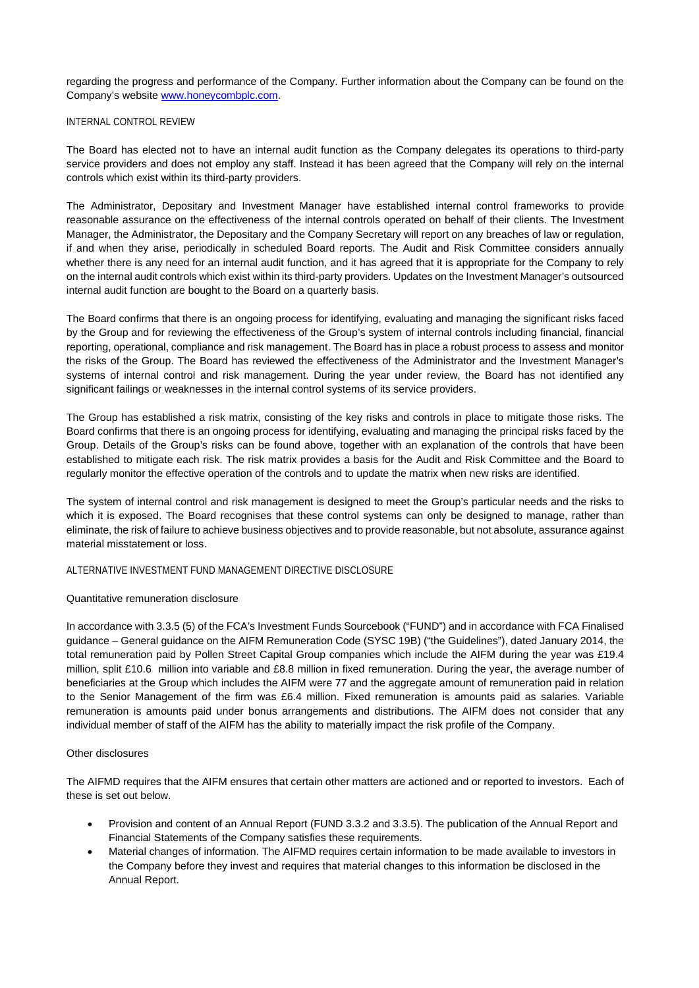regarding the progress and performance of the Company. Further information about the Company can be found on the Company's website [www.honeycombplc.com.](http://www.honeycombplc.com/)

# INTERNAL CONTROL REVIEW

The Board has elected not to have an internal audit function as the Company delegates its operations to third-party service providers and does not employ any staff. Instead it has been agreed that the Company will rely on the internal controls which exist within its third-party providers.

The Administrator, Depositary and Investment Manager have established internal control frameworks to provide reasonable assurance on the effectiveness of the internal controls operated on behalf of their clients. The Investment Manager, the Administrator, the Depositary and the Company Secretary will report on any breaches of law or regulation, if and when they arise, periodically in scheduled Board reports. The Audit and Risk Committee considers annually whether there is any need for an internal audit function, and it has agreed that it is appropriate for the Company to rely on the internal audit controls which exist within its third-party providers. Updates on the Investment Manager's outsourced internal audit function are bought to the Board on a quarterly basis.

The Board confirms that there is an ongoing process for identifying, evaluating and managing the significant risks faced by the Group and for reviewing the effectiveness of the Group's system of internal controls including financial, financial reporting, operational, compliance and risk management. The Board has in place a robust process to assess and monitor the risks of the Group. The Board has reviewed the effectiveness of the Administrator and the Investment Manager's systems of internal control and risk management. During the year under review, the Board has not identified any significant failings or weaknesses in the internal control systems of its service providers.

The Group has established a risk matrix, consisting of the key risks and controls in place to mitigate those risks. The Board confirms that there is an ongoing process for identifying, evaluating and managing the principal risks faced by the Group. Details of the Group's risks can be found above, together with an explanation of the controls that have been established to mitigate each risk. The risk matrix provides a basis for the Audit and Risk Committee and the Board to regularly monitor the effective operation of the controls and to update the matrix when new risks are identified.

The system of internal control and risk management is designed to meet the Group's particular needs and the risks to which it is exposed. The Board recognises that these control systems can only be designed to manage, rather than eliminate, the risk of failure to achieve business objectives and to provide reasonable, but not absolute, assurance against material misstatement or loss.

# ALTERNATIVE INVESTMENT FUND MANAGEMENT DIRECTIVE DISCLOSURE

# Quantitative remuneration disclosure

In accordance with 3.3.5 (5) of the FCA's Investment Funds Sourcebook ("FUND") and in accordance with FCA Finalised guidance – General guidance on the AIFM Remuneration Code (SYSC 19B) ("the Guidelines"), dated January 2014, the total remuneration paid by Pollen Street Capital Group companies which include the AIFM during the year was £19.4 million, split £10.6 million into variable and £8.8 million in fixed remuneration. During the year, the average number of beneficiaries at the Group which includes the AIFM were 77 and the aggregate amount of remuneration paid in relation to the Senior Management of the firm was £6.4 million. Fixed remuneration is amounts paid as salaries. Variable remuneration is amounts paid under bonus arrangements and distributions. The AIFM does not consider that any individual member of staff of the AIFM has the ability to materially impact the risk profile of the Company.

# Other disclosures

The AIFMD requires that the AIFM ensures that certain other matters are actioned and or reported to investors. Each of these is set out below.

- Provision and content of an Annual Report (FUND 3.3.2 and 3.3.5). The publication of the Annual Report and Financial Statements of the Company satisfies these requirements.
- Material changes of information. The AIFMD requires certain information to be made available to investors in the Company before they invest and requires that material changes to this information be disclosed in the Annual Report.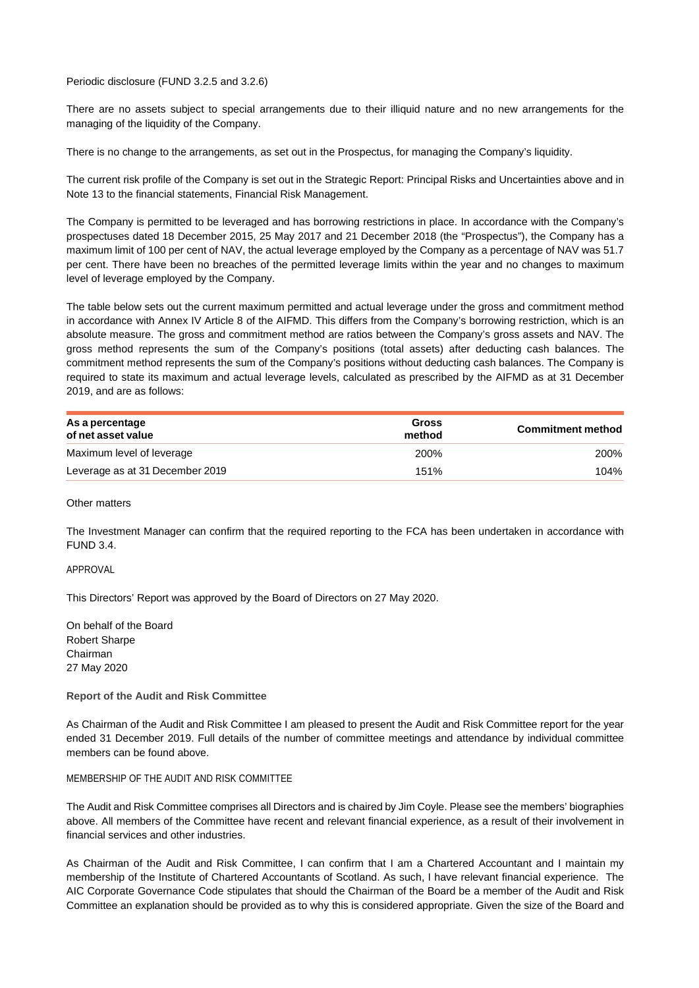Periodic disclosure (FUND 3.2.5 and 3.2.6)

There are no assets subject to special arrangements due to their illiquid nature and no new arrangements for the managing of the liquidity of the Company.

There is no change to the arrangements, as set out in the Prospectus, for managing the Company's liquidity.

The current risk profile of the Company is set out in the Strategic Report: Principal Risks and Uncertainties above and in Note 13 to the financial statements, Financial Risk Management.

The Company is permitted to be leveraged and has borrowing restrictions in place. In accordance with the Company's prospectuses dated 18 December 2015, 25 May 2017 and 21 December 2018 (the "Prospectus"), the Company has a maximum limit of 100 per cent of NAV, the actual leverage employed by the Company as a percentage of NAV was 51.7 per cent. There have been no breaches of the permitted leverage limits within the year and no changes to maximum level of leverage employed by the Company.

The table below sets out the current maximum permitted and actual leverage under the gross and commitment method in accordance with Annex IV Article 8 of the AIFMD. This differs from the Company's borrowing restriction, which is an absolute measure. The gross and commitment method are ratios between the Company's gross assets and NAV. The gross method represents the sum of the Company's positions (total assets) after deducting cash balances. The commitment method represents the sum of the Company's positions without deducting cash balances. The Company is required to state its maximum and actual leverage levels, calculated as prescribed by the AIFMD as at 31 December 2019, and are as follows:

| As a percentage<br>of net asset value | Gross<br>method | <b>Commitment method</b> |
|---------------------------------------|-----------------|--------------------------|
| Maximum level of leverage             | 200%            | <b>200%</b>              |
| Leverage as at 31 December 2019       | 151%            | 104%                     |

# Other matters

The Investment Manager can confirm that the required reporting to the FCA has been undertaken in accordance with FUND 3.4.

# APPROVAL

This Directors' Report was approved by the Board of Directors on 27 May 2020.

On behalf of the Board Robert Sharpe Chairman 27 May 2020

#### **Report of the Audit and Risk Committee**

As Chairman of the Audit and Risk Committee I am pleased to present the Audit and Risk Committee report for the year ended 31 December 2019. Full details of the number of committee meetings and attendance by individual committee members can be found above.

### MEMBERSHIP OF THE AUDIT AND RISK COMMITTEE

The Audit and Risk Committee comprises all Directors and is chaired by Jim Coyle. Please see the members' biographies above. All members of the Committee have recent and relevant financial experience, as a result of their involvement in financial services and other industries.

As Chairman of the Audit and Risk Committee, I can confirm that I am a Chartered Accountant and I maintain my membership of the Institute of Chartered Accountants of Scotland. As such, I have relevant financial experience. The AIC Corporate Governance Code stipulates that should the Chairman of the Board be a member of the Audit and Risk Committee an explanation should be provided as to why this is considered appropriate. Given the size of the Board and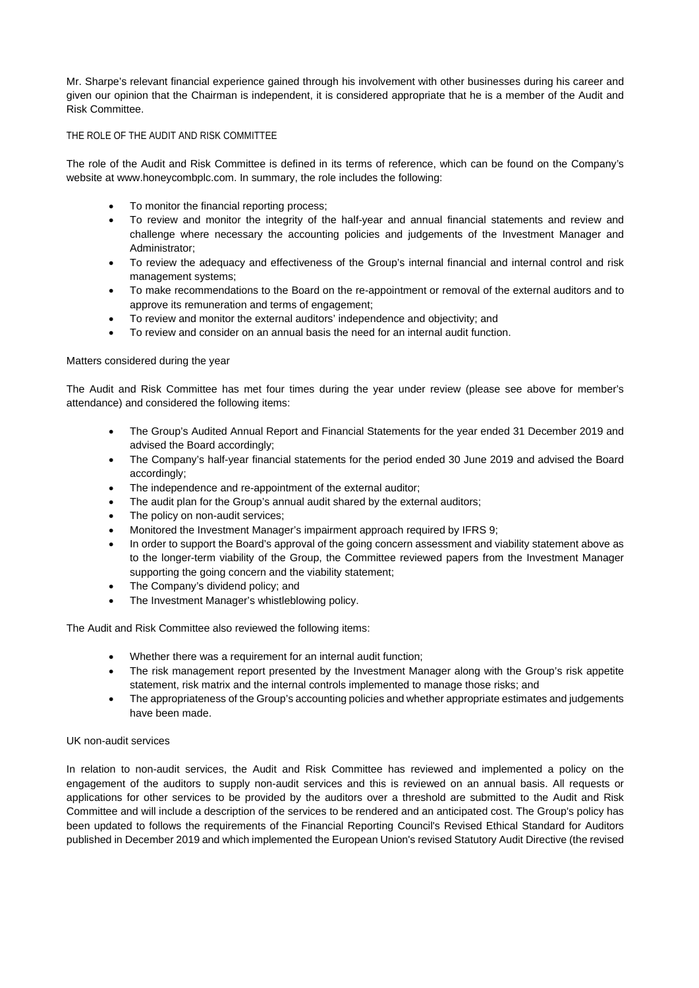Mr. Sharpe's relevant financial experience gained through his involvement with other businesses during his career and given our opinion that the Chairman is independent, it is considered appropriate that he is a member of the Audit and Risk Committee.

# THE ROLE OF THE AUDIT AND RISK COMMITTEE

The role of the Audit and Risk Committee is defined in its terms of reference, which can be found on the Company's website at www.honeycombplc.com. In summary, the role includes the following:

- To monitor the financial reporting process;
- To review and monitor the integrity of the half-year and annual financial statements and review and challenge where necessary the accounting policies and judgements of the Investment Manager and Administrator;
- To review the adequacy and effectiveness of the Group's internal financial and internal control and risk management systems;
- To make recommendations to the Board on the re-appointment or removal of the external auditors and to approve its remuneration and terms of engagement;
- To review and monitor the external auditors' independence and objectivity; and
- To review and consider on an annual basis the need for an internal audit function.

# Matters considered during the year

The Audit and Risk Committee has met four times during the year under review (please see above for member's attendance) and considered the following items:

- The Group's Audited Annual Report and Financial Statements for the year ended 31 December 2019 and advised the Board accordingly;
- The Company's half-year financial statements for the period ended 30 June 2019 and advised the Board accordingly;
- The independence and re-appointment of the external auditor;
- The audit plan for the Group's annual audit shared by the external auditors;
- The policy on non-audit services;
- Monitored the Investment Manager's impairment approach required by IFRS 9;
- In order to support the Board's approval of the going concern assessment and viability statement above as to the longer-term viability of the Group, the Committee reviewed papers from the Investment Manager supporting the going concern and the viability statement;
- The Company's dividend policy; and
- The Investment Manager's whistleblowing policy.

The Audit and Risk Committee also reviewed the following items:

- Whether there was a requirement for an internal audit function;
- The risk management report presented by the Investment Manager along with the Group's risk appetite statement, risk matrix and the internal controls implemented to manage those risks; and
- The appropriateness of the Group's accounting policies and whether appropriate estimates and judgements have been made.

# UK non-audit services

In relation to non-audit services, the Audit and Risk Committee has reviewed and implemented a policy on the engagement of the auditors to supply non-audit services and this is reviewed on an annual basis. All requests or applications for other services to be provided by the auditors over a threshold are submitted to the Audit and Risk Committee and will include a description of the services to be rendered and an anticipated cost. The Group's policy has been updated to follows the requirements of the Financial Reporting Council's Revised Ethical Standard for Auditors published in December 2019 and which implemented the European Union's revised Statutory Audit Directive (the revised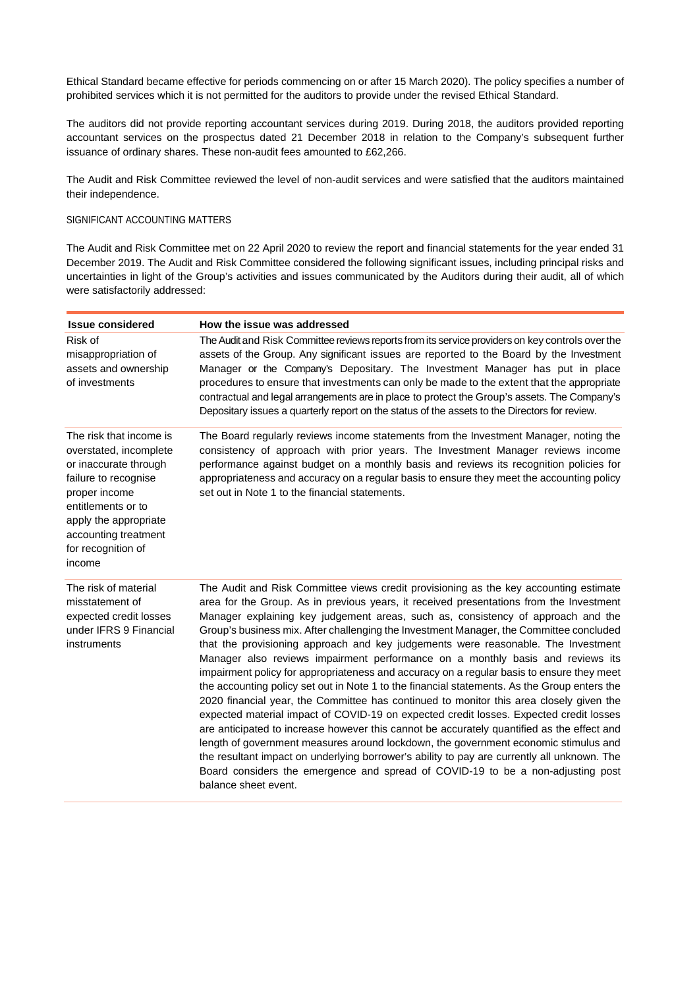Ethical Standard became effective for periods commencing on or after 15 March 2020). The policy specifies a number of prohibited services which it is not permitted for the auditors to provide under the revised Ethical Standard.

The auditors did not provide reporting accountant services during 2019. During 2018, the auditors provided reporting accountant services on the prospectus dated 21 December 2018 in relation to the Company's subsequent further issuance of ordinary shares. These non-audit fees amounted to £62,266.

The Audit and Risk Committee reviewed the level of non-audit services and were satisfied that the auditors maintained their independence.

# SIGNIFICANT ACCOUNTING MATTERS

The Audit and Risk Committee met on 22 April 2020 to review the report and financial statements for the year ended 31 December 2019. The Audit and Risk Committee considered the following significant issues, including principal risks and uncertainties in light of the Group's activities and issues communicated by the Auditors during their audit, all of which were satisfactorily addressed:

| <b>Issue considered</b>                                                                                                                                                                                                    | How the issue was addressed                                                                                                                                                                                                                                                                                                                                                                                                                                                                                                                                                                                                                                                                                                                                                                                                                                                                                                                                                                                                                                                                                                                                                                                                                                                                                             |
|----------------------------------------------------------------------------------------------------------------------------------------------------------------------------------------------------------------------------|-------------------------------------------------------------------------------------------------------------------------------------------------------------------------------------------------------------------------------------------------------------------------------------------------------------------------------------------------------------------------------------------------------------------------------------------------------------------------------------------------------------------------------------------------------------------------------------------------------------------------------------------------------------------------------------------------------------------------------------------------------------------------------------------------------------------------------------------------------------------------------------------------------------------------------------------------------------------------------------------------------------------------------------------------------------------------------------------------------------------------------------------------------------------------------------------------------------------------------------------------------------------------------------------------------------------------|
| Risk of<br>misappropriation of<br>assets and ownership<br>of investments                                                                                                                                                   | The Audit and Risk Committee reviews reports from its service providers on key controls over the<br>assets of the Group. Any significant issues are reported to the Board by the Investment<br>Manager or the Company's Depositary. The Investment Manager has put in place<br>procedures to ensure that investments can only be made to the extent that the appropriate<br>contractual and legal arrangements are in place to protect the Group's assets. The Company's<br>Depositary issues a quarterly report on the status of the assets to the Directors for review.                                                                                                                                                                                                                                                                                                                                                                                                                                                                                                                                                                                                                                                                                                                                               |
| The risk that income is<br>overstated, incomplete<br>or inaccurate through<br>failure to recognise<br>proper income<br>entitlements or to<br>apply the appropriate<br>accounting treatment<br>for recognition of<br>income | The Board regularly reviews income statements from the Investment Manager, noting the<br>consistency of approach with prior years. The Investment Manager reviews income<br>performance against budget on a monthly basis and reviews its recognition policies for<br>appropriateness and accuracy on a regular basis to ensure they meet the accounting policy<br>set out in Note 1 to the financial statements.                                                                                                                                                                                                                                                                                                                                                                                                                                                                                                                                                                                                                                                                                                                                                                                                                                                                                                       |
| The risk of material<br>misstatement of<br>expected credit losses<br>under IFRS 9 Financial<br>instruments                                                                                                                 | The Audit and Risk Committee views credit provisioning as the key accounting estimate<br>area for the Group. As in previous years, it received presentations from the Investment<br>Manager explaining key judgement areas, such as, consistency of approach and the<br>Group's business mix. After challenging the Investment Manager, the Committee concluded<br>that the provisioning approach and key judgements were reasonable. The Investment<br>Manager also reviews impairment performance on a monthly basis and reviews its<br>impairment policy for appropriateness and accuracy on a regular basis to ensure they meet<br>the accounting policy set out in Note 1 to the financial statements. As the Group enters the<br>2020 financial year, the Committee has continued to monitor this area closely given the<br>expected material impact of COVID-19 on expected credit losses. Expected credit losses<br>are anticipated to increase however this cannot be accurately quantified as the effect and<br>length of government measures around lockdown, the government economic stimulus and<br>the resultant impact on underlying borrower's ability to pay are currently all unknown. The<br>Board considers the emergence and spread of COVID-19 to be a non-adjusting post<br>balance sheet event. |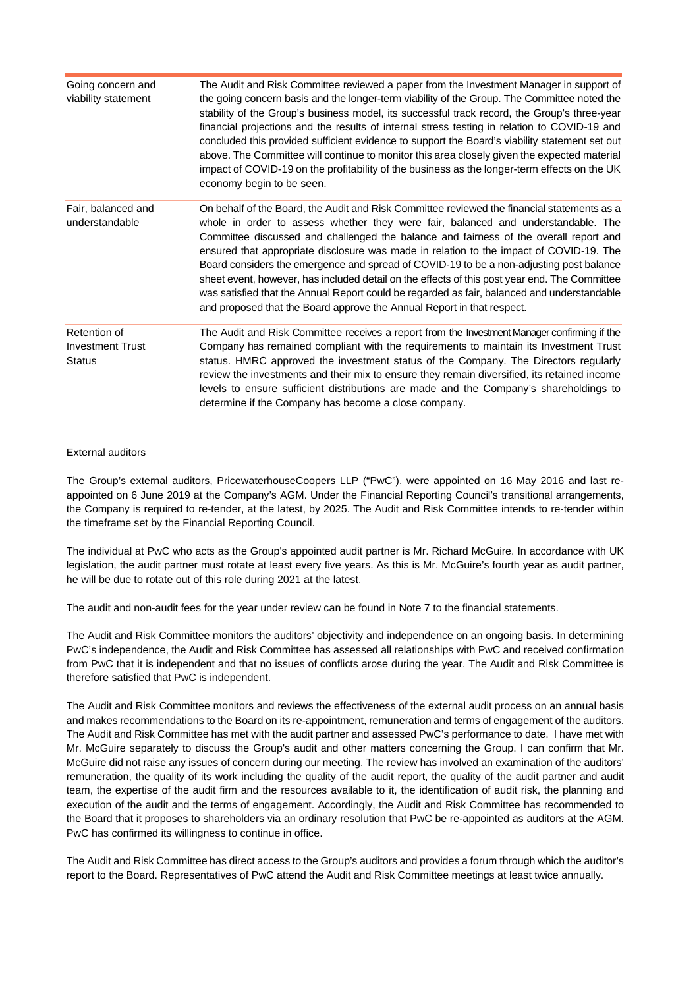| Going concern and<br>viability statement                 | The Audit and Risk Committee reviewed a paper from the Investment Manager in support of<br>the going concern basis and the longer-term viability of the Group. The Committee noted the<br>stability of the Group's business model, its successful track record, the Group's three-year<br>financial projections and the results of internal stress testing in relation to COVID-19 and<br>concluded this provided sufficient evidence to support the Board's viability statement set out<br>above. The Committee will continue to monitor this area closely given the expected material<br>impact of COVID-19 on the profitability of the business as the longer-term effects on the UK<br>economy begin to be seen.                      |
|----------------------------------------------------------|-------------------------------------------------------------------------------------------------------------------------------------------------------------------------------------------------------------------------------------------------------------------------------------------------------------------------------------------------------------------------------------------------------------------------------------------------------------------------------------------------------------------------------------------------------------------------------------------------------------------------------------------------------------------------------------------------------------------------------------------|
| Fair, balanced and<br>understandable                     | On behalf of the Board, the Audit and Risk Committee reviewed the financial statements as a<br>whole in order to assess whether they were fair, balanced and understandable. The<br>Committee discussed and challenged the balance and fairness of the overall report and<br>ensured that appropriate disclosure was made in relation to the impact of COVID-19. The<br>Board considers the emergence and spread of COVID-19 to be a non-adjusting post balance<br>sheet event, however, has included detail on the effects of this post year end. The Committee<br>was satisfied that the Annual Report could be regarded as fair, balanced and understandable<br>and proposed that the Board approve the Annual Report in that respect. |
| Retention of<br><b>Investment Trust</b><br><b>Status</b> | The Audit and Risk Committee receives a report from the Investment Manager confirming if the<br>Company has remained compliant with the requirements to maintain its Investment Trust<br>status. HMRC approved the investment status of the Company. The Directors regularly<br>review the investments and their mix to ensure they remain diversified, its retained income<br>levels to ensure sufficient distributions are made and the Company's shareholdings to<br>determine if the Company has become a close company.                                                                                                                                                                                                              |

# External auditors

The Group's external auditors, PricewaterhouseCoopers LLP ("PwC"), were appointed on 16 May 2016 and last reappointed on 6 June 2019 at the Company's AGM. Under the Financial Reporting Council's transitional arrangements, the Company is required to re-tender, at the latest, by 2025. The Audit and Risk Committee intends to re-tender within the timeframe set by the Financial Reporting Council.

The individual at PwC who acts as the Group's appointed audit partner is Mr. Richard McGuire. In accordance with UK legislation, the audit partner must rotate at least every five years. As this is Mr. McGuire's fourth year as audit partner, he will be due to rotate out of this role during 2021 at the latest.

The audit and non-audit fees for the year under review can be found in Note 7 to the financial statements.

The Audit and Risk Committee monitors the auditors' objectivity and independence on an ongoing basis. In determining PwC's independence, the Audit and Risk Committee has assessed all relationships with PwC and received confirmation from PwC that it is independent and that no issues of conflicts arose during the year. The Audit and Risk Committee is therefore satisfied that PwC is independent.

The Audit and Risk Committee monitors and reviews the effectiveness of the external audit process on an annual basis and makes recommendations to the Board on its re-appointment, remuneration and terms of engagement of the auditors. The Audit and Risk Committee has met with the audit partner and assessed PwC's performance to date. I have met with Mr. McGuire separately to discuss the Group's audit and other matters concerning the Group. I can confirm that Mr. McGuire did not raise any issues of concern during our meeting. The review has involved an examination of the auditors' remuneration, the quality of its work including the quality of the audit report, the quality of the audit partner and audit team, the expertise of the audit firm and the resources available to it, the identification of audit risk, the planning and execution of the audit and the terms of engagement. Accordingly, the Audit and Risk Committee has recommended to the Board that it proposes to shareholders via an ordinary resolution that PwC be re-appointed as auditors at the AGM. PwC has confirmed its willingness to continue in office.

The Audit and Risk Committee has direct access to the Group's auditors and provides a forum through which the auditor's report to the Board. Representatives of PwC attend the Audit and Risk Committee meetings at least twice annually.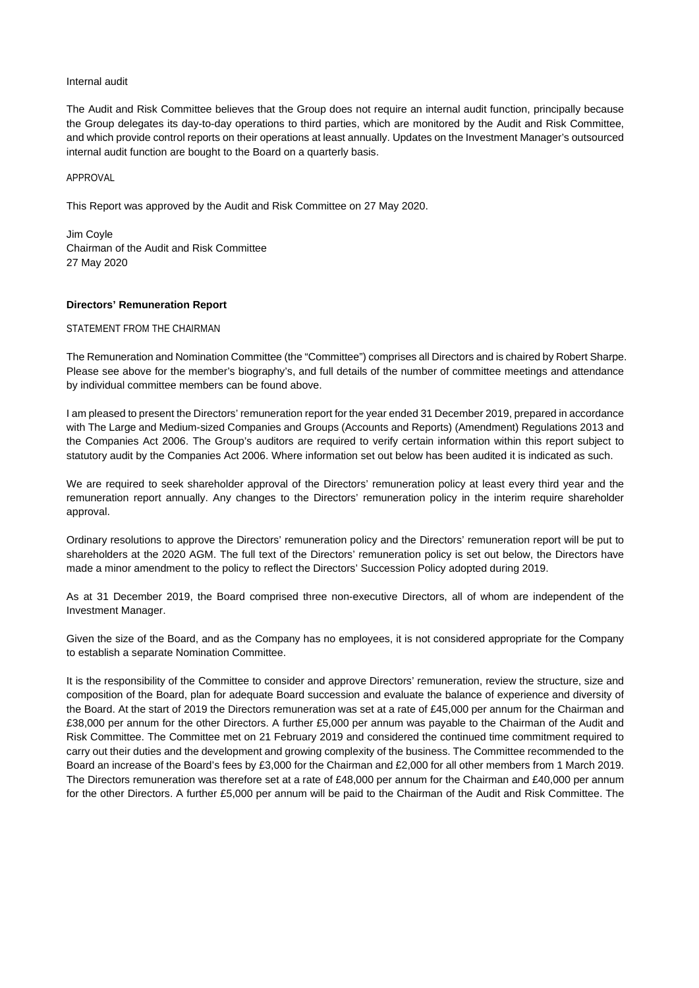### Internal audit

The Audit and Risk Committee believes that the Group does not require an internal audit function, principally because the Group delegates its day-to-day operations to third parties, which are monitored by the Audit and Risk Committee, and which provide control reports on their operations at least annually. Updates on the Investment Manager's outsourced internal audit function are bought to the Board on a quarterly basis.

APPROVAL

This Report was approved by the Audit and Risk Committee on 27 May 2020.

Jim Coyle Chairman of the Audit and Risk Committee 27 May 2020

# **Directors' Remuneration Report**

# STATEMENT FROM THE CHAIRMAN

The Remuneration and Nomination Committee (the "Committee") comprises all Directors and is chaired by Robert Sharpe. Please see above for the member's biography's, and full details of the number of committee meetings and attendance by individual committee members can be found above.

I am pleased to present the Directors' remuneration report for the year ended 31 December 2019, prepared in accordance with The Large and Medium-sized Companies and Groups (Accounts and Reports) (Amendment) Regulations 2013 and the Companies Act 2006. The Group's auditors are required to verify certain information within this report subject to statutory audit by the Companies Act 2006. Where information set out below has been audited it is indicated as such.

We are required to seek shareholder approval of the Directors' remuneration policy at least every third year and the remuneration report annually. Any changes to the Directors' remuneration policy in the interim require shareholder approval.

Ordinary resolutions to approve the Directors' remuneration policy and the Directors' remuneration report will be put to shareholders at the 2020 AGM. The full text of the Directors' remuneration policy is set out below, the Directors have made a minor amendment to the policy to reflect the Directors' Succession Policy adopted during 2019.

As at 31 December 2019, the Board comprised three non-executive Directors, all of whom are independent of the Investment Manager.

Given the size of the Board, and as the Company has no employees, it is not considered appropriate for the Company to establish a separate Nomination Committee.

It is the responsibility of the Committee to consider and approve Directors' remuneration, review the structure, size and composition of the Board, plan for adequate Board succession and evaluate the balance of experience and diversity of the Board. At the start of 2019 the Directors remuneration was set at a rate of £45,000 per annum for the Chairman and £38,000 per annum for the other Directors. A further £5,000 per annum was payable to the Chairman of the Audit and Risk Committee. The Committee met on 21 February 2019 and considered the continued time commitment required to carry out their duties and the development and growing complexity of the business. The Committee recommended to the Board an increase of the Board's fees by £3,000 for the Chairman and £2,000 for all other members from 1 March 2019. The Directors remuneration was therefore set at a rate of £48,000 per annum for the Chairman and £40,000 per annum for the other Directors. A further £5,000 per annum will be paid to the Chairman of the Audit and Risk Committee. The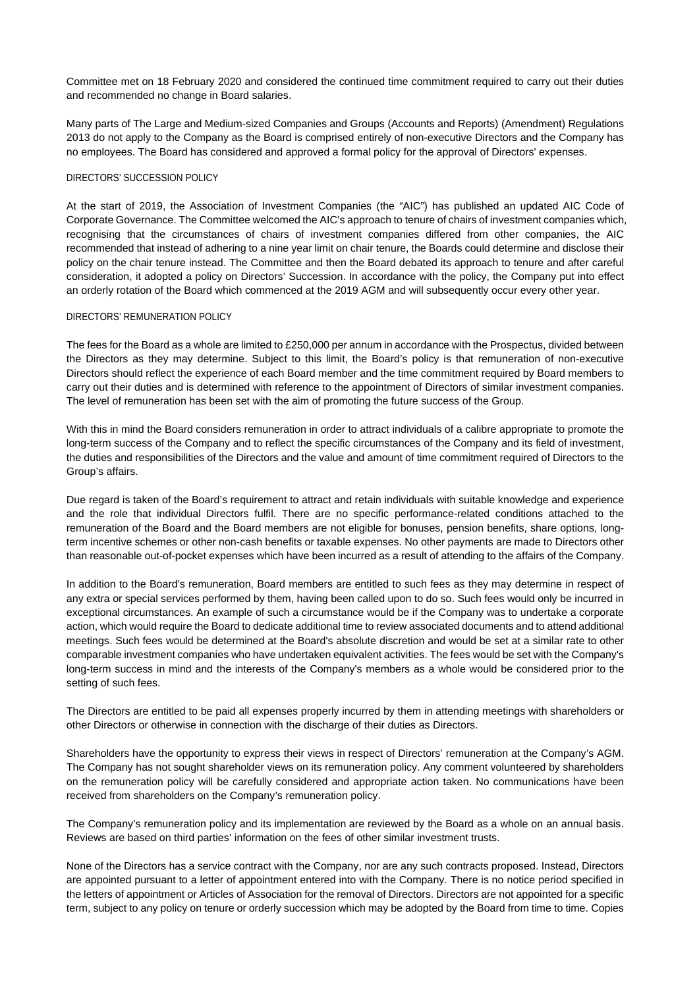Committee met on 18 February 2020 and considered the continued time commitment required to carry out their duties and recommended no change in Board salaries.

Many parts of The Large and Medium-sized Companies and Groups (Accounts and Reports) (Amendment) Regulations 2013 do not apply to the Company as the Board is comprised entirely of non-executive Directors and the Company has no employees. The Board has considered and approved a formal policy for the approval of Directors' expenses.

#### DIRECTORS' SUCCESSION POLICY

At the start of 2019, the Association of Investment Companies (the "AIC") has published an updated AIC Code of Corporate Governance. The Committee welcomed the AIC's approach to tenure of chairs of investment companies which, recognising that the circumstances of chairs of investment companies differed from other companies, the AIC recommended that instead of adhering to a nine year limit on chair tenure, the Boards could determine and disclose their policy on the chair tenure instead. The Committee and then the Board debated its approach to tenure and after careful consideration, it adopted a policy on Directors' Succession. In accordance with the policy, the Company put into effect an orderly rotation of the Board which commenced at the 2019 AGM and will subsequently occur every other year.

# DIRECTORS' REMUNERATION POLICY

The fees for the Board as a whole are limited to £250,000 per annum in accordance with the Prospectus, divided between the Directors as they may determine. Subject to this limit, the Board's policy is that remuneration of non-executive Directors should reflect the experience of each Board member and the time commitment required by Board members to carry out their duties and is determined with reference to the appointment of Directors of similar investment companies. The level of remuneration has been set with the aim of promoting the future success of the Group.

With this in mind the Board considers remuneration in order to attract individuals of a calibre appropriate to promote the long-term success of the Company and to reflect the specific circumstances of the Company and its field of investment, the duties and responsibilities of the Directors and the value and amount of time commitment required of Directors to the Group's affairs.

Due regard is taken of the Board's requirement to attract and retain individuals with suitable knowledge and experience and the role that individual Directors fulfil. There are no specific performance-related conditions attached to the remuneration of the Board and the Board members are not eligible for bonuses, pension benefits, share options, longterm incentive schemes or other non-cash benefits or taxable expenses. No other payments are made to Directors other than reasonable out-of-pocket expenses which have been incurred as a result of attending to the affairs of the Company.

In addition to the Board's remuneration, Board members are entitled to such fees as they may determine in respect of any extra or special services performed by them, having been called upon to do so. Such fees would only be incurred in exceptional circumstances. An example of such a circumstance would be if the Company was to undertake a corporate action, which would require the Board to dedicate additional time to review associated documents and to attend additional meetings. Such fees would be determined at the Board's absolute discretion and would be set at a similar rate to other comparable investment companies who have undertaken equivalent activities. The fees would be set with the Company's long-term success in mind and the interests of the Company's members as a whole would be considered prior to the setting of such fees.

The Directors are entitled to be paid all expenses properly incurred by them in attending meetings with shareholders or other Directors or otherwise in connection with the discharge of their duties as Directors.

Shareholders have the opportunity to express their views in respect of Directors' remuneration at the Company's AGM. The Company has not sought shareholder views on its remuneration policy. Any comment volunteered by shareholders on the remuneration policy will be carefully considered and appropriate action taken. No communications have been received from shareholders on the Company's remuneration policy.

The Company's remuneration policy and its implementation are reviewed by the Board as a whole on an annual basis. Reviews are based on third parties' information on the fees of other similar investment trusts.

None of the Directors has a service contract with the Company, nor are any such contracts proposed. Instead, Directors are appointed pursuant to a letter of appointment entered into with the Company. There is no notice period specified in the letters of appointment or Articles of Association for the removal of Directors. Directors are not appointed for a specific term, subject to any policy on tenure or orderly succession which may be adopted by the Board from time to time. Copies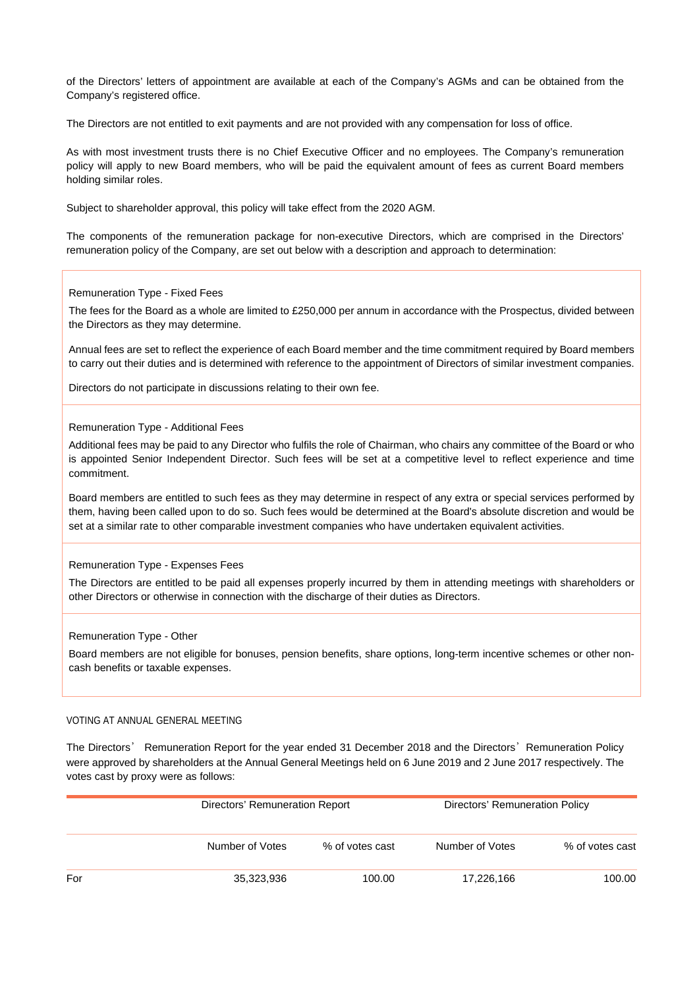of the Directors' letters of appointment are available at each of the Company's AGMs and can be obtained from the Company's registered office.

The Directors are not entitled to exit payments and are not provided with any compensation for loss of office.

As with most investment trusts there is no Chief Executive Officer and no employees. The Company's remuneration policy will apply to new Board members, who will be paid the equivalent amount of fees as current Board members holding similar roles.

Subject to shareholder approval, this policy will take effect from the 2020 AGM.

The components of the remuneration package for non-executive Directors, which are comprised in the Directors' remuneration policy of the Company, are set out below with a description and approach to determination:

### Remuneration Type - Fixed Fees

The fees for the Board as a whole are limited to £250,000 per annum in accordance with the Prospectus, divided between the Directors as they may determine.

Annual fees are set to reflect the experience of each Board member and the time commitment required by Board members to carry out their duties and is determined with reference to the appointment of Directors of similar investment companies.

Directors do not participate in discussions relating to their own fee.

#### Remuneration Type - Additional Fees

Additional fees may be paid to any Director who fulfils the role of Chairman, who chairs any committee of the Board or who is appointed Senior Independent Director. Such fees will be set at a competitive level to reflect experience and time commitment.

Board members are entitled to such fees as they may determine in respect of any extra or special services performed by them, having been called upon to do so. Such fees would be determined at the Board's absolute discretion and would be set at a similar rate to other comparable investment companies who have undertaken equivalent activities.

# Remuneration Type - Expenses Fees

The Directors are entitled to be paid all expenses properly incurred by them in attending meetings with shareholders or other Directors or otherwise in connection with the discharge of their duties as Directors.

# Remuneration Type - Other

Board members are not eligible for bonuses, pension benefits, share options, long-term incentive schemes or other noncash benefits or taxable expenses.

# VOTING AT ANNUAL GENERAL MEETING

The Directors' Remuneration Report for the year ended 31 December 2018 and the Directors' Remuneration Policy were approved by shareholders at the Annual General Meetings held on 6 June 2019 and 2 June 2017 respectively. The votes cast by proxy were as follows:

|     | Directors' Remuneration Report |                 |                 | Directors' Remuneration Policy |  |  |
|-----|--------------------------------|-----------------|-----------------|--------------------------------|--|--|
|     | Number of Votes                | % of votes cast | Number of Votes | % of votes cast                |  |  |
| For | 35,323,936                     | 100.00          | 17,226,166      | 100.00                         |  |  |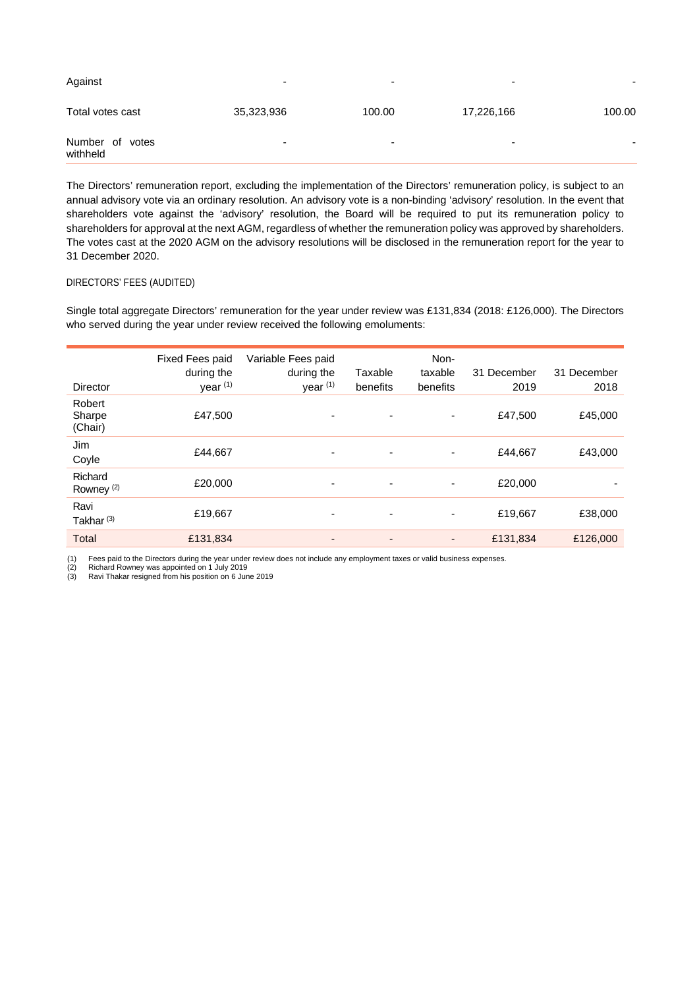| Against                     | $\overline{\phantom{0}}$ | -                        | $\overline{\phantom{0}}$ | -      |
|-----------------------------|--------------------------|--------------------------|--------------------------|--------|
| Total votes cast            | 35,323,936               | 100.00                   | 17,226,166               | 100.00 |
| Number of votes<br>withheld | $\overline{\phantom{a}}$ | $\overline{\phantom{0}}$ | $\overline{\phantom{0}}$ |        |

The Directors' remuneration report, excluding the implementation of the Directors' remuneration policy, is subject to an annual advisory vote via an ordinary resolution. An advisory vote is a non-binding 'advisory' resolution. In the event that shareholders vote against the 'advisory' resolution, the Board will be required to put its remuneration policy to shareholders for approval at the next AGM, regardless of whether the remuneration policy was approved by shareholders. The votes cast at the 2020 AGM on the advisory resolutions will be disclosed in the remuneration report for the year to 31 December 2020.

# DIRECTORS' FEES (AUDITED)

Single total aggregate Directors' remuneration for the year under review was £131,834 (2018: £126,000). The Directors who served during the year under review received the following emoluments:

| Director                         | Fixed Fees paid<br>during the<br>year <sup>(1)</sup> | Variable Fees paid<br>during the<br>year <sup>(1)</sup> | Taxable<br>benefits      | Non-<br>taxable<br>benefits | 31 December<br>2019 | 31 December<br>2018 |
|----------------------------------|------------------------------------------------------|---------------------------------------------------------|--------------------------|-----------------------------|---------------------|---------------------|
| Robert<br>Sharpe<br>(Chair)      | £47,500                                              |                                                         | ٠                        |                             | £47,500             | £45,000             |
| Jim<br>Coyle                     | £44,667                                              | ٠                                                       | $\overline{\phantom{a}}$ | ۰                           | £44,667             | £43,000             |
| Richard<br>Rowney <sup>(2)</sup> | £20,000                                              | $\overline{\phantom{a}}$                                | $\overline{\phantom{a}}$ | ۰                           | £20,000             |                     |
| Ravi<br>Takhar <sup>(3)</sup>    | £19,667                                              | ۰                                                       | $\overline{\phantom{a}}$ | ۰                           | £19,667             | £38,000             |
| <b>Total</b>                     | £131,834                                             | ٠                                                       | $\overline{a}$           | ٠                           | £131,834            | £126,000            |

(1) Fees paid to the Directors during the year under review does not include any employment taxes or valid business expenses.<br>(2) Richard Rowney was appointed on 1 July 2019<br>(3) Ravi Thakar resigned from his position on 6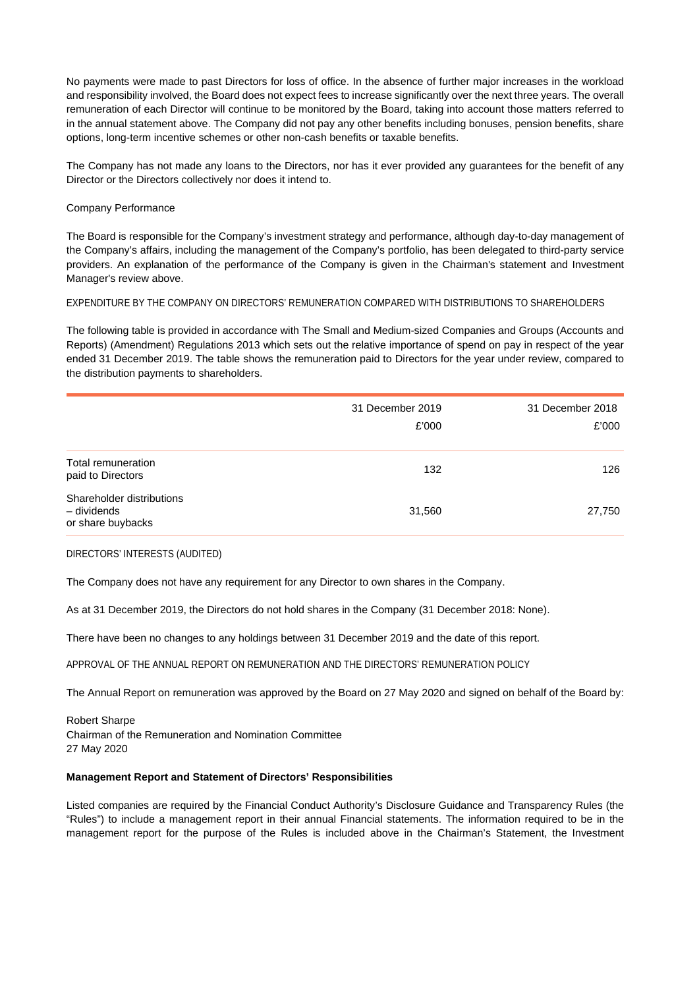No payments were made to past Directors for loss of office. In the absence of further major increases in the workload and responsibility involved, the Board does not expect fees to increase significantly over the next three years. The overall remuneration of each Director will continue to be monitored by the Board, taking into account those matters referred to in the annual statement above. The Company did not pay any other benefits including bonuses, pension benefits, share options, long-term incentive schemes or other non-cash benefits or taxable benefits.

The Company has not made any loans to the Directors, nor has it ever provided any guarantees for the benefit of any Director or the Directors collectively nor does it intend to.

# Company Performance

The Board is responsible for the Company's investment strategy and performance, although day-to-day management of the Company's affairs, including the management of the Company's portfolio, has been delegated to third-party service providers. An explanation of the performance of the Company is given in the Chairman's statement and Investment Manager's review above.

# EXPENDITURE BY THE COMPANY ON DIRECTORS' REMUNERATION COMPARED WITH DISTRIBUTIONS TO SHAREHOLDERS

The following table is provided in accordance with The Small and Medium-sized Companies and Groups (Accounts and Reports) (Amendment) Regulations 2013 which sets out the relative importance of spend on pay in respect of the year ended 31 December 2019. The table shows the remuneration paid to Directors for the year under review, compared to the distribution payments to shareholders.

|                                                               | 31 December 2019<br>£'000 | 31 December 2018<br>£'000 |
|---------------------------------------------------------------|---------------------------|---------------------------|
| Total remuneration<br>paid to Directors                       | 132                       | 126                       |
| Shareholder distributions<br>- dividends<br>or share buybacks | 31,560                    | 27,750                    |

# DIRECTORS' INTERESTS (AUDITED)

The Company does not have any requirement for any Director to own shares in the Company.

As at 31 December 2019, the Directors do not hold shares in the Company (31 December 2018: None).

There have been no changes to any holdings between 31 December 2019 and the date of this report.

APPROVAL OF THE ANNUAL REPORT ON REMUNERATION AND THE DIRECTORS' REMUNERATION POLICY

The Annual Report on remuneration was approved by the Board on 27 May 2020 and signed on behalf of the Board by:

Robert Sharpe Chairman of the Remuneration and Nomination Committee 27 May 2020

# **Management Report and Statement of Directors' Responsibilities**

Listed companies are required by the Financial Conduct Authority's Disclosure Guidance and Transparency Rules (the "Rules") to include a management report in their annual Financial statements. The information required to be in the management report for the purpose of the Rules is included above in the Chairman's Statement, the Investment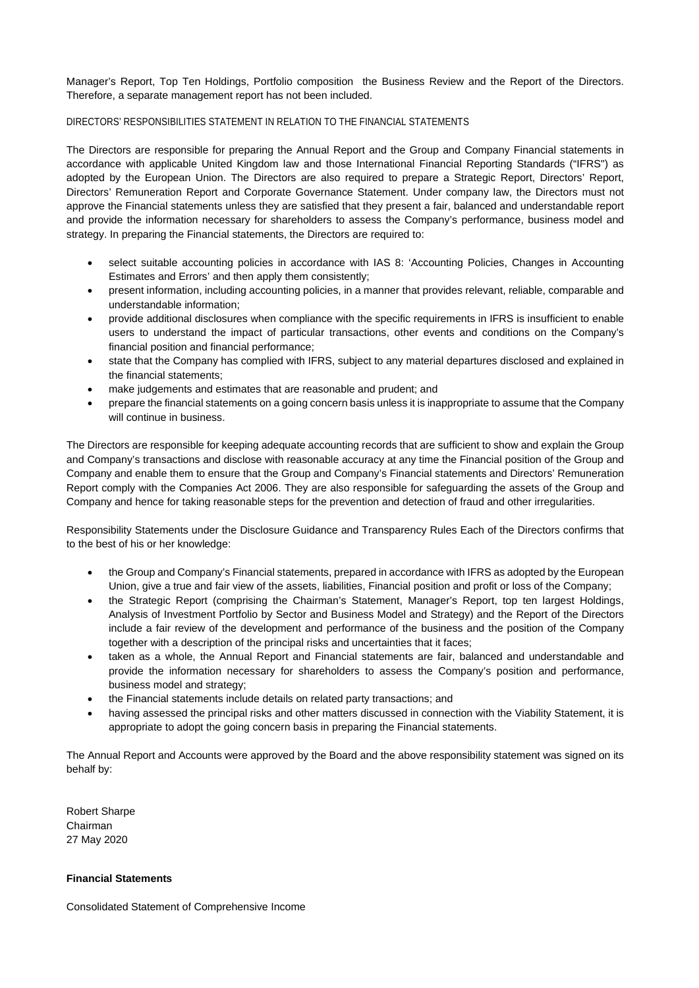Manager's Report, Top Ten Holdings, Portfolio composition the Business Review and the Report of the Directors. Therefore, a separate management report has not been included.

# DIRECTORS' RESPONSIBILITIES STATEMENT IN RELATION TO THE FINANCIAL STATEMENTS

The Directors are responsible for preparing the Annual Report and the Group and Company Financial statements in accordance with applicable United Kingdom law and those International Financial Reporting Standards ("IFRS") as adopted by the European Union. The Directors are also required to prepare a Strategic Report, Directors' Report, Directors' Remuneration Report and Corporate Governance Statement. Under company law, the Directors must not approve the Financial statements unless they are satisfied that they present a fair, balanced and understandable report and provide the information necessary for shareholders to assess the Company's performance, business model and strategy. In preparing the Financial statements, the Directors are required to:

- select suitable accounting policies in accordance with IAS 8: 'Accounting Policies, Changes in Accounting Estimates and Errors' and then apply them consistently;
- present information, including accounting policies, in a manner that provides relevant, reliable, comparable and understandable information;
- provide additional disclosures when compliance with the specific requirements in IFRS is insufficient to enable users to understand the impact of particular transactions, other events and conditions on the Company's financial position and financial performance;
- state that the Company has complied with IFRS, subject to any material departures disclosed and explained in the financial statements;
- make judgements and estimates that are reasonable and prudent; and
- prepare the financial statements on a going concern basis unless it is inappropriate to assume that the Company will continue in business.

The Directors are responsible for keeping adequate accounting records that are sufficient to show and explain the Group and Company's transactions and disclose with reasonable accuracy at any time the Financial position of the Group and Company and enable them to ensure that the Group and Company's Financial statements and Directors' Remuneration Report comply with the Companies Act 2006. They are also responsible for safeguarding the assets of the Group and Company and hence for taking reasonable steps for the prevention and detection of fraud and other irregularities.

Responsibility Statements under the Disclosure Guidance and Transparency Rules Each of the Directors confirms that to the best of his or her knowledge:

- the Group and Company's Financial statements, prepared in accordance with IFRS as adopted by the European Union, give a true and fair view of the assets, liabilities, Financial position and profit or loss of the Company;
- the Strategic Report (comprising the Chairman's Statement, Manager's Report, top ten largest Holdings, Analysis of Investment Portfolio by Sector and Business Model and Strategy) and the Report of the Directors include a fair review of the development and performance of the business and the position of the Company together with a description of the principal risks and uncertainties that it faces;
- taken as a whole, the Annual Report and Financial statements are fair, balanced and understandable and provide the information necessary for shareholders to assess the Company's position and performance, business model and strategy;
- the Financial statements include details on related party transactions; and
- having assessed the principal risks and other matters discussed in connection with the Viability Statement, it is appropriate to adopt the going concern basis in preparing the Financial statements.

The Annual Report and Accounts were approved by the Board and the above responsibility statement was signed on its behalf by:

Robert Sharpe Chairman 27 May 2020

# **Financial Statements**

Consolidated Statement of Comprehensive Income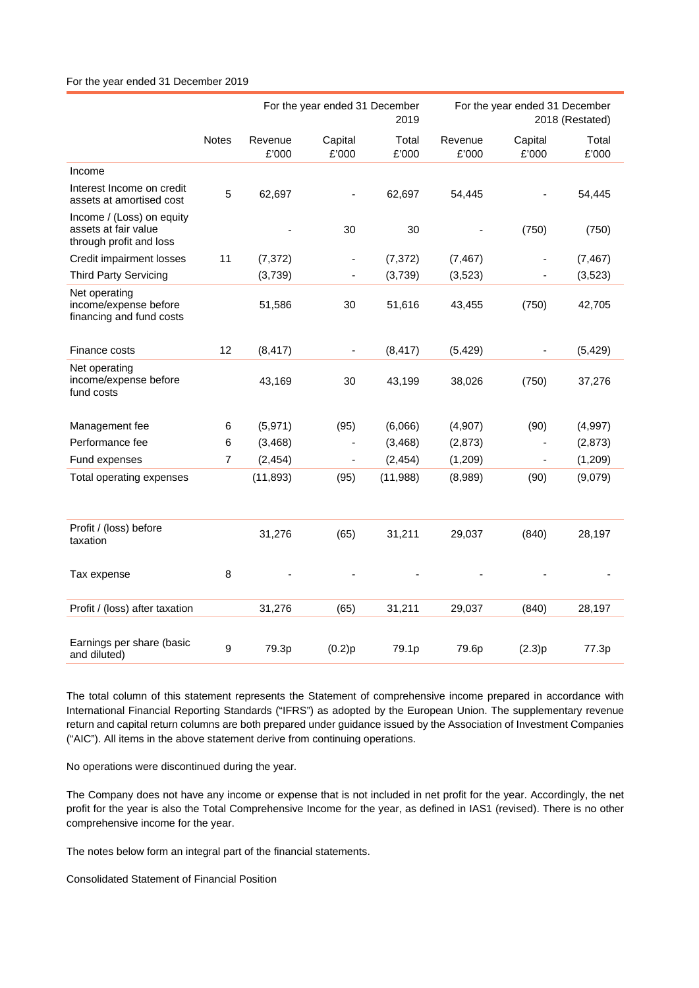### For the year ended 31 December 2019

|                                                                              |                | For the year ended 31 December<br>2019 |                              |                | For the year ended 31 December<br>2018 (Restated) |                          |                |
|------------------------------------------------------------------------------|----------------|----------------------------------------|------------------------------|----------------|---------------------------------------------------|--------------------------|----------------|
|                                                                              | <b>Notes</b>   | Revenue<br>£'000                       | Capital<br>£'000             | Total<br>£'000 | Revenue<br>£'000                                  | Capital<br>£'000         | Total<br>£'000 |
| Income                                                                       |                |                                        |                              |                |                                                   |                          |                |
| Interest Income on credit<br>assets at amortised cost                        | 5              | 62,697                                 |                              | 62,697         | 54,445                                            |                          | 54,445         |
| Income / (Loss) on equity<br>assets at fair value<br>through profit and loss |                |                                        | 30                           | 30             |                                                   | (750)                    | (750)          |
| Credit impairment losses                                                     | 11             | (7, 372)                               | $\qquad \qquad \blacksquare$ | (7, 372)       | (7, 467)                                          |                          | (7, 467)       |
| <b>Third Party Servicing</b>                                                 |                | (3,739)                                |                              | (3,739)        | (3, 523)                                          |                          | (3, 523)       |
| Net operating<br>income/expense before<br>financing and fund costs           |                | 51,586                                 | 30                           | 51,616         | 43,455                                            | (750)                    | 42,705         |
| Finance costs                                                                | 12             | (8, 417)                               |                              | (8, 417)       | (5, 429)                                          |                          | (5, 429)       |
| Net operating<br>income/expense before<br>fund costs                         |                | 43,169                                 | 30                           | 43,199         | 38,026                                            | (750)                    | 37,276         |
| Management fee                                                               | 6              | (5,971)                                | (95)                         | (6,066)        | (4,907)                                           | (90)                     | (4,997)        |
| Performance fee                                                              | 6              | (3, 468)                               |                              | (3,468)        | (2,873)                                           |                          | (2, 873)       |
| Fund expenses                                                                | $\overline{7}$ | (2, 454)                               | $\qquad \qquad \blacksquare$ | (2, 454)       | (1,209)                                           | $\overline{\phantom{a}}$ | (1,209)        |
| Total operating expenses                                                     |                | (11, 893)                              | (95)                         | (11,988)       | (8,989)                                           | (90)                     | (9,079)        |
| Profit / (loss) before<br>taxation                                           |                | 31,276                                 | (65)                         | 31,211         | 29,037                                            | (840)                    | 28,197         |
| Tax expense                                                                  | 8              |                                        |                              |                |                                                   |                          |                |
| Profit / (loss) after taxation                                               |                | 31,276                                 | (65)                         | 31,211         | 29,037                                            | (840)                    | 28,197         |
| Earnings per share (basic<br>and diluted)                                    | 9              | 79.3p                                  | (0.2)p                       | 79.1p          | 79.6p                                             | (2.3)p                   | 77.3p          |

The total column of this statement represents the Statement of comprehensive income prepared in accordance with International Financial Reporting Standards ("IFRS") as adopted by the European Union. The supplementary revenue return and capital return columns are both prepared under guidance issued by the Association of Investment Companies ("AIC"). All items in the above statement derive from continuing operations.

No operations were discontinued during the year.

The Company does not have any income or expense that is not included in net profit for the year. Accordingly, the net profit for the year is also the Total Comprehensive Income for the year, as defined in IAS1 (revised). There is no other comprehensive income for the year.

The notes below form an integral part of the financial statements.

Consolidated Statement of Financial Position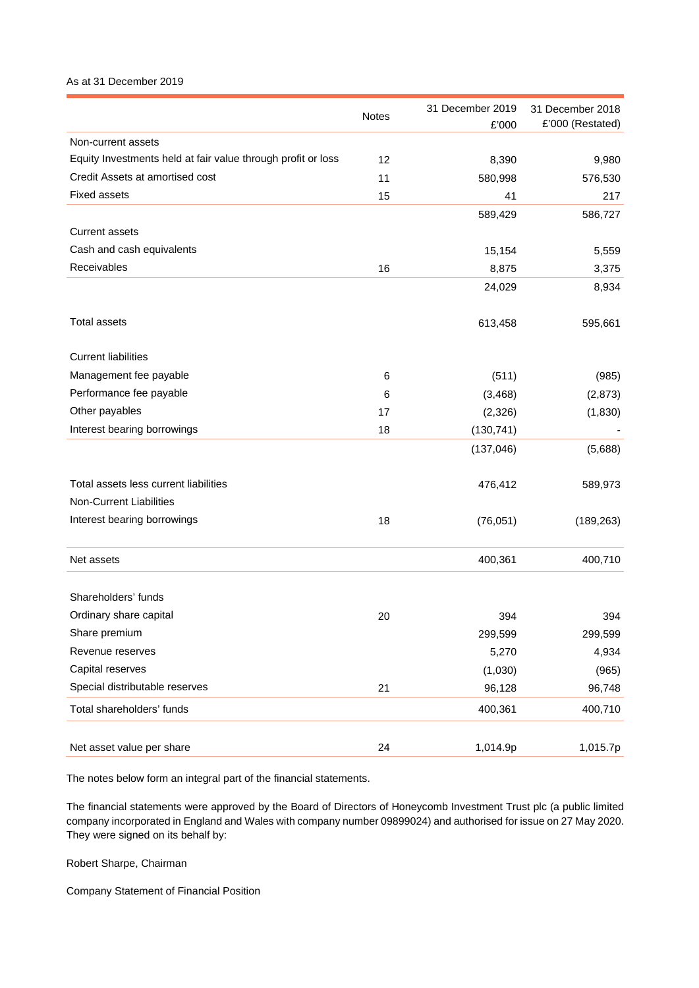# As at 31 December 2019

|                                                              | Notes | 31 December 2019<br>£'000 | 31 December 2018<br>£'000 (Restated) |
|--------------------------------------------------------------|-------|---------------------------|--------------------------------------|
| Non-current assets                                           |       |                           |                                      |
| Equity Investments held at fair value through profit or loss | 12    | 8,390                     | 9,980                                |
| Credit Assets at amortised cost                              | 11    | 580,998                   | 576,530                              |
| <b>Fixed assets</b>                                          | 15    | 41                        | 217                                  |
|                                                              |       | 589,429                   | 586,727                              |
| <b>Current assets</b>                                        |       |                           |                                      |
| Cash and cash equivalents                                    |       | 15,154                    | 5,559                                |
| Receivables                                                  | 16    | 8,875                     | 3,375                                |
|                                                              |       | 24,029                    | 8,934                                |
| <b>Total assets</b>                                          |       | 613,458                   | 595,661                              |
| <b>Current liabilities</b>                                   |       |                           |                                      |
| Management fee payable                                       | 6     | (511)                     | (985)                                |
| Performance fee payable                                      | 6     | (3, 468)                  | (2,873)                              |
| Other payables                                               | 17    | (2,326)                   | (1,830)                              |
| Interest bearing borrowings                                  | 18    | (130, 741)                |                                      |
|                                                              |       | (137, 046)                | (5,688)                              |
| Total assets less current liabilities                        |       | 476,412                   | 589,973                              |
| Non-Current Liabilities                                      |       |                           |                                      |
| Interest bearing borrowings                                  | 18    | (76, 051)                 | (189, 263)                           |
| Net assets                                                   |       | 400,361                   | 400,710                              |
| Shareholders' funds                                          |       |                           |                                      |
| Ordinary share capital                                       | 20    | 394                       | 394                                  |
| Share premium                                                |       | 299,599                   | 299,599                              |
| Revenue reserves                                             |       | 5,270                     | 4,934                                |
| Capital reserves                                             |       | (1,030)                   | (965)                                |
| Special distributable reserves                               | 21    | 96,128                    | 96,748                               |
| Total shareholders' funds                                    |       | 400,361                   | 400,710                              |
| Net asset value per share                                    | 24    | 1,014.9p                  | 1,015.7p                             |

The notes below form an integral part of the financial statements.

The financial statements were approved by the Board of Directors of Honeycomb Investment Trust plc (a public limited company incorporated in England and Wales with company number 09899024) and authorised for issue on 27 May 2020. They were signed on its behalf by:

Robert Sharpe, Chairman

Company Statement of Financial Position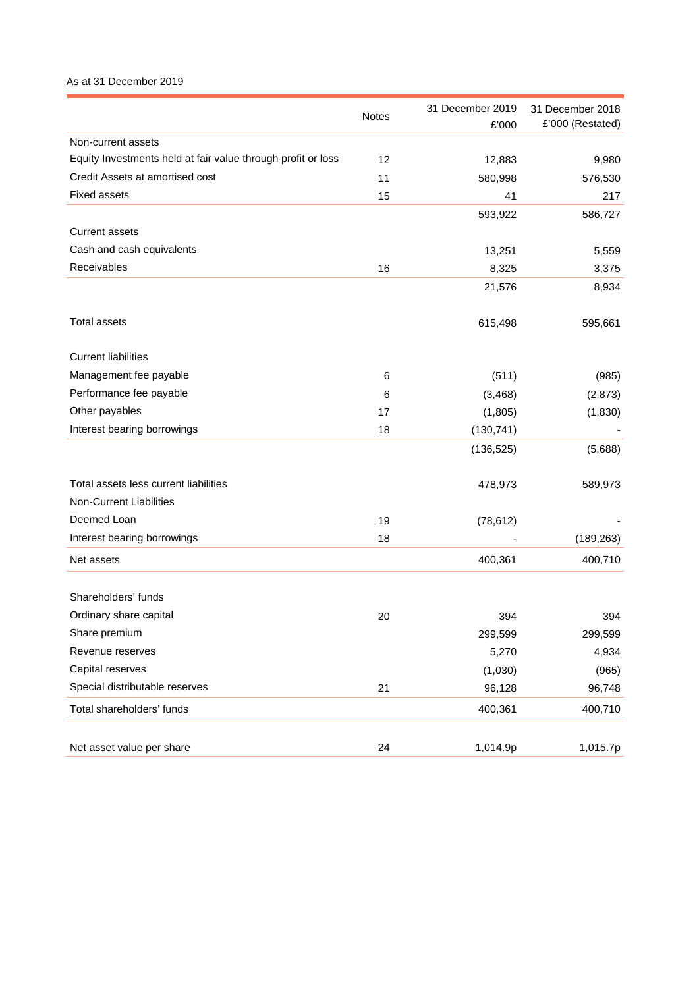# As at 31 December 2019

|                                                              | <b>Notes</b> | 31 December 2019<br>£'000 | 31 December 2018<br>£'000 (Restated) |
|--------------------------------------------------------------|--------------|---------------------------|--------------------------------------|
| Non-current assets                                           |              |                           |                                      |
| Equity Investments held at fair value through profit or loss | 12           | 12,883                    | 9,980                                |
| Credit Assets at amortised cost                              | 11           | 580,998                   | 576,530                              |
| <b>Fixed assets</b>                                          | 15           | 41                        | 217                                  |
|                                                              |              | 593,922                   | 586,727                              |
| <b>Current assets</b>                                        |              |                           |                                      |
| Cash and cash equivalents                                    |              | 13,251                    | 5,559                                |
| Receivables                                                  | 16           | 8,325                     | 3,375                                |
|                                                              |              | 21,576                    | 8,934                                |
| <b>Total assets</b>                                          |              | 615,498                   | 595,661                              |
| <b>Current liabilities</b>                                   |              |                           |                                      |
| Management fee payable                                       | 6            | (511)                     | (985)                                |
| Performance fee payable                                      | 6            | (3, 468)                  | (2,873)                              |
| Other payables                                               | 17           | (1,805)                   | (1,830)                              |
| Interest bearing borrowings                                  | 18           | (130, 741)                |                                      |
|                                                              |              | (136, 525)                | (5,688)                              |
| Total assets less current liabilities                        |              | 478,973                   | 589,973                              |
| Non-Current Liabilities                                      |              |                           |                                      |
| Deemed Loan                                                  | 19           | (78, 612)                 |                                      |
| Interest bearing borrowings                                  | 18           |                           | (189, 263)                           |
| Net assets                                                   |              | 400,361                   | 400,710                              |
| Shareholders' funds                                          |              |                           |                                      |
| Ordinary share capital                                       | 20           | 394                       | 394                                  |
| Share premium                                                |              | 299,599                   | 299,599                              |
| Revenue reserves                                             |              | 5,270                     | 4,934                                |
| Capital reserves                                             |              | (1,030)                   | (965)                                |
| Special distributable reserves                               | 21           | 96,128                    | 96,748                               |
| Total shareholders' funds                                    |              | 400,361                   | 400,710                              |
|                                                              |              |                           |                                      |
| Net asset value per share                                    | 24           | 1,014.9p                  | 1,015.7p                             |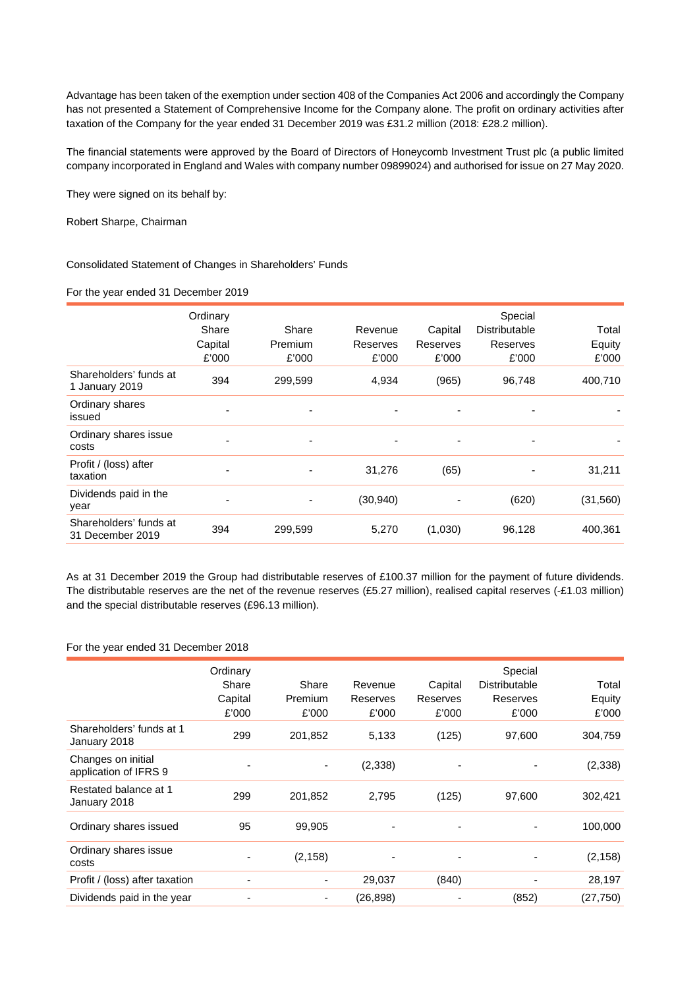Advantage has been taken of the exemption under section 408 of the Companies Act 2006 and accordingly the Company has not presented a Statement of Comprehensive Income for the Company alone. The profit on ordinary activities after taxation of the Company for the year ended 31 December 2019 was £31.2 million (2018: £28.2 million).

The financial statements were approved by the Board of Directors of Honeycomb Investment Trust plc (a public limited company incorporated in England and Wales with company number 09899024) and authorised for issue on 27 May 2020.

They were signed on its behalf by:

Robert Sharpe, Chairman

Consolidated Statement of Changes in Shareholders' Funds

#### For the year ended 31 December 2019

|                                            | Ordinary<br>Share<br>Capital<br>£'000 | Share<br>Premium<br>£'000 | Revenue<br>Reserves<br>£'000 | Capital<br>Reserves<br>£'000 | Special<br>Distributable<br>Reserves<br>£'000 | Total<br>Equity<br>£'000 |
|--------------------------------------------|---------------------------------------|---------------------------|------------------------------|------------------------------|-----------------------------------------------|--------------------------|
| Shareholders' funds at<br>1 January 2019   | 394                                   | 299,599                   | 4,934                        | (965)                        | 96,748                                        | 400,710                  |
| Ordinary shares<br>issued                  | ٠                                     | $\overline{\phantom{a}}$  |                              | ٠                            | ٠                                             |                          |
| Ordinary shares issue<br>costs             | ٠                                     | ۰                         |                              | ٠                            | ٠                                             |                          |
| Profit / (loss) after<br>taxation          | ٠                                     |                           | 31,276                       | (65)                         | ٠                                             | 31,211                   |
| Dividends paid in the<br>year              | ٠                                     |                           | (30, 940)                    |                              | (620)                                         | (31, 560)                |
| Shareholders' funds at<br>31 December 2019 | 394                                   | 299,599                   | 5,270                        | (1,030)                      | 96,128                                        | 400,361                  |

As at 31 December 2019 the Group had distributable reserves of £100.37 million for the payment of future dividends. The distributable reserves are the net of the revenue reserves (£5.27 million), realised capital reserves (-£1.03 million) and the special distributable reserves (£96.13 million).

# For the year ended 31 December 2018

|                                             | Ordinary<br>Share<br>Capital<br>£'000 | Share<br>Premium<br>£'000 | Revenue<br>Reserves<br>£'000 | Capital<br>Reserves<br>£'000 | Special<br><b>Distributable</b><br>Reserves<br>£'000 | Total<br>Equity<br>£'000 |
|---------------------------------------------|---------------------------------------|---------------------------|------------------------------|------------------------------|------------------------------------------------------|--------------------------|
| Shareholders' funds at 1<br>January 2018    | 299                                   | 201,852                   | 5,133                        | (125)                        | 97,600                                               | 304,759                  |
| Changes on initial<br>application of IFRS 9 |                                       | ٠                         | (2, 338)                     |                              |                                                      | (2, 338)                 |
| Restated balance at 1<br>January 2018       | 299                                   | 201,852                   | 2,795                        | (125)                        | 97,600                                               | 302,421                  |
| Ordinary shares issued                      | 95                                    | 99,905                    |                              |                              |                                                      | 100,000                  |
| Ordinary shares issue<br>costs              |                                       | (2, 158)                  |                              |                              |                                                      | (2, 158)                 |
| Profit / (loss) after taxation              | ٠                                     | ٠                         | 29,037                       | (840)                        |                                                      | 28,197                   |
| Dividends paid in the year                  | $\overline{\phantom{0}}$              |                           | (26, 898)                    |                              | (852)                                                | (27, 750)                |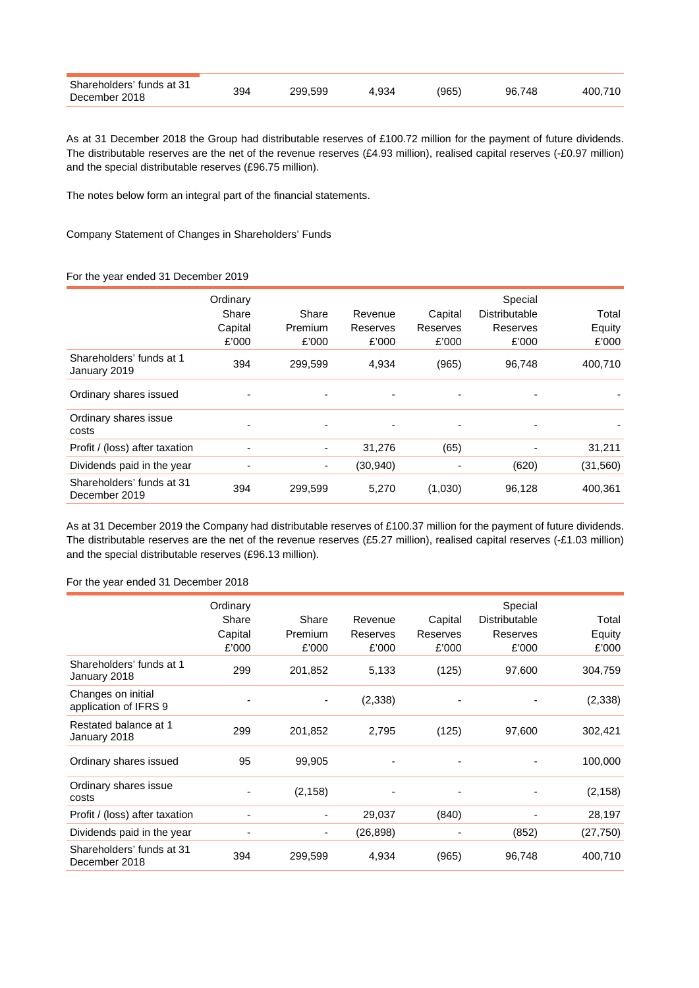| Shareholders' funds at 31<br>December 2018 | 394 | 299.599 | 4.934 | (965) | 96.748 | 400.710 |
|--------------------------------------------|-----|---------|-------|-------|--------|---------|
|--------------------------------------------|-----|---------|-------|-------|--------|---------|

As at 31 December 2018 the Group had distributable reserves of £100.72 million for the payment of future dividends. The distributable reserves are the net of the revenue reserves (£4.93 million), realised capital reserves (-£0.97 million) and the special distributable reserves (£96.75 million).

The notes below form an integral part of the financial statements.

Company Statement of Changes in Shareholders' Funds

# For the year ended 31 December 2019

|                                            | Ordinary<br>Share<br>Capital<br>£'000 | Share<br>Premium<br>£'000 | Revenue<br>Reserves<br>£'000 | Capital<br>Reserves<br>£'000 | Special<br>Distributable<br>Reserves<br>£'000 | Total<br>Equity<br>£'000 |
|--------------------------------------------|---------------------------------------|---------------------------|------------------------------|------------------------------|-----------------------------------------------|--------------------------|
| Shareholders' funds at 1<br>January 2019   | 394                                   | 299,599                   | 4,934                        | (965)                        | 96,748                                        | 400,710                  |
| Ordinary shares issued                     | -                                     |                           |                              | ٠                            |                                               |                          |
| Ordinary shares issue<br>costs             | $\blacksquare$                        |                           |                              | ۰                            |                                               |                          |
| Profit / (loss) after taxation             | ٠                                     | $\blacksquare$            | 31,276                       | (65)                         |                                               | 31,211                   |
| Dividends paid in the year                 | -                                     | ٠                         | (30, 940)                    |                              | (620)                                         | (31, 560)                |
| Shareholders' funds at 31<br>December 2019 | 394                                   | 299,599                   | 5,270                        | (1,030)                      | 96,128                                        | 400,361                  |

As at 31 December 2019 the Company had distributable reserves of £100.37 million for the payment of future dividends. The distributable reserves are the net of the revenue reserves (£5.27 million), realised capital reserves (-£1.03 million) and the special distributable reserves (£96.13 million).

### For the year ended 31 December 2018

|                                             | Ordinary                 |          |           |                          | Special              |           |
|---------------------------------------------|--------------------------|----------|-----------|--------------------------|----------------------|-----------|
|                                             | Share                    | Share    | Revenue   | Capital                  | <b>Distributable</b> | Total     |
|                                             | Capital                  | Premium  | Reserves  | Reserves                 | Reserves             | Equity    |
|                                             |                          |          |           |                          |                      |           |
|                                             | £'000                    | £'000    | £'000     | £'000                    | £'000                | £'000     |
| Shareholders' funds at 1<br>January 2018    | 299                      | 201,852  | 5,133     | (125)                    | 97,600               | 304,759   |
| Changes on initial<br>application of IFRS 9 |                          | ٠        | (2, 338)  |                          |                      | (2, 338)  |
| Restated balance at 1<br>January 2018       | 299                      | 201,852  | 2,795     | (125)                    | 97,600               | 302,421   |
| Ordinary shares issued                      | 95                       | 99,905   |           |                          |                      | 100,000   |
| Ordinary shares issue<br>costs              | $\overline{\phantom{0}}$ | (2, 158) |           | $\overline{\phantom{0}}$ |                      | (2, 158)  |
| Profit / (loss) after taxation              | $\overline{\phantom{0}}$ |          | 29,037    | (840)                    |                      | 28,197    |
| Dividends paid in the year                  | ٠                        |          | (26, 898) |                          | (852)                | (27, 750) |
| Shareholders' funds at 31<br>December 2018  | 394                      | 299,599  | 4,934     | (965)                    | 96,748               | 400,710   |
|                                             |                          |          |           |                          |                      |           |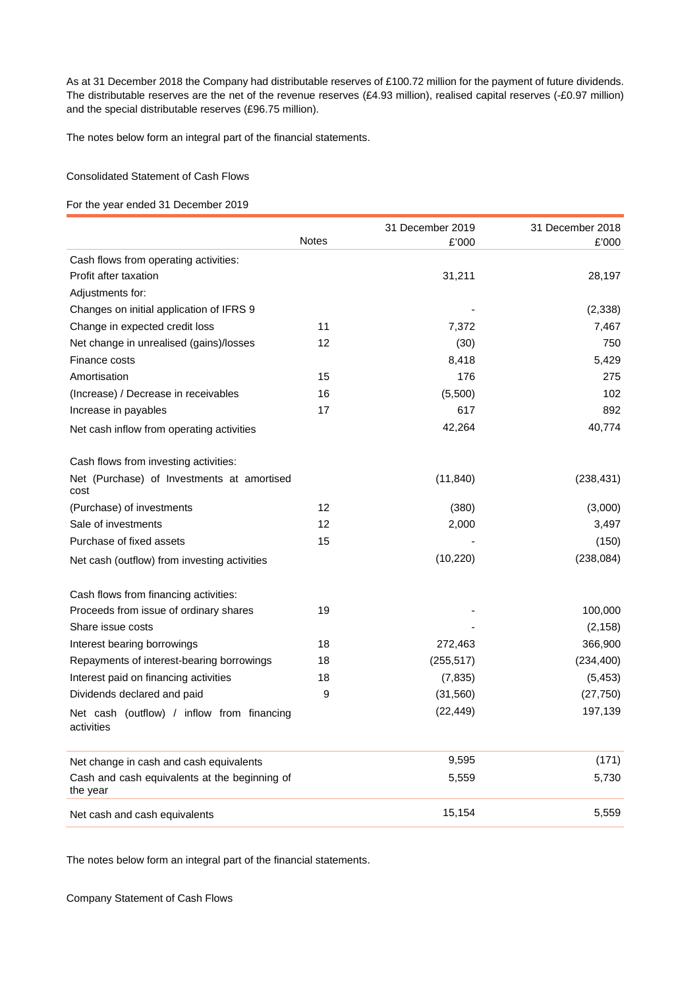As at 31 December 2018 the Company had distributable reserves of £100.72 million for the payment of future dividends. The distributable reserves are the net of the revenue reserves (£4.93 million), realised capital reserves (-£0.97 million) and the special distributable reserves (£96.75 million).

The notes below form an integral part of the financial statements.

# Consolidated Statement of Cash Flows

# For the year ended 31 December 2019

|                                                           |              | 31 December 2019 | 31 December 2018 |
|-----------------------------------------------------------|--------------|------------------|------------------|
|                                                           | <b>Notes</b> | £'000            | £'000            |
| Cash flows from operating activities:                     |              |                  |                  |
| Profit after taxation                                     |              | 31,211           | 28,197           |
| Adjustments for:                                          |              |                  |                  |
| Changes on initial application of IFRS 9                  |              |                  | (2,338)          |
| Change in expected credit loss                            | 11           | 7,372            | 7,467            |
| Net change in unrealised (gains)/losses                   | 12           | (30)             | 750              |
| Finance costs                                             |              | 8,418            | 5,429            |
| Amortisation                                              | 15           | 176              | 275              |
| (Increase) / Decrease in receivables                      | 16           | (5,500)          | 102              |
| Increase in payables                                      | 17           | 617              | 892              |
| Net cash inflow from operating activities                 |              | 42,264           | 40,774           |
| Cash flows from investing activities:                     |              |                  |                  |
| Net (Purchase) of Investments at amortised<br>cost        |              | (11, 840)        | (238, 431)       |
| (Purchase) of investments                                 | 12           | (380)            | (3,000)          |
| Sale of investments                                       | 12           | 2,000            | 3,497            |
| Purchase of fixed assets                                  | 15           |                  | (150)            |
| Net cash (outflow) from investing activities              |              | (10, 220)        | (238, 084)       |
| Cash flows from financing activities:                     |              |                  |                  |
| Proceeds from issue of ordinary shares                    | 19           |                  | 100,000          |
| Share issue costs                                         |              |                  | (2, 158)         |
| Interest bearing borrowings                               | 18           | 272,463          | 366,900          |
| Repayments of interest-bearing borrowings                 | 18           | (255, 517)       | (234, 400)       |
| Interest paid on financing activities                     | 18           | (7, 835)         | (5, 453)         |
| Dividends declared and paid                               | 9            | (31, 560)        | (27, 750)        |
| Net cash (outflow) / inflow from financing<br>activities  |              | (22, 449)        | 197,139          |
| Net change in cash and cash equivalents                   |              | 9,595            | (171)            |
| Cash and cash equivalents at the beginning of<br>the year |              | 5,559            | 5,730            |
| Net cash and cash equivalents                             |              | 15,154           | 5,559            |

The notes below form an integral part of the financial statements.

Company Statement of Cash Flows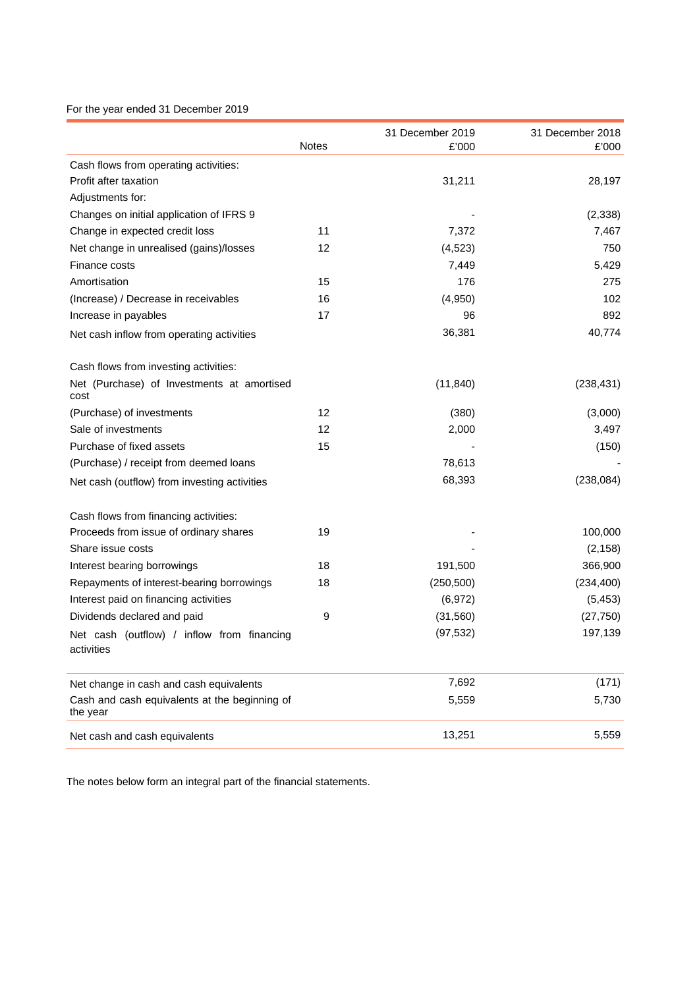# For the year ended 31 December 2019

|                                                           |              | 31 December 2019 | 31 December 2018 |
|-----------------------------------------------------------|--------------|------------------|------------------|
|                                                           | <b>Notes</b> | £'000            | £'000            |
| Cash flows from operating activities:                     |              |                  |                  |
| Profit after taxation                                     |              | 31,211           | 28,197           |
| Adjustments for:                                          |              |                  |                  |
| Changes on initial application of IFRS 9                  |              |                  | (2, 338)         |
| Change in expected credit loss                            | 11           | 7,372            | 7,467            |
| Net change in unrealised (gains)/losses                   | 12           | (4, 523)         | 750              |
| Finance costs                                             |              | 7,449            | 5,429            |
| Amortisation                                              | 15           | 176              | 275              |
| (Increase) / Decrease in receivables                      | 16           | (4,950)          | 102              |
| Increase in payables                                      | 17           | 96               | 892              |
| Net cash inflow from operating activities                 |              | 36,381           | 40,774           |
| Cash flows from investing activities:                     |              |                  |                  |
| Net (Purchase) of Investments at amortised<br>cost        |              | (11, 840)        | (238, 431)       |
| (Purchase) of investments                                 | 12           | (380)            | (3,000)          |
| Sale of investments                                       | 12           | 2,000            | 3,497            |
| Purchase of fixed assets                                  | 15           |                  | (150)            |
| (Purchase) / receipt from deemed loans                    |              | 78,613           |                  |
| Net cash (outflow) from investing activities              |              | 68,393           | (238, 084)       |
| Cash flows from financing activities:                     |              |                  |                  |
| Proceeds from issue of ordinary shares                    | 19           |                  | 100,000          |
| Share issue costs                                         |              |                  | (2, 158)         |
| Interest bearing borrowings                               | 18           | 191,500          | 366,900          |
| Repayments of interest-bearing borrowings                 | 18           | (250, 500)       | (234, 400)       |
| Interest paid on financing activities                     |              | (6, 972)         | (5, 453)         |
| Dividends declared and paid                               | 9            | (31, 560)        | (27, 750)        |
| Net cash (outflow) / inflow from financing<br>activities  |              | (97, 532)        | 197,139          |
| Net change in cash and cash equivalents                   |              | 7,692            | (171)            |
| Cash and cash equivalents at the beginning of<br>the year |              | 5,559            | 5,730            |
| Net cash and cash equivalents                             |              | 13,251           | 5,559            |

The notes below form an integral part of the financial statements.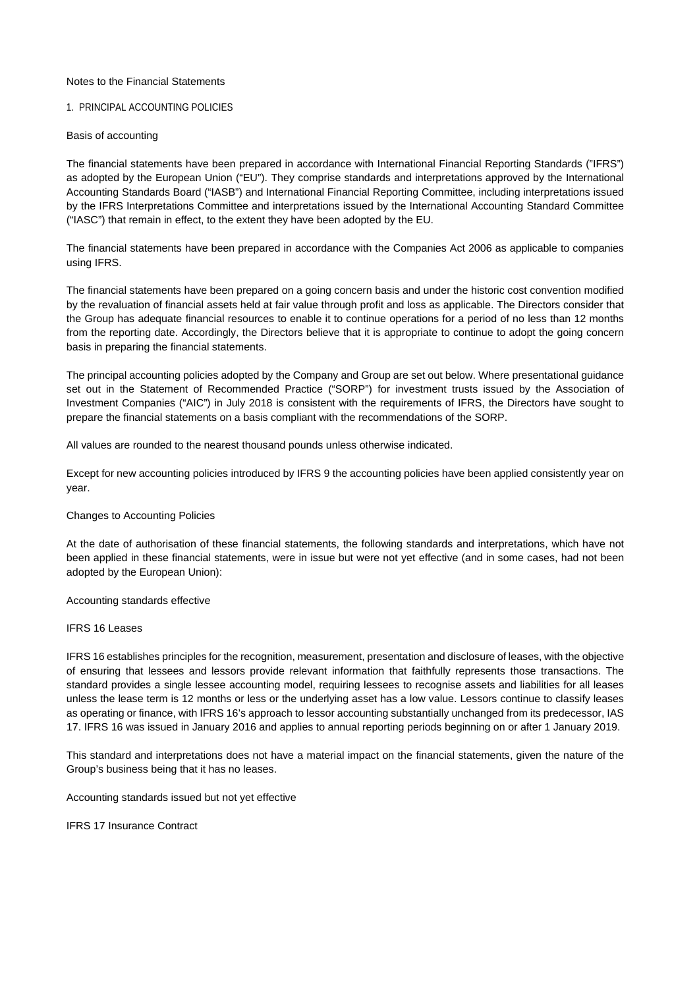### Notes to the Financial Statements

# 1. PRINCIPAL ACCOUNTING POLICIES

#### Basis of accounting

The financial statements have been prepared in accordance with International Financial Reporting Standards ("IFRS") as adopted by the European Union ("EU"). They comprise standards and interpretations approved by the International Accounting Standards Board ("IASB") and International Financial Reporting Committee, including interpretations issued by the IFRS Interpretations Committee and interpretations issued by the International Accounting Standard Committee ("IASC") that remain in effect, to the extent they have been adopted by the EU.

The financial statements have been prepared in accordance with the Companies Act 2006 as applicable to companies using IFRS.

The financial statements have been prepared on a going concern basis and under the historic cost convention modified by the revaluation of financial assets held at fair value through profit and loss as applicable. The Directors consider that the Group has adequate financial resources to enable it to continue operations for a period of no less than 12 months from the reporting date. Accordingly, the Directors believe that it is appropriate to continue to adopt the going concern basis in preparing the financial statements.

The principal accounting policies adopted by the Company and Group are set out below. Where presentational guidance set out in the Statement of Recommended Practice ("SORP") for investment trusts issued by the Association of Investment Companies ("AIC") in July 2018 is consistent with the requirements of IFRS, the Directors have sought to prepare the financial statements on a basis compliant with the recommendations of the SORP.

All values are rounded to the nearest thousand pounds unless otherwise indicated.

Except for new accounting policies introduced by IFRS 9 the accounting policies have been applied consistently year on year.

#### Changes to Accounting Policies

At the date of authorisation of these financial statements, the following standards and interpretations, which have not been applied in these financial statements, were in issue but were not yet effective (and in some cases, had not been adopted by the European Union):

Accounting standards effective

#### IFRS 16 Leases

IFRS 16 establishes principles for the recognition, measurement, presentation and disclosure of leases, with the objective of ensuring that lessees and lessors provide relevant information that faithfully represents those transactions. The standard provides a single lessee accounting model, requiring lessees to recognise assets and liabilities for all leases unless the lease term is 12 months or less or the underlying asset has a low value. Lessors continue to classify leases as operating or finance, with IFRS 16's approach to lessor accounting substantially unchanged from its predecessor, IAS 17. IFRS 16 was issued in January 2016 and applies to annual reporting periods beginning on or after 1 January 2019.

This standard and interpretations does not have a material impact on the financial statements, given the nature of the Group's business being that it has no leases.

Accounting standards issued but not yet effective

IFRS 17 Insurance Contract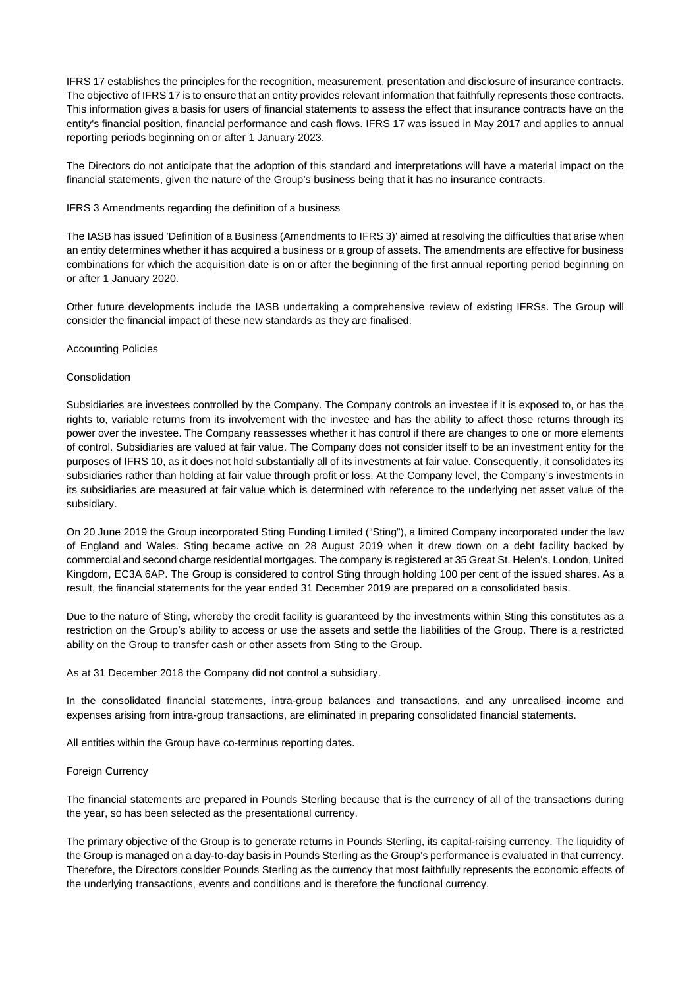IFRS 17 establishes the principles for the recognition, measurement, presentation and disclosure of insurance contracts. The objective of IFRS 17 is to ensure that an entity provides relevant information that faithfully represents those contracts. This information gives a basis for users of financial statements to assess the effect that insurance contracts have on the entity's financial position, financial performance and cash flows. IFRS 17 was issued in May 2017 and applies to annual reporting periods beginning on or after 1 January 2023.

The Directors do not anticipate that the adoption of this standard and interpretations will have a material impact on the financial statements, given the nature of the Group's business being that it has no insurance contracts.

# IFRS 3 Amendments regarding the definition of a business

The IASB has issued 'Definition of a Business (Amendments to IFRS 3)' aimed at resolving the difficulties that arise when an entity determines whether it has acquired a business or a group of assets. The amendments are effective for business combinations for which the acquisition date is on or after the beginning of the first annual reporting period beginning on or after 1 January 2020.

Other future developments include the IASB undertaking a comprehensive review of existing IFRSs. The Group will consider the financial impact of these new standards as they are finalised.

#### Accounting Policies

#### Consolidation

Subsidiaries are investees controlled by the Company. The Company controls an investee if it is exposed to, or has the rights to, variable returns from its involvement with the investee and has the ability to affect those returns through its power over the investee. The Company reassesses whether it has control if there are changes to one or more elements of control. Subsidiaries are valued at fair value. The Company does not consider itself to be an investment entity for the purposes of IFRS 10, as it does not hold substantially all of its investments at fair value. Consequently, it consolidates its subsidiaries rather than holding at fair value through profit or loss. At the Company level, the Company's investments in its subsidiaries are measured at fair value which is determined with reference to the underlying net asset value of the subsidiary.

On 20 June 2019 the Group incorporated Sting Funding Limited ("Sting"), a limited Company incorporated under the law of England and Wales. Sting became active on 28 August 2019 when it drew down on a debt facility backed by commercial and second charge residential mortgages. The company is registered at 35 Great St. Helen's, London, United Kingdom, EC3A 6AP. The Group is considered to control Sting through holding 100 per cent of the issued shares. As a result, the financial statements for the year ended 31 December 2019 are prepared on a consolidated basis.

Due to the nature of Sting, whereby the credit facility is guaranteed by the investments within Sting this constitutes as a restriction on the Group's ability to access or use the assets and settle the liabilities of the Group. There is a restricted ability on the Group to transfer cash or other assets from Sting to the Group.

As at 31 December 2018 the Company did not control a subsidiary.

In the consolidated financial statements, intra-group balances and transactions, and any unrealised income and expenses arising from intra-group transactions, are eliminated in preparing consolidated financial statements.

All entities within the Group have co-terminus reporting dates.

# Foreign Currency

The financial statements are prepared in Pounds Sterling because that is the currency of all of the transactions during the year, so has been selected as the presentational currency.

The primary objective of the Group is to generate returns in Pounds Sterling, its capital-raising currency. The liquidity of the Group is managed on a day-to-day basis in Pounds Sterling as the Group's performance is evaluated in that currency. Therefore, the Directors consider Pounds Sterling as the currency that most faithfully represents the economic effects of the underlying transactions, events and conditions and is therefore the functional currency.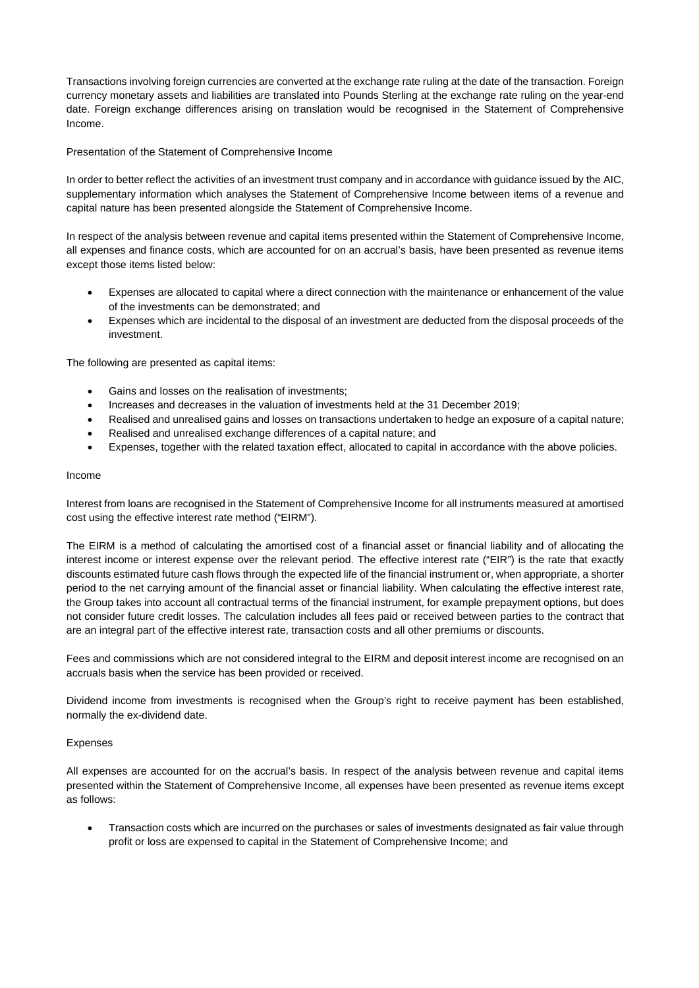Transactions involving foreign currencies are converted at the exchange rate ruling at the date of the transaction. Foreign currency monetary assets and liabilities are translated into Pounds Sterling at the exchange rate ruling on the year-end date. Foreign exchange differences arising on translation would be recognised in the Statement of Comprehensive Income.

# Presentation of the Statement of Comprehensive Income

In order to better reflect the activities of an investment trust company and in accordance with guidance issued by the AIC, supplementary information which analyses the Statement of Comprehensive Income between items of a revenue and capital nature has been presented alongside the Statement of Comprehensive Income.

In respect of the analysis between revenue and capital items presented within the Statement of Comprehensive Income, all expenses and finance costs, which are accounted for on an accrual's basis, have been presented as revenue items except those items listed below:

- Expenses are allocated to capital where a direct connection with the maintenance or enhancement of the value of the investments can be demonstrated; and
- Expenses which are incidental to the disposal of an investment are deducted from the disposal proceeds of the investment.

The following are presented as capital items:

- Gains and losses on the realisation of investments;
- Increases and decreases in the valuation of investments held at the 31 December 2019;
- Realised and unrealised gains and losses on transactions undertaken to hedge an exposure of a capital nature;
- Realised and unrealised exchange differences of a capital nature; and
- Expenses, together with the related taxation effect, allocated to capital in accordance with the above policies.

# Income

Interest from loans are recognised in the Statement of Comprehensive Income for all instruments measured at amortised cost using the effective interest rate method ("EIRM").

The EIRM is a method of calculating the amortised cost of a financial asset or financial liability and of allocating the interest income or interest expense over the relevant period. The effective interest rate ("EIR") is the rate that exactly discounts estimated future cash flows through the expected life of the financial instrument or, when appropriate, a shorter period to the net carrying amount of the financial asset or financial liability. When calculating the effective interest rate, the Group takes into account all contractual terms of the financial instrument, for example prepayment options, but does not consider future credit losses. The calculation includes all fees paid or received between parties to the contract that are an integral part of the effective interest rate, transaction costs and all other premiums or discounts.

Fees and commissions which are not considered integral to the EIRM and deposit interest income are recognised on an accruals basis when the service has been provided or received.

Dividend income from investments is recognised when the Group's right to receive payment has been established, normally the ex-dividend date.

# Expenses

All expenses are accounted for on the accrual's basis. In respect of the analysis between revenue and capital items presented within the Statement of Comprehensive Income, all expenses have been presented as revenue items except as follows:

 Transaction costs which are incurred on the purchases or sales of investments designated as fair value through profit or loss are expensed to capital in the Statement of Comprehensive Income; and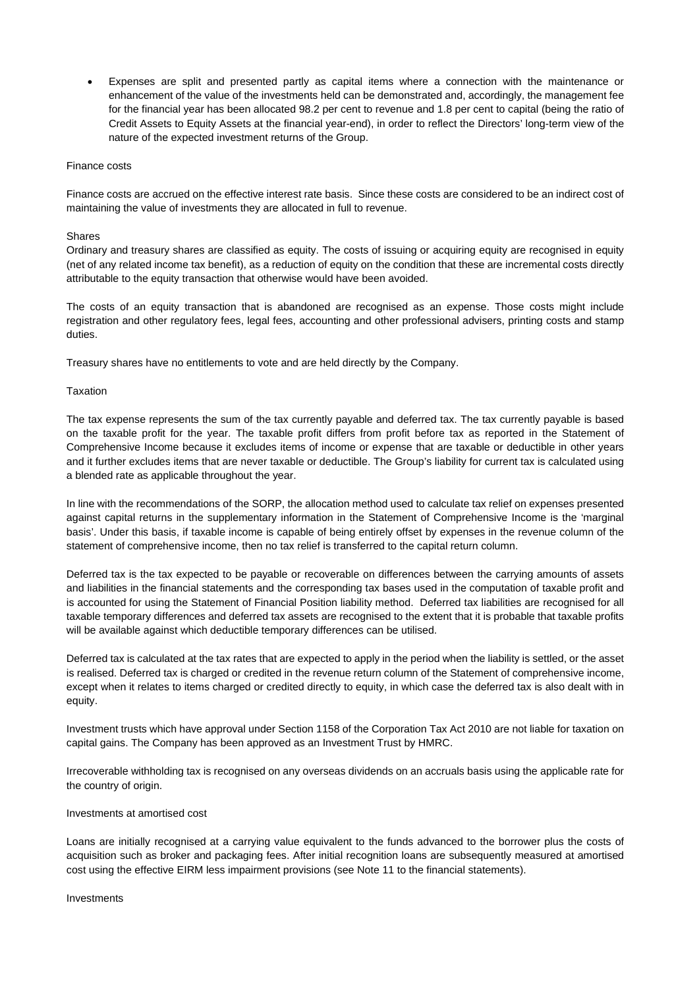Expenses are split and presented partly as capital items where a connection with the maintenance or enhancement of the value of the investments held can be demonstrated and, accordingly, the management fee for the financial year has been allocated 98.2 per cent to revenue and 1.8 per cent to capital (being the ratio of Credit Assets to Equity Assets at the financial year-end), in order to reflect the Directors' long-term view of the nature of the expected investment returns of the Group.

# Finance costs

Finance costs are accrued on the effective interest rate basis. Since these costs are considered to be an indirect cost of maintaining the value of investments they are allocated in full to revenue.

#### Shares

Ordinary and treasury shares are classified as equity. The costs of issuing or acquiring equity are recognised in equity (net of any related income tax benefit), as a reduction of equity on the condition that these are incremental costs directly attributable to the equity transaction that otherwise would have been avoided.

The costs of an equity transaction that is abandoned are recognised as an expense. Those costs might include registration and other regulatory fees, legal fees, accounting and other professional advisers, printing costs and stamp duties.

Treasury shares have no entitlements to vote and are held directly by the Company.

#### Taxation

The tax expense represents the sum of the tax currently payable and deferred tax. The tax currently payable is based on the taxable profit for the year. The taxable profit differs from profit before tax as reported in the Statement of Comprehensive Income because it excludes items of income or expense that are taxable or deductible in other years and it further excludes items that are never taxable or deductible. The Group's liability for current tax is calculated using a blended rate as applicable throughout the year.

In line with the recommendations of the SORP, the allocation method used to calculate tax relief on expenses presented against capital returns in the supplementary information in the Statement of Comprehensive Income is the 'marginal basis'. Under this basis, if taxable income is capable of being entirely offset by expenses in the revenue column of the statement of comprehensive income, then no tax relief is transferred to the capital return column.

Deferred tax is the tax expected to be payable or recoverable on differences between the carrying amounts of assets and liabilities in the financial statements and the corresponding tax bases used in the computation of taxable profit and is accounted for using the Statement of Financial Position liability method. Deferred tax liabilities are recognised for all taxable temporary differences and deferred tax assets are recognised to the extent that it is probable that taxable profits will be available against which deductible temporary differences can be utilised.

Deferred tax is calculated at the tax rates that are expected to apply in the period when the liability is settled, or the asset is realised. Deferred tax is charged or credited in the revenue return column of the Statement of comprehensive income, except when it relates to items charged or credited directly to equity, in which case the deferred tax is also dealt with in equity.

Investment trusts which have approval under Section 1158 of the Corporation Tax Act 2010 are not liable for taxation on capital gains. The Company has been approved as an Investment Trust by HMRC.

Irrecoverable withholding tax is recognised on any overseas dividends on an accruals basis using the applicable rate for the country of origin.

# Investments at amortised cost

Loans are initially recognised at a carrying value equivalent to the funds advanced to the borrower plus the costs of acquisition such as broker and packaging fees. After initial recognition loans are subsequently measured at amortised cost using the effective EIRM less impairment provisions (see Note 11 to the financial statements).

#### Investments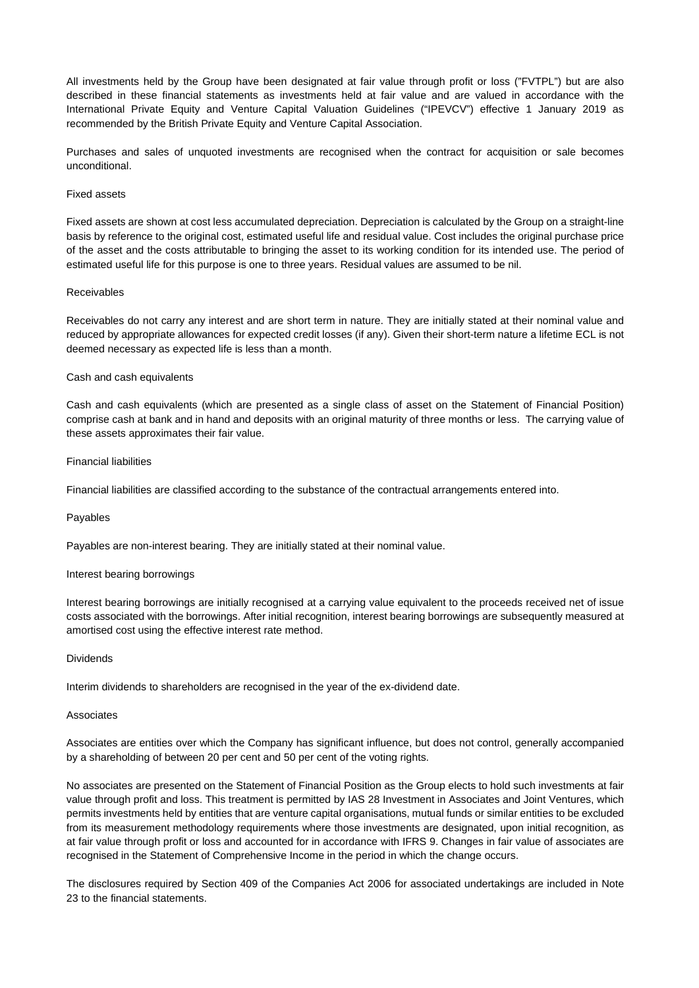All investments held by the Group have been designated at fair value through profit or loss ("FVTPL") but are also described in these financial statements as investments held at fair value and are valued in accordance with the International Private Equity and Venture Capital Valuation Guidelines ("IPEVCV") effective 1 January 2019 as recommended by the British Private Equity and Venture Capital Association.

Purchases and sales of unquoted investments are recognised when the contract for acquisition or sale becomes unconditional.

### Fixed assets

Fixed assets are shown at cost less accumulated depreciation. Depreciation is calculated by the Group on a straight-line basis by reference to the original cost, estimated useful life and residual value. Cost includes the original purchase price of the asset and the costs attributable to bringing the asset to its working condition for its intended use. The period of estimated useful life for this purpose is one to three years. Residual values are assumed to be nil.

#### Receivables

Receivables do not carry any interest and are short term in nature. They are initially stated at their nominal value and reduced by appropriate allowances for expected credit losses (if any). Given their short-term nature a lifetime ECL is not deemed necessary as expected life is less than a month.

#### Cash and cash equivalents

Cash and cash equivalents (which are presented as a single class of asset on the Statement of Financial Position) comprise cash at bank and in hand and deposits with an original maturity of three months or less. The carrying value of these assets approximates their fair value.

#### Financial liabilities

Financial liabilities are classified according to the substance of the contractual arrangements entered into.

# Payables

Payables are non-interest bearing. They are initially stated at their nominal value.

#### Interest bearing borrowings

Interest bearing borrowings are initially recognised at a carrying value equivalent to the proceeds received net of issue costs associated with the borrowings. After initial recognition, interest bearing borrowings are subsequently measured at amortised cost using the effective interest rate method.

#### Dividends

Interim dividends to shareholders are recognised in the year of the ex-dividend date.

# Associates

Associates are entities over which the Company has significant influence, but does not control, generally accompanied by a shareholding of between 20 per cent and 50 per cent of the voting rights.

No associates are presented on the Statement of Financial Position as the Group elects to hold such investments at fair value through profit and loss. This treatment is permitted by IAS 28 Investment in Associates and Joint Ventures, which permits investments held by entities that are venture capital organisations, mutual funds or similar entities to be excluded from its measurement methodology requirements where those investments are designated, upon initial recognition, as at fair value through profit or loss and accounted for in accordance with IFRS 9. Changes in fair value of associates are recognised in the Statement of Comprehensive Income in the period in which the change occurs.

The disclosures required by Section 409 of the Companies Act 2006 for associated undertakings are included in Note 23 to the financial statements.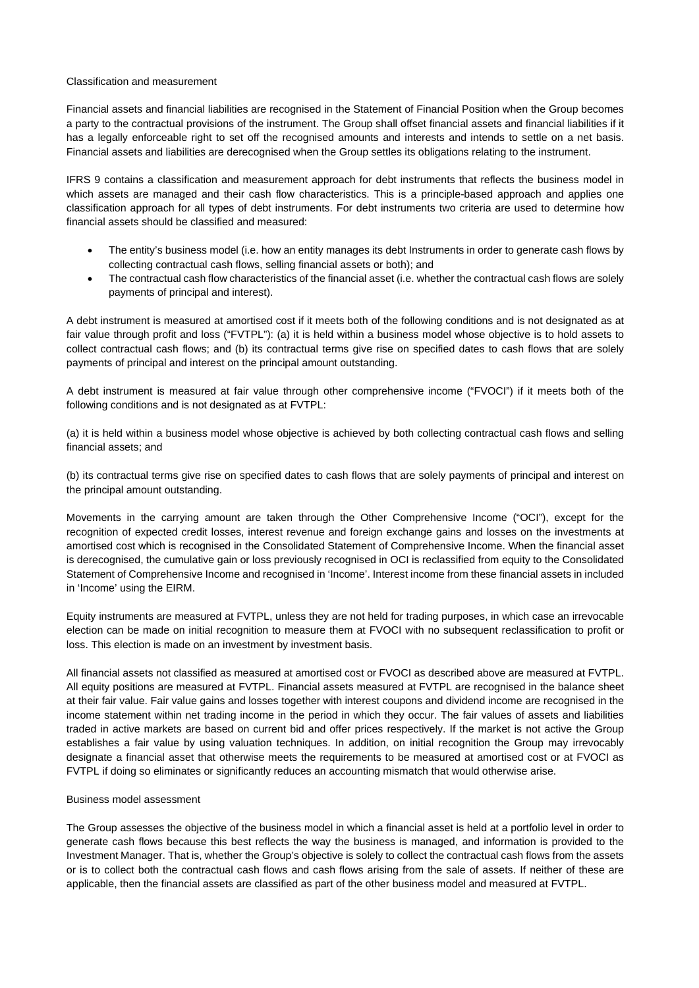#### Classification and measurement

Financial assets and financial liabilities are recognised in the Statement of Financial Position when the Group becomes a party to the contractual provisions of the instrument. The Group shall offset financial assets and financial liabilities if it has a legally enforceable right to set off the recognised amounts and interests and intends to settle on a net basis. Financial assets and liabilities are derecognised when the Group settles its obligations relating to the instrument.

IFRS 9 contains a classification and measurement approach for debt instruments that reflects the business model in which assets are managed and their cash flow characteristics. This is a principle-based approach and applies one classification approach for all types of debt instruments. For debt instruments two criteria are used to determine how financial assets should be classified and measured:

- The entity's business model (i.e. how an entity manages its debt Instruments in order to generate cash flows by collecting contractual cash flows, selling financial assets or both); and
- The contractual cash flow characteristics of the financial asset (i.e. whether the contractual cash flows are solely payments of principal and interest).

A debt instrument is measured at amortised cost if it meets both of the following conditions and is not designated as at fair value through profit and loss ("FVTPL"): (a) it is held within a business model whose objective is to hold assets to collect contractual cash flows; and (b) its contractual terms give rise on specified dates to cash flows that are solely payments of principal and interest on the principal amount outstanding.

A debt instrument is measured at fair value through other comprehensive income ("FVOCI") if it meets both of the following conditions and is not designated as at FVTPL:

(a) it is held within a business model whose objective is achieved by both collecting contractual cash flows and selling financial assets; and

(b) its contractual terms give rise on specified dates to cash flows that are solely payments of principal and interest on the principal amount outstanding.

Movements in the carrying amount are taken through the Other Comprehensive Income ("OCI"), except for the recognition of expected credit losses, interest revenue and foreign exchange gains and losses on the investments at amortised cost which is recognised in the Consolidated Statement of Comprehensive Income. When the financial asset is derecognised, the cumulative gain or loss previously recognised in OCI is reclassified from equity to the Consolidated Statement of Comprehensive Income and recognised in 'Income'. Interest income from these financial assets in included in 'Income' using the EIRM.

Equity instruments are measured at FVTPL, unless they are not held for trading purposes, in which case an irrevocable election can be made on initial recognition to measure them at FVOCI with no subsequent reclassification to profit or loss. This election is made on an investment by investment basis.

All financial assets not classified as measured at amortised cost or FVOCI as described above are measured at FVTPL. All equity positions are measured at FVTPL. Financial assets measured at FVTPL are recognised in the balance sheet at their fair value. Fair value gains and losses together with interest coupons and dividend income are recognised in the income statement within net trading income in the period in which they occur. The fair values of assets and liabilities traded in active markets are based on current bid and offer prices respectively. If the market is not active the Group establishes a fair value by using valuation techniques. In addition, on initial recognition the Group may irrevocably designate a financial asset that otherwise meets the requirements to be measured at amortised cost or at FVOCI as FVTPL if doing so eliminates or significantly reduces an accounting mismatch that would otherwise arise.

# Business model assessment

The Group assesses the objective of the business model in which a financial asset is held at a portfolio level in order to generate cash flows because this best reflects the way the business is managed, and information is provided to the Investment Manager. That is, whether the Group's objective is solely to collect the contractual cash flows from the assets or is to collect both the contractual cash flows and cash flows arising from the sale of assets. If neither of these are applicable, then the financial assets are classified as part of the other business model and measured at FVTPL.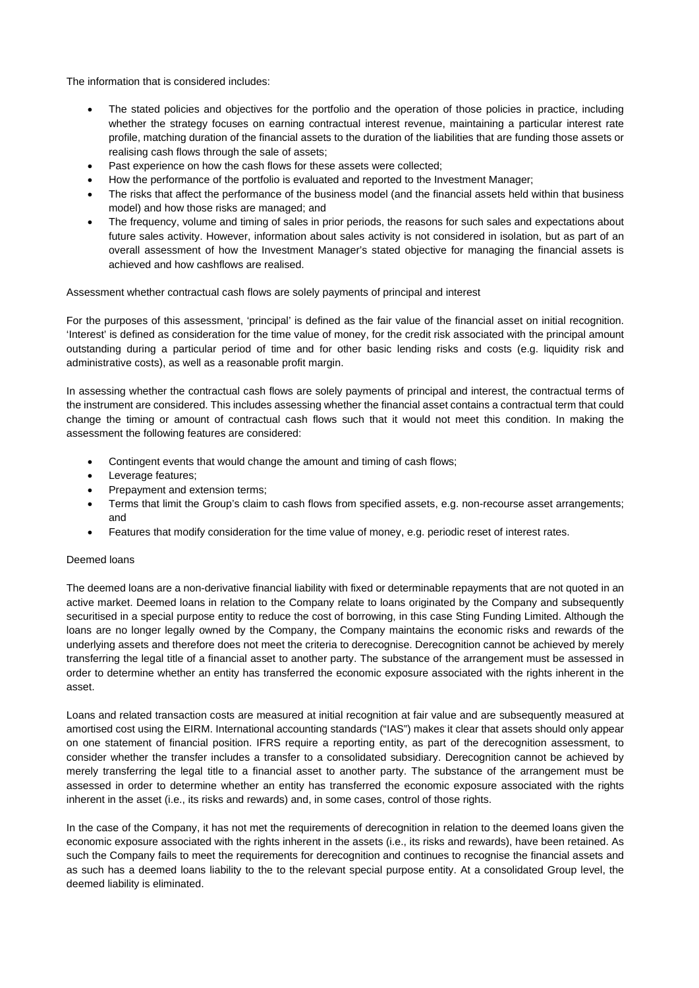The information that is considered includes:

- The stated policies and objectives for the portfolio and the operation of those policies in practice, including whether the strategy focuses on earning contractual interest revenue, maintaining a particular interest rate profile, matching duration of the financial assets to the duration of the liabilities that are funding those assets or realising cash flows through the sale of assets;
- Past experience on how the cash flows for these assets were collected;
- How the performance of the portfolio is evaluated and reported to the Investment Manager;
- The risks that affect the performance of the business model (and the financial assets held within that business model) and how those risks are managed; and
- The frequency, volume and timing of sales in prior periods, the reasons for such sales and expectations about future sales activity. However, information about sales activity is not considered in isolation, but as part of an overall assessment of how the Investment Manager's stated objective for managing the financial assets is achieved and how cashflows are realised.

Assessment whether contractual cash flows are solely payments of principal and interest

For the purposes of this assessment, 'principal' is defined as the fair value of the financial asset on initial recognition. 'Interest' is defined as consideration for the time value of money, for the credit risk associated with the principal amount outstanding during a particular period of time and for other basic lending risks and costs (e.g. liquidity risk and administrative costs), as well as a reasonable profit margin.

In assessing whether the contractual cash flows are solely payments of principal and interest, the contractual terms of the instrument are considered. This includes assessing whether the financial asset contains a contractual term that could change the timing or amount of contractual cash flows such that it would not meet this condition. In making the assessment the following features are considered:

- Contingent events that would change the amount and timing of cash flows;
- Leverage features;
- Prepayment and extension terms;
- Terms that limit the Group's claim to cash flows from specified assets, e.g. non-recourse asset arrangements; and
- Features that modify consideration for the time value of money, e.g. periodic reset of interest rates.

# Deemed loans

The deemed loans are a non-derivative financial liability with fixed or determinable repayments that are not quoted in an active market. Deemed loans in relation to the Company relate to loans originated by the Company and subsequently securitised in a special purpose entity to reduce the cost of borrowing, in this case Sting Funding Limited. Although the loans are no longer legally owned by the Company, the Company maintains the economic risks and rewards of the underlying assets and therefore does not meet the criteria to derecognise. Derecognition cannot be achieved by merely transferring the legal title of a financial asset to another party. The substance of the arrangement must be assessed in order to determine whether an entity has transferred the economic exposure associated with the rights inherent in the asset.

Loans and related transaction costs are measured at initial recognition at fair value and are subsequently measured at amortised cost using the EIRM. International accounting standards ("IAS") makes it clear that assets should only appear on one statement of financial position. IFRS require a reporting entity, as part of the derecognition assessment, to consider whether the transfer includes a transfer to a consolidated subsidiary. Derecognition cannot be achieved by merely transferring the legal title to a financial asset to another party. The substance of the arrangement must be assessed in order to determine whether an entity has transferred the economic exposure associated with the rights inherent in the asset (i.e., its risks and rewards) and, in some cases, control of those rights.

In the case of the Company, it has not met the requirements of derecognition in relation to the deemed loans given the economic exposure associated with the rights inherent in the assets (i.e., its risks and rewards), have been retained. As such the Company fails to meet the requirements for derecognition and continues to recognise the financial assets and as such has a deemed loans liability to the to the relevant special purpose entity. At a consolidated Group level, the deemed liability is eliminated.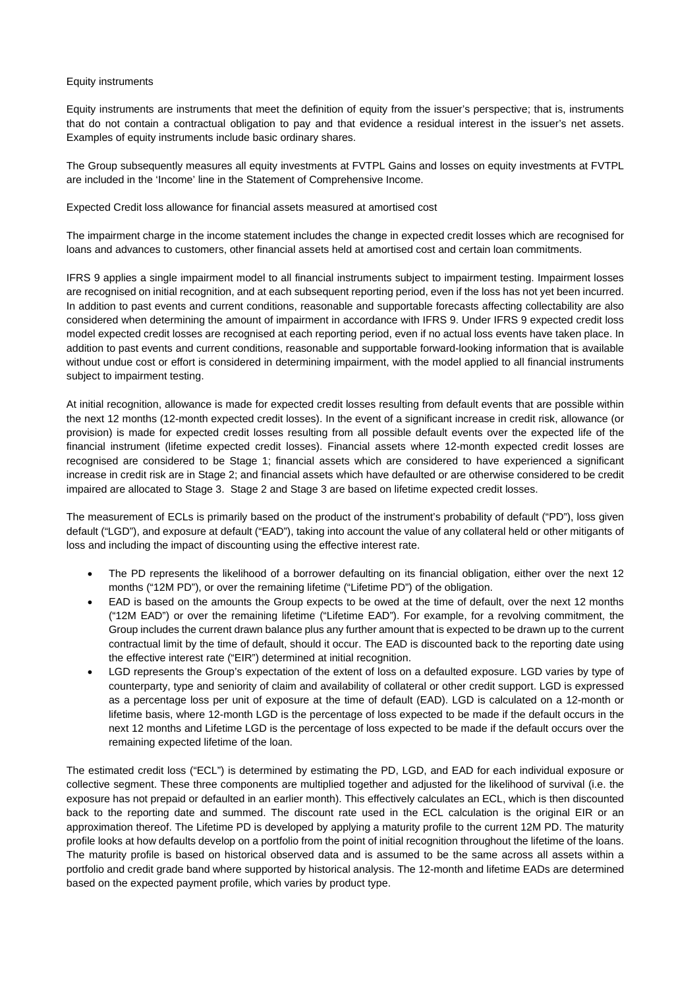#### Equity instruments

Equity instruments are instruments that meet the definition of equity from the issuer's perspective; that is, instruments that do not contain a contractual obligation to pay and that evidence a residual interest in the issuer's net assets. Examples of equity instruments include basic ordinary shares.

The Group subsequently measures all equity investments at FVTPL Gains and losses on equity investments at FVTPL are included in the 'Income' line in the Statement of Comprehensive Income.

Expected Credit loss allowance for financial assets measured at amortised cost

The impairment charge in the income statement includes the change in expected credit losses which are recognised for loans and advances to customers, other financial assets held at amortised cost and certain loan commitments.

IFRS 9 applies a single impairment model to all financial instruments subject to impairment testing. Impairment losses are recognised on initial recognition, and at each subsequent reporting period, even if the loss has not yet been incurred. In addition to past events and current conditions, reasonable and supportable forecasts affecting collectability are also considered when determining the amount of impairment in accordance with IFRS 9. Under IFRS 9 expected credit loss model expected credit losses are recognised at each reporting period, even if no actual loss events have taken place. In addition to past events and current conditions, reasonable and supportable forward-looking information that is available without undue cost or effort is considered in determining impairment, with the model applied to all financial instruments subject to impairment testing.

At initial recognition, allowance is made for expected credit losses resulting from default events that are possible within the next 12 months (12-month expected credit losses). In the event of a significant increase in credit risk, allowance (or provision) is made for expected credit losses resulting from all possible default events over the expected life of the financial instrument (lifetime expected credit losses). Financial assets where 12-month expected credit losses are recognised are considered to be Stage 1; financial assets which are considered to have experienced a significant increase in credit risk are in Stage 2; and financial assets which have defaulted or are otherwise considered to be credit impaired are allocated to Stage 3. Stage 2 and Stage 3 are based on lifetime expected credit losses.

The measurement of ECLs is primarily based on the product of the instrument's probability of default ("PD"), loss given default ("LGD"), and exposure at default ("EAD"), taking into account the value of any collateral held or other mitigants of loss and including the impact of discounting using the effective interest rate.

- The PD represents the likelihood of a borrower defaulting on its financial obligation, either over the next 12 months ("12M PD"), or over the remaining lifetime ("Lifetime PD") of the obligation.
- EAD is based on the amounts the Group expects to be owed at the time of default, over the next 12 months ("12M EAD") or over the remaining lifetime ("Lifetime EAD"). For example, for a revolving commitment, the Group includes the current drawn balance plus any further amount that is expected to be drawn up to the current contractual limit by the time of default, should it occur. The EAD is discounted back to the reporting date using the effective interest rate ("EIR") determined at initial recognition.
- LGD represents the Group's expectation of the extent of loss on a defaulted exposure. LGD varies by type of counterparty, type and seniority of claim and availability of collateral or other credit support. LGD is expressed as a percentage loss per unit of exposure at the time of default (EAD). LGD is calculated on a 12-month or lifetime basis, where 12-month LGD is the percentage of loss expected to be made if the default occurs in the next 12 months and Lifetime LGD is the percentage of loss expected to be made if the default occurs over the remaining expected lifetime of the loan.

The estimated credit loss ("ECL") is determined by estimating the PD, LGD, and EAD for each individual exposure or collective segment. These three components are multiplied together and adjusted for the likelihood of survival (i.e. the exposure has not prepaid or defaulted in an earlier month). This effectively calculates an ECL, which is then discounted back to the reporting date and summed. The discount rate used in the ECL calculation is the original EIR or an approximation thereof. The Lifetime PD is developed by applying a maturity profile to the current 12M PD. The maturity profile looks at how defaults develop on a portfolio from the point of initial recognition throughout the lifetime of the loans. The maturity profile is based on historical observed data and is assumed to be the same across all assets within a portfolio and credit grade band where supported by historical analysis. The 12-month and lifetime EADs are determined based on the expected payment profile, which varies by product type.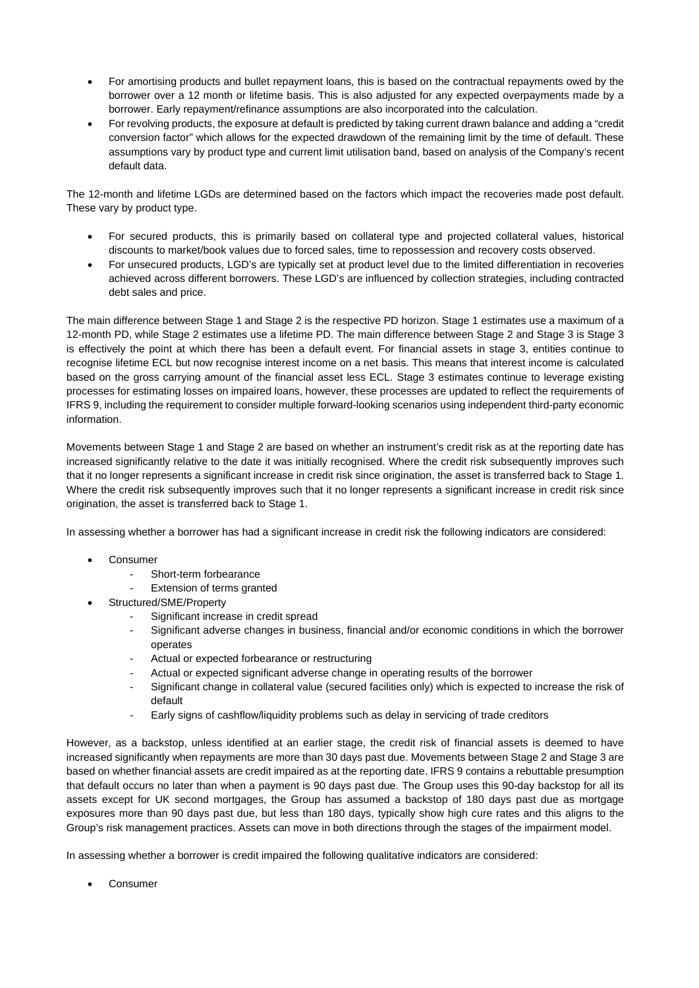- For amortising products and bullet repayment loans, this is based on the contractual repayments owed by the borrower over a 12 month or lifetime basis. This is also adjusted for any expected overpayments made by a borrower. Early repayment/refinance assumptions are also incorporated into the calculation.
- For revolving products, the exposure at default is predicted by taking current drawn balance and adding a "credit conversion factor" which allows for the expected drawdown of the remaining limit by the time of default. These assumptions vary by product type and current limit utilisation band, based on analysis of the Company's recent default data.

The 12-month and lifetime LGDs are determined based on the factors which impact the recoveries made post default. These vary by product type.

- For secured products, this is primarily based on collateral type and projected collateral values, historical discounts to market/book values due to forced sales, time to repossession and recovery costs observed.
- For unsecured products, LGD's are typically set at product level due to the limited differentiation in recoveries achieved across different borrowers. These LGD's are influenced by collection strategies, including contracted debt sales and price.

The main difference between Stage 1 and Stage 2 is the respective PD horizon. Stage 1 estimates use a maximum of a 12-month PD, while Stage 2 estimates use a lifetime PD. The main difference between Stage 2 and Stage 3 is Stage 3 is effectively the point at which there has been a default event. For financial assets in stage 3, entities continue to recognise lifetime ECL but now recognise interest income on a net basis. This means that interest income is calculated based on the gross carrying amount of the financial asset less ECL. Stage 3 estimates continue to leverage existing processes for estimating losses on impaired loans, however, these processes are updated to reflect the requirements of IFRS 9, including the requirement to consider multiple forward-looking scenarios using independent third-party economic information.

Movements between Stage 1 and Stage 2 are based on whether an instrument's credit risk as at the reporting date has increased significantly relative to the date it was initially recognised. Where the credit risk subsequently improves such that it no longer represents a significant increase in credit risk since origination, the asset is transferred back to Stage 1. Where the credit risk subsequently improves such that it no longer represents a significant increase in credit risk since origination, the asset is transferred back to Stage 1.

In assessing whether a borrower has had a significant increase in credit risk the following indicators are considered:

- Consumer
	- Short-term forbearance
	- Extension of terms granted
- Structured/SME/Property
	- Significant increase in credit spread
	- Significant adverse changes in business, financial and/or economic conditions in which the borrower operates
	- Actual or expected forbearance or restructuring
	- Actual or expected significant adverse change in operating results of the borrower
	- Significant change in collateral value (secured facilities only) which is expected to increase the risk of default
	- Early signs of cashflow/liquidity problems such as delay in servicing of trade creditors

However, as a backstop, unless identified at an earlier stage, the credit risk of financial assets is deemed to have increased significantly when repayments are more than 30 days past due. Movements between Stage 2 and Stage 3 are based on whether financial assets are credit impaired as at the reporting date. IFRS 9 contains a rebuttable presumption that default occurs no later than when a payment is 90 days past due. The Group uses this 90-day backstop for all its assets except for UK second mortgages, the Group has assumed a backstop of 180 days past due as mortgage exposures more than 90 days past due, but less than 180 days, typically show high cure rates and this aligns to the Group's risk management practices. Assets can move in both directions through the stages of the impairment model.

In assessing whether a borrower is credit impaired the following qualitative indicators are considered:

Consumer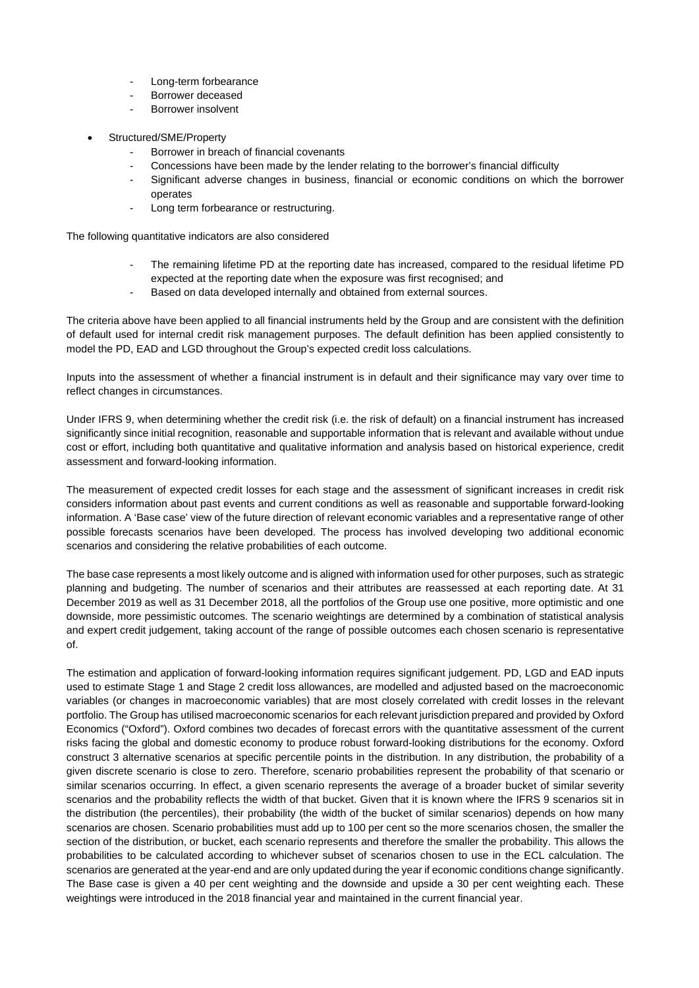- Long-term forbearance
- Borrower deceased
- Borrower insolvent
- Structured/SME/Property
	- Borrower in breach of financial covenants
	- Concessions have been made by the lender relating to the borrower's financial difficulty
	- Significant adverse changes in business, financial or economic conditions on which the borrower operates
	- Long term forbearance or restructuring.

The following quantitative indicators are also considered

- The remaining lifetime PD at the reporting date has increased, compared to the residual lifetime PD expected at the reporting date when the exposure was first recognised; and
- Based on data developed internally and obtained from external sources.

The criteria above have been applied to all financial instruments held by the Group and are consistent with the definition of default used for internal credit risk management purposes. The default definition has been applied consistently to model the PD, EAD and LGD throughout the Group's expected credit loss calculations.

Inputs into the assessment of whether a financial instrument is in default and their significance may vary over time to reflect changes in circumstances.

Under IFRS 9, when determining whether the credit risk (i.e. the risk of default) on a financial instrument has increased significantly since initial recognition, reasonable and supportable information that is relevant and available without undue cost or effort, including both quantitative and qualitative information and analysis based on historical experience, credit assessment and forward-looking information.

The measurement of expected credit losses for each stage and the assessment of significant increases in credit risk considers information about past events and current conditions as well as reasonable and supportable forward-looking information. A 'Base case' view of the future direction of relevant economic variables and a representative range of other possible forecasts scenarios have been developed. The process has involved developing two additional economic scenarios and considering the relative probabilities of each outcome.

The base case represents a most likely outcome and is aligned with information used for other purposes, such as strategic planning and budgeting. The number of scenarios and their attributes are reassessed at each reporting date. At 31 December 2019 as well as 31 December 2018, all the portfolios of the Group use one positive, more optimistic and one downside, more pessimistic outcomes. The scenario weightings are determined by a combination of statistical analysis and expert credit judgement, taking account of the range of possible outcomes each chosen scenario is representative of.

The estimation and application of forward-looking information requires significant judgement. PD, LGD and EAD inputs used to estimate Stage 1 and Stage 2 credit loss allowances, are modelled and adjusted based on the macroeconomic variables (or changes in macroeconomic variables) that are most closely correlated with credit losses in the relevant portfolio. The Group has utilised macroeconomic scenarios for each relevant jurisdiction prepared and provided by Oxford Economics ("Oxford"). Oxford combines two decades of forecast errors with the quantitative assessment of the current risks facing the global and domestic economy to produce robust forward-looking distributions for the economy. Oxford construct 3 alternative scenarios at specific percentile points in the distribution. In any distribution, the probability of a given discrete scenario is close to zero. Therefore, scenario probabilities represent the probability of that scenario or similar scenarios occurring. In effect, a given scenario represents the average of a broader bucket of similar severity scenarios and the probability reflects the width of that bucket. Given that it is known where the IFRS 9 scenarios sit in the distribution (the percentiles), their probability (the width of the bucket of similar scenarios) depends on how many scenarios are chosen. Scenario probabilities must add up to 100 per cent so the more scenarios chosen, the smaller the section of the distribution, or bucket, each scenario represents and therefore the smaller the probability. This allows the probabilities to be calculated according to whichever subset of scenarios chosen to use in the ECL calculation. The scenarios are generated at the year-end and are only updated during the year if economic conditions change significantly. The Base case is given a 40 per cent weighting and the downside and upside a 30 per cent weighting each. These weightings were introduced in the 2018 financial year and maintained in the current financial year.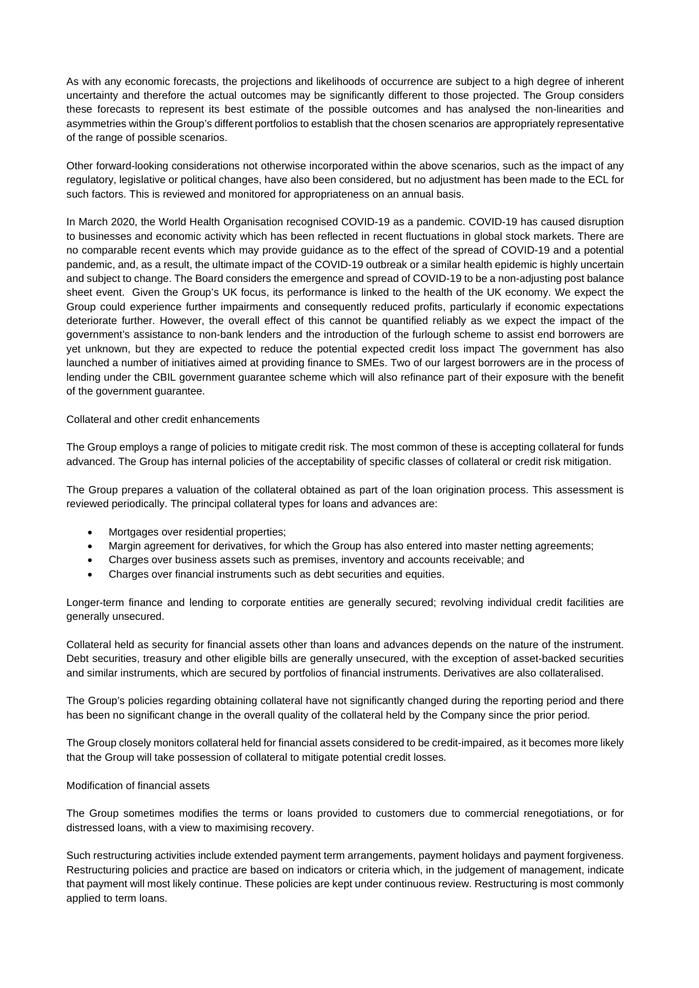As with any economic forecasts, the projections and likelihoods of occurrence are subject to a high degree of inherent uncertainty and therefore the actual outcomes may be significantly different to those projected. The Group considers these forecasts to represent its best estimate of the possible outcomes and has analysed the non-linearities and asymmetries within the Group's different portfolios to establish that the chosen scenarios are appropriately representative of the range of possible scenarios.

Other forward-looking considerations not otherwise incorporated within the above scenarios, such as the impact of any regulatory, legislative or political changes, have also been considered, but no adjustment has been made to the ECL for such factors. This is reviewed and monitored for appropriateness on an annual basis.

In March 2020, the World Health Organisation recognised COVID-19 as a pandemic. COVID-19 has caused disruption to businesses and economic activity which has been reflected in recent fluctuations in global stock markets. There are no comparable recent events which may provide guidance as to the effect of the spread of COVID-19 and a potential pandemic, and, as a result, the ultimate impact of the COVID-19 outbreak or a similar health epidemic is highly uncertain and subject to change. The Board considers the emergence and spread of COVID-19 to be a non-adjusting post balance sheet event. Given the Group's UK focus, its performance is linked to the health of the UK economy. We expect the Group could experience further impairments and consequently reduced profits, particularly if economic expectations deteriorate further. However, the overall effect of this cannot be quantified reliably as we expect the impact of the government's assistance to non-bank lenders and the introduction of the furlough scheme to assist end borrowers are yet unknown, but they are expected to reduce the potential expected credit loss impact The government has also launched a number of initiatives aimed at providing finance to SMEs. Two of our largest borrowers are in the process of lending under the CBIL government guarantee scheme which will also refinance part of their exposure with the benefit of the government guarantee.

# Collateral and other credit enhancements

The Group employs a range of policies to mitigate credit risk. The most common of these is accepting collateral for funds advanced. The Group has internal policies of the acceptability of specific classes of collateral or credit risk mitigation.

The Group prepares a valuation of the collateral obtained as part of the loan origination process. This assessment is reviewed periodically. The principal collateral types for loans and advances are:

- Mortgages over residential properties;
- Margin agreement for derivatives, for which the Group has also entered into master netting agreements;
- Charges over business assets such as premises, inventory and accounts receivable; and
- Charges over financial instruments such as debt securities and equities.

Longer-term finance and lending to corporate entities are generally secured; revolving individual credit facilities are generally unsecured.

Collateral held as security for financial assets other than loans and advances depends on the nature of the instrument. Debt securities, treasury and other eligible bills are generally unsecured, with the exception of asset-backed securities and similar instruments, which are secured by portfolios of financial instruments. Derivatives are also collateralised.

The Group's policies regarding obtaining collateral have not significantly changed during the reporting period and there has been no significant change in the overall quality of the collateral held by the Company since the prior period.

The Group closely monitors collateral held for financial assets considered to be credit-impaired, as it becomes more likely that the Group will take possession of collateral to mitigate potential credit losses.

#### Modification of financial assets

The Group sometimes modifies the terms or loans provided to customers due to commercial renegotiations, or for distressed loans, with a view to maximising recovery.

Such restructuring activities include extended payment term arrangements, payment holidays and payment forgiveness. Restructuring policies and practice are based on indicators or criteria which, in the judgement of management, indicate that payment will most likely continue. These policies are kept under continuous review. Restructuring is most commonly applied to term loans.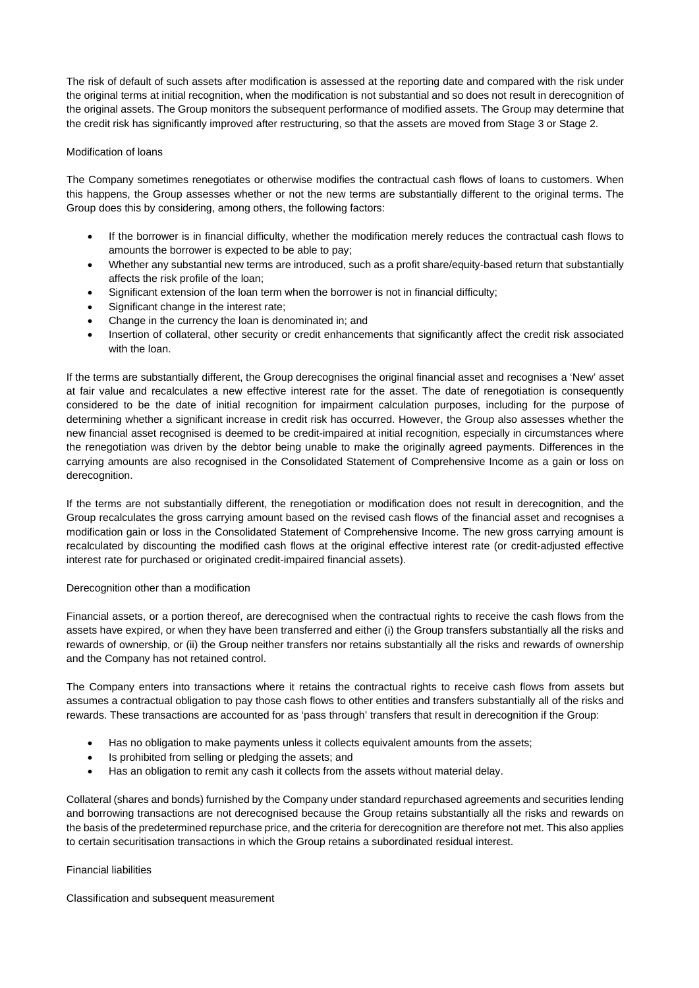The risk of default of such assets after modification is assessed at the reporting date and compared with the risk under the original terms at initial recognition, when the modification is not substantial and so does not result in derecognition of the original assets. The Group monitors the subsequent performance of modified assets. The Group may determine that the credit risk has significantly improved after restructuring, so that the assets are moved from Stage 3 or Stage 2.

# Modification of loans

The Company sometimes renegotiates or otherwise modifies the contractual cash flows of loans to customers. When this happens, the Group assesses whether or not the new terms are substantially different to the original terms. The Group does this by considering, among others, the following factors:

- If the borrower is in financial difficulty, whether the modification merely reduces the contractual cash flows to amounts the borrower is expected to be able to pay;
- Whether any substantial new terms are introduced, such as a profit share/equity-based return that substantially affects the risk profile of the loan;
- Significant extension of the loan term when the borrower is not in financial difficulty;
- Significant change in the interest rate;
- Change in the currency the loan is denominated in; and
- Insertion of collateral, other security or credit enhancements that significantly affect the credit risk associated with the loan.

If the terms are substantially different, the Group derecognises the original financial asset and recognises a 'New' asset at fair value and recalculates a new effective interest rate for the asset. The date of renegotiation is consequently considered to be the date of initial recognition for impairment calculation purposes, including for the purpose of determining whether a significant increase in credit risk has occurred. However, the Group also assesses whether the new financial asset recognised is deemed to be credit-impaired at initial recognition, especially in circumstances where the renegotiation was driven by the debtor being unable to make the originally agreed payments. Differences in the carrying amounts are also recognised in the Consolidated Statement of Comprehensive Income as a gain or loss on derecognition.

If the terms are not substantially different, the renegotiation or modification does not result in derecognition, and the Group recalculates the gross carrying amount based on the revised cash flows of the financial asset and recognises a modification gain or loss in the Consolidated Statement of Comprehensive Income. The new gross carrying amount is recalculated by discounting the modified cash flows at the original effective interest rate (or credit-adjusted effective interest rate for purchased or originated credit-impaired financial assets).

# Derecognition other than a modification

Financial assets, or a portion thereof, are derecognised when the contractual rights to receive the cash flows from the assets have expired, or when they have been transferred and either (i) the Group transfers substantially all the risks and rewards of ownership, or (ii) the Group neither transfers nor retains substantially all the risks and rewards of ownership and the Company has not retained control.

The Company enters into transactions where it retains the contractual rights to receive cash flows from assets but assumes a contractual obligation to pay those cash flows to other entities and transfers substantially all of the risks and rewards. These transactions are accounted for as 'pass through' transfers that result in derecognition if the Group:

- Has no obligation to make payments unless it collects equivalent amounts from the assets;
- Is prohibited from selling or pledging the assets; and
- Has an obligation to remit any cash it collects from the assets without material delay.

Collateral (shares and bonds) furnished by the Company under standard repurchased agreements and securities lending and borrowing transactions are not derecognised because the Group retains substantially all the risks and rewards on the basis of the predetermined repurchase price, and the criteria for derecognition are therefore not met. This also applies to certain securitisation transactions in which the Group retains a subordinated residual interest.

# Financial liabilities

Classification and subsequent measurement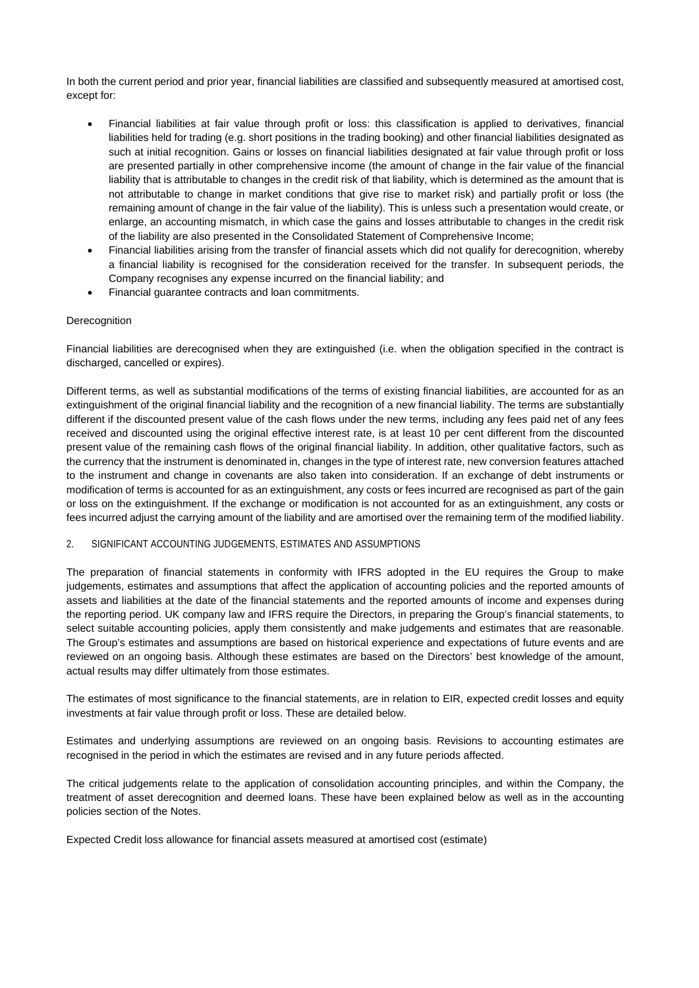In both the current period and prior year, financial liabilities are classified and subsequently measured at amortised cost, except for:

- Financial liabilities at fair value through profit or loss: this classification is applied to derivatives, financial liabilities held for trading (e.g. short positions in the trading booking) and other financial liabilities designated as such at initial recognition. Gains or losses on financial liabilities designated at fair value through profit or loss are presented partially in other comprehensive income (the amount of change in the fair value of the financial liability that is attributable to changes in the credit risk of that liability, which is determined as the amount that is not attributable to change in market conditions that give rise to market risk) and partially profit or loss (the remaining amount of change in the fair value of the liability). This is unless such a presentation would create, or enlarge, an accounting mismatch, in which case the gains and losses attributable to changes in the credit risk of the liability are also presented in the Consolidated Statement of Comprehensive Income;
- Financial liabilities arising from the transfer of financial assets which did not qualify for derecognition, whereby a financial liability is recognised for the consideration received for the transfer. In subsequent periods, the Company recognises any expense incurred on the financial liability; and
- Financial guarantee contracts and loan commitments.

# Derecognition

Financial liabilities are derecognised when they are extinguished (i.e. when the obligation specified in the contract is discharged, cancelled or expires).

Different terms, as well as substantial modifications of the terms of existing financial liabilities, are accounted for as an extinguishment of the original financial liability and the recognition of a new financial liability. The terms are substantially different if the discounted present value of the cash flows under the new terms, including any fees paid net of any fees received and discounted using the original effective interest rate, is at least 10 per cent different from the discounted present value of the remaining cash flows of the original financial liability. In addition, other qualitative factors, such as the currency that the instrument is denominated in, changes in the type of interest rate, new conversion features attached to the instrument and change in covenants are also taken into consideration. If an exchange of debt instruments or modification of terms is accounted for as an extinguishment, any costs or fees incurred are recognised as part of the gain or loss on the extinguishment. If the exchange or modification is not accounted for as an extinguishment, any costs or fees incurred adjust the carrying amount of the liability and are amortised over the remaining term of the modified liability.

# 2. SIGNIFICANT ACCOUNTING JUDGEMENTS, ESTIMATES AND ASSUMPTIONS

The preparation of financial statements in conformity with IFRS adopted in the EU requires the Group to make judgements, estimates and assumptions that affect the application of accounting policies and the reported amounts of assets and liabilities at the date of the financial statements and the reported amounts of income and expenses during the reporting period. UK company law and IFRS require the Directors, in preparing the Group's financial statements, to select suitable accounting policies, apply them consistently and make judgements and estimates that are reasonable. The Group's estimates and assumptions are based on historical experience and expectations of future events and are reviewed on an ongoing basis. Although these estimates are based on the Directors' best knowledge of the amount, actual results may differ ultimately from those estimates.

The estimates of most significance to the financial statements, are in relation to EIR, expected credit losses and equity investments at fair value through profit or loss. These are detailed below.

Estimates and underlying assumptions are reviewed on an ongoing basis. Revisions to accounting estimates are recognised in the period in which the estimates are revised and in any future periods affected.

The critical judgements relate to the application of consolidation accounting principles, and within the Company, the treatment of asset derecognition and deemed loans. These have been explained below as well as in the accounting policies section of the Notes.

Expected Credit loss allowance for financial assets measured at amortised cost (estimate)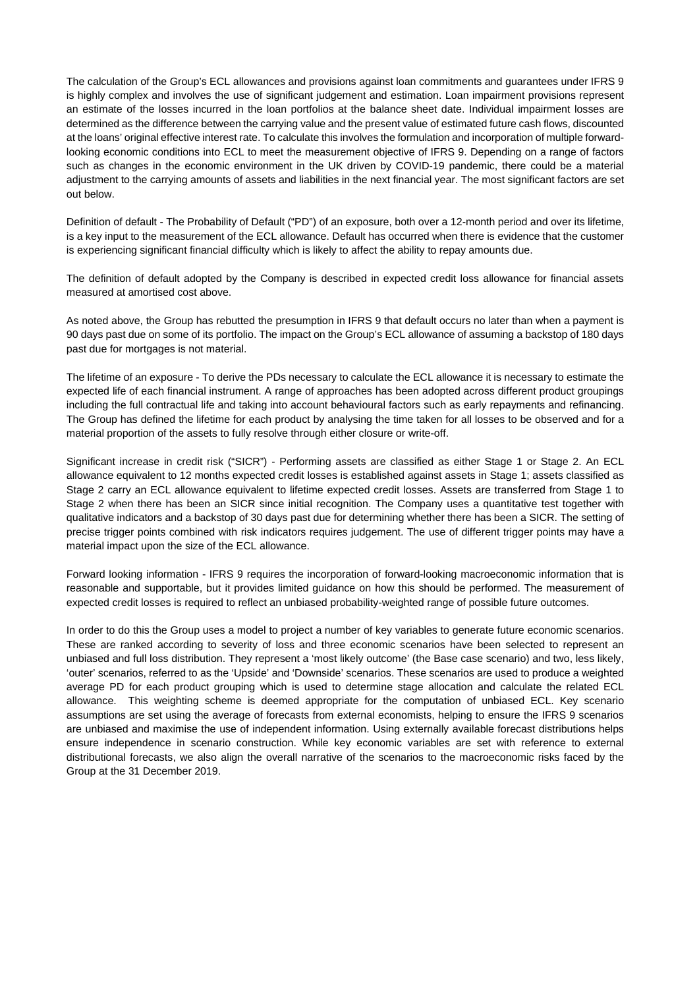The calculation of the Group's ECL allowances and provisions against loan commitments and guarantees under IFRS 9 is highly complex and involves the use of significant judgement and estimation. Loan impairment provisions represent an estimate of the losses incurred in the loan portfolios at the balance sheet date. Individual impairment losses are determined as the difference between the carrying value and the present value of estimated future cash flows, discounted at the loans' original effective interest rate. To calculate this involves the formulation and incorporation of multiple forwardlooking economic conditions into ECL to meet the measurement objective of IFRS 9. Depending on a range of factors such as changes in the economic environment in the UK driven by COVID-19 pandemic, there could be a material adjustment to the carrying amounts of assets and liabilities in the next financial year. The most significant factors are set out below.

Definition of default - The Probability of Default ("PD") of an exposure, both over a 12-month period and over its lifetime, is a key input to the measurement of the ECL allowance. Default has occurred when there is evidence that the customer is experiencing significant financial difficulty which is likely to affect the ability to repay amounts due.

The definition of default adopted by the Company is described in expected credit loss allowance for financial assets measured at amortised cost above.

As noted above, the Group has rebutted the presumption in IFRS 9 that default occurs no later than when a payment is 90 days past due on some of its portfolio. The impact on the Group's ECL allowance of assuming a backstop of 180 days past due for mortgages is not material.

The lifetime of an exposure - To derive the PDs necessary to calculate the ECL allowance it is necessary to estimate the expected life of each financial instrument. A range of approaches has been adopted across different product groupings including the full contractual life and taking into account behavioural factors such as early repayments and refinancing. The Group has defined the lifetime for each product by analysing the time taken for all losses to be observed and for a material proportion of the assets to fully resolve through either closure or write-off.

Significant increase in credit risk ("SICR") - Performing assets are classified as either Stage 1 or Stage 2. An ECL allowance equivalent to 12 months expected credit losses is established against assets in Stage 1; assets classified as Stage 2 carry an ECL allowance equivalent to lifetime expected credit losses. Assets are transferred from Stage 1 to Stage 2 when there has been an SICR since initial recognition. The Company uses a quantitative test together with qualitative indicators and a backstop of 30 days past due for determining whether there has been a SICR. The setting of precise trigger points combined with risk indicators requires judgement. The use of different trigger points may have a material impact upon the size of the ECL allowance.

Forward looking information - IFRS 9 requires the incorporation of forward-looking macroeconomic information that is reasonable and supportable, but it provides limited guidance on how this should be performed. The measurement of expected credit losses is required to reflect an unbiased probability-weighted range of possible future outcomes.

In order to do this the Group uses a model to project a number of key variables to generate future economic scenarios. These are ranked according to severity of loss and three economic scenarios have been selected to represent an unbiased and full loss distribution. They represent a 'most likely outcome' (the Base case scenario) and two, less likely, 'outer' scenarios, referred to as the 'Upside' and 'Downside' scenarios. These scenarios are used to produce a weighted average PD for each product grouping which is used to determine stage allocation and calculate the related ECL allowance. This weighting scheme is deemed appropriate for the computation of unbiased ECL. Key scenario assumptions are set using the average of forecasts from external economists, helping to ensure the IFRS 9 scenarios are unbiased and maximise the use of independent information. Using externally available forecast distributions helps ensure independence in scenario construction. While key economic variables are set with reference to external distributional forecasts, we also align the overall narrative of the scenarios to the macroeconomic risks faced by the Group at the 31 December 2019.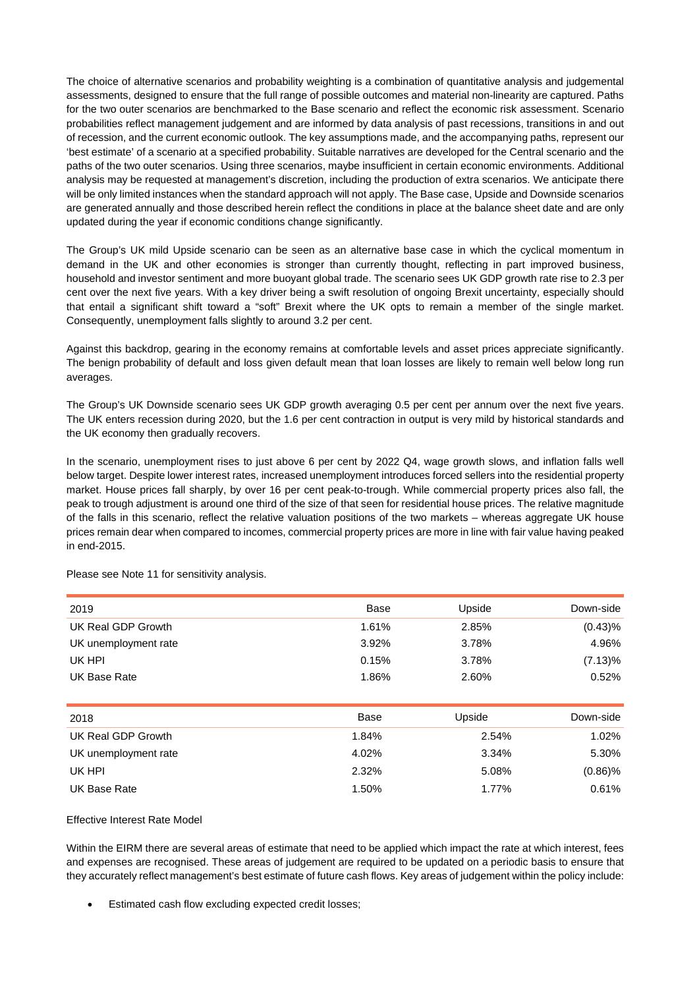The choice of alternative scenarios and probability weighting is a combination of quantitative analysis and judgemental assessments, designed to ensure that the full range of possible outcomes and material non-linearity are captured. Paths for the two outer scenarios are benchmarked to the Base scenario and reflect the economic risk assessment. Scenario probabilities reflect management judgement and are informed by data analysis of past recessions, transitions in and out of recession, and the current economic outlook. The key assumptions made, and the accompanying paths, represent our 'best estimate' of a scenario at a specified probability. Suitable narratives are developed for the Central scenario and the paths of the two outer scenarios. Using three scenarios, maybe insufficient in certain economic environments. Additional analysis may be requested at management's discretion, including the production of extra scenarios. We anticipate there will be only limited instances when the standard approach will not apply. The Base case, Upside and Downside scenarios are generated annually and those described herein reflect the conditions in place at the balance sheet date and are only updated during the year if economic conditions change significantly.

The Group's UK mild Upside scenario can be seen as an alternative base case in which the cyclical momentum in demand in the UK and other economies is stronger than currently thought, reflecting in part improved business, household and investor sentiment and more buoyant global trade. The scenario sees UK GDP growth rate rise to 2.3 per cent over the next five years. With a key driver being a swift resolution of ongoing Brexit uncertainty, especially should that entail a significant shift toward a "soft" Brexit where the UK opts to remain a member of the single market. Consequently, unemployment falls slightly to around 3.2 per cent.

Against this backdrop, gearing in the economy remains at comfortable levels and asset prices appreciate significantly. The benign probability of default and loss given default mean that loan losses are likely to remain well below long run averages.

The Group's UK Downside scenario sees UK GDP growth averaging 0.5 per cent per annum over the next five years. The UK enters recession during 2020, but the 1.6 per cent contraction in output is very mild by historical standards and the UK economy then gradually recovers.

In the scenario, unemployment rises to just above 6 per cent by 2022 Q4, wage growth slows, and inflation falls well below target. Despite lower interest rates, increased unemployment introduces forced sellers into the residential property market. House prices fall sharply, by over 16 per cent peak-to-trough. While commercial property prices also fall, the peak to trough adjustment is around one third of the size of that seen for residential house prices. The relative magnitude of the falls in this scenario, reflect the relative valuation positions of the two markets – whereas aggregate UK house prices remain dear when compared to incomes, commercial property prices are more in line with fair value having peaked in end-2015.

| 2019                 | Base  | Upside | Down-side  |
|----------------------|-------|--------|------------|
| UK Real GDP Growth   | 1.61% | 2.85%  | (0.43)%    |
| UK unemployment rate | 3.92% | 3.78%  | 4.96%      |
| UK HPI               | 0.15% | 3.78%  | $(7.13)\%$ |
| UK Base Rate         | 1.86% | 2.60%  | 0.52%      |
|                      |       |        |            |
|                      |       |        |            |
| 2018                 | Base  | Upside | Down-side  |
| UK Real GDP Growth   | 1.84% | 2.54%  | 1.02%      |
| UK unemployment rate | 4.02% | 3.34%  | 5.30%      |
| UK HPI               | 2.32% | 5.08%  | $(0.86)\%$ |

Please see Note 11 for sensitivity analysis.

# Effective Interest Rate Model

Within the EIRM there are several areas of estimate that need to be applied which impact the rate at which interest, fees and expenses are recognised. These areas of judgement are required to be updated on a periodic basis to ensure that they accurately reflect management's best estimate of future cash flows. Key areas of judgement within the policy include:

Estimated cash flow excluding expected credit losses;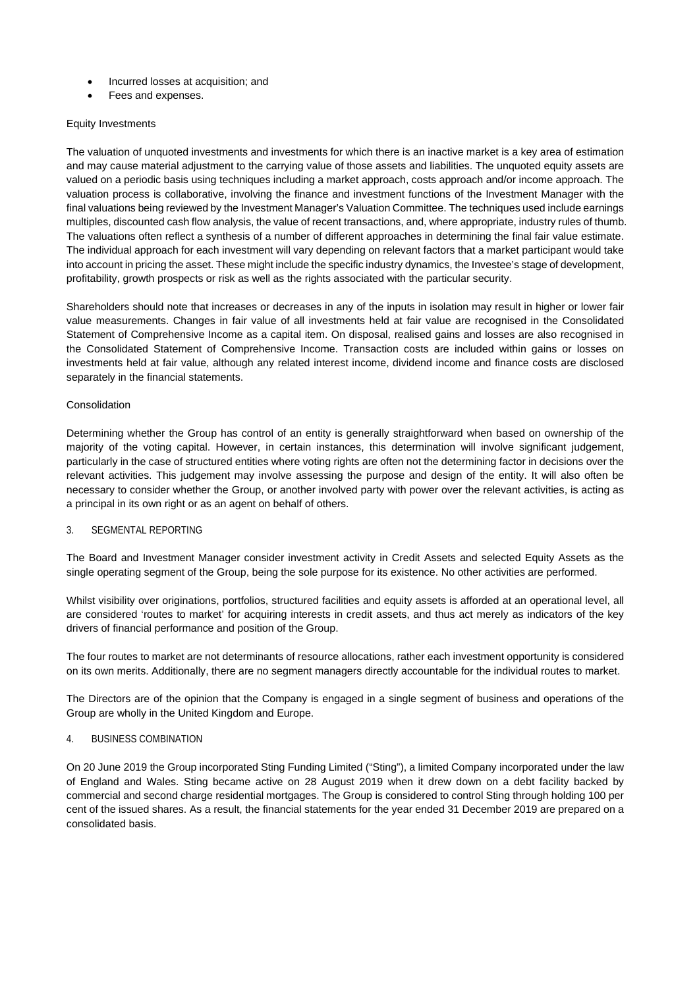- Incurred losses at acquisition; and
- Fees and expenses.

# Equity Investments

The valuation of unquoted investments and investments for which there is an inactive market is a key area of estimation and may cause material adjustment to the carrying value of those assets and liabilities. The unquoted equity assets are valued on a periodic basis using techniques including a market approach, costs approach and/or income approach. The valuation process is collaborative, involving the finance and investment functions of the Investment Manager with the final valuations being reviewed by the Investment Manager's Valuation Committee. The techniques used include earnings multiples, discounted cash flow analysis, the value of recent transactions, and, where appropriate, industry rules of thumb. The valuations often reflect a synthesis of a number of different approaches in determining the final fair value estimate. The individual approach for each investment will vary depending on relevant factors that a market participant would take into account in pricing the asset. These might include the specific industry dynamics, the Investee's stage of development, profitability, growth prospects or risk as well as the rights associated with the particular security.

Shareholders should note that increases or decreases in any of the inputs in isolation may result in higher or lower fair value measurements. Changes in fair value of all investments held at fair value are recognised in the Consolidated Statement of Comprehensive Income as a capital item. On disposal, realised gains and losses are also recognised in the Consolidated Statement of Comprehensive Income. Transaction costs are included within gains or losses on investments held at fair value, although any related interest income, dividend income and finance costs are disclosed separately in the financial statements.

# Consolidation

Determining whether the Group has control of an entity is generally straightforward when based on ownership of the majority of the voting capital. However, in certain instances, this determination will involve significant judgement, particularly in the case of structured entities where voting rights are often not the determining factor in decisions over the relevant activities. This judgement may involve assessing the purpose and design of the entity. It will also often be necessary to consider whether the Group, or another involved party with power over the relevant activities, is acting as a principal in its own right or as an agent on behalf of others.

# 3. SEGMENTAL REPORTING

The Board and Investment Manager consider investment activity in Credit Assets and selected Equity Assets as the single operating segment of the Group, being the sole purpose for its existence. No other activities are performed.

Whilst visibility over originations, portfolios, structured facilities and equity assets is afforded at an operational level, all are considered 'routes to market' for acquiring interests in credit assets, and thus act merely as indicators of the key drivers of financial performance and position of the Group.

The four routes to market are not determinants of resource allocations, rather each investment opportunity is considered on its own merits. Additionally, there are no segment managers directly accountable for the individual routes to market.

The Directors are of the opinion that the Company is engaged in a single segment of business and operations of the Group are wholly in the United Kingdom and Europe.

# 4. BUSINESS COMBINATION

On 20 June 2019 the Group incorporated Sting Funding Limited ("Sting"), a limited Company incorporated under the law of England and Wales. Sting became active on 28 August 2019 when it drew down on a debt facility backed by commercial and second charge residential mortgages. The Group is considered to control Sting through holding 100 per cent of the issued shares. As a result, the financial statements for the year ended 31 December 2019 are prepared on a consolidated basis.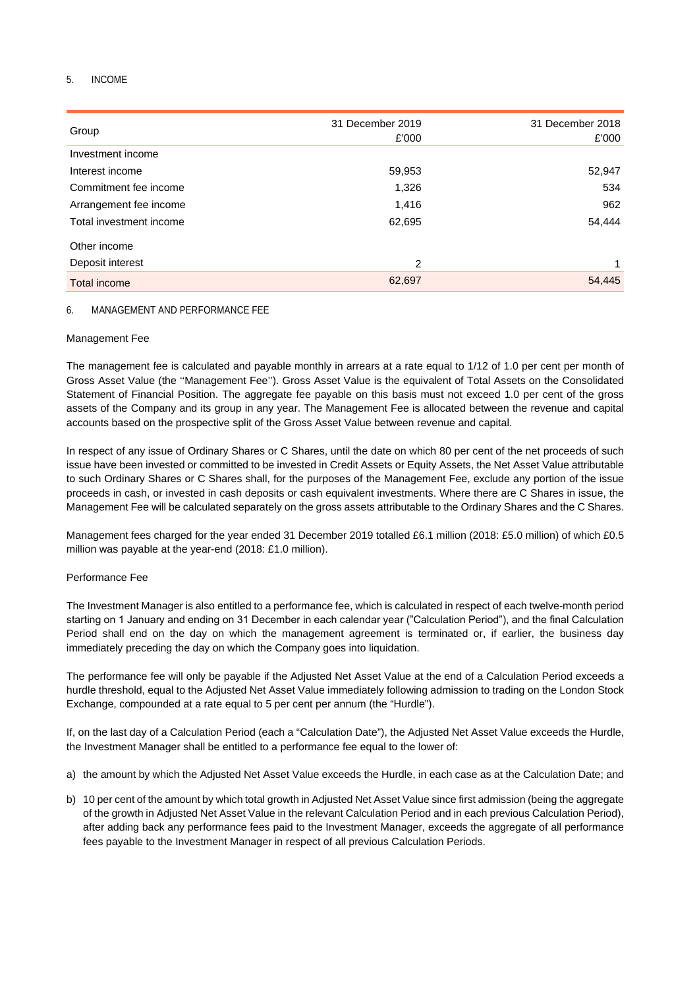# 5. INCOME

| Group                   | 31 December 2019<br>£'000 | 31 December 2018<br>£'000 |
|-------------------------|---------------------------|---------------------------|
| Investment income       |                           |                           |
| Interest income         | 59,953                    | 52,947                    |
| Commitment fee income   | 1,326                     | 534                       |
| Arrangement fee income  | 1,416                     | 962                       |
| Total investment income | 62,695                    | 54,444                    |
| Other income            |                           |                           |
| Deposit interest        | 2                         | 1                         |
| <b>Total income</b>     | 62,697                    | 54,445                    |

# 6. MANAGEMENT AND PERFORMANCE FEE

# Management Fee

The management fee is calculated and payable monthly in arrears at a rate equal to 1/12 of 1.0 per cent per month of Gross Asset Value (the ''Management Fee''). Gross Asset Value is the equivalent of Total Assets on the Consolidated Statement of Financial Position. The aggregate fee payable on this basis must not exceed 1.0 per cent of the gross assets of the Company and its group in any year. The Management Fee is allocated between the revenue and capital accounts based on the prospective split of the Gross Asset Value between revenue and capital.

In respect of any issue of Ordinary Shares or C Shares, until the date on which 80 per cent of the net proceeds of such issue have been invested or committed to be invested in Credit Assets or Equity Assets, the Net Asset Value attributable to such Ordinary Shares or C Shares shall, for the purposes of the Management Fee, exclude any portion of the issue proceeds in cash, or invested in cash deposits or cash equivalent investments. Where there are C Shares in issue, the Management Fee will be calculated separately on the gross assets attributable to the Ordinary Shares and the C Shares.

Management fees charged for the year ended 31 December 2019 totalled £6.1 million (2018: £5.0 million) of which £0.5 million was payable at the year-end (2018: £1.0 million).

# Performance Fee

The Investment Manager is also entitled to a performance fee, which is calculated in respect of each twelve-month period starting on 1 January and ending on 31 December in each calendar year ("Calculation Period"), and the final Calculation Period shall end on the day on which the management agreement is terminated or, if earlier, the business day immediately preceding the day on which the Company goes into liquidation.

The performance fee will only be payable if the Adjusted Net Asset Value at the end of a Calculation Period exceeds a hurdle threshold, equal to the Adjusted Net Asset Value immediately following admission to trading on the London Stock Exchange, compounded at a rate equal to 5 per cent per annum (the "Hurdle").

If, on the last day of a Calculation Period (each a "Calculation Date"), the Adjusted Net Asset Value exceeds the Hurdle, the Investment Manager shall be entitled to a performance fee equal to the lower of:

- a) the amount by which the Adjusted Net Asset Value exceeds the Hurdle, in each case as at the Calculation Date; and
- b) 10 per cent of the amount by which total growth in Adjusted Net Asset Value since first admission (being the aggregate of the growth in Adjusted Net Asset Value in the relevant Calculation Period and in each previous Calculation Period), after adding back any performance fees paid to the Investment Manager, exceeds the aggregate of all performance fees payable to the Investment Manager in respect of all previous Calculation Periods.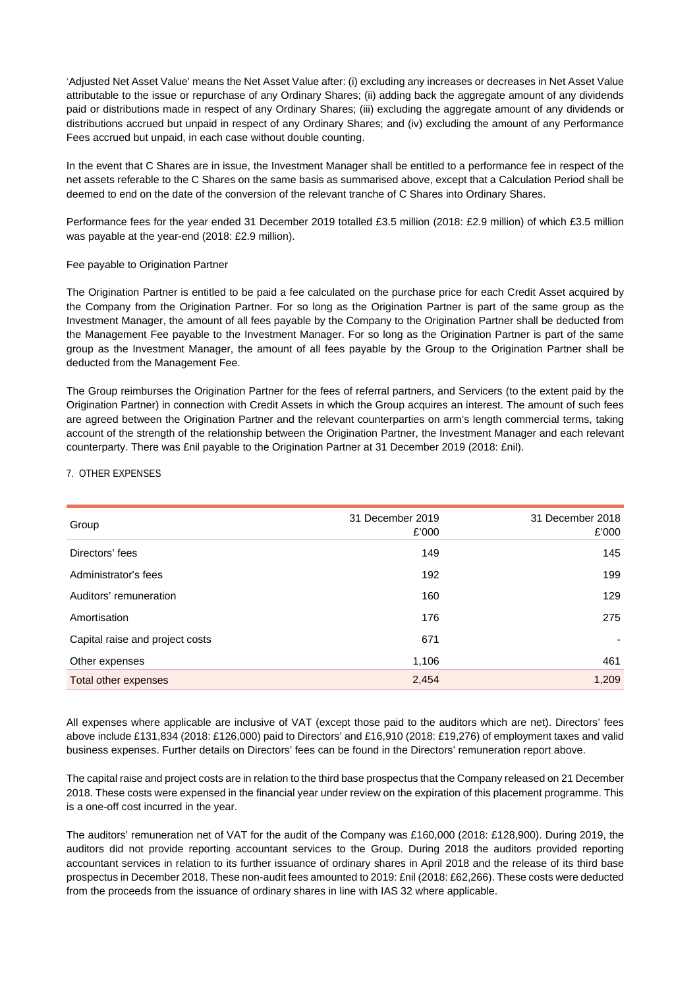'Adjusted Net Asset Value' means the Net Asset Value after: (i) excluding any increases or decreases in Net Asset Value attributable to the issue or repurchase of any Ordinary Shares; (ii) adding back the aggregate amount of any dividends paid or distributions made in respect of any Ordinary Shares; (iii) excluding the aggregate amount of any dividends or distributions accrued but unpaid in respect of any Ordinary Shares; and (iv) excluding the amount of any Performance Fees accrued but unpaid, in each case without double counting.

In the event that C Shares are in issue, the Investment Manager shall be entitled to a performance fee in respect of the net assets referable to the C Shares on the same basis as summarised above, except that a Calculation Period shall be deemed to end on the date of the conversion of the relevant tranche of C Shares into Ordinary Shares.

Performance fees for the year ended 31 December 2019 totalled £3.5 million (2018: £2.9 million) of which £3.5 million was payable at the year-end (2018: £2.9 million).

# Fee payable to Origination Partner

The Origination Partner is entitled to be paid a fee calculated on the purchase price for each Credit Asset acquired by the Company from the Origination Partner. For so long as the Origination Partner is part of the same group as the Investment Manager, the amount of all fees payable by the Company to the Origination Partner shall be deducted from the Management Fee payable to the Investment Manager. For so long as the Origination Partner is part of the same group as the Investment Manager, the amount of all fees payable by the Group to the Origination Partner shall be deducted from the Management Fee.

The Group reimburses the Origination Partner for the fees of referral partners, and Servicers (to the extent paid by the Origination Partner) in connection with Credit Assets in which the Group acquires an interest. The amount of such fees are agreed between the Origination Partner and the relevant counterparties on arm's length commercial terms, taking account of the strength of the relationship between the Origination Partner, the Investment Manager and each relevant counterparty. There was £nil payable to the Origination Partner at 31 December 2019 (2018: £nil).

#### 7. OTHER EXPENSES

| Group                           | 31 December 2019<br>£'000 | 31 December 2018<br>£'000 |
|---------------------------------|---------------------------|---------------------------|
| Directors' fees                 | 149                       | 145                       |
| Administrator's fees            | 192                       | 199                       |
| Auditors' remuneration          | 160                       | 129                       |
| Amortisation                    | 176                       | 275                       |
| Capital raise and project costs | 671                       | ۰                         |
| Other expenses                  | 1,106                     | 461                       |
| Total other expenses            | 2,454                     | 1,209                     |

All expenses where applicable are inclusive of VAT (except those paid to the auditors which are net). Directors' fees above include £131,834 (2018: £126,000) paid to Directors' and £16,910 (2018: £19,276) of employment taxes and valid business expenses. Further details on Directors' fees can be found in the Directors' remuneration report above.

The capital raise and project costs are in relation to the third base prospectus that the Company released on 21 December 2018. These costs were expensed in the financial year under review on the expiration of this placement programme. This is a one-off cost incurred in the year.

The auditors' remuneration net of VAT for the audit of the Company was £160,000 (2018: £128,900). During 2019, the auditors did not provide reporting accountant services to the Group. During 2018 the auditors provided reporting accountant services in relation to its further issuance of ordinary shares in April 2018 and the release of its third base prospectus in December 2018. These non-audit fees amounted to 2019: £nil (2018: £62,266). These costs were deducted from the proceeds from the issuance of ordinary shares in line with IAS 32 where applicable.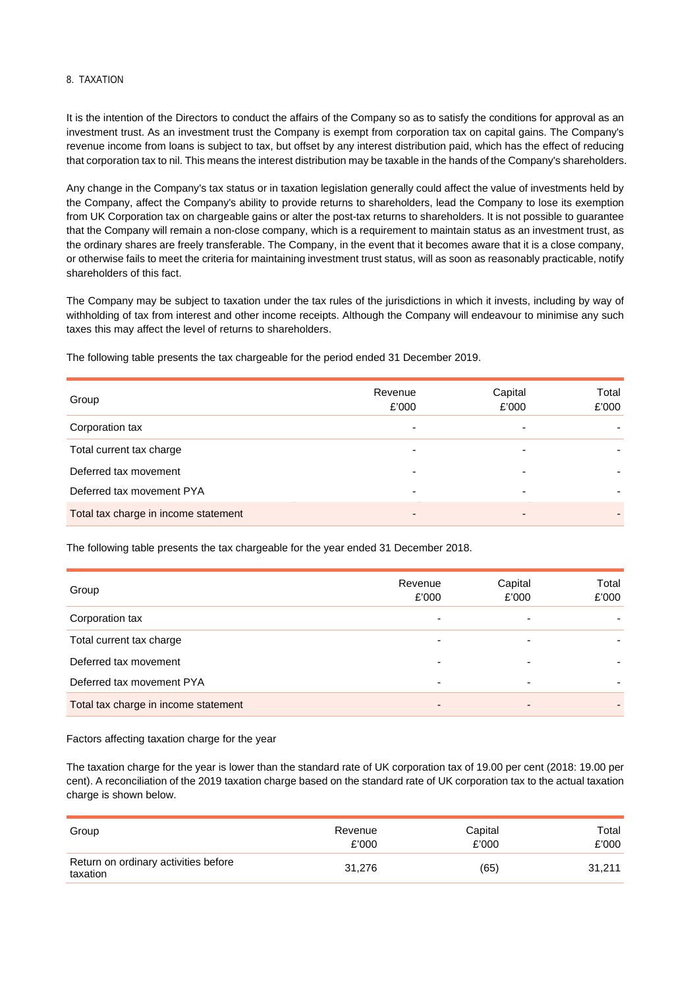# 8. TAXATION

It is the intention of the Directors to conduct the affairs of the Company so as to satisfy the conditions for approval as an investment trust. As an investment trust the Company is exempt from corporation tax on capital gains. The Company's revenue income from loans is subject to tax, but offset by any interest distribution paid, which has the effect of reducing that corporation tax to nil. This means the interest distribution may be taxable in the hands of the Company's shareholders.

Any change in the Company's tax status or in taxation legislation generally could affect the value of investments held by the Company, affect the Company's ability to provide returns to shareholders, lead the Company to lose its exemption from UK Corporation tax on chargeable gains or alter the post-tax returns to shareholders. It is not possible to guarantee that the Company will remain a non-close company, which is a requirement to maintain status as an investment trust, as the ordinary shares are freely transferable. The Company, in the event that it becomes aware that it is a close company, or otherwise fails to meet the criteria for maintaining investment trust status, will as soon as reasonably practicable, notify shareholders of this fact.

The Company may be subject to taxation under the tax rules of the jurisdictions in which it invests, including by way of withholding of tax from interest and other income receipts. Although the Company will endeavour to minimise any such taxes this may affect the level of returns to shareholders.

The following table presents the tax chargeable for the period ended 31 December 2019.

| Group                                | Revenue<br>£'000 | Capital<br>£'000 | Total<br>£'000 |
|--------------------------------------|------------------|------------------|----------------|
| Corporation tax                      | -                |                  |                |
| Total current tax charge             | -                | -                |                |
| Deferred tax movement                | -                | -                |                |
| Deferred tax movement PYA            | -                |                  |                |
| Total tax charge in income statement | $\overline{a}$   |                  |                |

The following table presents the tax chargeable for the year ended 31 December 2018.

| Group                                | Revenue<br>£'000 | Capital<br>£'000 | Total<br>£'000 |
|--------------------------------------|------------------|------------------|----------------|
| Corporation tax                      |                  |                  |                |
| Total current tax charge             |                  |                  |                |
| Deferred tax movement                |                  |                  |                |
| Deferred tax movement PYA            |                  |                  |                |
| Total tax charge in income statement | -                |                  |                |

Factors affecting taxation charge for the year

The taxation charge for the year is lower than the standard rate of UK corporation tax of 19.00 per cent (2018: 19.00 per cent). A reconciliation of the 2019 taxation charge based on the standard rate of UK corporation tax to the actual taxation charge is shown below.

| Group                                            | Revenue | Capital | Total  |
|--------------------------------------------------|---------|---------|--------|
|                                                  | £'000   | £'000   | £'000  |
| Return on ordinary activities before<br>taxation | 31.276  | (65)    | 31.211 |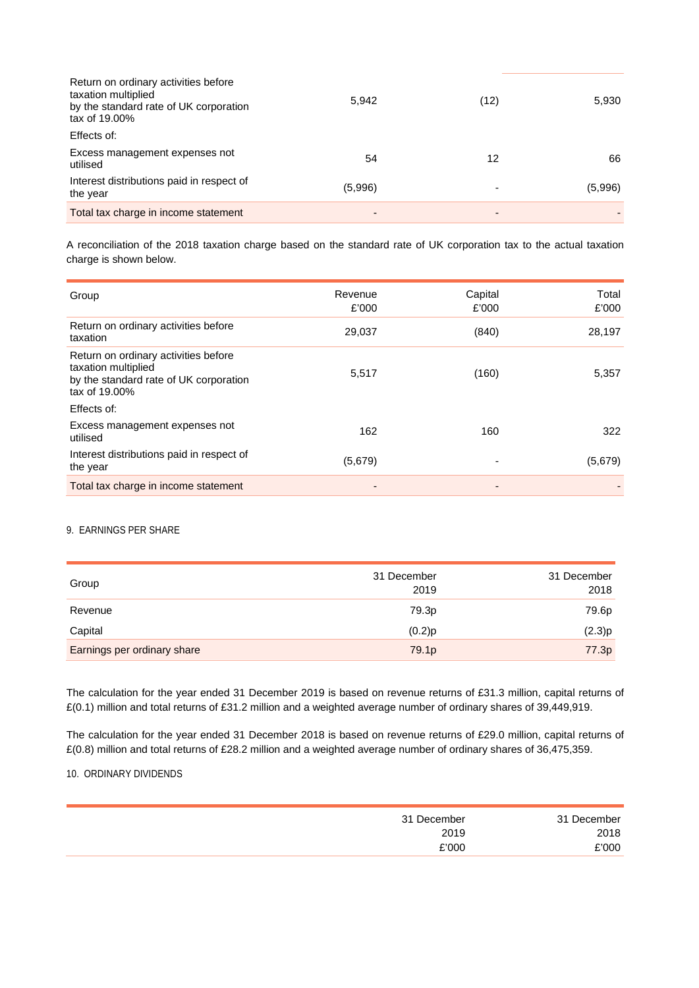| Return on ordinary activities before<br>taxation multiplied<br>by the standard rate of UK corporation<br>tax of 19.00% | 5,942   | (12) | 5,930   |
|------------------------------------------------------------------------------------------------------------------------|---------|------|---------|
| Effects of:                                                                                                            |         |      |         |
| Excess management expenses not<br>utilised                                                                             | 54      | 12   | 66      |
| Interest distributions paid in respect of<br>the year                                                                  | (5,996) |      | (5,996) |
| Total tax charge in income statement                                                                                   | -       | -    |         |

A reconciliation of the 2018 taxation charge based on the standard rate of UK corporation tax to the actual taxation charge is shown below.

| Group                                                                                                                  | Revenue<br>£'000 | Capital<br>£'000         | Total<br>£'000 |
|------------------------------------------------------------------------------------------------------------------------|------------------|--------------------------|----------------|
| Return on ordinary activities before<br>taxation                                                                       | 29,037           | (840)                    | 28,197         |
| Return on ordinary activities before<br>taxation multiplied<br>by the standard rate of UK corporation<br>tax of 19.00% | 5,517            | (160)                    | 5,357          |
| Effects of:                                                                                                            |                  |                          |                |
| Excess management expenses not<br>utilised                                                                             | 162              | 160                      | 322            |
| Interest distributions paid in respect of<br>the year                                                                  | (5,679)          |                          | (5,679)        |
| Total tax charge in income statement                                                                                   |                  | $\overline{\phantom{a}}$ |                |

### 9. EARNINGS PER SHARE

| Group                       | 31 December<br>2019 | 31 December<br>2018 |
|-----------------------------|---------------------|---------------------|
| Revenue                     | 79.3p               | 79.6p               |
| Capital                     | (0.2)p              | (2.3)p              |
| Earnings per ordinary share | 79.1 <sub>p</sub>   | 77.3p               |

The calculation for the year ended 31 December 2019 is based on revenue returns of £31.3 million, capital returns of £(0.1) million and total returns of £31.2 million and a weighted average number of ordinary shares of 39,449,919.

The calculation for the year ended 31 December 2018 is based on revenue returns of £29.0 million, capital returns of £(0.8) million and total returns of £28.2 million and a weighted average number of ordinary shares of 36,475,359.

## 10. ORDINARY DIVIDENDS

| 31 December | 31 December |
|-------------|-------------|
| 2018        | 2019        |
| `'000       | £'000       |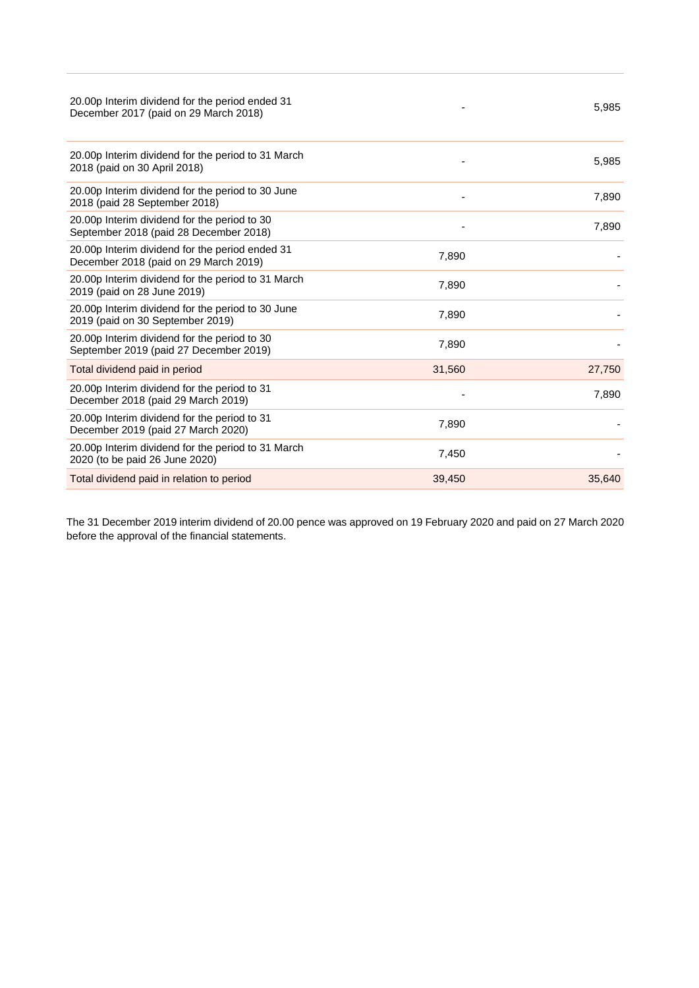| 20.00p Interim dividend for the period ended 31<br>December 2017 (paid on 29 March 2018) |        | 5,985  |
|------------------------------------------------------------------------------------------|--------|--------|
| 20.00p Interim dividend for the period to 31 March<br>2018 (paid on 30 April 2018)       |        | 5,985  |
| 20.00p Interim dividend for the period to 30 June<br>2018 (paid 28 September 2018)       |        | 7,890  |
| 20.00p Interim dividend for the period to 30<br>September 2018 (paid 28 December 2018)   |        | 7,890  |
| 20.00p Interim dividend for the period ended 31<br>December 2018 (paid on 29 March 2019) | 7,890  |        |
| 20.00p Interim dividend for the period to 31 March<br>2019 (paid on 28 June 2019)        | 7,890  |        |
| 20.00p Interim dividend for the period to 30 June<br>2019 (paid on 30 September 2019)    | 7,890  |        |
| 20.00p Interim dividend for the period to 30<br>September 2019 (paid 27 December 2019)   | 7,890  |        |
| Total dividend paid in period                                                            | 31,560 | 27,750 |
| 20.00p Interim dividend for the period to 31<br>December 2018 (paid 29 March 2019)       |        | 7,890  |
| 20.00p Interim dividend for the period to 31<br>December 2019 (paid 27 March 2020)       | 7,890  |        |
| 20.00p Interim dividend for the period to 31 March<br>2020 (to be paid 26 June 2020)     | 7,450  |        |
| Total dividend paid in relation to period                                                | 39,450 | 35,640 |

The 31 December 2019 interim dividend of 20.00 pence was approved on 19 February 2020 and paid on 27 March 2020 before the approval of the financial statements.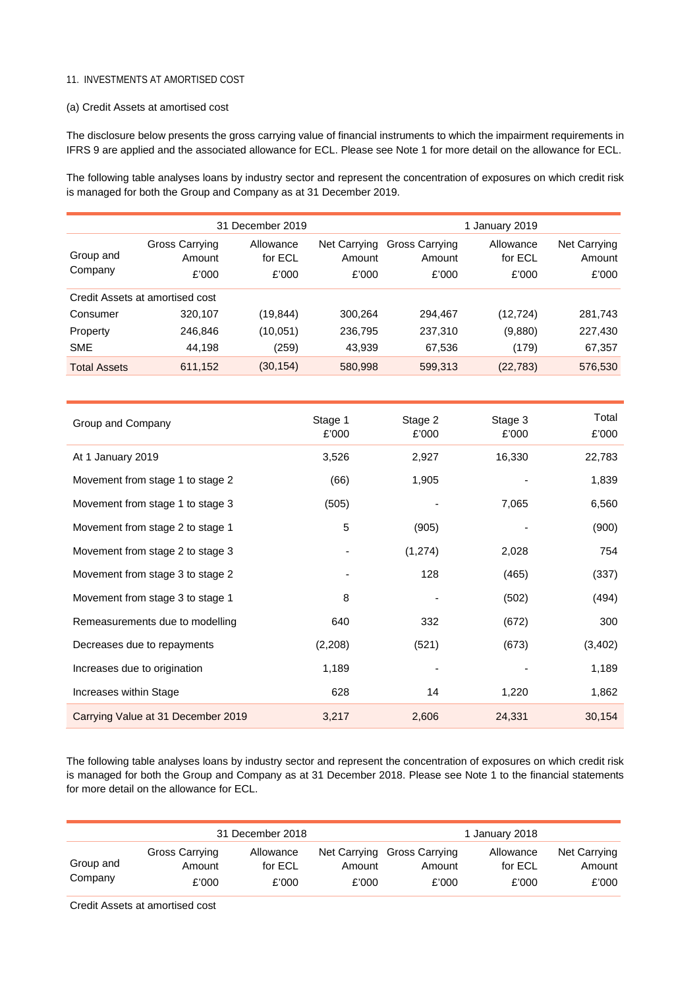## 11. INVESTMENTS AT AMORTISED COST

### (a) Credit Assets at amortised cost

The disclosure below presents the gross carrying value of financial instruments to which the impairment requirements in IFRS 9 are applied and the associated allowance for ECL. Please see Note 1 for more detail on the allowance for ECL.

The following table analyses loans by industry sector and represent the concentration of exposures on which credit risk is managed for both the Group and Company as at 31 December 2019.

|                      |                                   | 31 December 2019              |                                 |                                   | 1 January 2019                |                                 |
|----------------------|-----------------------------------|-------------------------------|---------------------------------|-----------------------------------|-------------------------------|---------------------------------|
| Group and<br>Company | Gross Carrying<br>Amount<br>£'000 | Allowance<br>for ECL<br>£'000 | Net Carrying<br>Amount<br>£'000 | Gross Carrying<br>Amount<br>£'000 | Allowance<br>for ECL<br>£'000 | Net Carrying<br>Amount<br>£'000 |
|                      | Credit Assets at amortised cost   |                               |                                 |                                   |                               |                                 |
| Consumer             | 320,107                           | (19, 844)                     | 300,264                         | 294,467                           | (12, 724)                     | 281,743                         |
| Property             | 246,846                           | (10,051)                      | 236,795                         | 237,310                           | (9,880)                       | 227,430                         |
| <b>SME</b>           | 44,198                            | (259)                         | 43,939                          | 67,536                            | (179)                         | 67,357                          |
| <b>Total Assets</b>  | 611,152                           | (30, 154)                     | 580.998                         | 599,313                           | (22, 783)                     | 576,530                         |

| Group and Company                  | Stage 1<br>£'000 | Stage 2<br>£'000 | Stage 3<br>£'000 | Total<br>£'000 |
|------------------------------------|------------------|------------------|------------------|----------------|
| At 1 January 2019                  | 3,526            | 2,927            | 16,330           | 22,783         |
| Movement from stage 1 to stage 2   | (66)             | 1,905            |                  | 1,839          |
| Movement from stage 1 to stage 3   | (505)            |                  | 7,065            | 6,560          |
| Movement from stage 2 to stage 1   | 5                | (905)            |                  | (900)          |
| Movement from stage 2 to stage 3   |                  | (1,274)          | 2,028            | 754            |
| Movement from stage 3 to stage 2   |                  | 128              | (465)            | (337)          |
| Movement from stage 3 to stage 1   | 8                |                  | (502)            | (494)          |
| Remeasurements due to modelling    | 640              | 332              | (672)            | 300            |
| Decreases due to repayments        | (2,208)          | (521)            | (673)            | (3, 402)       |
| Increases due to origination       | 1,189            |                  |                  | 1,189          |
| Increases within Stage             | 628              | 14               | 1,220            | 1,862          |
| Carrying Value at 31 December 2019 | 3,217            | 2,606            | 24,331           | 30,154         |

The following table analyses loans by industry sector and represent the concentration of exposures on which credit risk is managed for both the Group and Company as at 31 December 2018. Please see Note 1 to the financial statements for more detail on the allowance for ECL.

|                      |                          | 31 December 2018     |        |                                       | 1 January 2018       |                        |
|----------------------|--------------------------|----------------------|--------|---------------------------------------|----------------------|------------------------|
| Group and<br>Company | Gross Carrying<br>Amount | Allowance<br>for ECL | Amount | Net Carrying Gross Carrying<br>Amount | Allowance<br>for ECL | Net Carrying<br>Amount |
|                      | £'000                    | £'000                | £'000  | £'000                                 | £'000                | £'000                  |

Credit Assets at amortised cost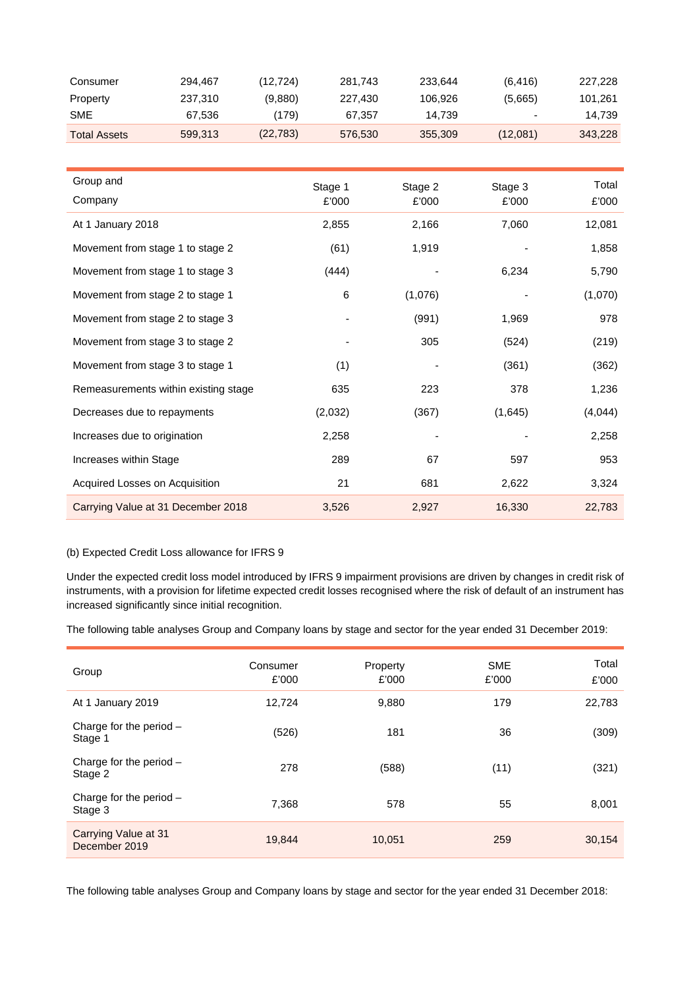| Consumer            | 294.467 | (12.724)  | 281.743 | 233.644 | (6, 416) | 227,228 |
|---------------------|---------|-----------|---------|---------|----------|---------|
| Property            | 237.310 | (9,880)   | 227.430 | 106.926 | (5,665)  | 101.261 |
| <b>SME</b>          | 67.536  | (179)     | 67.357  | 14.739  |          | 14.739  |
| <b>Total Assets</b> | 599.313 | (22, 783) | 576,530 | 355,309 | (12,081) | 343,228 |

| Group and                            | Stage 1 | Stage 2 | Stage 3 | Total   |
|--------------------------------------|---------|---------|---------|---------|
| Company                              | £'000   | £'000   | £'000   | £'000   |
| At 1 January 2018                    | 2,855   | 2,166   | 7,060   | 12,081  |
| Movement from stage 1 to stage 2     | (61)    | 1,919   |         | 1,858   |
| Movement from stage 1 to stage 3     | (444)   |         | 6,234   | 5,790   |
| Movement from stage 2 to stage 1     | 6       | (1,076) |         | (1,070) |
| Movement from stage 2 to stage 3     |         | (991)   | 1,969   | 978     |
| Movement from stage 3 to stage 2     |         | 305     | (524)   | (219)   |
| Movement from stage 3 to stage 1     | (1)     |         | (361)   | (362)   |
| Remeasurements within existing stage | 635     | 223     | 378     | 1,236   |
| Decreases due to repayments          | (2,032) | (367)   | (1,645) | (4,044) |
| Increases due to origination         | 2,258   |         |         | 2,258   |
| Increases within Stage               | 289     | 67      | 597     | 953     |
| Acquired Losses on Acquisition       | 21      | 681     | 2,622   | 3,324   |
| Carrying Value at 31 December 2018   | 3,526   | 2,927   | 16,330  | 22,783  |

# (b) Expected Credit Loss allowance for IFRS 9

Under the expected credit loss model introduced by IFRS 9 impairment provisions are driven by changes in credit risk of instruments, with a provision for lifetime expected credit losses recognised where the risk of default of an instrument has increased significantly since initial recognition.

The following table analyses Group and Company loans by stage and sector for the year ended 31 December 2019:

| Group                                 | Consumer<br>£'000 | Property<br>£'000 | <b>SME</b><br>£'000 | Total<br>£'000 |
|---------------------------------------|-------------------|-------------------|---------------------|----------------|
| At 1 January 2019                     | 12.724            | 9,880             | 179                 | 22,783         |
| Charge for the period $-$<br>Stage 1  | (526)             | 181               | 36                  | (309)          |
| Charge for the period $-$<br>Stage 2  | 278               | (588)             | (11)                | (321)          |
| Charge for the period $-$<br>Stage 3  | 7.368             | 578               | 55                  | 8,001          |
| Carrying Value at 31<br>December 2019 | 19,844            | 10,051            | 259                 | 30,154         |

The following table analyses Group and Company loans by stage and sector for the year ended 31 December 2018: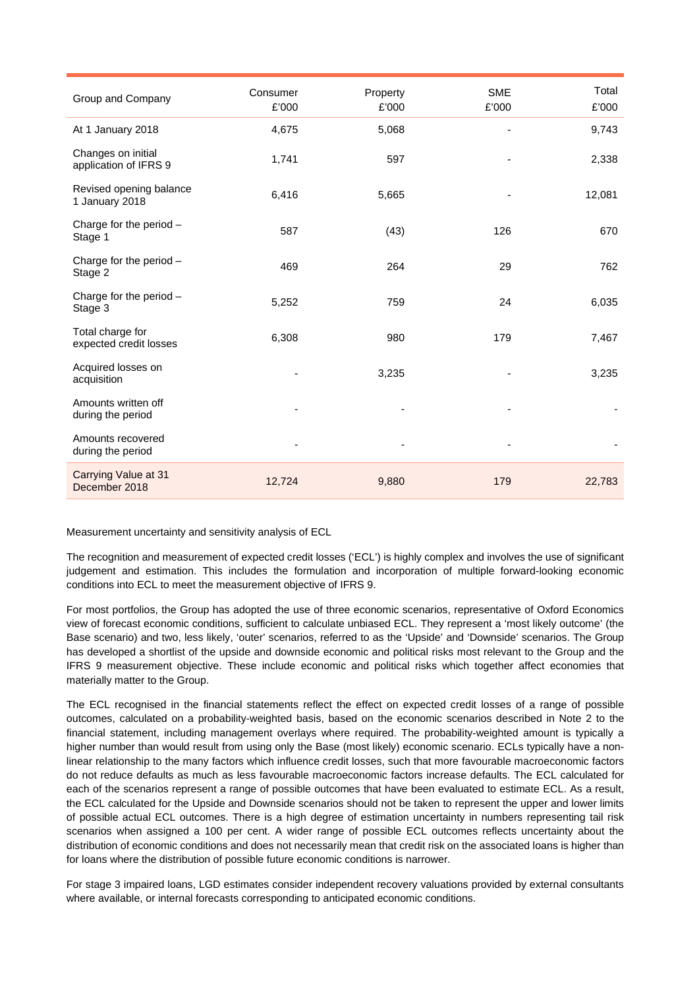| Group and Company                           | Consumer<br>£'000 | Property<br>£'000 | <b>SME</b><br>£'000 | Total<br>£'000 |
|---------------------------------------------|-------------------|-------------------|---------------------|----------------|
| At 1 January 2018                           | 4,675             | 5,068             |                     | 9,743          |
| Changes on initial<br>application of IFRS 9 | 1,741             | 597               |                     | 2,338          |
| Revised opening balance<br>1 January 2018   | 6,416             | 5,665             |                     | 12,081         |
| Charge for the period -<br>Stage 1          | 587               | (43)              | 126                 | 670            |
| Charge for the period $-$<br>Stage 2        | 469               | 264               | 29                  | 762            |
| Charge for the period $-$<br>Stage 3        | 5,252             | 759               | 24                  | 6,035          |
| Total charge for<br>expected credit losses  | 6,308             | 980               | 179                 | 7,467          |
| Acquired losses on<br>acquisition           |                   | 3,235             |                     | 3,235          |
| Amounts written off<br>during the period    |                   |                   |                     |                |
| Amounts recovered<br>during the period      |                   |                   |                     |                |
| Carrying Value at 31<br>December 2018       | 12,724            | 9,880             | 179                 | 22,783         |

Measurement uncertainty and sensitivity analysis of ECL

The recognition and measurement of expected credit losses ('ECL') is highly complex and involves the use of significant judgement and estimation. This includes the formulation and incorporation of multiple forward-looking economic conditions into ECL to meet the measurement objective of IFRS 9.

For most portfolios, the Group has adopted the use of three economic scenarios, representative of Oxford Economics view of forecast economic conditions, sufficient to calculate unbiased ECL. They represent a 'most likely outcome' (the Base scenario) and two, less likely, 'outer' scenarios, referred to as the 'Upside' and 'Downside' scenarios. The Group has developed a shortlist of the upside and downside economic and political risks most relevant to the Group and the IFRS 9 measurement objective. These include economic and political risks which together affect economies that materially matter to the Group.

The ECL recognised in the financial statements reflect the effect on expected credit losses of a range of possible outcomes, calculated on a probability-weighted basis, based on the economic scenarios described in Note 2 to the financial statement, including management overlays where required. The probability-weighted amount is typically a higher number than would result from using only the Base (most likely) economic scenario. ECLs typically have a nonlinear relationship to the many factors which influence credit losses, such that more favourable macroeconomic factors do not reduce defaults as much as less favourable macroeconomic factors increase defaults. The ECL calculated for each of the scenarios represent a range of possible outcomes that have been evaluated to estimate ECL. As a result, the ECL calculated for the Upside and Downside scenarios should not be taken to represent the upper and lower limits of possible actual ECL outcomes. There is a high degree of estimation uncertainty in numbers representing tail risk scenarios when assigned a 100 per cent. A wider range of possible ECL outcomes reflects uncertainty about the distribution of economic conditions and does not necessarily mean that credit risk on the associated loans is higher than for loans where the distribution of possible future economic conditions is narrower.

For stage 3 impaired loans, LGD estimates consider independent recovery valuations provided by external consultants where available, or internal forecasts corresponding to anticipated economic conditions.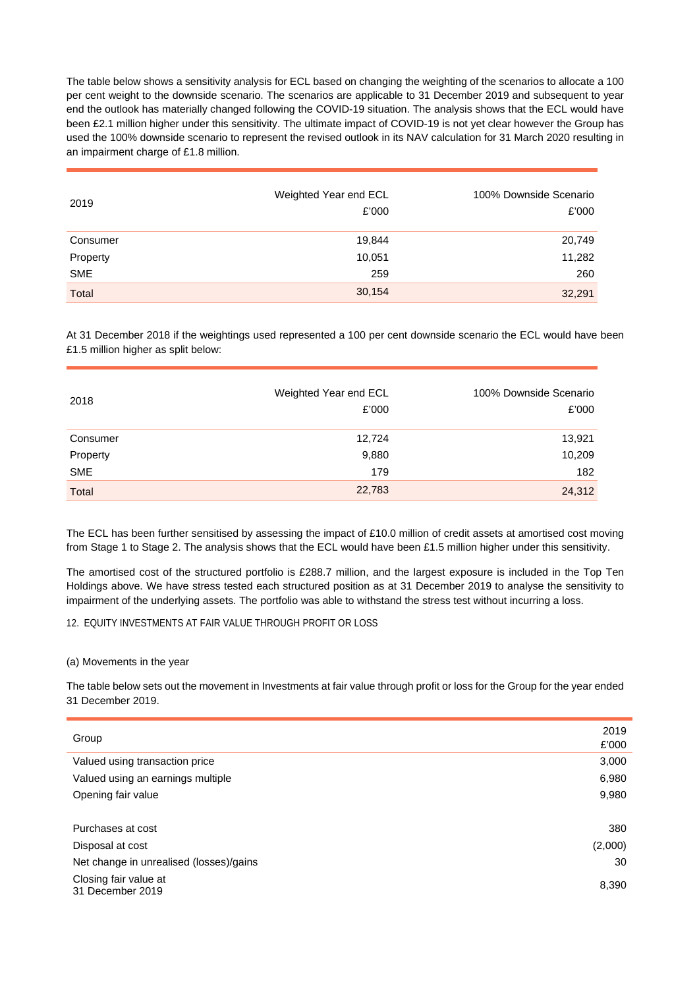The table below shows a sensitivity analysis for ECL based on changing the weighting of the scenarios to allocate a 100 per cent weight to the downside scenario. The scenarios are applicable to 31 December 2019 and subsequent to year end the outlook has materially changed following the COVID-19 situation. The analysis shows that the ECL would have been £2.1 million higher under this sensitivity. The ultimate impact of COVID-19 is not yet clear however the Group has used the 100% downside scenario to represent the revised outlook in its NAV calculation for 31 March 2020 resulting in an impairment charge of £1.8 million.

| 2019       | Weighted Year end ECL<br>£'000 | 100% Downside Scenario<br>£'000 |
|------------|--------------------------------|---------------------------------|
| Consumer   | 19,844                         | 20,749                          |
| Property   | 10,051                         | 11,282                          |
| <b>SME</b> | 259                            | 260                             |
| Total      | 30,154                         | 32,291                          |

At 31 December 2018 if the weightings used represented a 100 per cent downside scenario the ECL would have been £1.5 million higher as split below:

| 2018       | Weighted Year end ECL<br>£'000 | 100% Downside Scenario<br>£'000 |
|------------|--------------------------------|---------------------------------|
| Consumer   | 12,724                         | 13,921                          |
| Property   | 9,880                          | 10,209                          |
| <b>SME</b> | 179                            | 182                             |
| Total      | 22,783                         | 24,312                          |

The ECL has been further sensitised by assessing the impact of £10.0 million of credit assets at amortised cost moving from Stage 1 to Stage 2. The analysis shows that the ECL would have been £1.5 million higher under this sensitivity.

The amortised cost of the structured portfolio is £288.7 million, and the largest exposure is included in the Top Ten Holdings above. We have stress tested each structured position as at 31 December 2019 to analyse the sensitivity to impairment of the underlying assets. The portfolio was able to withstand the stress test without incurring a loss.

# 12. EQUITY INVESTMENTS AT FAIR VALUE THROUGH PROFIT OR LOSS

### (a) Movements in the year

The table below sets out the movement in Investments at fair value through profit or loss for the Group for the year ended 31 December 2019.

| Group                                     | 2019<br>£'000 |
|-------------------------------------------|---------------|
| Valued using transaction price            | 3,000         |
| Valued using an earnings multiple         | 6,980         |
| Opening fair value                        | 9,980         |
|                                           |               |
| Purchases at cost                         | 380           |
| Disposal at cost                          | (2,000)       |
| Net change in unrealised (losses)/gains   | 30            |
| Closing fair value at<br>31 December 2019 | 8,390         |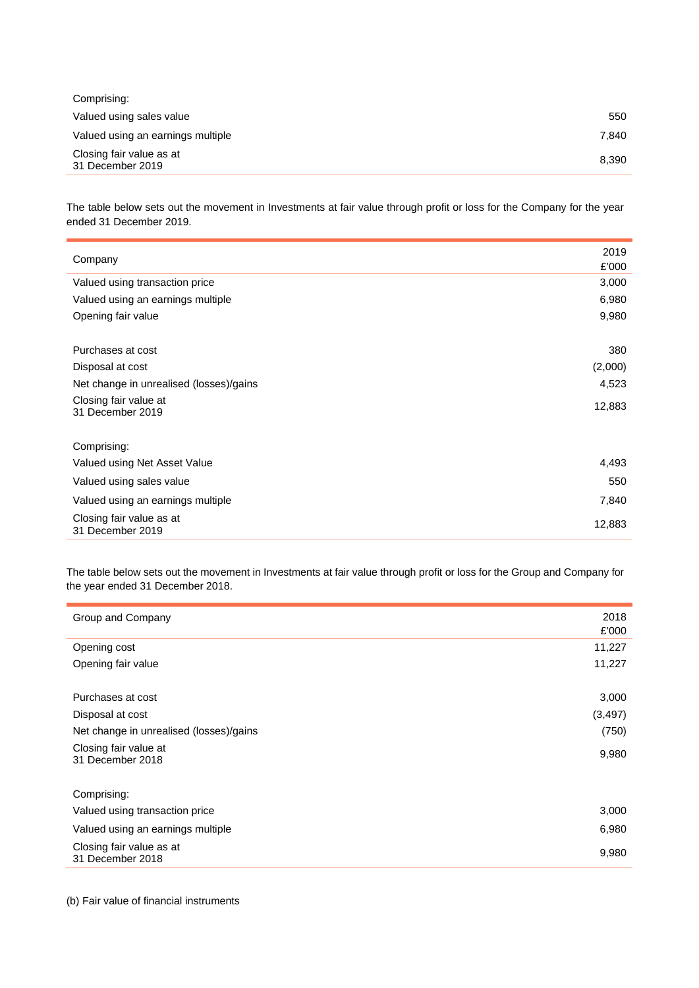| Comprising:                                  |       |
|----------------------------------------------|-------|
| Valued using sales value                     | 550   |
| Valued using an earnings multiple            | 7.840 |
| Closing fair value as at<br>31 December 2019 | 8,390 |

The table below sets out the movement in Investments at fair value through profit or loss for the Company for the year ended 31 December 2019.

| Company                                      | 2019<br>£'000 |
|----------------------------------------------|---------------|
| Valued using transaction price               | 3,000         |
| Valued using an earnings multiple            | 6,980         |
| Opening fair value                           | 9,980         |
|                                              |               |
| Purchases at cost                            | 380           |
| Disposal at cost                             | (2,000)       |
| Net change in unrealised (losses)/gains      | 4,523         |
| Closing fair value at<br>31 December 2019    | 12,883        |
| Comprising:                                  |               |
| Valued using Net Asset Value                 | 4,493         |
| Valued using sales value                     | 550           |
| Valued using an earnings multiple            | 7,840         |
| Closing fair value as at<br>31 December 2019 | 12,883        |

The table below sets out the movement in Investments at fair value through profit or loss for the Group and Company for the year ended 31 December 2018.

| Group and Company                            | 2018<br>£'000 |
|----------------------------------------------|---------------|
| Opening cost                                 | 11,227        |
| Opening fair value                           | 11,227        |
|                                              |               |
| Purchases at cost                            | 3,000         |
| Disposal at cost                             | (3, 497)      |
| Net change in unrealised (losses)/gains      | (750)         |
| Closing fair value at<br>31 December 2018    | 9,980         |
| Comprising:                                  |               |
| Valued using transaction price               | 3,000         |
| Valued using an earnings multiple            | 6,980         |
| Closing fair value as at<br>31 December 2018 | 9,980         |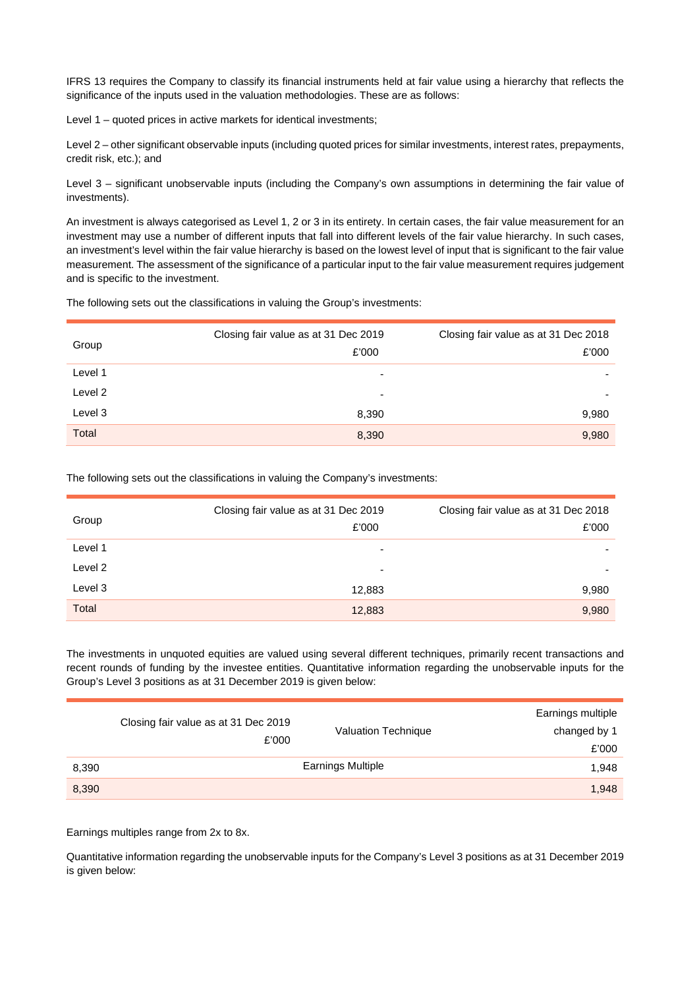IFRS 13 requires the Company to classify its financial instruments held at fair value using a hierarchy that reflects the significance of the inputs used in the valuation methodologies. These are as follows:

Level 1 – quoted prices in active markets for identical investments;

Level 2 – other significant observable inputs (including quoted prices for similar investments, interest rates, prepayments, credit risk, etc.); and

Level 3 – significant unobservable inputs (including the Company's own assumptions in determining the fair value of investments).

An investment is always categorised as Level 1, 2 or 3 in its entirety. In certain cases, the fair value measurement for an investment may use a number of different inputs that fall into different levels of the fair value hierarchy. In such cases, an investment's level within the fair value hierarchy is based on the lowest level of input that is significant to the fair value measurement. The assessment of the significance of a particular input to the fair value measurement requires judgement and is specific to the investment.

The following sets out the classifications in valuing the Group's investments:

| Group   | Closing fair value as at 31 Dec 2019<br>£'000 | Closing fair value as at 31 Dec 2018<br>£'000 |
|---------|-----------------------------------------------|-----------------------------------------------|
| Level 1 | -                                             |                                               |
| Level 2 | ۰                                             |                                               |
| Level 3 | 8,390                                         | 9,980                                         |
| Total   | 8,390                                         | 9,980                                         |

The following sets out the classifications in valuing the Company's investments:

| Group   | Closing fair value as at 31 Dec 2019<br>£'000 | Closing fair value as at 31 Dec 2018<br>£'000 |
|---------|-----------------------------------------------|-----------------------------------------------|
| Level 1 | -                                             | ۰                                             |
| Level 2 | $\overline{\phantom{0}}$                      | ۰                                             |
| Level 3 | 12,883                                        | 9,980                                         |
| Total   | 12,883                                        | 9,980                                         |

The investments in unquoted equities are valued using several different techniques, primarily recent transactions and recent rounds of funding by the investee entities. Quantitative information regarding the unobservable inputs for the Group's Level 3 positions as at 31 December 2019 is given below:

|       | Closing fair value as at 31 Dec 2019<br>£'000 | Valuation Technique      | Earnings multiple<br>changed by 1<br>£'000 |
|-------|-----------------------------------------------|--------------------------|--------------------------------------------|
| 8,390 |                                               | <b>Earnings Multiple</b> | 1,948                                      |
| 8,390 |                                               |                          | 1,948                                      |

Earnings multiples range from 2x to 8x.

Quantitative information regarding the unobservable inputs for the Company's Level 3 positions as at 31 December 2019 is given below: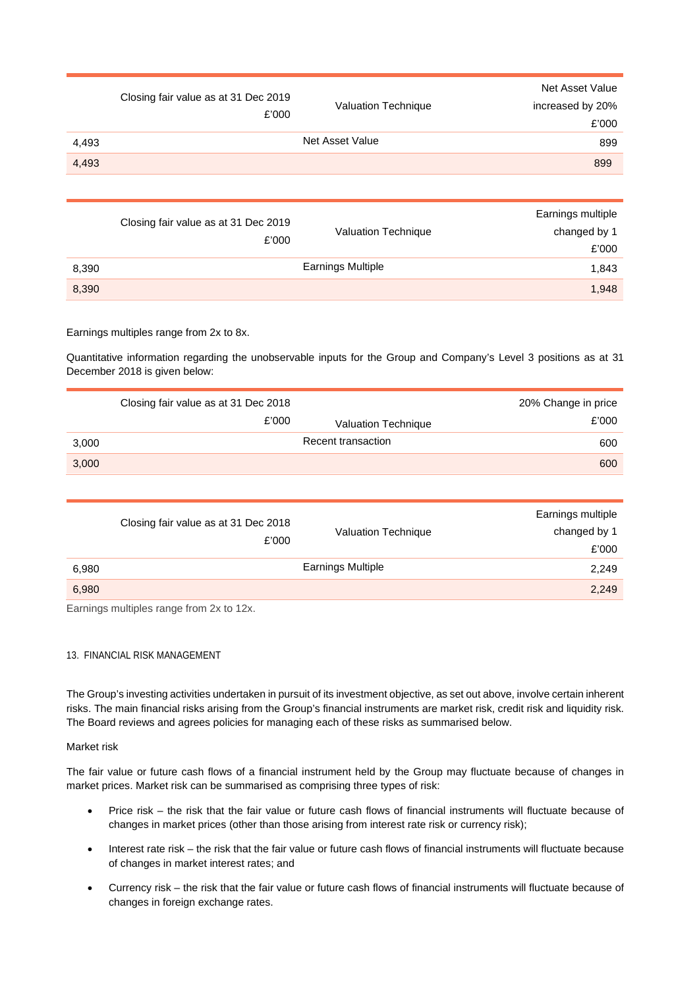|       | Closing fair value as at 31 Dec 2019<br>£'000 | Valuation Technique | Net Asset Value<br>increased by 20%<br>£'000 |
|-------|-----------------------------------------------|---------------------|----------------------------------------------|
| 4,493 |                                               | Net Asset Value     | 899                                          |
| 4,493 |                                               |                     | 899                                          |
|       |                                               |                     |                                              |

|       | Closing fair value as at 31 Dec 2019<br>£'000 | Valuation Technique      | Earnings multiple<br>changed by 1 |
|-------|-----------------------------------------------|--------------------------|-----------------------------------|
|       |                                               |                          | £'000                             |
| 8,390 |                                               | <b>Earnings Multiple</b> | 1,843                             |
| 8,390 |                                               |                          | 1,948                             |

# Earnings multiples range from 2x to 8x.

Quantitative information regarding the unobservable inputs for the Group and Company's Level 3 positions as at 31 December 2018 is given below:

|       | Closing fair value as at 31 Dec 2018 |                     | 20% Change in price |
|-------|--------------------------------------|---------------------|---------------------|
|       | £'000                                | Valuation Technique | £'000               |
| 3,000 |                                      | Recent transaction  | 600                 |
| 3,000 |                                      |                     | 600                 |

|       | Closing fair value as at 31 Dec 2018<br>£'000 | <b>Valuation Technique</b> | Earnings multiple<br>changed by 1<br>£'000 |
|-------|-----------------------------------------------|----------------------------|--------------------------------------------|
| 6,980 |                                               | <b>Earnings Multiple</b>   | 2,249                                      |
| 6,980 |                                               |                            | 2,249                                      |

Earnings multiples range from 2x to 12x.

### 13. FINANCIAL RISK MANAGEMENT

The Group's investing activities undertaken in pursuit of its investment objective, as set out above, involve certain inherent risks. The main financial risks arising from the Group's financial instruments are market risk, credit risk and liquidity risk. The Board reviews and agrees policies for managing each of these risks as summarised below.

### Market risk

The fair value or future cash flows of a financial instrument held by the Group may fluctuate because of changes in market prices. Market risk can be summarised as comprising three types of risk:

- Price risk the risk that the fair value or future cash flows of financial instruments will fluctuate because of changes in market prices (other than those arising from interest rate risk or currency risk);
- Interest rate risk the risk that the fair value or future cash flows of financial instruments will fluctuate because of changes in market interest rates; and
- Currency risk the risk that the fair value or future cash flows of financial instruments will fluctuate because of changes in foreign exchange rates.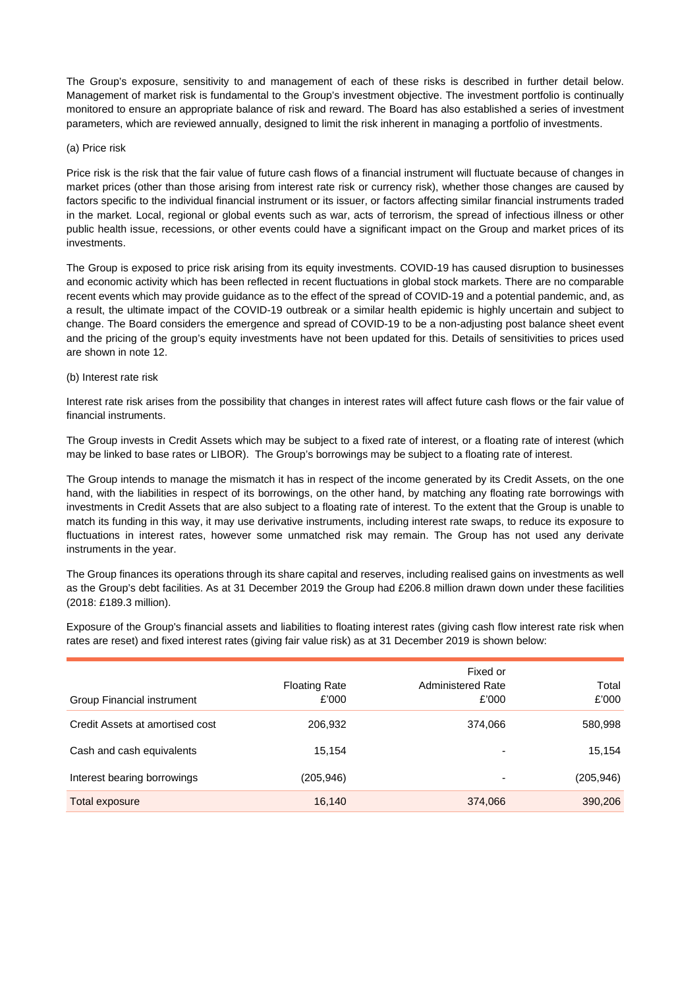The Group's exposure, sensitivity to and management of each of these risks is described in further detail below. Management of market risk is fundamental to the Group's investment objective. The investment portfolio is continually monitored to ensure an appropriate balance of risk and reward. The Board has also established a series of investment parameters, which are reviewed annually, designed to limit the risk inherent in managing a portfolio of investments.

### (a) Price risk

Price risk is the risk that the fair value of future cash flows of a financial instrument will fluctuate because of changes in market prices (other than those arising from interest rate risk or currency risk), whether those changes are caused by factors specific to the individual financial instrument or its issuer, or factors affecting similar financial instruments traded in the market. Local, regional or global events such as war, acts of terrorism, the spread of infectious illness or other public health issue, recessions, or other events could have a significant impact on the Group and market prices of its investments.

The Group is exposed to price risk arising from its equity investments. COVID-19 has caused disruption to businesses and economic activity which has been reflected in recent fluctuations in global stock markets. There are no comparable recent events which may provide guidance as to the effect of the spread of COVID-19 and a potential pandemic, and, as a result, the ultimate impact of the COVID-19 outbreak or a similar health epidemic is highly uncertain and subject to change. The Board considers the emergence and spread of COVID-19 to be a non-adjusting post balance sheet event and the pricing of the group's equity investments have not been updated for this. Details of sensitivities to prices used are shown in note 12.

#### (b) Interest rate risk

Interest rate risk arises from the possibility that changes in interest rates will affect future cash flows or the fair value of financial instruments.

The Group invests in Credit Assets which may be subject to a fixed rate of interest, or a floating rate of interest (which may be linked to base rates or LIBOR). The Group's borrowings may be subject to a floating rate of interest.

The Group intends to manage the mismatch it has in respect of the income generated by its Credit Assets, on the one hand, with the liabilities in respect of its borrowings, on the other hand, by matching any floating rate borrowings with investments in Credit Assets that are also subject to a floating rate of interest. To the extent that the Group is unable to match its funding in this way, it may use derivative instruments, including interest rate swaps, to reduce its exposure to fluctuations in interest rates, however some unmatched risk may remain. The Group has not used any derivate instruments in the year.

The Group finances its operations through its share capital and reserves, including realised gains on investments as well as the Group's debt facilities. As at 31 December 2019 the Group had £206.8 million drawn down under these facilities (2018: £189.3 million).

Exposure of the Group's financial assets and liabilities to floating interest rates (giving cash flow interest rate risk when rates are reset) and fixed interest rates (giving fair value risk) as at 31 December 2019 is shown below:

|                                 |                               | Fixed or                          |                |
|---------------------------------|-------------------------------|-----------------------------------|----------------|
| Group Financial instrument      | <b>Floating Rate</b><br>£'000 | <b>Administered Rate</b><br>£'000 | Total<br>£'000 |
| Credit Assets at amortised cost | 206,932                       | 374,066                           | 580,998        |
| Cash and cash equivalents       | 15.154                        |                                   | 15,154         |
| Interest bearing borrowings     | (205,946)                     | $\overline{\phantom{a}}$          | (205, 946)     |
| Total exposure                  | 16,140                        | 374,066                           | 390,206        |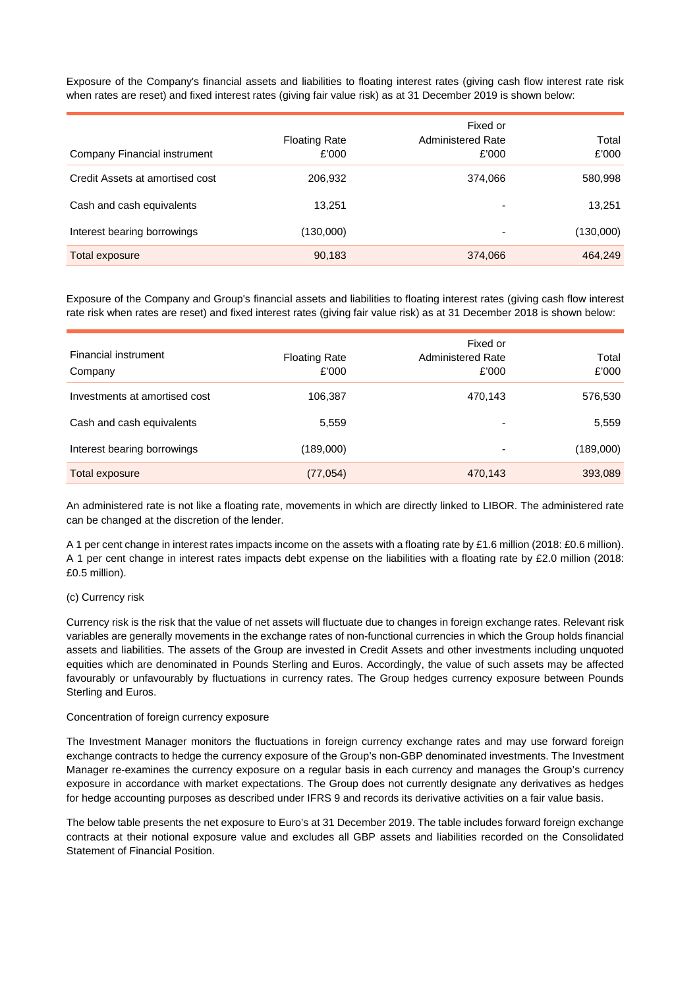Exposure of the Company's financial assets and liabilities to floating interest rates (giving cash flow interest rate risk when rates are reset) and fixed interest rates (giving fair value risk) as at 31 December 2019 is shown below:

| Company Financial instrument    | <b>Floating Rate</b><br>£'000 | Fixed or<br><b>Administered Rate</b><br>£'000 | Total<br>£'000 |
|---------------------------------|-------------------------------|-----------------------------------------------|----------------|
| Credit Assets at amortised cost | 206,932                       | 374,066                                       | 580,998        |
| Cash and cash equivalents       | 13.251                        | -                                             | 13,251         |
| Interest bearing borrowings     | (130,000)                     | -                                             | (130,000)      |
| <b>Total exposure</b>           | 90,183                        | 374,066                                       | 464,249        |

Exposure of the Company and Group's financial assets and liabilities to floating interest rates (giving cash flow interest rate risk when rates are reset) and fixed interest rates (giving fair value risk) as at 31 December 2018 is shown below:

| Financial instrument<br>Company | <b>Floating Rate</b><br>£'000 | Fixed or<br><b>Administered Rate</b><br>£'000 | Total<br>£'000 |
|---------------------------------|-------------------------------|-----------------------------------------------|----------------|
| Investments at amortised cost   | 106,387                       | 470,143                                       | 576,530        |
| Cash and cash equivalents       | 5,559                         | ٠                                             | 5,559          |
| Interest bearing borrowings     | (189,000)                     | ٠                                             | (189,000)      |
| Total exposure                  | (77, 054)                     | 470,143                                       | 393,089        |

An administered rate is not like a floating rate, movements in which are directly linked to LIBOR. The administered rate can be changed at the discretion of the lender.

A 1 per cent change in interest rates impacts income on the assets with a floating rate by £1.6 million (2018: £0.6 million). A 1 per cent change in interest rates impacts debt expense on the liabilities with a floating rate by £2.0 million (2018: £0.5 million).

### (c) Currency risk

Currency risk is the risk that the value of net assets will fluctuate due to changes in foreign exchange rates. Relevant risk variables are generally movements in the exchange rates of non-functional currencies in which the Group holds financial assets and liabilities. The assets of the Group are invested in Credit Assets and other investments including unquoted equities which are denominated in Pounds Sterling and Euros. Accordingly, the value of such assets may be affected favourably or unfavourably by fluctuations in currency rates. The Group hedges currency exposure between Pounds Sterling and Euros.

#### Concentration of foreign currency exposure

The Investment Manager monitors the fluctuations in foreign currency exchange rates and may use forward foreign exchange contracts to hedge the currency exposure of the Group's non-GBP denominated investments. The Investment Manager re-examines the currency exposure on a regular basis in each currency and manages the Group's currency exposure in accordance with market expectations. The Group does not currently designate any derivatives as hedges for hedge accounting purposes as described under IFRS 9 and records its derivative activities on a fair value basis.

The below table presents the net exposure to Euro's at 31 December 2019. The table includes forward foreign exchange contracts at their notional exposure value and excludes all GBP assets and liabilities recorded on the Consolidated Statement of Financial Position.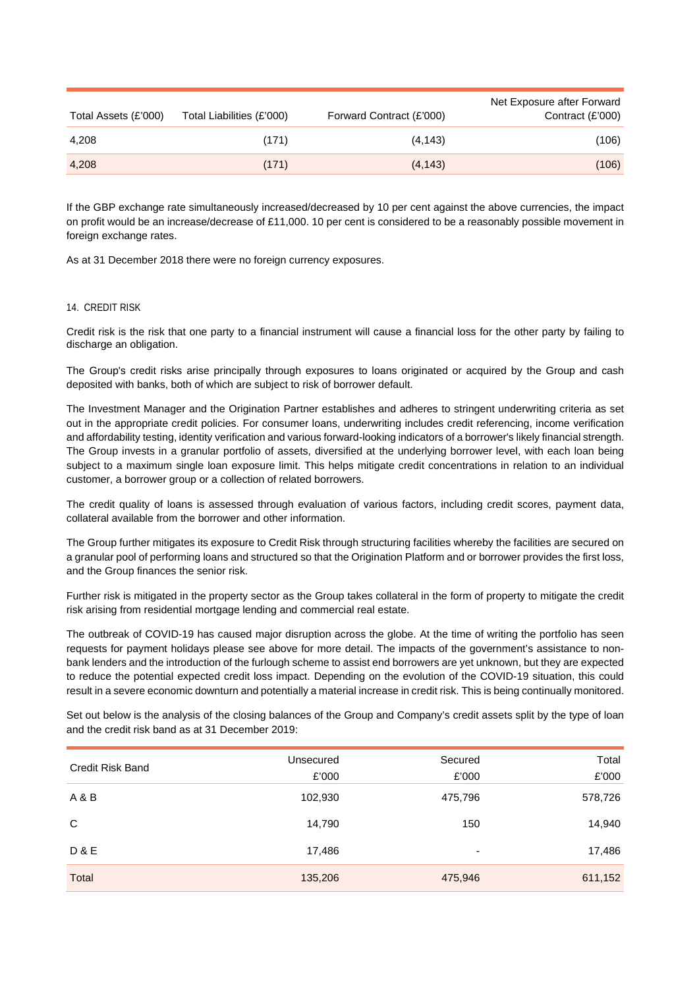| Total Assets (£'000) | Total Liabilities (£'000) | Forward Contract (£'000) | Net Exposure after Forward<br>Contract $(E'000)$ |
|----------------------|---------------------------|--------------------------|--------------------------------------------------|
| 4,208                | (171)                     | (4, 143)                 | (106)                                            |
| 4,208                | (171)                     | (4, 143)                 | (106)                                            |

If the GBP exchange rate simultaneously increased/decreased by 10 per cent against the above currencies, the impact on profit would be an increase/decrease of £11,000. 10 per cent is considered to be a reasonably possible movement in foreign exchange rates.

As at 31 December 2018 there were no foreign currency exposures.

## 14. CREDIT RISK

Credit risk is the risk that one party to a financial instrument will cause a financial loss for the other party by failing to discharge an obligation.

The Group's credit risks arise principally through exposures to loans originated or acquired by the Group and cash deposited with banks, both of which are subject to risk of borrower default.

The Investment Manager and the Origination Partner establishes and adheres to stringent underwriting criteria as set out in the appropriate credit policies. For consumer loans, underwriting includes credit referencing, income verification and affordability testing, identity verification and various forward-looking indicators of a borrower's likely financial strength. The Group invests in a granular portfolio of assets, diversified at the underlying borrower level, with each loan being subject to a maximum single loan exposure limit. This helps mitigate credit concentrations in relation to an individual customer, a borrower group or a collection of related borrowers.

The credit quality of loans is assessed through evaluation of various factors, including credit scores, payment data, collateral available from the borrower and other information.

The Group further mitigates its exposure to Credit Risk through structuring facilities whereby the facilities are secured on a granular pool of performing loans and structured so that the Origination Platform and or borrower provides the first loss, and the Group finances the senior risk.

Further risk is mitigated in the property sector as the Group takes collateral in the form of property to mitigate the credit risk arising from residential mortgage lending and commercial real estate.

The outbreak of COVID-19 has caused major disruption across the globe. At the time of writing the portfolio has seen requests for payment holidays please see above for more detail. The impacts of the government's assistance to nonbank lenders and the introduction of the furlough scheme to assist end borrowers are yet unknown, but they are expected to reduce the potential expected credit loss impact. Depending on the evolution of the COVID-19 situation, this could result in a severe economic downturn and potentially a material increase in credit risk. This is being continually monitored.

Set out below is the analysis of the closing balances of the Group and Company's credit assets split by the type of loan and the credit risk band as at 31 December 2019:

| Credit Risk Band | Unsecured<br>£'000 | Secured<br>£'000         | Total<br>£'000 |
|------------------|--------------------|--------------------------|----------------|
| A & B            | 102,930            | 475,796                  | 578,726        |
| C                | 14,790             | 150                      | 14,940         |
| <b>D&amp;E</b>   | 17,486             | $\overline{\phantom{a}}$ | 17,486         |
| Total            | 135,206            | 475,946                  | 611,152        |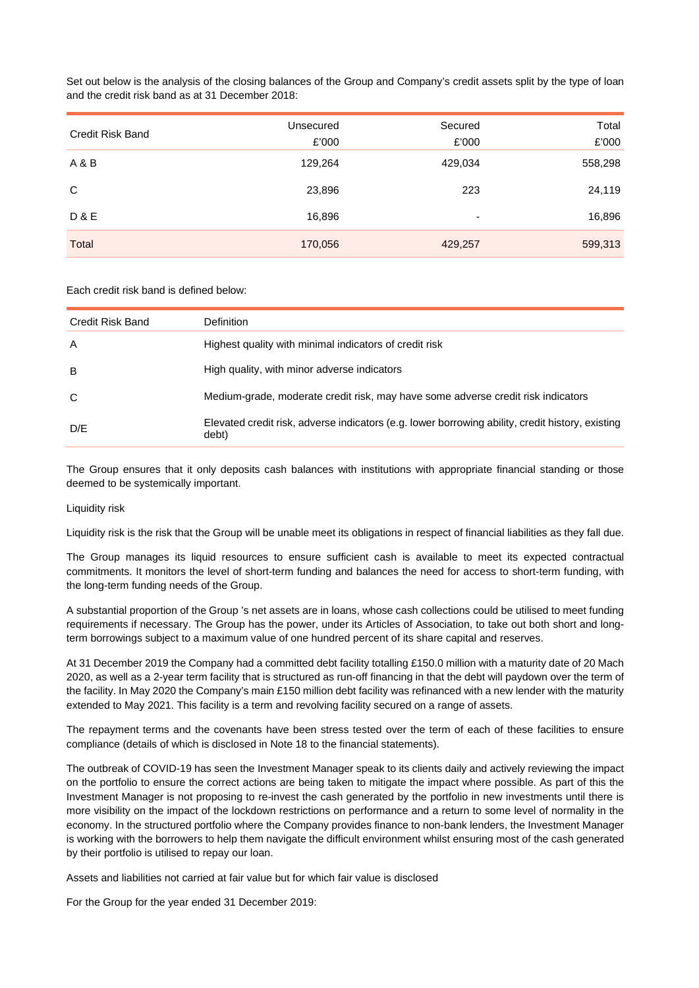Set out below is the analysis of the closing balances of the Group and Company's credit assets split by the type of loan and the credit risk band as at 31 December 2018:

| Credit Risk Band | Unsecured<br>£'000 | Secured<br>£'000         | Total<br>£'000 |
|------------------|--------------------|--------------------------|----------------|
| A & B            | 129,264            | 429,034                  | 558,298        |
| C                | 23,896             | 223                      | 24,119         |
| <b>D&amp;E</b>   | 16,896             | $\overline{\phantom{0}}$ | 16,896         |
| Total            | 170,056            | 429,257                  | 599,313        |

Each credit risk band is defined below:

| Credit Risk Band | Definition                                                                                                |
|------------------|-----------------------------------------------------------------------------------------------------------|
| A                | Highest quality with minimal indicators of credit risk                                                    |
| B                | High quality, with minor adverse indicators                                                               |
| C                | Medium-grade, moderate credit risk, may have some adverse credit risk indicators                          |
| D/E              | Elevated credit risk, adverse indicators (e.g. lower borrowing ability, credit history, existing<br>debt) |

The Group ensures that it only deposits cash balances with institutions with appropriate financial standing or those deemed to be systemically important.

## Liquidity risk

Liquidity risk is the risk that the Group will be unable meet its obligations in respect of financial liabilities as they fall due.

The Group manages its liquid resources to ensure sufficient cash is available to meet its expected contractual commitments. It monitors the level of short-term funding and balances the need for access to short-term funding, with the long-term funding needs of the Group.

A substantial proportion of the Group 's net assets are in loans, whose cash collections could be utilised to meet funding requirements if necessary. The Group has the power, under its Articles of Association, to take out both short and longterm borrowings subject to a maximum value of one hundred percent of its share capital and reserves.

At 31 December 2019 the Company had a committed debt facility totalling £150.0 million with a maturity date of 20 Mach 2020, as well as a 2-year term facility that is structured as run-off financing in that the debt will paydown over the term of the facility. In May 2020 the Company's main £150 million debt facility was refinanced with a new lender with the maturity extended to May 2021. This facility is a term and revolving facility secured on a range of assets.

The repayment terms and the covenants have been stress tested over the term of each of these facilities to ensure compliance (details of which is disclosed in Note 18 to the financial statements).

The outbreak of COVID-19 has seen the Investment Manager speak to its clients daily and actively reviewing the impact on the portfolio to ensure the correct actions are being taken to mitigate the impact where possible. As part of this the Investment Manager is not proposing to re-invest the cash generated by the portfolio in new investments until there is more visibility on the impact of the lockdown restrictions on performance and a return to some level of normality in the economy. In the structured portfolio where the Company provides finance to non-bank lenders, the Investment Manager is working with the borrowers to help them navigate the difficult environment whilst ensuring most of the cash generated by their portfolio is utilised to repay our loan.

Assets and liabilities not carried at fair value but for which fair value is disclosed

For the Group for the year ended 31 December 2019: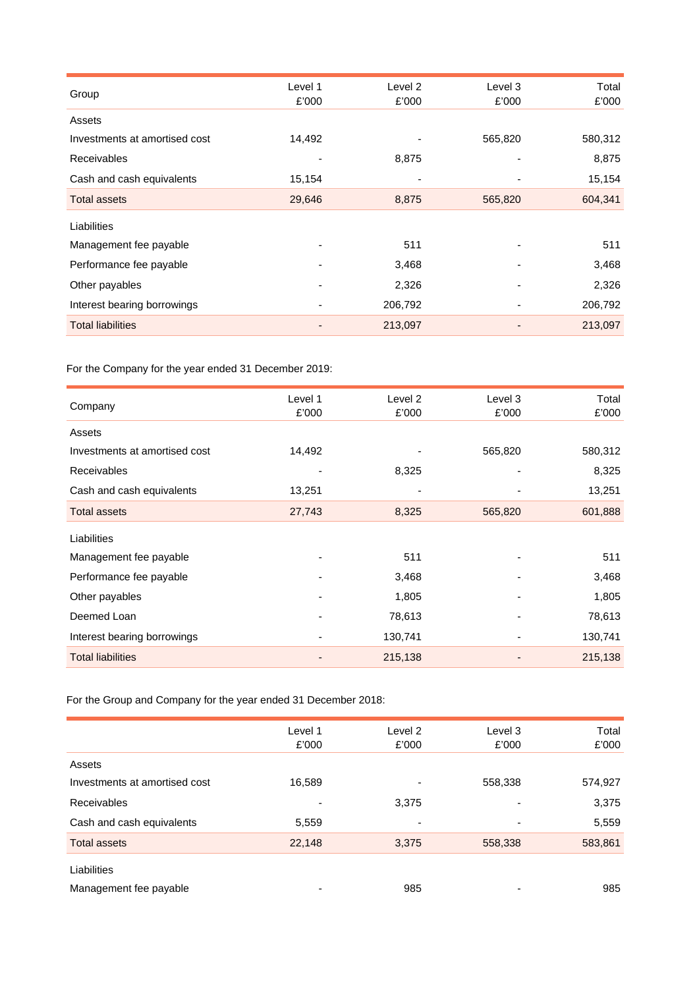|                               | Level 1 | Level 2 | Level 3 | Total   |
|-------------------------------|---------|---------|---------|---------|
| Group                         | £'000   | £'000   | £'000   | £'000   |
| Assets                        |         |         |         |         |
| Investments at amortised cost | 14,492  |         | 565,820 | 580,312 |
| <b>Receivables</b>            |         | 8,875   |         | 8,875   |
| Cash and cash equivalents     | 15,154  |         |         | 15,154  |
| <b>Total assets</b>           | 29,646  | 8,875   | 565,820 | 604,341 |
| Liabilities                   |         |         |         |         |
| Management fee payable        |         | 511     |         | 511     |
| Performance fee payable       |         | 3,468   |         | 3,468   |
| Other payables                |         | 2,326   |         | 2,326   |
| Interest bearing borrowings   |         | 206,792 |         | 206,792 |
| <b>Total liabilities</b>      |         | 213,097 |         | 213,097 |

For the Company for the year ended 31 December 2019:

|                               | Level 1 | Level 2 | Level 3 | Total   |
|-------------------------------|---------|---------|---------|---------|
| Company                       | £'000   | £'000   | £'000   | £'000   |
| Assets                        |         |         |         |         |
| Investments at amortised cost | 14,492  |         | 565,820 | 580,312 |
| <b>Receivables</b>            |         | 8,325   |         | 8,325   |
| Cash and cash equivalents     | 13,251  |         |         | 13,251  |
| <b>Total assets</b>           | 27,743  | 8,325   | 565,820 | 601,888 |
| Liabilities                   |         |         |         |         |
| Management fee payable        |         | 511     |         | 511     |
| Performance fee payable       |         | 3,468   |         | 3,468   |
| Other payables                |         | 1,805   |         | 1,805   |
| Deemed Loan                   |         | 78,613  |         | 78,613  |
| Interest bearing borrowings   |         | 130,741 |         | 130,741 |
| <b>Total liabilities</b>      |         | 215,138 |         | 215,138 |

For the Group and Company for the year ended 31 December 2018:

|                               | Level 1<br>£'000 | Level 2<br>£'000         | Level 3<br>£'000         | Total<br>£'000 |
|-------------------------------|------------------|--------------------------|--------------------------|----------------|
| Assets                        |                  |                          |                          |                |
| Investments at amortised cost | 16,589           |                          | 558,338                  | 574,927        |
| Receivables                   |                  | 3,375                    |                          | 3,375          |
| Cash and cash equivalents     | 5,559            | $\overline{\phantom{0}}$ | $\overline{\phantom{a}}$ | 5,559          |
| <b>Total assets</b>           | 22,148           | 3,375                    | 558,338                  | 583,861        |
| Liabilities                   |                  |                          |                          |                |
| Management fee payable        |                  | 985                      |                          | 985            |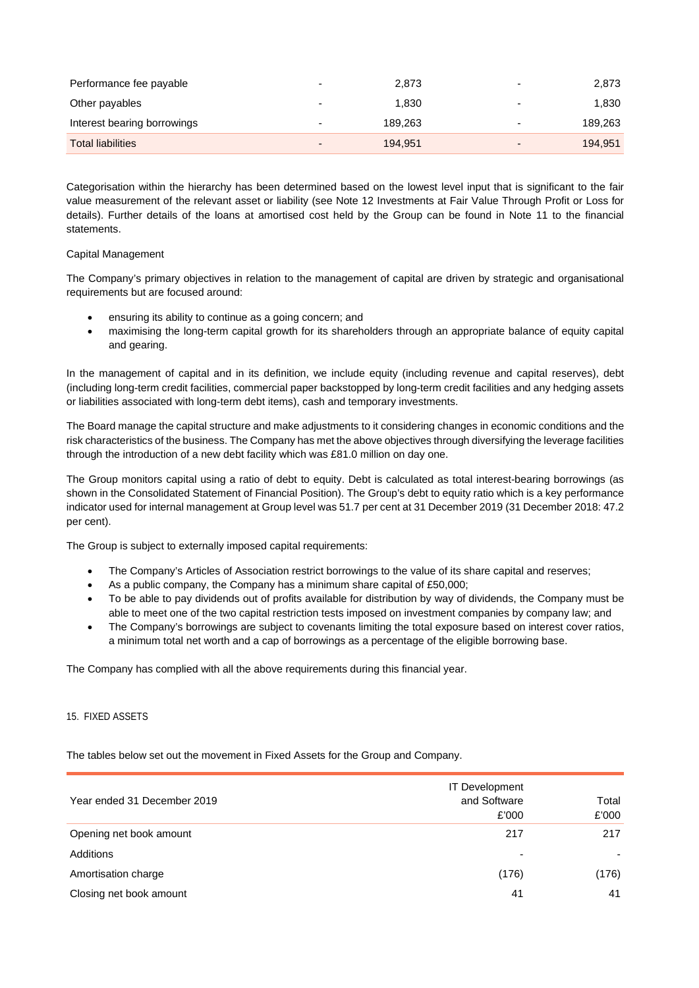| Performance fee payable     |                          | 2,873   |                          | 2,873   |
|-----------------------------|--------------------------|---------|--------------------------|---------|
| Other payables              | $\overline{\phantom{0}}$ | 1.830   | $\overline{\phantom{a}}$ | 1,830   |
| Interest bearing borrowings |                          | 189.263 |                          | 189,263 |
| <b>Total liabilities</b>    | $\overline{\phantom{0}}$ | 194.951 | $\overline{\phantom{a}}$ | 194.951 |

Categorisation within the hierarchy has been determined based on the lowest level input that is significant to the fair value measurement of the relevant asset or liability (see Note 12 Investments at Fair Value Through Profit or Loss for details). Further details of the loans at amortised cost held by the Group can be found in Note 11 to the financial statements.

# Capital Management

The Company's primary objectives in relation to the management of capital are driven by strategic and organisational requirements but are focused around:

- ensuring its ability to continue as a going concern; and
- maximising the long-term capital growth for its shareholders through an appropriate balance of equity capital and gearing.

In the management of capital and in its definition, we include equity (including revenue and capital reserves), debt (including long-term credit facilities, commercial paper backstopped by long-term credit facilities and any hedging assets or liabilities associated with long-term debt items), cash and temporary investments.

The Board manage the capital structure and make adjustments to it considering changes in economic conditions and the risk characteristics of the business. The Company has met the above objectives through diversifying the leverage facilities through the introduction of a new debt facility which was £81.0 million on day one.

The Group monitors capital using a ratio of debt to equity. Debt is calculated as total interest-bearing borrowings (as shown in the Consolidated Statement of Financial Position). The Group's debt to equity ratio which is a key performance indicator used for internal management at Group level was 51.7 per cent at 31 December 2019 (31 December 2018: 47.2 per cent).

The Group is subject to externally imposed capital requirements:

- The Company's Articles of Association restrict borrowings to the value of its share capital and reserves;
- As a public company, the Company has a minimum share capital of £50,000;
- To be able to pay dividends out of profits available for distribution by way of dividends, the Company must be able to meet one of the two capital restriction tests imposed on investment companies by company law; and
- The Company's borrowings are subject to covenants limiting the total exposure based on interest cover ratios, a minimum total net worth and a cap of borrowings as a percentage of the eligible borrowing base.

The Company has complied with all the above requirements during this financial year.

## 15. FIXED ASSETS

The tables below set out the movement in Fixed Assets for the Group and Company.

| Year ended 31 December 2019 | <b>IT Development</b><br>and Software<br>£'000 | Total<br>£'000 |
|-----------------------------|------------------------------------------------|----------------|
| Opening net book amount     | 217                                            | 217            |
| Additions                   | -                                              |                |
| Amortisation charge         | (176)                                          | (176)          |
| Closing net book amount     | 41                                             | 41             |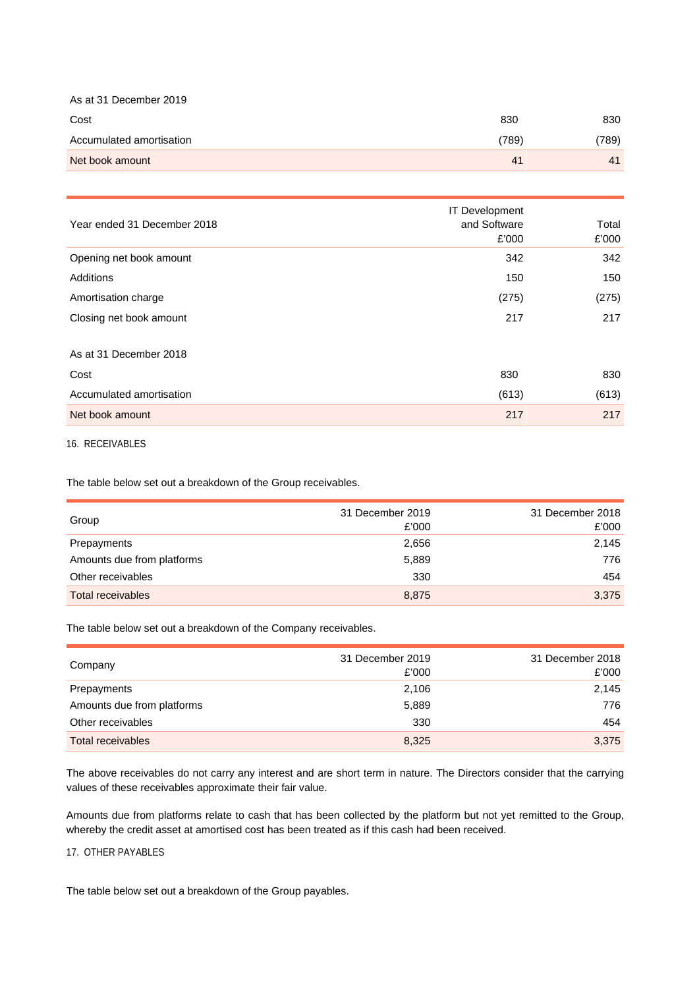| As at 31 December 2019   |       |       |
|--------------------------|-------|-------|
| Cost                     | 830   | 830   |
| Accumulated amortisation | (789) | (789) |
| Net book amount          | 41    | 41    |

| Year ended 31 December 2018 | <b>IT Development</b><br>and Software<br>£'000 | Total<br>£'000 |
|-----------------------------|------------------------------------------------|----------------|
| Opening net book amount     | 342                                            | 342            |
| Additions                   | 150                                            | 150            |
| Amortisation charge         | (275)                                          | (275)          |
| Closing net book amount     | 217                                            | 217            |
| As at 31 December 2018      |                                                |                |
| Cost                        | 830                                            | 830            |
| Accumulated amortisation    | (613)                                          | (613)          |
| Net book amount             | 217                                            | 217            |

16. RECEIVABLES

The table below set out a breakdown of the Group receivables.

| Group                      | 31 December 2019<br>£'000 | 31 December 2018<br>£'000 |
|----------------------------|---------------------------|---------------------------|
| Prepayments                | 2,656                     | 2,145                     |
| Amounts due from platforms | 5,889                     | 776                       |
| Other receivables          | 330                       | 454                       |
| Total receivables          | 8,875                     | 3,375                     |

The table below set out a breakdown of the Company receivables.

| Company                    | 31 December 2019<br>£'000 | 31 December 2018<br>£'000 |
|----------------------------|---------------------------|---------------------------|
| Prepayments                | 2,106                     | 2,145                     |
| Amounts due from platforms | 5,889                     | 776                       |
| Other receivables          | 330                       | 454                       |
| Total receivables          | 8,325                     | 3,375                     |

The above receivables do not carry any interest and are short term in nature. The Directors consider that the carrying values of these receivables approximate their fair value.

Amounts due from platforms relate to cash that has been collected by the platform but not yet remitted to the Group, whereby the credit asset at amortised cost has been treated as if this cash had been received.

## 17. OTHER PAYABLES

The table below set out a breakdown of the Group payables.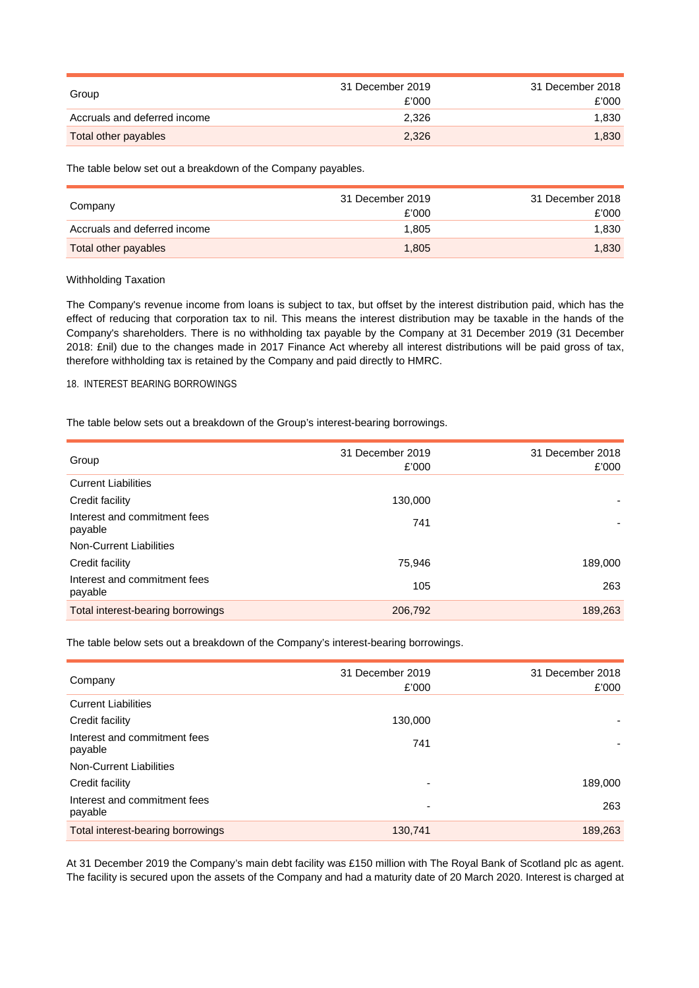|                              | 31 December 2019 | 31 December 2018 |
|------------------------------|------------------|------------------|
| Group                        | £'000            | £'000            |
| Accruals and deferred income | 2.326            | 1.830            |
| Total other payables         | 2,326            | 1,830            |

The table below set out a breakdown of the Company payables.

| Company                      | 31 December 2019<br>£'000 | 31 December 2018<br>£'000 |
|------------------------------|---------------------------|---------------------------|
| Accruals and deferred income | 1.805                     | 1.830                     |
| Total other payables         | 1.805                     | 1.830                     |

# Withholding Taxation

The Company's revenue income from loans is subject to tax, but offset by the interest distribution paid, which has the effect of reducing that corporation tax to nil. This means the interest distribution may be taxable in the hands of the Company's shareholders. There is no withholding tax payable by the Company at 31 December 2019 (31 December 2018: £nil) due to the changes made in 2017 Finance Act whereby all interest distributions will be paid gross of tax, therefore withholding tax is retained by the Company and paid directly to HMRC.

# 18. INTEREST BEARING BORROWINGS

The table below sets out a breakdown of the Group's interest-bearing borrowings.

| Group                                   | 31 December 2019<br>£'000 | 31 December 2018<br>£'000 |
|-----------------------------------------|---------------------------|---------------------------|
| <b>Current Liabilities</b>              |                           |                           |
| Credit facility                         | 130,000                   |                           |
| Interest and commitment fees<br>payable | 741                       |                           |
| Non-Current Liabilities                 |                           |                           |
| Credit facility                         | 75.946                    | 189,000                   |
| Interest and commitment fees<br>payable | 105                       | 263                       |
| Total interest-bearing borrowings       | 206,792                   | 189,263                   |
|                                         |                           |                           |

The table below sets out a breakdown of the Company's interest-bearing borrowings.

| 31 December 2019<br>£'000 | 31 December 2018<br>£'000 |
|---------------------------|---------------------------|
|                           |                           |
| 130,000                   |                           |
| 741                       |                           |
|                           |                           |
| $\overline{\phantom{0}}$  | 189,000                   |
| $\overline{\phantom{0}}$  | 263                       |
| 130,741                   | 189,263                   |
|                           |                           |

At 31 December 2019 the Company's main debt facility was £150 million with The Royal Bank of Scotland plc as agent. The facility is secured upon the assets of the Company and had a maturity date of 20 March 2020. Interest is charged at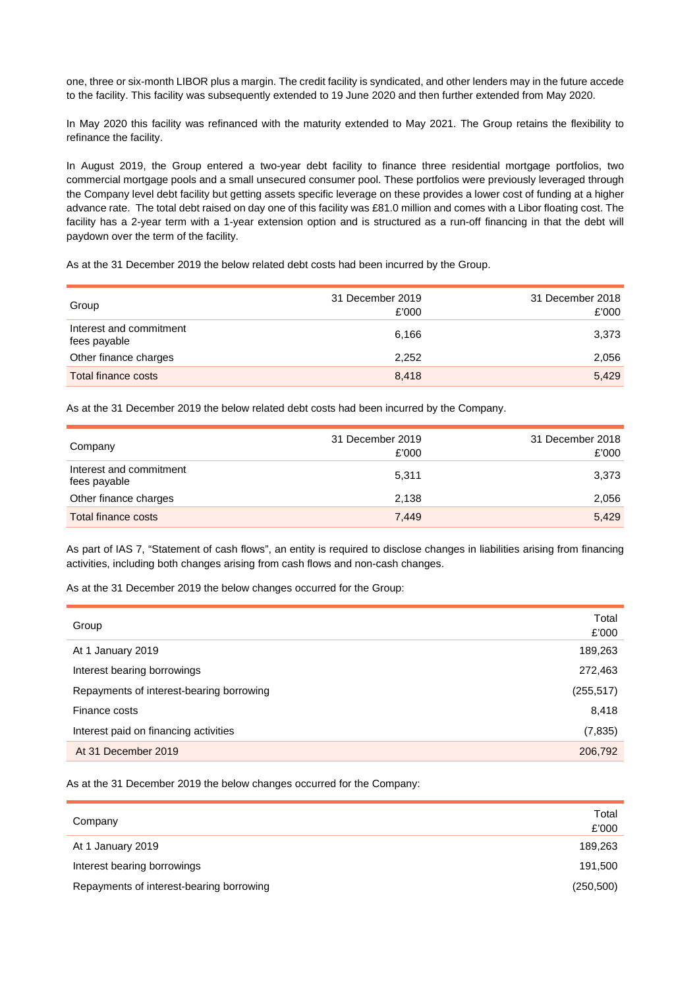one, three or six-month LIBOR plus a margin. The credit facility is syndicated, and other lenders may in the future accede to the facility. This facility was subsequently extended to 19 June 2020 and then further extended from May 2020.

In May 2020 this facility was refinanced with the maturity extended to May 2021. The Group retains the flexibility to refinance the facility.

In August 2019, the Group entered a two-year debt facility to finance three residential mortgage portfolios, two commercial mortgage pools and a small unsecured consumer pool. These portfolios were previously leveraged through the Company level debt facility but getting assets specific leverage on these provides a lower cost of funding at a higher advance rate. The total debt raised on day one of this facility was £81.0 million and comes with a Libor floating cost. The facility has a 2-year term with a 1-year extension option and is structured as a run-off financing in that the debt will paydown over the term of the facility.

As at the 31 December 2019 the below related debt costs had been incurred by the Group.

| Group                                   | 31 December 2019<br>£'000 | 31 December 2018<br>£'000 |
|-----------------------------------------|---------------------------|---------------------------|
| Interest and commitment<br>fees payable | 6,166                     | 3,373                     |
| Other finance charges                   | 2.252                     | 2,056                     |
| Total finance costs                     | 8.418                     | 5,429                     |

As at the 31 December 2019 the below related debt costs had been incurred by the Company.

| Company                                 | 31 December 2019<br>£'000 | 31 December 2018<br>£'000 |
|-----------------------------------------|---------------------------|---------------------------|
| Interest and commitment<br>fees payable | 5.311                     | 3,373                     |
| Other finance charges                   | 2,138                     | 2,056                     |
| Total finance costs                     | 7,449                     | 5.429                     |

As part of IAS 7, "Statement of cash flows", an entity is required to disclose changes in liabilities arising from financing activities, including both changes arising from cash flows and non-cash changes.

As at the 31 December 2019 the below changes occurred for the Group:

| Total<br>£'000 |
|----------------|
| 189,263        |
| 272,463        |
| (255, 517)     |
| 8,418          |
| (7, 835)       |
| 206,792        |
|                |

As at the 31 December 2019 the below changes occurred for the Company:

|                                          | Total      |
|------------------------------------------|------------|
| Company                                  | £'000      |
| At 1 January 2019                        | 189,263    |
| Interest bearing borrowings              | 191,500    |
| Repayments of interest-bearing borrowing | (250, 500) |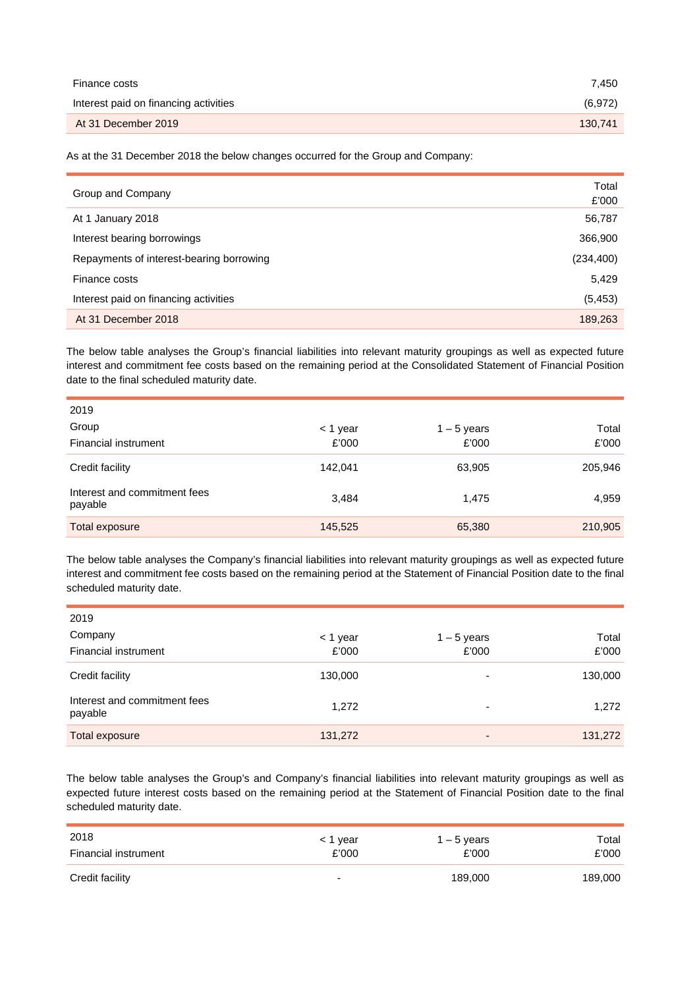| Finance costs                         | 7.450   |
|---------------------------------------|---------|
| Interest paid on financing activities | (6,972) |
| At 31 December 2019                   | 130.741 |

As at the 31 December 2018 the below changes occurred for the Group and Company:

| Group and Company                        | Total<br>£'000 |
|------------------------------------------|----------------|
| At 1 January 2018                        | 56,787         |
| Interest bearing borrowings              | 366,900        |
| Repayments of interest-bearing borrowing | (234, 400)     |
| Finance costs                            | 5,429          |
| Interest paid on financing activities    | (5, 453)       |
| At 31 December 2018                      | 189,263        |

The below table analyses the Group's financial liabilities into relevant maturity groupings as well as expected future interest and commitment fee costs based on the remaining period at the Consolidated Statement of Financial Position date to the final scheduled maturity date.

| 2019                                    |          |               |         |
|-----------------------------------------|----------|---------------|---------|
| Group                                   | < 1 year | $1 - 5$ years | Total   |
| Financial instrument                    | £'000    | £'000         | £'000   |
| Credit facility                         | 142,041  | 63,905        | 205,946 |
| Interest and commitment fees<br>payable | 3,484    | 1,475         | 4,959   |
| <b>Total exposure</b>                   | 145,525  | 65,380        | 210,905 |

The below table analyses the Company's financial liabilities into relevant maturity groupings as well as expected future interest and commitment fee costs based on the remaining period at the Statement of Financial Position date to the final scheduled maturity date.

| 2019                                    |          |                          |         |
|-----------------------------------------|----------|--------------------------|---------|
| Company                                 | < 1 year | $1 - 5$ years            | Total   |
| Financial instrument                    | £'000    | £'000                    | £'000   |
| Credit facility                         | 130,000  | $\overline{\phantom{0}}$ | 130,000 |
| Interest and commitment fees<br>payable | 1,272    | $\overline{\phantom{a}}$ | 1,272   |
| Total exposure                          | 131,272  | $\overline{\phantom{a}}$ | 131,272 |

The below table analyses the Group's and Company's financial liabilities into relevant maturity groupings as well as expected future interest costs based on the remaining period at the Statement of Financial Position date to the final scheduled maturity date.

| 2018                 | < 1 year                 | $1 - 5$ years | Total   |
|----------------------|--------------------------|---------------|---------|
| Financial instrument | £'000                    | £'000         | £'000   |
| Credit facility      | $\overline{\phantom{0}}$ | 189.000       | 189,000 |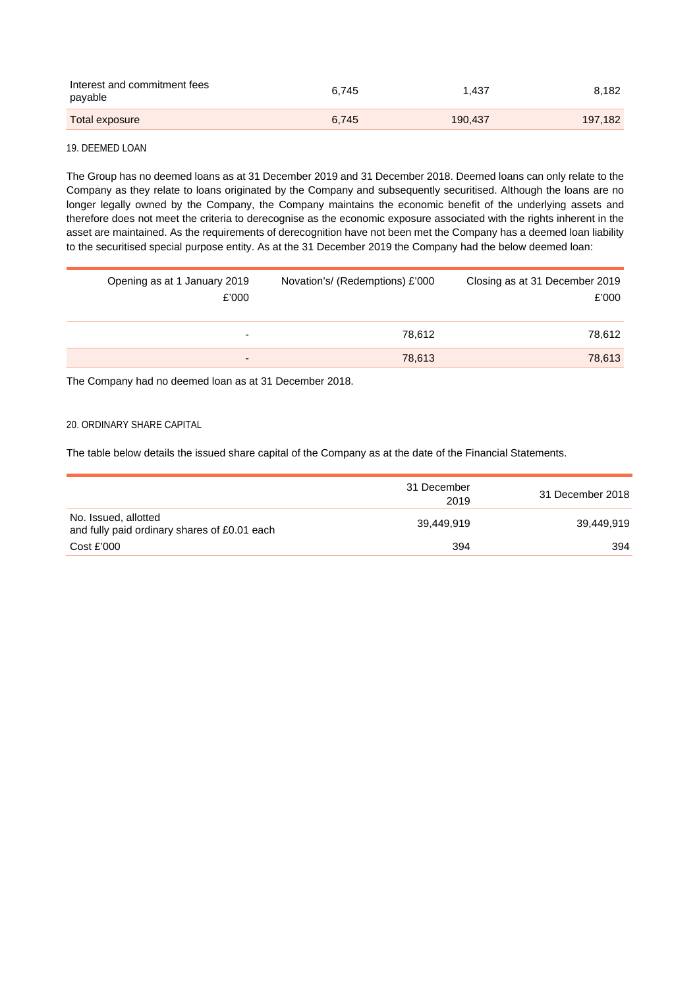| Interest and commitment fees<br>payable | 6.745 | 1.437   | 8.182   |
|-----------------------------------------|-------|---------|---------|
| Total exposure                          | 6.745 | 190.437 | 197,182 |

# 19. DEEMED LOAN

The Group has no deemed loans as at 31 December 2019 and 31 December 2018. Deemed loans can only relate to the Company as they relate to loans originated by the Company and subsequently securitised. Although the loans are no longer legally owned by the Company, the Company maintains the economic benefit of the underlying assets and therefore does not meet the criteria to derecognise as the economic exposure associated with the rights inherent in the asset are maintained. As the requirements of derecognition have not been met the Company has a deemed loan liability to the securitised special purpose entity. As at the 31 December 2019 the Company had the below deemed loan:

| Opening as at 1 January 2019<br>£'000 | Novation's/ (Redemptions) £'000 | Closing as at 31 December 2019<br>£'000 |
|---------------------------------------|---------------------------------|-----------------------------------------|
| ۰                                     | 78.612                          | 78,612                                  |
| $\overline{\phantom{0}}$              | 78,613                          | 78,613                                  |

The Company had no deemed loan as at 31 December 2018.

# 20. ORDINARY SHARE CAPITAL

The table below details the issued share capital of the Company as at the date of the Financial Statements.

|                                                                      | 31 December<br>2019 | 31 December 2018 |
|----------------------------------------------------------------------|---------------------|------------------|
| No. Issued, allotted<br>and fully paid ordinary shares of £0.01 each | 39.449.919          | 39.449.919       |
| Cost £'000                                                           | 394                 | 394              |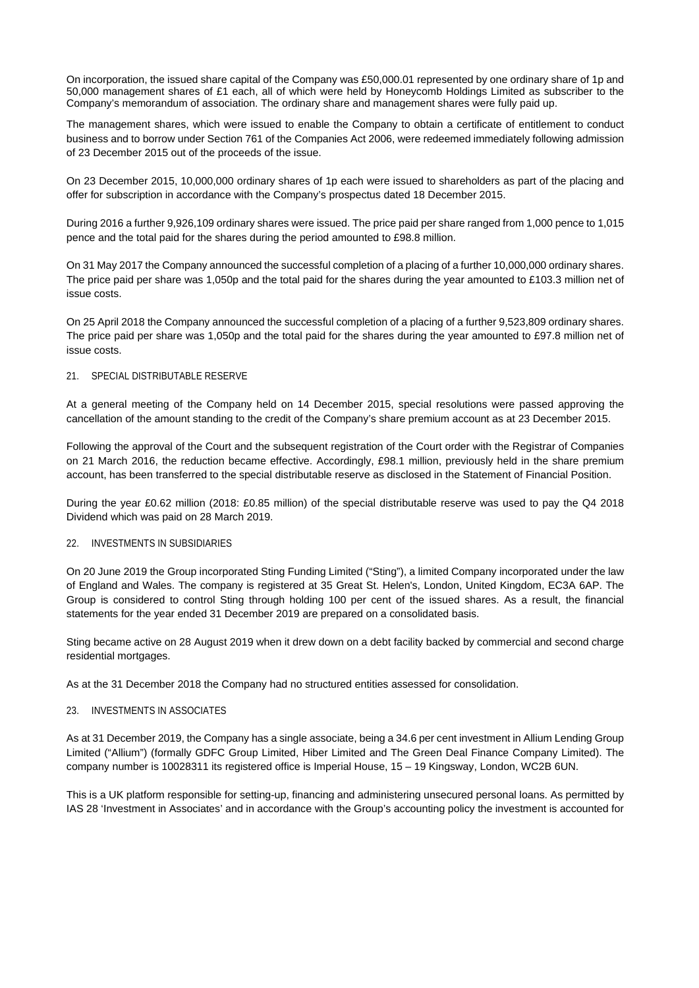On incorporation, the issued share capital of the Company was £50,000.01 represented by one ordinary share of 1p and 50,000 management shares of £1 each, all of which were held by Honeycomb Holdings Limited as subscriber to the Company's memorandum of association. The ordinary share and management shares were fully paid up.

The management shares, which were issued to enable the Company to obtain a certificate of entitlement to conduct business and to borrow under Section 761 of the Companies Act 2006, were redeemed immediately following admission of 23 December 2015 out of the proceeds of the issue.

On 23 December 2015, 10,000,000 ordinary shares of 1p each were issued to shareholders as part of the placing and offer for subscription in accordance with the Company's prospectus dated 18 December 2015.

During 2016 a further 9,926,109 ordinary shares were issued. The price paid per share ranged from 1,000 pence to 1,015 pence and the total paid for the shares during the period amounted to £98.8 million.

On 31 May 2017 the Company announced the successful completion of a placing of a further 10,000,000 ordinary shares. The price paid per share was 1,050p and the total paid for the shares during the year amounted to £103.3 million net of issue costs.

On 25 April 2018 the Company announced the successful completion of a placing of a further 9,523,809 ordinary shares. The price paid per share was 1,050p and the total paid for the shares during the year amounted to £97.8 million net of issue costs.

#### 21. SPECIAL DISTRIBUTABLE RESERVE

At a general meeting of the Company held on 14 December 2015, special resolutions were passed approving the cancellation of the amount standing to the credit of the Company's share premium account as at 23 December 2015.

Following the approval of the Court and the subsequent registration of the Court order with the Registrar of Companies on 21 March 2016, the reduction became effective. Accordingly, £98.1 million, previously held in the share premium account, has been transferred to the special distributable reserve as disclosed in the Statement of Financial Position.

During the year £0.62 million (2018: £0.85 million) of the special distributable reserve was used to pay the Q4 2018 Dividend which was paid on 28 March 2019.

### 22. INVESTMENTS IN SUBSIDIARIES

On 20 June 2019 the Group incorporated Sting Funding Limited ("Sting"), a limited Company incorporated under the law of England and Wales. The company is registered at 35 Great St. Helen's, London, United Kingdom, EC3A 6AP. The Group is considered to control Sting through holding 100 per cent of the issued shares. As a result, the financial statements for the year ended 31 December 2019 are prepared on a consolidated basis.

Sting became active on 28 August 2019 when it drew down on a debt facility backed by commercial and second charge residential mortgages.

As at the 31 December 2018 the Company had no structured entities assessed for consolidation.

### 23. INVESTMENTS IN ASSOCIATES

As at 31 December 2019, the Company has a single associate, being a 34.6 per cent investment in Allium Lending Group Limited ("Allium") (formally GDFC Group Limited, Hiber Limited and The Green Deal Finance Company Limited). The company number is 10028311 its registered office is Imperial House, 15 – 19 Kingsway, London, WC2B 6UN.

This is a UK platform responsible for setting-up, financing and administering unsecured personal loans. As permitted by IAS 28 'Investment in Associates' and in accordance with the Group's accounting policy the investment is accounted for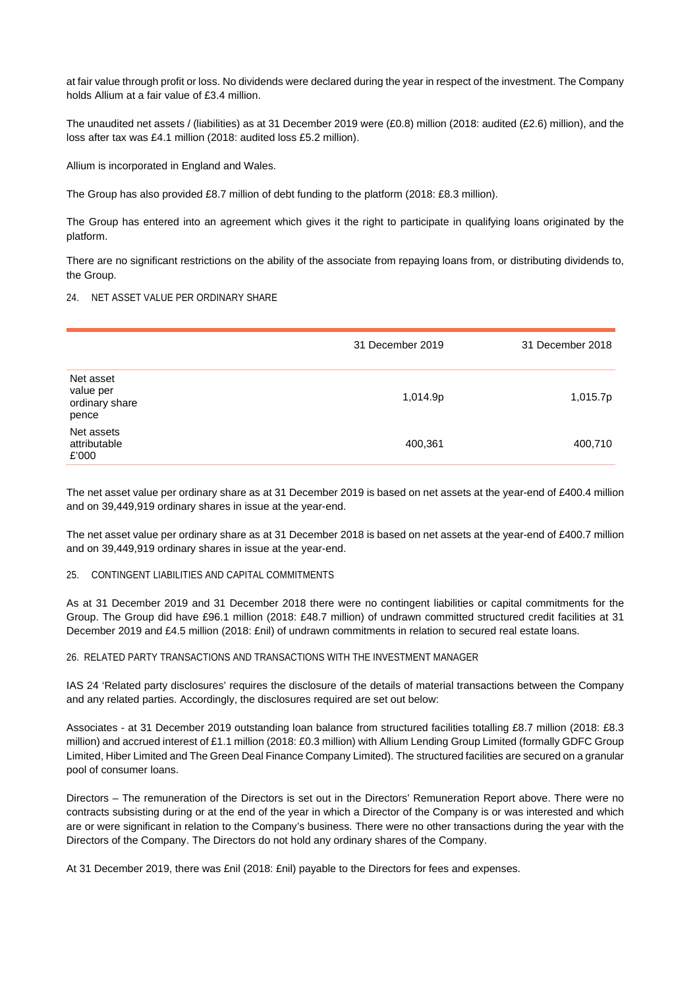at fair value through profit or loss. No dividends were declared during the year in respect of the investment. The Company holds Allium at a fair value of £3.4 million.

The unaudited net assets / (liabilities) as at 31 December 2019 were (£0.8) million (2018: audited (£2.6) million), and the loss after tax was £4.1 million (2018: audited loss £5.2 million).

Allium is incorporated in England and Wales.

The Group has also provided £8.7 million of debt funding to the platform (2018: £8.3 million).

The Group has entered into an agreement which gives it the right to participate in qualifying loans originated by the platform.

There are no significant restrictions on the ability of the associate from repaying loans from, or distributing dividends to, the Group.

# 24. NET ASSET VALUE PER ORDINARY SHARE

|                                                   | 31 December 2019 | 31 December 2018 |
|---------------------------------------------------|------------------|------------------|
| Net asset<br>value per<br>ordinary share<br>pence | 1,014.9p         | 1,015.7p         |
| Net assets<br>attributable<br>£'000               | 400,361          | 400,710          |

The net asset value per ordinary share as at 31 December 2019 is based on net assets at the year-end of £400.4 million and on 39,449,919 ordinary shares in issue at the year-end.

The net asset value per ordinary share as at 31 December 2018 is based on net assets at the year-end of £400.7 million and on 39,449,919 ordinary shares in issue at the year-end.

#### 25. CONTINGENT LIABILITIES AND CAPITAL COMMITMENTS

As at 31 December 2019 and 31 December 2018 there were no contingent liabilities or capital commitments for the Group. The Group did have £96.1 million (2018: £48.7 million) of undrawn committed structured credit facilities at 31 December 2019 and £4.5 million (2018: £nil) of undrawn commitments in relation to secured real estate loans.

#### 26. RELATED PARTY TRANSACTIONS AND TRANSACTIONS WITH THE INVESTMENT MANAGER

IAS 24 'Related party disclosures' requires the disclosure of the details of material transactions between the Company and any related parties. Accordingly, the disclosures required are set out below:

Associates - at 31 December 2019 outstanding loan balance from structured facilities totalling £8.7 million (2018: £8.3 million) and accrued interest of £1.1 million (2018: £0.3 million) with Allium Lending Group Limited (formally GDFC Group Limited, Hiber Limited and The Green Deal Finance Company Limited). The structured facilities are secured on a granular pool of consumer loans.

Directors – The remuneration of the Directors is set out in the Directors' Remuneration Report above. There were no contracts subsisting during or at the end of the year in which a Director of the Company is or was interested and which are or were significant in relation to the Company's business. There were no other transactions during the year with the Directors of the Company. The Directors do not hold any ordinary shares of the Company.

At 31 December 2019, there was £nil (2018: £nil) payable to the Directors for fees and expenses.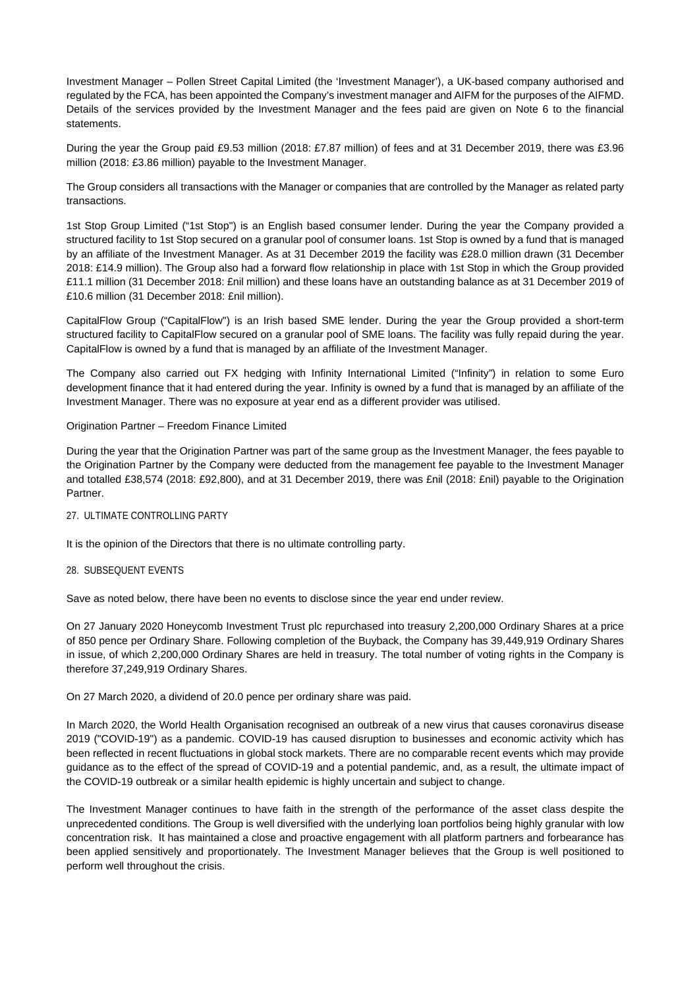Investment Manager – Pollen Street Capital Limited (the 'Investment Manager'), a UK-based company authorised and regulated by the FCA, has been appointed the Company's investment manager and AIFM for the purposes of the AIFMD. Details of the services provided by the Investment Manager and the fees paid are given on Note 6 to the financial statements.

During the year the Group paid £9.53 million (2018: £7.87 million) of fees and at 31 December 2019, there was £3.96 million (2018: £3.86 million) payable to the Investment Manager.

The Group considers all transactions with the Manager or companies that are controlled by the Manager as related party transactions.

1st Stop Group Limited ("1st Stop") is an English based consumer lender. During the year the Company provided a structured facility to 1st Stop secured on a granular pool of consumer loans. 1st Stop is owned by a fund that is managed by an affiliate of the Investment Manager. As at 31 December 2019 the facility was £28.0 million drawn (31 December 2018: £14.9 million). The Group also had a forward flow relationship in place with 1st Stop in which the Group provided £11.1 million (31 December 2018: £nil million) and these loans have an outstanding balance as at 31 December 2019 of £10.6 million (31 December 2018: £nil million).

CapitalFlow Group ("CapitalFlow") is an Irish based SME lender. During the year the Group provided a short-term structured facility to CapitalFlow secured on a granular pool of SME loans. The facility was fully repaid during the year. CapitalFlow is owned by a fund that is managed by an affiliate of the Investment Manager.

The Company also carried out FX hedging with Infinity International Limited ("Infinity") in relation to some Euro development finance that it had entered during the year. Infinity is owned by a fund that is managed by an affiliate of the Investment Manager. There was no exposure at year end as a different provider was utilised.

### Origination Partner – Freedom Finance Limited

During the year that the Origination Partner was part of the same group as the Investment Manager, the fees payable to the Origination Partner by the Company were deducted from the management fee payable to the Investment Manager and totalled £38,574 (2018: £92,800), and at 31 December 2019, there was £nil (2018: £nil) payable to the Origination Partner.

### 27. ULTIMATE CONTROLLING PARTY

It is the opinion of the Directors that there is no ultimate controlling party.

# 28. SUBSEQUENT EVENTS

Save as noted below, there have been no events to disclose since the year end under review.

On 27 January 2020 Honeycomb Investment Trust plc repurchased into treasury 2,200,000 Ordinary Shares at a price of 850 pence per Ordinary Share. Following completion of the Buyback, the Company has 39,449,919 Ordinary Shares in issue, of which 2,200,000 Ordinary Shares are held in treasury. The total number of voting rights in the Company is therefore 37,249,919 Ordinary Shares.

On 27 March 2020, a dividend of 20.0 pence per ordinary share was paid.

In March 2020, the World Health Organisation recognised an outbreak of a new virus that causes coronavirus disease 2019 ("COVID-19") as a pandemic. COVID-19 has caused disruption to businesses and economic activity which has been reflected in recent fluctuations in global stock markets. There are no comparable recent events which may provide guidance as to the effect of the spread of COVID-19 and a potential pandemic, and, as a result, the ultimate impact of the COVID-19 outbreak or a similar health epidemic is highly uncertain and subject to change.

The Investment Manager continues to have faith in the strength of the performance of the asset class despite the unprecedented conditions. The Group is well diversified with the underlying loan portfolios being highly granular with low concentration risk. It has maintained a close and proactive engagement with all platform partners and forbearance has been applied sensitively and proportionately. The Investment Manager believes that the Group is well positioned to perform well throughout the crisis.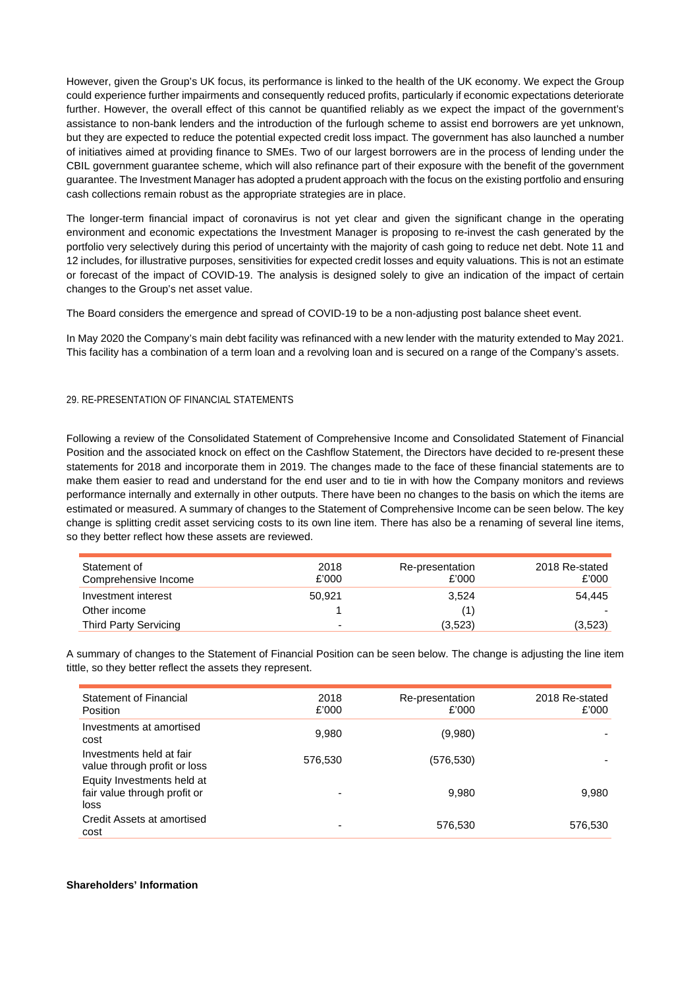However, given the Group's UK focus, its performance is linked to the health of the UK economy. We expect the Group could experience further impairments and consequently reduced profits, particularly if economic expectations deteriorate further. However, the overall effect of this cannot be quantified reliably as we expect the impact of the government's assistance to non-bank lenders and the introduction of the furlough scheme to assist end borrowers are yet unknown, but they are expected to reduce the potential expected credit loss impact. The government has also launched a number of initiatives aimed at providing finance to SMEs. Two of our largest borrowers are in the process of lending under the CBIL government guarantee scheme, which will also refinance part of their exposure with the benefit of the government guarantee. The Investment Manager has adopted a prudent approach with the focus on the existing portfolio and ensuring cash collections remain robust as the appropriate strategies are in place.

The longer-term financial impact of coronavirus is not yet clear and given the significant change in the operating environment and economic expectations the Investment Manager is proposing to re-invest the cash generated by the portfolio very selectively during this period of uncertainty with the majority of cash going to reduce net debt. Note 11 and 12 includes, for illustrative purposes, sensitivities for expected credit losses and equity valuations. This is not an estimate or forecast of the impact of COVID-19. The analysis is designed solely to give an indication of the impact of certain changes to the Group's net asset value.

The Board considers the emergence and spread of COVID-19 to be a non-adjusting post balance sheet event.

In May 2020 the Company's main debt facility was refinanced with a new lender with the maturity extended to May 2021. This facility has a combination of a term loan and a revolving loan and is secured on a range of the Company's assets.

# 29. RE-PRESENTATION OF FINANCIAL STATEMENTS

Following a review of the Consolidated Statement of Comprehensive Income and Consolidated Statement of Financial Position and the associated knock on effect on the Cashflow Statement, the Directors have decided to re-present these statements for 2018 and incorporate them in 2019. The changes made to the face of these financial statements are to make them easier to read and understand for the end user and to tie in with how the Company monitors and reviews performance internally and externally in other outputs. There have been no changes to the basis on which the items are estimated or measured. A summary of changes to the Statement of Comprehensive Income can be seen below. The key change is splitting credit asset servicing costs to its own line item. There has also be a renaming of several line items, so they better reflect how these assets are reviewed.

| Statement of<br>Comprehensive Income | 2018<br>£'000            | Re-presentation<br>£'000 | 2018 Re-stated<br>£'000 |
|--------------------------------------|--------------------------|--------------------------|-------------------------|
| Investment interest                  | 50.921                   | 3,524                    | 54.445                  |
| Other income                         |                          |                          |                         |
| Third Party Servicing                | $\overline{\phantom{0}}$ | (3,523)                  | (3,523)                 |

A summary of changes to the Statement of Financial Position can be seen below. The change is adjusting the line item tittle, so they better reflect the assets they represent.

| <b>Statement of Financial</b><br><b>Position</b>                   | 2018<br>£'000 | Re-presentation<br>£'000 | 2018 Re-stated<br>£'000 |
|--------------------------------------------------------------------|---------------|--------------------------|-------------------------|
| Investments at amortised<br>cost                                   | 9,980         | (9,980)                  |                         |
| Investments held at fair<br>value through profit or loss           | 576,530       | (576,530)                |                         |
| Equity Investments held at<br>fair value through profit or<br>loss |               | 9.980                    | 9.980                   |
| Credit Assets at amortised<br>cost                                 |               | 576,530                  | 576,530                 |

### **Shareholders' Information**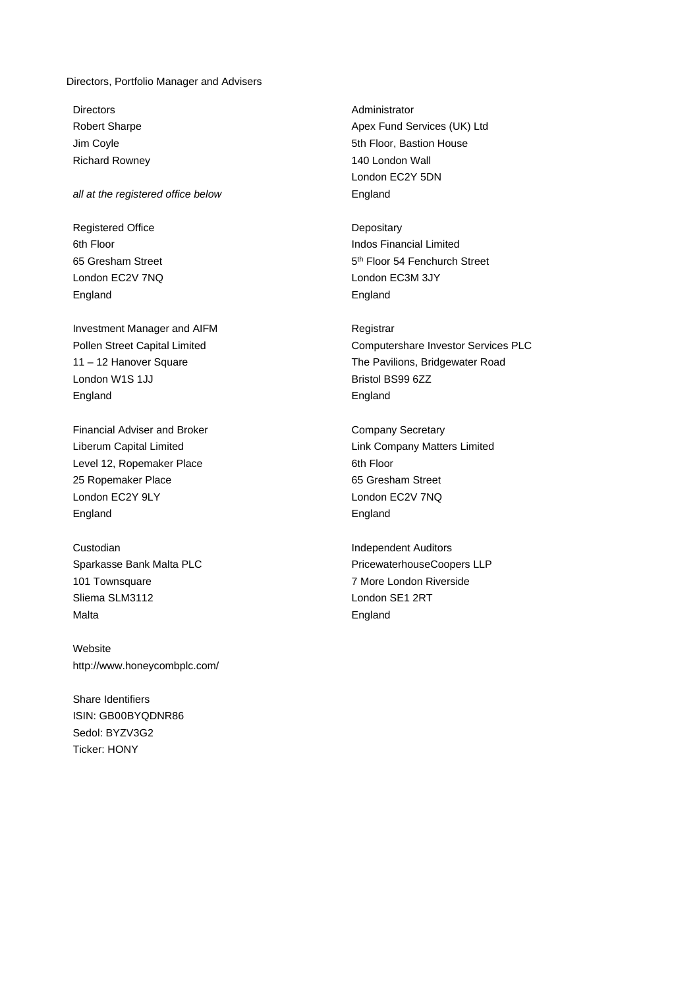#### Directors, Portfolio Manager and Advisers

Directors Administrator

# all at the registered office below end and the registered office below

Registered Office **Depositary** 65 Gresham Street London EC2V 7NQ London EC3M 3JY England **England England** 

Investment Manager and AIFM **Registrar** Registrar London W1S 1JJ Bristol BS99 6ZZ England England

Financial Adviser and Broker Company Secretary Level 12, Ropemaker Place 6th Floor 25 Ropemaker Place **65 Gresham Street** London EC2Y 9LY **London EC2V 7NQ** England England England

**Custodian Independent Auditors** 101 Townsquare **7 More London Riverside** Sliema SLM3112 London SE1 2RT Malta **England** 

Website http://www.honeycombplc.com/

Share Identifiers ISIN: GB00BYQDNR86 Sedol: BYZV3G2 Ticker: HONY

Robert Sharpe **Apex Fund Services (UK)** Ltd Jim Coyle **5th Floor, Bastion House** Richard Rowney **140 London Wall** London EC2Y 5DN

6th Floor **Indos** Financial Limited 5<sup>th</sup> Floor 54 Fenchurch Street

Pollen Street Capital Limited Computershare Investor Services PLC 11 – 12 Hanover Square The Pavilions, Bridgewater Road

Liberum Capital Limited Link Company Matters Limited

Sparkasse Bank Malta PLC **PricewaterhouseCoopers LLP**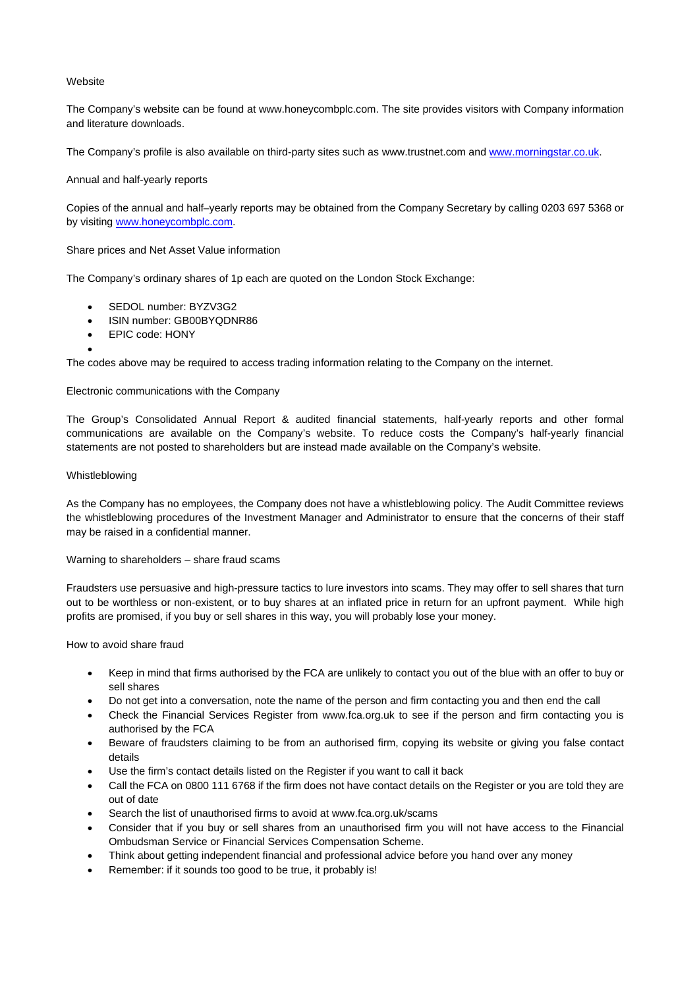## **Website**

The Company's website can be found at www.honeycombplc.com. The site provides visitors with Company information and literature downloads.

The Company's profile is also available on third-party sites such as www.trustnet.com and [www.morningstar.co.uk.](http://www.morningstar.co.uk/) 

# Annual and half-yearly reports

Copies of the annual and half–yearly reports may be obtained from the Company Secretary by calling 0203 697 5368 or by visiting www.honeycombplc.com.

# Share prices and Net Asset Value information

The Company's ordinary shares of 1p each are quoted on the London Stock Exchange:

- SEDOL number: BYZV3G2
- ISIN number: GB00BYQDNR86
- EPIC code: HONY
- $\bullet$

The codes above may be required to access trading information relating to the Company on the internet.

# Electronic communications with the Company

The Group's Consolidated Annual Report & audited financial statements, half-yearly reports and other formal communications are available on the Company's website. To reduce costs the Company's half-yearly financial statements are not posted to shareholders but are instead made available on the Company's website.

# Whistleblowing

As the Company has no employees, the Company does not have a whistleblowing policy. The Audit Committee reviews the whistleblowing procedures of the Investment Manager and Administrator to ensure that the concerns of their staff may be raised in a confidential manner.

### Warning to shareholders – share fraud scams

Fraudsters use persuasive and high-pressure tactics to lure investors into scams. They may offer to sell shares that turn out to be worthless or non-existent, or to buy shares at an inflated price in return for an upfront payment. While high profits are promised, if you buy or sell shares in this way, you will probably lose your money.

How to avoid share fraud

- Keep in mind that firms authorised by the FCA are unlikely to contact you out of the blue with an offer to buy or sell shares
- Do not get into a conversation, note the name of the person and firm contacting you and then end the call
- Check the Financial Services Register from www.fca.org.uk to see if the person and firm contacting you is authorised by the FCA
- Beware of fraudsters claiming to be from an authorised firm, copying its website or giving you false contact details
- Use the firm's contact details listed on the Register if you want to call it back
- Call the FCA on 0800 111 6768 if the firm does not have contact details on the Register or you are told they are out of date
- Search the list of unauthorised firms to avoid at www.fca.org.uk/scams
- Consider that if you buy or sell shares from an unauthorised firm you will not have access to the Financial Ombudsman Service or Financial Services Compensation Scheme.
- Think about getting independent financial and professional advice before you hand over any money
- Remember: if it sounds too good to be true, it probably is!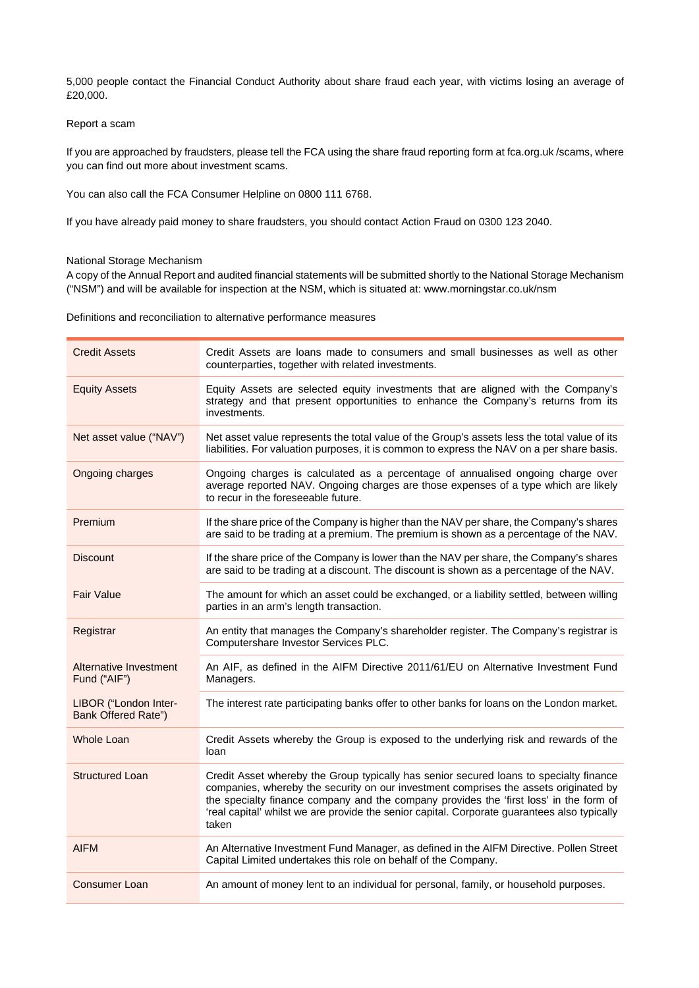5,000 people contact the Financial Conduct Authority about share fraud each year, with victims losing an average of £20,000.

# Report a scam

If you are approached by fraudsters, please tell the FCA using the share fraud reporting form at fca.org.uk /scams, where you can find out more about investment scams.

You can also call the FCA Consumer Helpline on 0800 111 6768.

If you have already paid money to share fraudsters, you should contact Action Fraud on 0300 123 2040.

# National Storage Mechanism

A copy of the Annual Report and audited financial statements will be submitted shortly to the National Storage Mechanism ("NSM") and will be available for inspection at the NSM, which is situated at: [www.morningstar.co.uk/nsm](http://www.morningstar.co.uk/nsm) 

Definitions and reconciliation to alternative performance measures

| <b>Credit Assets</b>                         | Credit Assets are loans made to consumers and small businesses as well as other<br>counterparties, together with related investments.                                                                                                                                                                                                                                             |
|----------------------------------------------|-----------------------------------------------------------------------------------------------------------------------------------------------------------------------------------------------------------------------------------------------------------------------------------------------------------------------------------------------------------------------------------|
| <b>Equity Assets</b>                         | Equity Assets are selected equity investments that are aligned with the Company's<br>strategy and that present opportunities to enhance the Company's returns from its<br>investments.                                                                                                                                                                                            |
| Net asset value ("NAV")                      | Net asset value represents the total value of the Group's assets less the total value of its<br>liabilities. For valuation purposes, it is common to express the NAV on a per share basis.                                                                                                                                                                                        |
| Ongoing charges                              | Ongoing charges is calculated as a percentage of annualised ongoing charge over<br>average reported NAV. Ongoing charges are those expenses of a type which are likely<br>to recur in the foreseeable future.                                                                                                                                                                     |
| Premium                                      | If the share price of the Company is higher than the NAV per share, the Company's shares<br>are said to be trading at a premium. The premium is shown as a percentage of the NAV.                                                                                                                                                                                                 |
| <b>Discount</b>                              | If the share price of the Company is lower than the NAV per share, the Company's shares<br>are said to be trading at a discount. The discount is shown as a percentage of the NAV.                                                                                                                                                                                                |
| <b>Fair Value</b>                            | The amount for which an asset could be exchanged, or a liability settled, between willing<br>parties in an arm's length transaction.                                                                                                                                                                                                                                              |
| Registrar                                    | An entity that manages the Company's shareholder register. The Company's registrar is<br>Computershare Investor Services PLC.                                                                                                                                                                                                                                                     |
| Alternative Investment<br>Fund ("AIF")       | An AIF, as defined in the AIFM Directive 2011/61/EU on Alternative Investment Fund<br>Managers.                                                                                                                                                                                                                                                                                   |
| LIBOR ("London Inter-<br>Bank Offered Rate") | The interest rate participating banks offer to other banks for loans on the London market.                                                                                                                                                                                                                                                                                        |
| <b>Whole Loan</b>                            | Credit Assets whereby the Group is exposed to the underlying risk and rewards of the<br>loan                                                                                                                                                                                                                                                                                      |
| <b>Structured Loan</b>                       | Credit Asset whereby the Group typically has senior secured loans to specialty finance<br>companies, whereby the security on our investment comprises the assets originated by<br>the specialty finance company and the company provides the 'first loss' in the form of<br>'real capital' whilst we are provide the senior capital. Corporate guarantees also typically<br>taken |
| <b>AIFM</b>                                  | An Alternative Investment Fund Manager, as defined in the AIFM Directive. Pollen Street<br>Capital Limited undertakes this role on behalf of the Company.                                                                                                                                                                                                                         |
| Consumer Loan                                | An amount of money lent to an individual for personal, family, or household purposes.                                                                                                                                                                                                                                                                                             |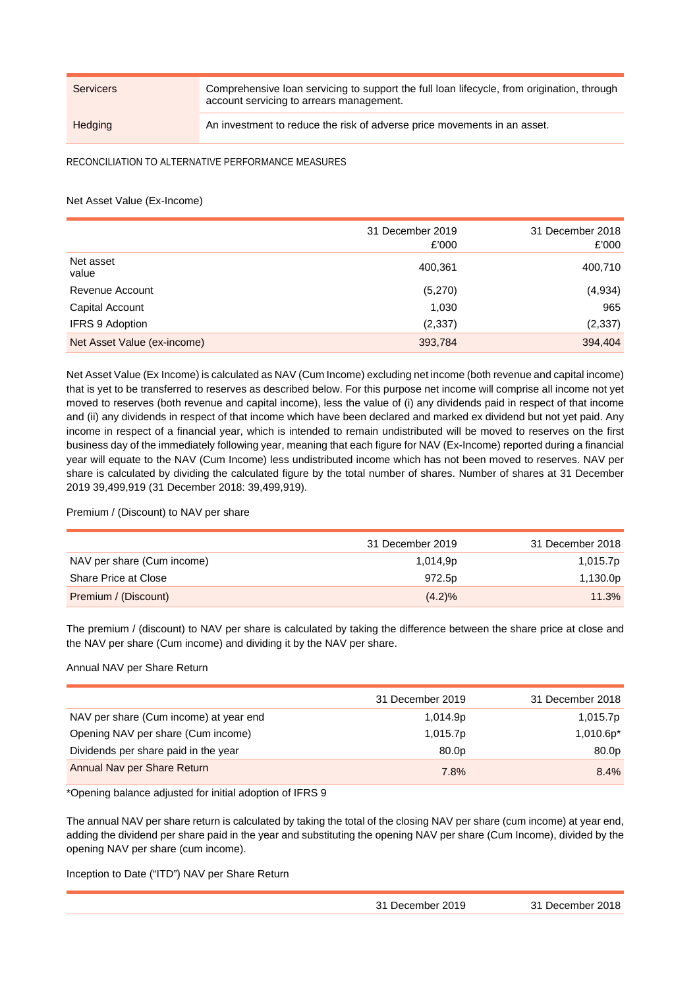Servicers Comprehensive loan servicing to support the full loan lifecycle, from origination, through account servicing to arrears management. Hedging **An investment to reduce the risk of adverse price movements in an asset.** 

RECONCILIATION TO ALTERNATIVE PERFORMANCE MEASURES

# Net Asset Value (Ex-Income)

|                             | 31 December 2019<br>£'000 | 31 December 2018<br>£'000 |
|-----------------------------|---------------------------|---------------------------|
| Net asset<br>value          | 400,361                   | 400,710                   |
| Revenue Account             | (5,270)                   | (4,934)                   |
| Capital Account             | 1,030                     | 965                       |
| <b>IFRS 9 Adoption</b>      | (2, 337)                  | (2, 337)                  |
| Net Asset Value (ex-income) | 393,784                   | 394,404                   |

Net Asset Value (Ex Income) is calculated as NAV (Cum Income) excluding net income (both revenue and capital income) that is yet to be transferred to reserves as described below. For this purpose net income will comprise all income not yet moved to reserves (both revenue and capital income), less the value of (i) any dividends paid in respect of that income and (ii) any dividends in respect of that income which have been declared and marked ex dividend but not yet paid. Any income in respect of a financial year, which is intended to remain undistributed will be moved to reserves on the first business day of the immediately following year, meaning that each figure for NAV (Ex-Income) reported during a financial year will equate to the NAV (Cum Income) less undistributed income which has not been moved to reserves. NAV per share is calculated by dividing the calculated figure by the total number of shares. Number of shares at 31 December 2019 39,499,919 (31 December 2018: 39,499,919).

# Premium / (Discount) to NAV per share

|                            | 31 December 2019 | 31 December 2018 |
|----------------------------|------------------|------------------|
| NAV per share (Cum income) | 1,014,9p         | 1,015.7p         |
| Share Price at Close       | 972.5p           | 1,130.0p         |
| Premium / (Discount)       | $(4.2)\%$        | 11.3%            |

The premium / (discount) to NAV per share is calculated by taking the difference between the share price at close and the NAV per share (Cum income) and dividing it by the NAV per share.

# Annual NAV per Share Return

|                                        | 31 December 2019  | 31 December 2018 |
|----------------------------------------|-------------------|------------------|
| NAV per share (Cum income) at year end | 1,014.9p          | 1,015.7p         |
| Opening NAV per share (Cum income)     | 1,015.7p          | $1,010.6p*$      |
| Dividends per share paid in the year   | 80.0 <sub>p</sub> | 80.0p            |
| Annual Nav per Share Return            | 7.8%              | 8.4%             |

\*Opening balance adjusted for initial adoption of IFRS 9

The annual NAV per share return is calculated by taking the total of the closing NAV per share (cum income) at year end, adding the dividend per share paid in the year and substituting the opening NAV per share (Cum Income), divided by the opening NAV per share (cum income).

Inception to Date ("ITD") NAV per Share Return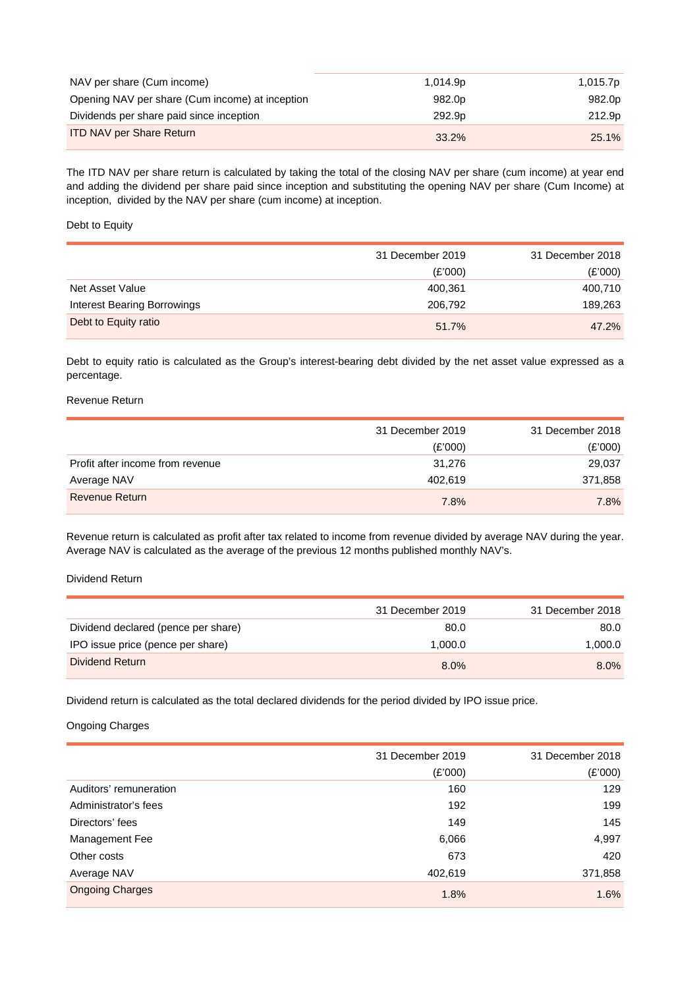| NAV per share (Cum income)                      | 1.014.9p           | 1,015.7p |
|-------------------------------------------------|--------------------|----------|
| Opening NAV per share (Cum income) at inception | 982.0 <sub>p</sub> | 982.0p   |
| Dividends per share paid since inception        | 292.9 <sub>p</sub> | 212.9p   |
| <b>ITD NAV per Share Return</b>                 | 33.2%              | 25.1%    |

The ITD NAV per share return is calculated by taking the total of the closing NAV per share (cum income) at year end and adding the dividend per share paid since inception and substituting the opening NAV per share (Cum Income) at inception, divided by the NAV per share (cum income) at inception.

# Debt to Equity

|                                    | 31 December 2019 | 31 December 2018 |
|------------------------------------|------------------|------------------|
|                                    | (E'000)          | (E'000)          |
| Net Asset Value                    | 400.361          | 400,710          |
| <b>Interest Bearing Borrowings</b> | 206,792          | 189,263          |
| Debt to Equity ratio               | 51.7%            | 47.2%            |

Debt to equity ratio is calculated as the Group's interest-bearing debt divided by the net asset value expressed as a percentage.

# Revenue Return

|                                  | 31 December 2019 | 31 December 2018 |
|----------------------------------|------------------|------------------|
|                                  | (E'000)          | (E'000)          |
| Profit after income from revenue | 31.276           | 29,037           |
| Average NAV                      | 402.619          | 371,858          |
| <b>Revenue Return</b>            | 7.8%             | 7.8%             |

Revenue return is calculated as profit after tax related to income from revenue divided by average NAV during the year. Average NAV is calculated as the average of the previous 12 months published monthly NAV's.

## Dividend Return

|                                     | 31 December 2019 | 31 December 2018 |
|-------------------------------------|------------------|------------------|
| Dividend declared (pence per share) | 80.0             | 80.0             |
| IPO issue price (pence per share)   | 1.000.0          | 1.000.0          |
| Dividend Return                     | 8.0%             | $8.0\%$          |

Dividend return is calculated as the total declared dividends for the period divided by IPO issue price.

# Ongoing Charges

|                        | 31 December 2019 | 31 December 2018 |
|------------------------|------------------|------------------|
|                        | (E'000)          | (E'000)          |
| Auditors' remuneration | 160              | 129              |
| Administrator's fees   | 192              | 199              |
| Directors' fees        | 149              | 145              |
| Management Fee         | 6,066            | 4,997            |
| Other costs            | 673              | 420              |
| Average NAV            | 402,619          | 371,858          |
| <b>Ongoing Charges</b> | 1.8%             | 1.6%             |